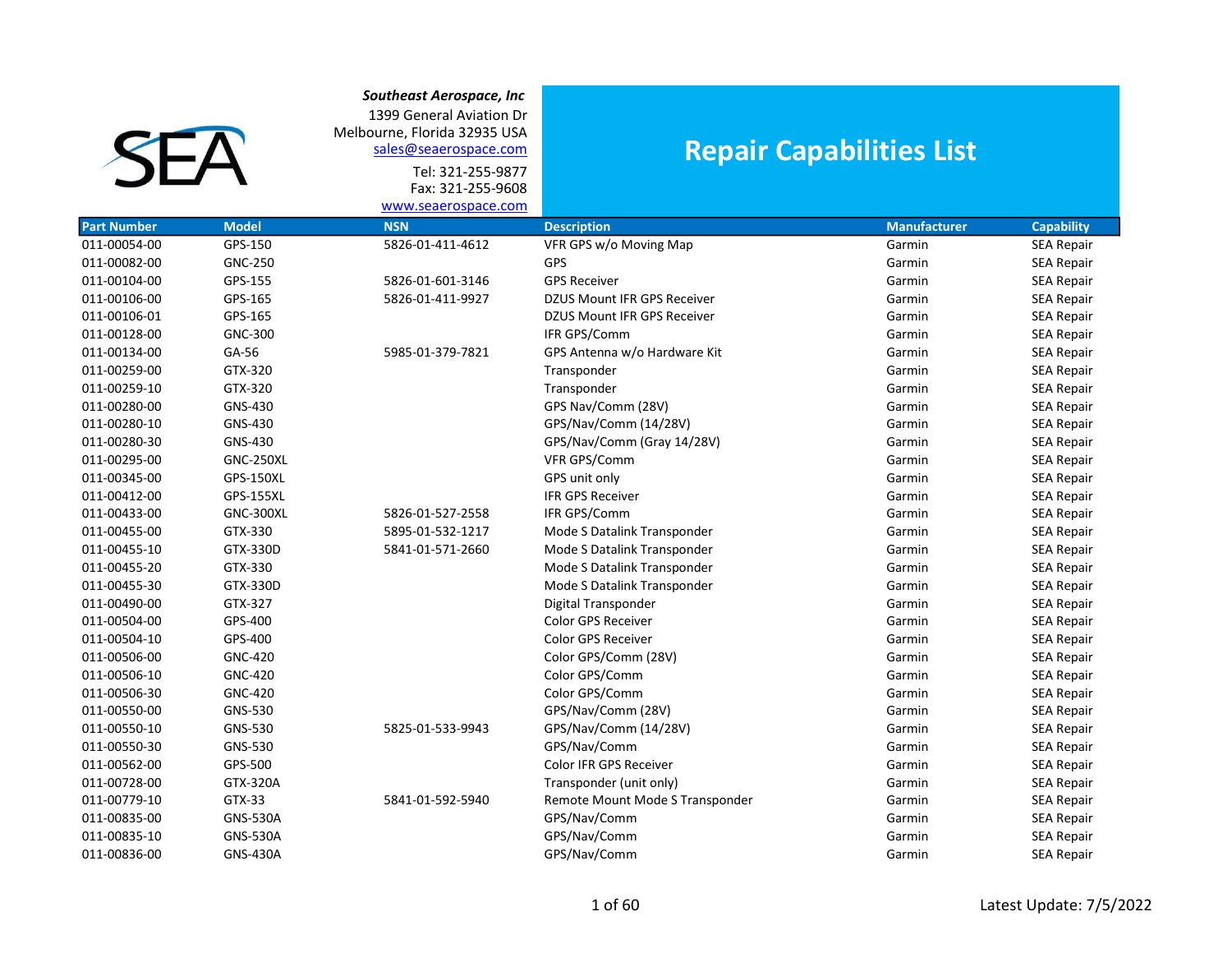1399 General Aviation Dr Melbourne, Florida 32935 USA sales@seaerospace.com

**SEA** 

Tel: 321-255-9877 Fax: 321-255-9608

## Repair Capabilities List

|                    |                  | www.seaerospace.com |                                    |                     |                   |
|--------------------|------------------|---------------------|------------------------------------|---------------------|-------------------|
| <b>Part Number</b> | <b>Model</b>     | <b>NSN</b>          | <b>Description</b>                 | <b>Manufacturer</b> | <b>Capability</b> |
| 011-00054-00       | GPS-150          | 5826-01-411-4612    | VFR GPS w/o Moving Map             | Garmin              | <b>SEA Repair</b> |
| 011-00082-00       | <b>GNC-250</b>   |                     | GPS                                | Garmin              | <b>SEA Repair</b> |
| 011-00104-00       | GPS-155          | 5826-01-601-3146    | <b>GPS Receiver</b>                | Garmin              | SEA Repair        |
| 011-00106-00       | GPS-165          | 5826-01-411-9927    | <b>DZUS Mount IFR GPS Receiver</b> | Garmin              | <b>SEA Repair</b> |
| 011-00106-01       | GPS-165          |                     | DZUS Mount IFR GPS Receiver        | Garmin              | <b>SEA Repair</b> |
| 011-00128-00       | <b>GNC-300</b>   |                     | IFR GPS/Comm                       | Garmin              | <b>SEA Repair</b> |
| 011-00134-00       | GA-56            | 5985-01-379-7821    | GPS Antenna w/o Hardware Kit       | Garmin              | <b>SEA Repair</b> |
| 011-00259-00       | GTX-320          |                     | Transponder                        | Garmin              | <b>SEA Repair</b> |
| 011-00259-10       | GTX-320          |                     | Transponder                        | Garmin              | <b>SEA Repair</b> |
| 011-00280-00       | GNS-430          |                     | GPS Nav/Comm (28V)                 | Garmin              | <b>SEA Repair</b> |
| 011-00280-10       | GNS-430          |                     | GPS/Nav/Comm (14/28V)              | Garmin              | <b>SEA Repair</b> |
| 011-00280-30       | GNS-430          |                     | GPS/Nav/Comm (Gray 14/28V)         | Garmin              | <b>SEA Repair</b> |
| 011-00295-00       | <b>GNC-250XL</b> |                     | VFR GPS/Comm                       | Garmin              | <b>SEA Repair</b> |
| 011-00345-00       | <b>GPS-150XL</b> |                     | GPS unit only                      | Garmin              | <b>SEA Repair</b> |
| 011-00412-00       | <b>GPS-155XL</b> |                     | <b>IFR GPS Receiver</b>            | Garmin              | <b>SEA Repair</b> |
| 011-00433-00       | <b>GNC-300XL</b> | 5826-01-527-2558    | IFR GPS/Comm                       | Garmin              | <b>SEA Repair</b> |
| 011-00455-00       | GTX-330          | 5895-01-532-1217    | Mode S Datalink Transponder        | Garmin              | <b>SEA Repair</b> |
| 011-00455-10       | GTX-330D         | 5841-01-571-2660    | Mode S Datalink Transponder        | Garmin              | <b>SEA Repair</b> |
| 011-00455-20       | GTX-330          |                     | Mode S Datalink Transponder        | Garmin              | <b>SEA Repair</b> |
| 011-00455-30       | GTX-330D         |                     | Mode S Datalink Transponder        | Garmin              | <b>SEA Repair</b> |
| 011-00490-00       | GTX-327          |                     | Digital Transponder                | Garmin              | SEA Repair        |
| 011-00504-00       | GPS-400          |                     | <b>Color GPS Receiver</b>          | Garmin              | <b>SEA Repair</b> |
| 011-00504-10       | GPS-400          |                     | <b>Color GPS Receiver</b>          | Garmin              | <b>SEA Repair</b> |
| 011-00506-00       | <b>GNC-420</b>   |                     | Color GPS/Comm (28V)               | Garmin              | <b>SEA Repair</b> |
| 011-00506-10       | <b>GNC-420</b>   |                     | Color GPS/Comm                     | Garmin              | <b>SEA Repair</b> |
| 011-00506-30       | <b>GNC-420</b>   |                     | Color GPS/Comm                     | Garmin              | SEA Repair        |
| 011-00550-00       | GNS-530          |                     | GPS/Nav/Comm (28V)                 | Garmin              | <b>SEA Repair</b> |
| 011-00550-10       | GNS-530          | 5825-01-533-9943    | GPS/Nav/Comm (14/28V)              | Garmin              | <b>SEA Repair</b> |
| 011-00550-30       | GNS-530          |                     | GPS/Nav/Comm                       | Garmin              | <b>SEA Repair</b> |
| 011-00562-00       | GPS-500          |                     | Color IFR GPS Receiver             | Garmin              | <b>SEA Repair</b> |
| 011-00728-00       | GTX-320A         |                     | Transponder (unit only)            | Garmin              | <b>SEA Repair</b> |
| 011-00779-10       | GTX-33           | 5841-01-592-5940    | Remote Mount Mode S Transponder    | Garmin              | <b>SEA Repair</b> |
| 011-00835-00       | <b>GNS-530A</b>  |                     | GPS/Nav/Comm                       | Garmin              | <b>SEA Repair</b> |
| 011-00835-10       | <b>GNS-530A</b>  |                     | GPS/Nav/Comm                       | Garmin              | <b>SEA Repair</b> |
| 011-00836-00       | <b>GNS-430A</b>  |                     | GPS/Nav/Comm                       | Garmin              | <b>SEA Repair</b> |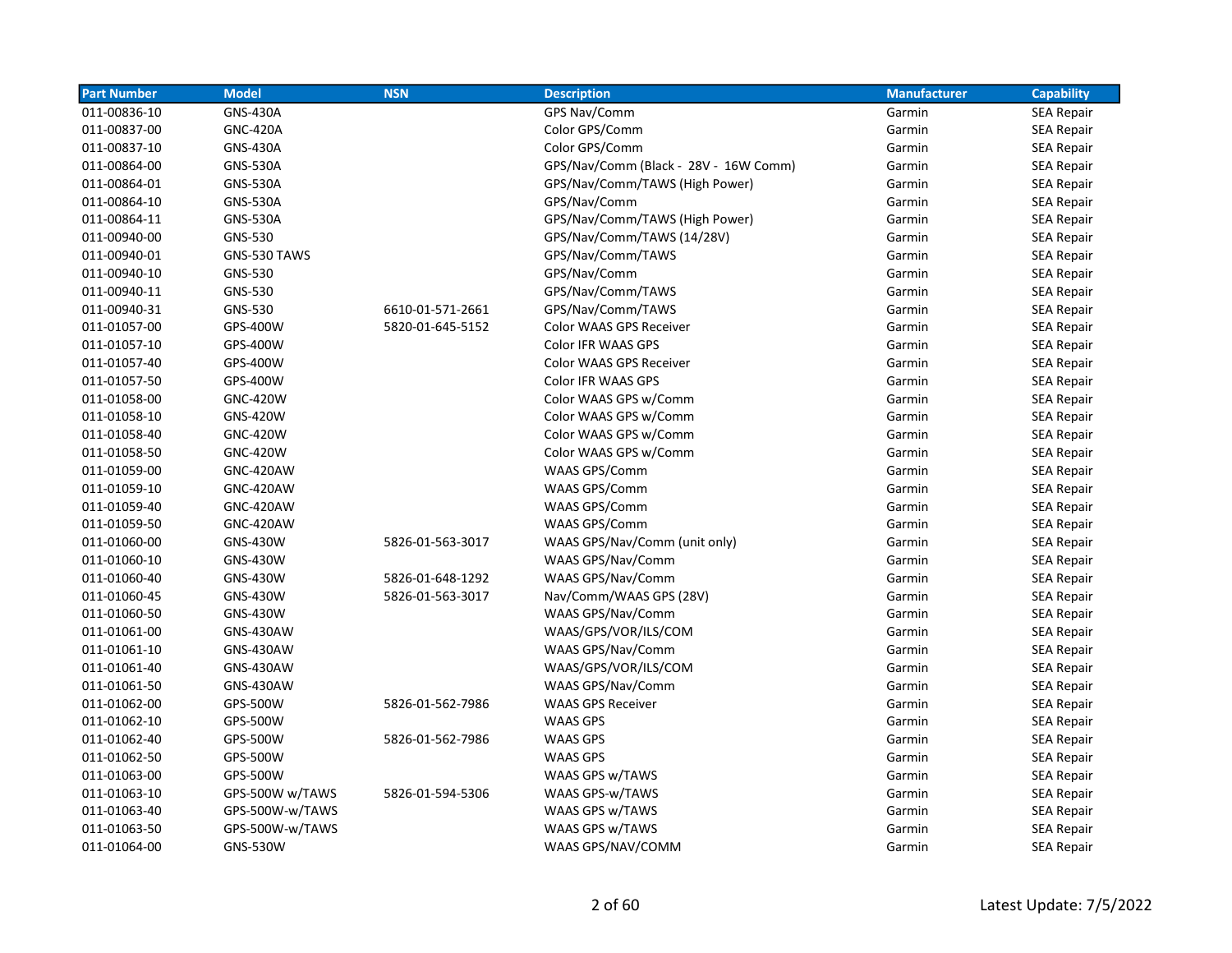| <b>Part Number</b> | <b>Model</b>     | <b>NSN</b>       | <b>Description</b>                    | <b>Manufacturer</b> | <b>Capability</b> |
|--------------------|------------------|------------------|---------------------------------------|---------------------|-------------------|
| 011-00836-10       | <b>GNS-430A</b>  |                  | GPS Nav/Comm                          | Garmin              | <b>SEA Repair</b> |
| 011-00837-00       | <b>GNC-420A</b>  |                  | Color GPS/Comm                        | Garmin              | <b>SEA Repair</b> |
| 011-00837-10       | <b>GNS-430A</b>  |                  | Color GPS/Comm                        | Garmin              | <b>SEA Repair</b> |
| 011-00864-00       | <b>GNS-530A</b>  |                  | GPS/Nav/Comm (Black - 28V - 16W Comm) | Garmin              | <b>SEA Repair</b> |
| 011-00864-01       | <b>GNS-530A</b>  |                  | GPS/Nav/Comm/TAWS (High Power)        | Garmin              | <b>SEA Repair</b> |
| 011-00864-10       | <b>GNS-530A</b>  |                  | GPS/Nav/Comm                          | Garmin              | <b>SEA Repair</b> |
| 011-00864-11       | <b>GNS-530A</b>  |                  | GPS/Nav/Comm/TAWS (High Power)        | Garmin              | <b>SEA Repair</b> |
| 011-00940-00       | GNS-530          |                  | GPS/Nav/Comm/TAWS (14/28V)            | Garmin              | <b>SEA Repair</b> |
| 011-00940-01       | GNS-530 TAWS     |                  | GPS/Nav/Comm/TAWS                     | Garmin              | <b>SEA Repair</b> |
| 011-00940-10       | GNS-530          |                  | GPS/Nav/Comm                          | Garmin              | SEA Repair        |
| 011-00940-11       | GNS-530          |                  | GPS/Nav/Comm/TAWS                     | Garmin              | <b>SEA Repair</b> |
| 011-00940-31       | GNS-530          | 6610-01-571-2661 | GPS/Nav/Comm/TAWS                     | Garmin              | SEA Repair        |
| 011-01057-00       | GPS-400W         | 5820-01-645-5152 | Color WAAS GPS Receiver               | Garmin              | SEA Repair        |
| 011-01057-10       | GPS-400W         |                  | Color IFR WAAS GPS                    | Garmin              | <b>SEA Repair</b> |
| 011-01057-40       | GPS-400W         |                  | Color WAAS GPS Receiver               | Garmin              | <b>SEA Repair</b> |
| 011-01057-50       | GPS-400W         |                  | <b>Color IFR WAAS GPS</b>             | Garmin              | <b>SEA Repair</b> |
| 011-01058-00       | <b>GNC-420W</b>  |                  | Color WAAS GPS w/Comm                 | Garmin              | <b>SEA Repair</b> |
| 011-01058-10       | <b>GNS-420W</b>  |                  | Color WAAS GPS w/Comm                 | Garmin              | SEA Repair        |
| 011-01058-40       | <b>GNC-420W</b>  |                  | Color WAAS GPS w/Comm                 | Garmin              | <b>SEA Repair</b> |
| 011-01058-50       | <b>GNC-420W</b>  |                  | Color WAAS GPS w/Comm                 | Garmin              | <b>SEA Repair</b> |
| 011-01059-00       | <b>GNC-420AW</b> |                  | WAAS GPS/Comm                         | Garmin              | <b>SEA Repair</b> |
| 011-01059-10       | <b>GNC-420AW</b> |                  | WAAS GPS/Comm                         | Garmin              | <b>SEA Repair</b> |
| 011-01059-40       | <b>GNC-420AW</b> |                  | WAAS GPS/Comm                         | Garmin              | <b>SEA Repair</b> |
| 011-01059-50       | <b>GNC-420AW</b> |                  | WAAS GPS/Comm                         | Garmin              | <b>SEA Repair</b> |
| 011-01060-00       | <b>GNS-430W</b>  | 5826-01-563-3017 | WAAS GPS/Nav/Comm (unit only)         | Garmin              | <b>SEA Repair</b> |
| 011-01060-10       | <b>GNS-430W</b>  |                  | WAAS GPS/Nav/Comm                     | Garmin              | <b>SEA Repair</b> |
| 011-01060-40       | <b>GNS-430W</b>  | 5826-01-648-1292 | WAAS GPS/Nav/Comm                     | Garmin              | <b>SEA Repair</b> |
| 011-01060-45       | <b>GNS-430W</b>  | 5826-01-563-3017 | Nav/Comm/WAAS GPS (28V)               | Garmin              | <b>SEA Repair</b> |
| 011-01060-50       | <b>GNS-430W</b>  |                  | WAAS GPS/Nav/Comm                     | Garmin              | SEA Repair        |
| 011-01061-00       | <b>GNS-430AW</b> |                  | WAAS/GPS/VOR/ILS/COM                  | Garmin              | <b>SEA Repair</b> |
| 011-01061-10       | <b>GNS-430AW</b> |                  | WAAS GPS/Nav/Comm                     | Garmin              | <b>SEA Repair</b> |
| 011-01061-40       | <b>GNS-430AW</b> |                  | WAAS/GPS/VOR/ILS/COM                  | Garmin              | <b>SEA Repair</b> |
| 011-01061-50       | <b>GNS-430AW</b> |                  | WAAS GPS/Nav/Comm                     | Garmin              | <b>SEA Repair</b> |
| 011-01062-00       | GPS-500W         | 5826-01-562-7986 | <b>WAAS GPS Receiver</b>              | Garmin              | <b>SEA Repair</b> |
| 011-01062-10       | GPS-500W         |                  | <b>WAAS GPS</b>                       | Garmin              | SEA Repair        |
| 011-01062-40       | GPS-500W         | 5826-01-562-7986 | <b>WAAS GPS</b>                       | Garmin              | <b>SEA Repair</b> |
| 011-01062-50       | GPS-500W         |                  | <b>WAAS GPS</b>                       | Garmin              | <b>SEA Repair</b> |
| 011-01063-00       | GPS-500W         |                  | WAAS GPS w/TAWS                       | Garmin              | <b>SEA Repair</b> |
| 011-01063-10       | GPS-500W w/TAWS  | 5826-01-594-5306 | WAAS GPS-w/TAWS                       | Garmin              | <b>SEA Repair</b> |
| 011-01063-40       | GPS-500W-w/TAWS  |                  | WAAS GPS w/TAWS                       | Garmin              | SEA Repair        |
| 011-01063-50       | GPS-500W-w/TAWS  |                  | WAAS GPS w/TAWS                       | Garmin              | <b>SEA Repair</b> |
| 011-01064-00       | <b>GNS-530W</b>  |                  | WAAS GPS/NAV/COMM                     | Garmin              | <b>SEA Repair</b> |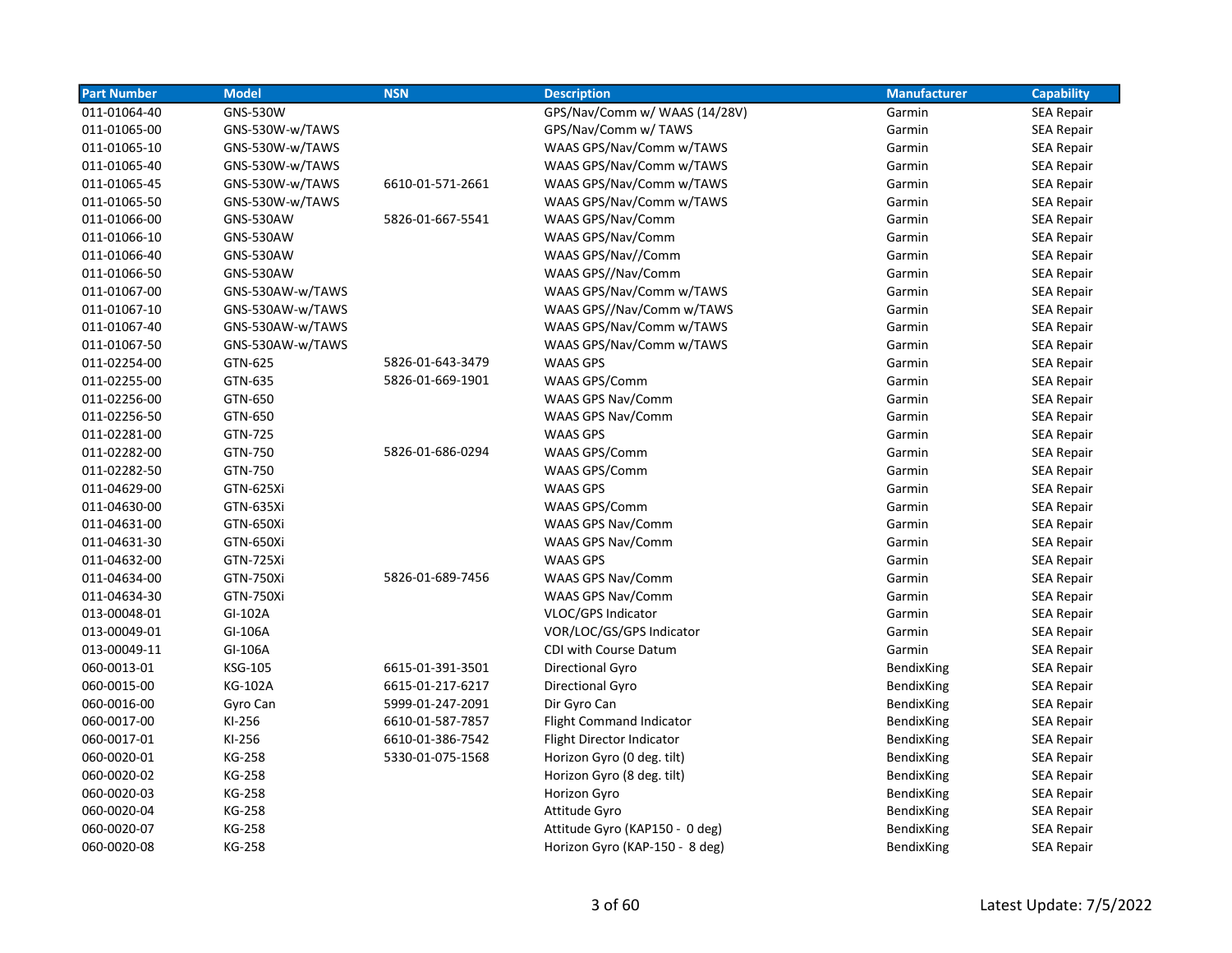| <b>Part Number</b> | <b>Model</b>     | <b>NSN</b>       | <b>Description</b>              | <b>Manufacturer</b> | <b>Capability</b> |
|--------------------|------------------|------------------|---------------------------------|---------------------|-------------------|
| 011-01064-40       | <b>GNS-530W</b>  |                  | GPS/Nav/Comm w/ WAAS (14/28V)   | Garmin              | <b>SEA Repair</b> |
| 011-01065-00       | GNS-530W-w/TAWS  |                  | GPS/Nav/Comm w/ TAWS            | Garmin              | <b>SEA Repair</b> |
| 011-01065-10       | GNS-530W-w/TAWS  |                  | WAAS GPS/Nav/Comm w/TAWS        | Garmin              | <b>SEA Repair</b> |
| 011-01065-40       | GNS-530W-w/TAWS  |                  | WAAS GPS/Nav/Comm w/TAWS        | Garmin              | <b>SEA Repair</b> |
| 011-01065-45       | GNS-530W-w/TAWS  | 6610-01-571-2661 | WAAS GPS/Nav/Comm w/TAWS        | Garmin              | <b>SEA Repair</b> |
| 011-01065-50       | GNS-530W-w/TAWS  |                  | WAAS GPS/Nav/Comm w/TAWS        | Garmin              | <b>SEA Repair</b> |
| 011-01066-00       | GNS-530AW        | 5826-01-667-5541 | WAAS GPS/Nav/Comm               | Garmin              | SEA Repair        |
| 011-01066-10       | <b>GNS-530AW</b> |                  | WAAS GPS/Nav/Comm               | Garmin              | SEA Repair        |
| 011-01066-40       | <b>GNS-530AW</b> |                  | WAAS GPS/Nav//Comm              | Garmin              | <b>SEA Repair</b> |
| 011-01066-50       | <b>GNS-530AW</b> |                  | WAAS GPS//Nav/Comm              | Garmin              | SEA Repair        |
| 011-01067-00       | GNS-530AW-w/TAWS |                  | WAAS GPS/Nav/Comm w/TAWS        | Garmin              | <b>SEA Repair</b> |
| 011-01067-10       | GNS-530AW-w/TAWS |                  | WAAS GPS//Nav/Comm w/TAWS       | Garmin              | <b>SEA Repair</b> |
| 011-01067-40       | GNS-530AW-w/TAWS |                  | WAAS GPS/Nav/Comm w/TAWS        | Garmin              | <b>SEA Repair</b> |
| 011-01067-50       | GNS-530AW-w/TAWS |                  | WAAS GPS/Nav/Comm w/TAWS        | Garmin              | <b>SEA Repair</b> |
| 011-02254-00       | GTN-625          | 5826-01-643-3479 | <b>WAAS GPS</b>                 | Garmin              | <b>SEA Repair</b> |
| 011-02255-00       | GTN-635          | 5826-01-669-1901 | WAAS GPS/Comm                   | Garmin              | <b>SEA Repair</b> |
| 011-02256-00       | GTN-650          |                  | <b>WAAS GPS Nav/Comm</b>        | Garmin              | <b>SEA Repair</b> |
| 011-02256-50       | GTN-650          |                  | WAAS GPS Nav/Comm               | Garmin              | <b>SEA Repair</b> |
| 011-02281-00       | GTN-725          |                  | WAAS GPS                        | Garmin              | <b>SEA Repair</b> |
| 011-02282-00       | GTN-750          | 5826-01-686-0294 | <b>WAAS GPS/Comm</b>            | Garmin              | <b>SEA Repair</b> |
| 011-02282-50       | GTN-750          |                  | WAAS GPS/Comm                   | Garmin              | <b>SEA Repair</b> |
| 011-04629-00       | GTN-625Xi        |                  | <b>WAAS GPS</b>                 | Garmin              | <b>SEA Repair</b> |
| 011-04630-00       | GTN-635Xi        |                  | WAAS GPS/Comm                   | Garmin              | <b>SEA Repair</b> |
| 011-04631-00       | GTN-650Xi        |                  | WAAS GPS Nav/Comm               | Garmin              | <b>SEA Repair</b> |
| 011-04631-30       | GTN-650Xi        |                  | WAAS GPS Nav/Comm               | Garmin              | <b>SEA Repair</b> |
| 011-04632-00       | GTN-725Xi        |                  | <b>WAAS GPS</b>                 | Garmin              | SEA Repair        |
| 011-04634-00       | GTN-750Xi        | 5826-01-689-7456 | <b>WAAS GPS Nav/Comm</b>        | Garmin              | <b>SEA Repair</b> |
| 011-04634-30       | <b>GTN-750Xi</b> |                  | WAAS GPS Nav/Comm               | Garmin              | SEA Repair        |
| 013-00048-01       | GI-102A          |                  | VLOC/GPS Indicator              | Garmin              | SEA Repair        |
| 013-00049-01       | GI-106A          |                  | VOR/LOC/GS/GPS Indicator        | Garmin              | SEA Repair        |
| 013-00049-11       | GI-106A          |                  | CDI with Course Datum           | Garmin              | <b>SEA Repair</b> |
| 060-0013-01        | <b>KSG-105</b>   | 6615-01-391-3501 | Directional Gyro                | BendixKing          | <b>SEA Repair</b> |
| 060-0015-00        | <b>KG-102A</b>   | 6615-01-217-6217 | Directional Gyro                | BendixKing          | <b>SEA Repair</b> |
| 060-0016-00        | Gyro Can         | 5999-01-247-2091 | Dir Gyro Can                    | BendixKing          | <b>SEA Repair</b> |
| 060-0017-00        | KI-256           | 6610-01-587-7857 | <b>Flight Command Indicator</b> | BendixKing          | SEA Repair        |
| 060-0017-01        | KI-256           | 6610-01-386-7542 | Flight Director Indicator       | BendixKing          | <b>SEA Repair</b> |
| 060-0020-01        | KG-258           | 5330-01-075-1568 | Horizon Gyro (0 deg. tilt)      | <b>BendixKing</b>   | <b>SEA Repair</b> |
| 060-0020-02        | KG-258           |                  | Horizon Gyro (8 deg. tilt)      | BendixKing          | <b>SEA Repair</b> |
| 060-0020-03        | <b>KG-258</b>    |                  | Horizon Gyro                    | BendixKing          | SEA Repair        |
| 060-0020-04        | KG-258           |                  | Attitude Gyro                   | BendixKing          | <b>SEA Repair</b> |
| 060-0020-07        | KG-258           |                  | Attitude Gyro (KAP150 - 0 deg)  | BendixKing          | <b>SEA Repair</b> |
| 060-0020-08        | KG-258           |                  | Horizon Gyro (KAP-150 - 8 deg)  | BendixKing          | <b>SEA Repair</b> |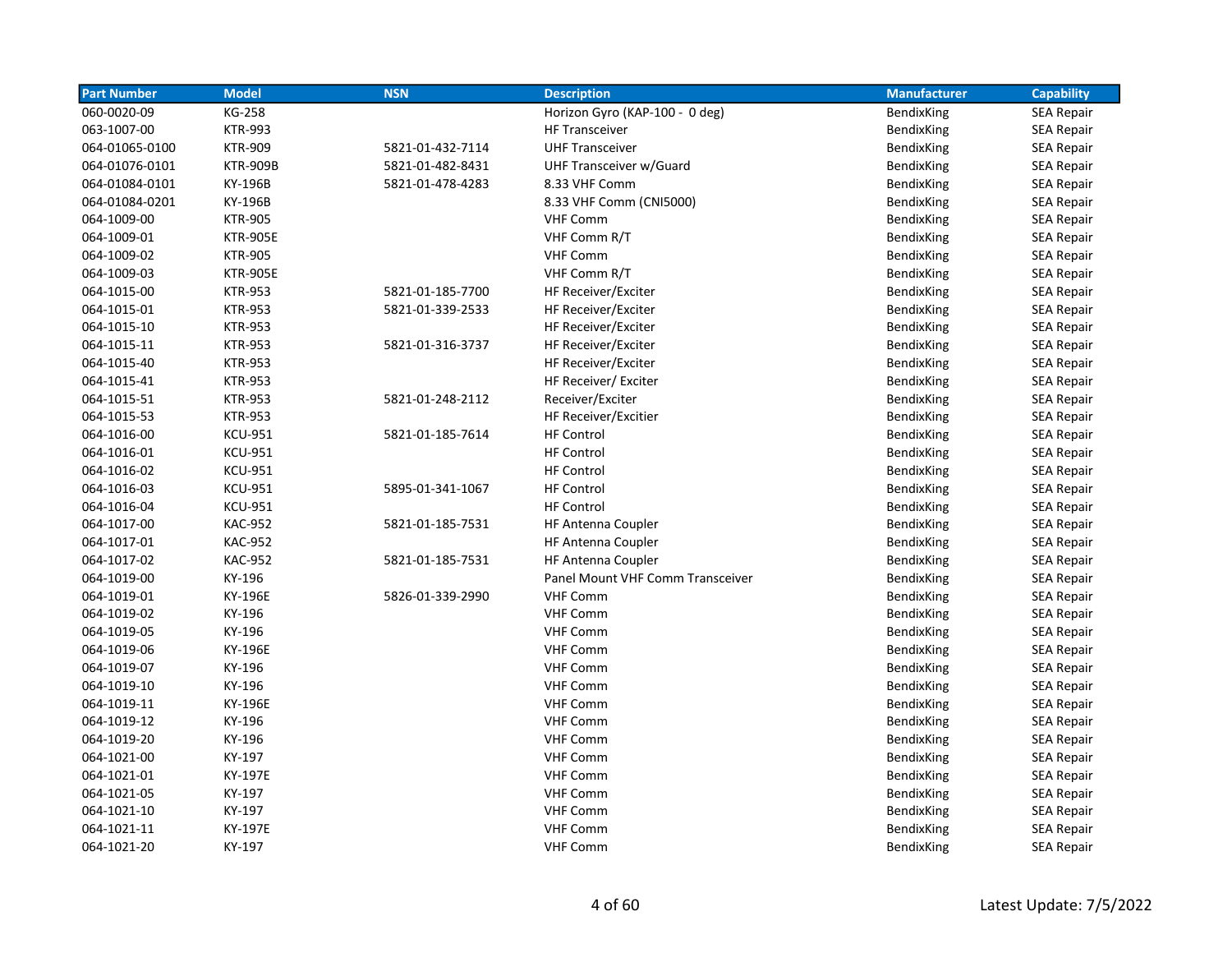| <b>Part Number</b> | <b>Model</b>    | <b>NSN</b>       | <b>Description</b>               | <b>Manufacturer</b> | <b>Capability</b> |
|--------------------|-----------------|------------------|----------------------------------|---------------------|-------------------|
| 060-0020-09        | KG-258          |                  | Horizon Gyro (KAP-100 - 0 deg)   | BendixKing          | <b>SEA Repair</b> |
| 063-1007-00        | <b>KTR-993</b>  |                  | <b>HF Transceiver</b>            | BendixKing          | <b>SEA Repair</b> |
| 064-01065-0100     | <b>KTR-909</b>  | 5821-01-432-7114 | <b>UHF Transceiver</b>           | BendixKing          | <b>SEA Repair</b> |
| 064-01076-0101     | <b>KTR-909B</b> | 5821-01-482-8431 | UHF Transceiver w/Guard          | BendixKing          | <b>SEA Repair</b> |
| 064-01084-0101     | KY-196B         | 5821-01-478-4283 | 8.33 VHF Comm                    | BendixKing          | <b>SEA Repair</b> |
| 064-01084-0201     | KY-196B         |                  | 8.33 VHF Comm (CNI5000)          | BendixKing          | <b>SEA Repair</b> |
| 064-1009-00        | <b>KTR-905</b>  |                  | <b>VHF Comm</b>                  | BendixKing          | <b>SEA Repair</b> |
| 064-1009-01        | <b>KTR-905E</b> |                  | VHF Comm R/T                     | BendixKing          | <b>SEA Repair</b> |
| 064-1009-02        | <b>KTR-905</b>  |                  | <b>VHF Comm</b>                  | BendixKing          | <b>SEA Repair</b> |
| 064-1009-03        | <b>KTR-905E</b> |                  | VHF Comm R/T                     | BendixKing          | <b>SEA Repair</b> |
| 064-1015-00        | <b>KTR-953</b>  | 5821-01-185-7700 | HF Receiver/Exciter              | BendixKing          | <b>SEA Repair</b> |
| 064-1015-01        | <b>KTR-953</b>  | 5821-01-339-2533 | HF Receiver/Exciter              | BendixKing          | <b>SEA Repair</b> |
| 064-1015-10        | <b>KTR-953</b>  |                  | HF Receiver/Exciter              | BendixKing          | <b>SEA Repair</b> |
| 064-1015-11        | <b>KTR-953</b>  | 5821-01-316-3737 | HF Receiver/Exciter              | BendixKing          | <b>SEA Repair</b> |
| 064-1015-40        | <b>KTR-953</b>  |                  | HF Receiver/Exciter              | BendixKing          | <b>SEA Repair</b> |
| 064-1015-41        | <b>KTR-953</b>  |                  | HF Receiver/ Exciter             | BendixKing          | <b>SEA Repair</b> |
| 064-1015-51        | <b>KTR-953</b>  | 5821-01-248-2112 | Receiver/Exciter                 | BendixKing          | <b>SEA Repair</b> |
| 064-1015-53        | <b>KTR-953</b>  |                  | HF Receiver/Excitier             | BendixKing          | SEA Repair        |
| 064-1016-00        | <b>KCU-951</b>  | 5821-01-185-7614 | <b>HF Control</b>                | BendixKing          | <b>SEA Repair</b> |
| 064-1016-01        | <b>KCU-951</b>  |                  | <b>HF Control</b>                | BendixKing          | <b>SEA Repair</b> |
| 064-1016-02        | <b>KCU-951</b>  |                  | <b>HF Control</b>                | BendixKing          | <b>SEA Repair</b> |
| 064-1016-03        | <b>KCU-951</b>  | 5895-01-341-1067 | <b>HF Control</b>                | BendixKing          | <b>SEA Repair</b> |
| 064-1016-04        | <b>KCU-951</b>  |                  | <b>HF Control</b>                | BendixKing          | <b>SEA Repair</b> |
| 064-1017-00        | <b>KAC-952</b>  | 5821-01-185-7531 | <b>HF Antenna Coupler</b>        | BendixKing          | <b>SEA Repair</b> |
| 064-1017-01        | <b>KAC-952</b>  |                  | <b>HF Antenna Coupler</b>        | BendixKing          | <b>SEA Repair</b> |
| 064-1017-02        | <b>KAC-952</b>  | 5821-01-185-7531 | <b>HF Antenna Coupler</b>        | BendixKing          | SEA Repair        |
| 064-1019-00        | KY-196          |                  | Panel Mount VHF Comm Transceiver | BendixKing          | <b>SEA Repair</b> |
| 064-1019-01        | KY-196E         | 5826-01-339-2990 | <b>VHF Comm</b>                  | BendixKing          | <b>SEA Repair</b> |
| 064-1019-02        | KY-196          |                  | <b>VHF Comm</b>                  | BendixKing          | <b>SEA Repair</b> |
| 064-1019-05        | KY-196          |                  | <b>VHF Comm</b>                  | BendixKing          | <b>SEA Repair</b> |
| 064-1019-06        | KY-196E         |                  | <b>VHF Comm</b>                  | BendixKing          | <b>SEA Repair</b> |
| 064-1019-07        | KY-196          |                  | <b>VHF Comm</b>                  | BendixKing          | SEA Repair        |
| 064-1019-10        | KY-196          |                  | <b>VHF Comm</b>                  | BendixKing          | <b>SEA Repair</b> |
| 064-1019-11        | KY-196E         |                  | <b>VHF Comm</b>                  | BendixKing          | <b>SEA Repair</b> |
| 064-1019-12        | KY-196          |                  | <b>VHF Comm</b>                  | BendixKing          | <b>SEA Repair</b> |
| 064-1019-20        | KY-196          |                  | <b>VHF Comm</b>                  | BendixKing          | <b>SEA Repair</b> |
| 064-1021-00        | KY-197          |                  | <b>VHF Comm</b>                  | BendixKing          | <b>SEA Repair</b> |
| 064-1021-01        | KY-197E         |                  | <b>VHF Comm</b>                  | BendixKing          | <b>SEA Repair</b> |
| 064-1021-05        | KY-197          |                  | <b>VHF Comm</b>                  | BendixKing          | SEA Repair        |
| 064-1021-10        | KY-197          |                  | <b>VHF Comm</b>                  | BendixKing          | <b>SEA Repair</b> |
| 064-1021-11        | KY-197E         |                  | <b>VHF Comm</b>                  | BendixKing          | <b>SEA Repair</b> |
| 064-1021-20        | KY-197          |                  | <b>VHF Comm</b>                  | BendixKing          | <b>SEA Repair</b> |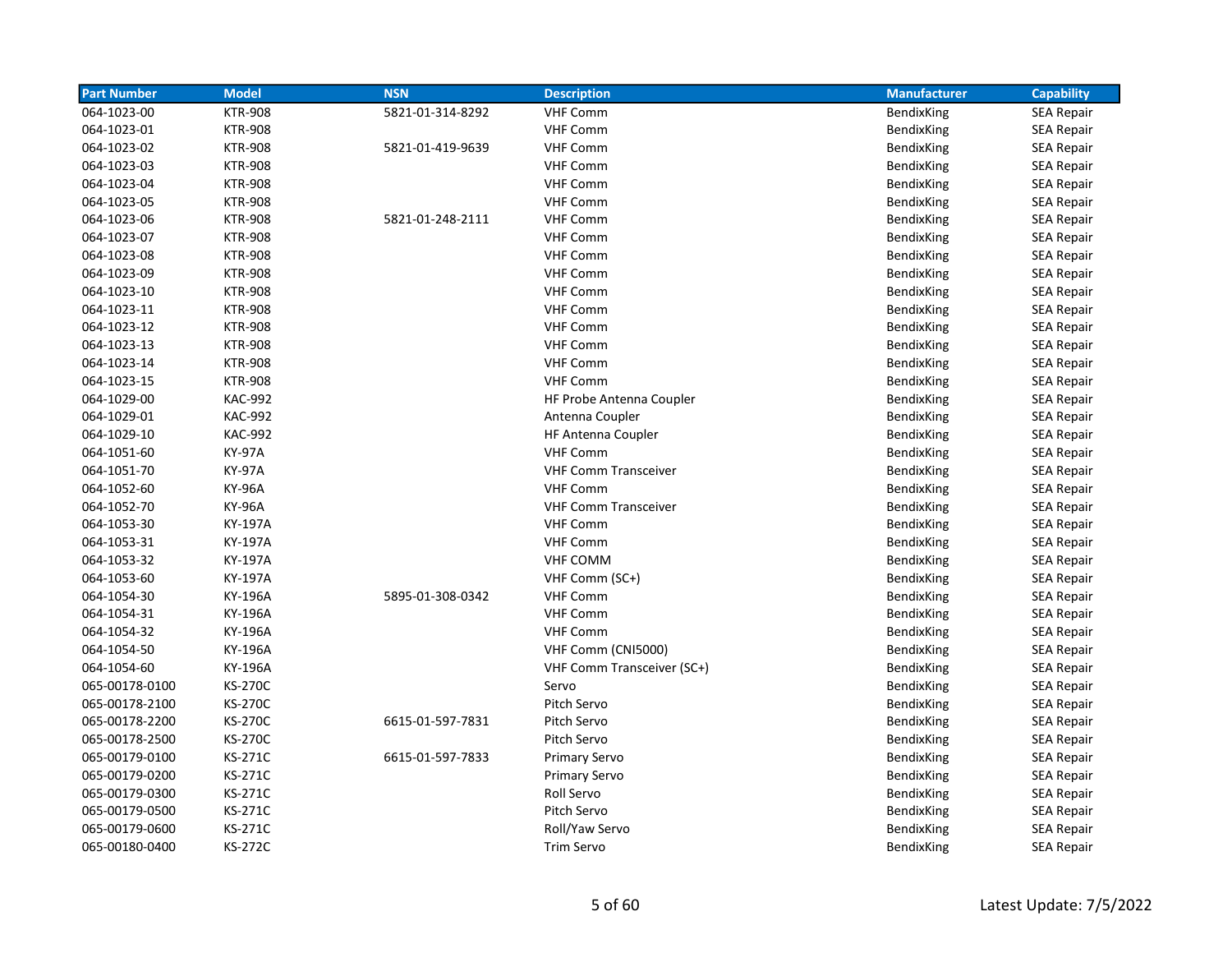| <b>Part Number</b> | <b>Model</b>   | <b>NSN</b>       | <b>Description</b>          | <b>Manufacturer</b> | <b>Capability</b> |
|--------------------|----------------|------------------|-----------------------------|---------------------|-------------------|
| 064-1023-00        | <b>KTR-908</b> | 5821-01-314-8292 | <b>VHF Comm</b>             | BendixKing          | <b>SEA Repair</b> |
| 064-1023-01        | <b>KTR-908</b> |                  | <b>VHF Comm</b>             | BendixKing          | <b>SEA Repair</b> |
| 064-1023-02        | <b>KTR-908</b> | 5821-01-419-9639 | <b>VHF Comm</b>             | BendixKing          | <b>SEA Repair</b> |
| 064-1023-03        | <b>KTR-908</b> |                  | <b>VHF Comm</b>             | BendixKing          | <b>SEA Repair</b> |
| 064-1023-04        | <b>KTR-908</b> |                  | <b>VHF Comm</b>             | BendixKing          | <b>SEA Repair</b> |
| 064-1023-05        | <b>KTR-908</b> |                  | <b>VHF Comm</b>             | BendixKing          | <b>SEA Repair</b> |
| 064-1023-06        | <b>KTR-908</b> | 5821-01-248-2111 | <b>VHF Comm</b>             | BendixKing          | <b>SEA Repair</b> |
| 064-1023-07        | <b>KTR-908</b> |                  | <b>VHF Comm</b>             | BendixKing          | <b>SEA Repair</b> |
| 064-1023-08        | <b>KTR-908</b> |                  | <b>VHF Comm</b>             | BendixKing          | <b>SEA Repair</b> |
| 064-1023-09        | <b>KTR-908</b> |                  | <b>VHF Comm</b>             | BendixKing          | SEA Repair        |
| 064-1023-10        | <b>KTR-908</b> |                  | <b>VHF Comm</b>             | BendixKing          | <b>SEA Repair</b> |
| 064-1023-11        | <b>KTR-908</b> |                  | <b>VHF Comm</b>             | BendixKing          | <b>SEA Repair</b> |
| 064-1023-12        | <b>KTR-908</b> |                  | <b>VHF Comm</b>             | BendixKing          | <b>SEA Repair</b> |
| 064-1023-13        | <b>KTR-908</b> |                  | <b>VHF Comm</b>             | BendixKing          | <b>SEA Repair</b> |
| 064-1023-14        | <b>KTR-908</b> |                  | <b>VHF Comm</b>             | BendixKing          | <b>SEA Repair</b> |
| 064-1023-15        | <b>KTR-908</b> |                  | <b>VHF Comm</b>             | BendixKing          | <b>SEA Repair</b> |
| 064-1029-00        | <b>KAC-992</b> |                  | HF Probe Antenna Coupler    | BendixKing          | <b>SEA Repair</b> |
| 064-1029-01        | <b>KAC-992</b> |                  | Antenna Coupler             | BendixKing          | <b>SEA Repair</b> |
| 064-1029-10        | <b>KAC-992</b> |                  | HF Antenna Coupler          | BendixKing          | <b>SEA Repair</b> |
| 064-1051-60        | KY-97A         |                  | <b>VHF Comm</b>             | BendixKing          | <b>SEA Repair</b> |
| 064-1051-70        | KY-97A         |                  | <b>VHF Comm Transceiver</b> | BendixKing          | <b>SEA Repair</b> |
| 064-1052-60        | KY-96A         |                  | <b>VHF Comm</b>             | BendixKing          | <b>SEA Repair</b> |
| 064-1052-70        | KY-96A         |                  | <b>VHF Comm Transceiver</b> | BendixKing          | <b>SEA Repair</b> |
| 064-1053-30        | KY-197A        |                  | <b>VHF Comm</b>             | BendixKing          | <b>SEA Repair</b> |
| 064-1053-31        | KY-197A        |                  | <b>VHF Comm</b>             | BendixKing          | <b>SEA Repair</b> |
| 064-1053-32        | <b>KY-197A</b> |                  | <b>VHF COMM</b>             | BendixKing          | <b>SEA Repair</b> |
| 064-1053-60        | KY-197A        |                  | VHF Comm (SC+)              | BendixKing          | <b>SEA Repair</b> |
| 064-1054-30        | KY-196A        | 5895-01-308-0342 | <b>VHF Comm</b>             | BendixKing          | <b>SEA Repair</b> |
| 064-1054-31        | KY-196A        |                  | <b>VHF Comm</b>             | BendixKing          | <b>SEA Repair</b> |
| 064-1054-32        | KY-196A        |                  | <b>VHF Comm</b>             | BendixKing          | <b>SEA Repair</b> |
| 064-1054-50        | KY-196A        |                  | VHF Comm (CNI5000)          | BendixKing          | <b>SEA Repair</b> |
| 064-1054-60        | KY-196A        |                  | VHF Comm Transceiver (SC+)  | BendixKing          | <b>SEA Repair</b> |
| 065-00178-0100     | <b>KS-270C</b> |                  | Servo                       | BendixKing          | SEA Repair        |
| 065-00178-2100     | <b>KS-270C</b> |                  | Pitch Servo                 | <b>BendixKing</b>   | <b>SEA Repair</b> |
| 065-00178-2200     | <b>KS-270C</b> | 6615-01-597-7831 | Pitch Servo                 | BendixKing          | SEA Repair        |
| 065-00178-2500     | <b>KS-270C</b> |                  | Pitch Servo                 | BendixKing          | <b>SEA Repair</b> |
| 065-00179-0100     | KS-271C        | 6615-01-597-7833 | Primary Servo               | BendixKing          | <b>SEA Repair</b> |
| 065-00179-0200     | KS-271C        |                  | <b>Primary Servo</b>        | BendixKing          | <b>SEA Repair</b> |
| 065-00179-0300     | KS-271C        |                  | Roll Servo                  | BendixKing          | <b>SEA Repair</b> |
| 065-00179-0500     | KS-271C        |                  | Pitch Servo                 | BendixKing          | <b>SEA Repair</b> |
| 065-00179-0600     | KS-271C        |                  | Roll/Yaw Servo              | BendixKing          | <b>SEA Repair</b> |
| 065-00180-0400     | KS-272C        |                  | Trim Servo                  | BendixKing          | <b>SEA Repair</b> |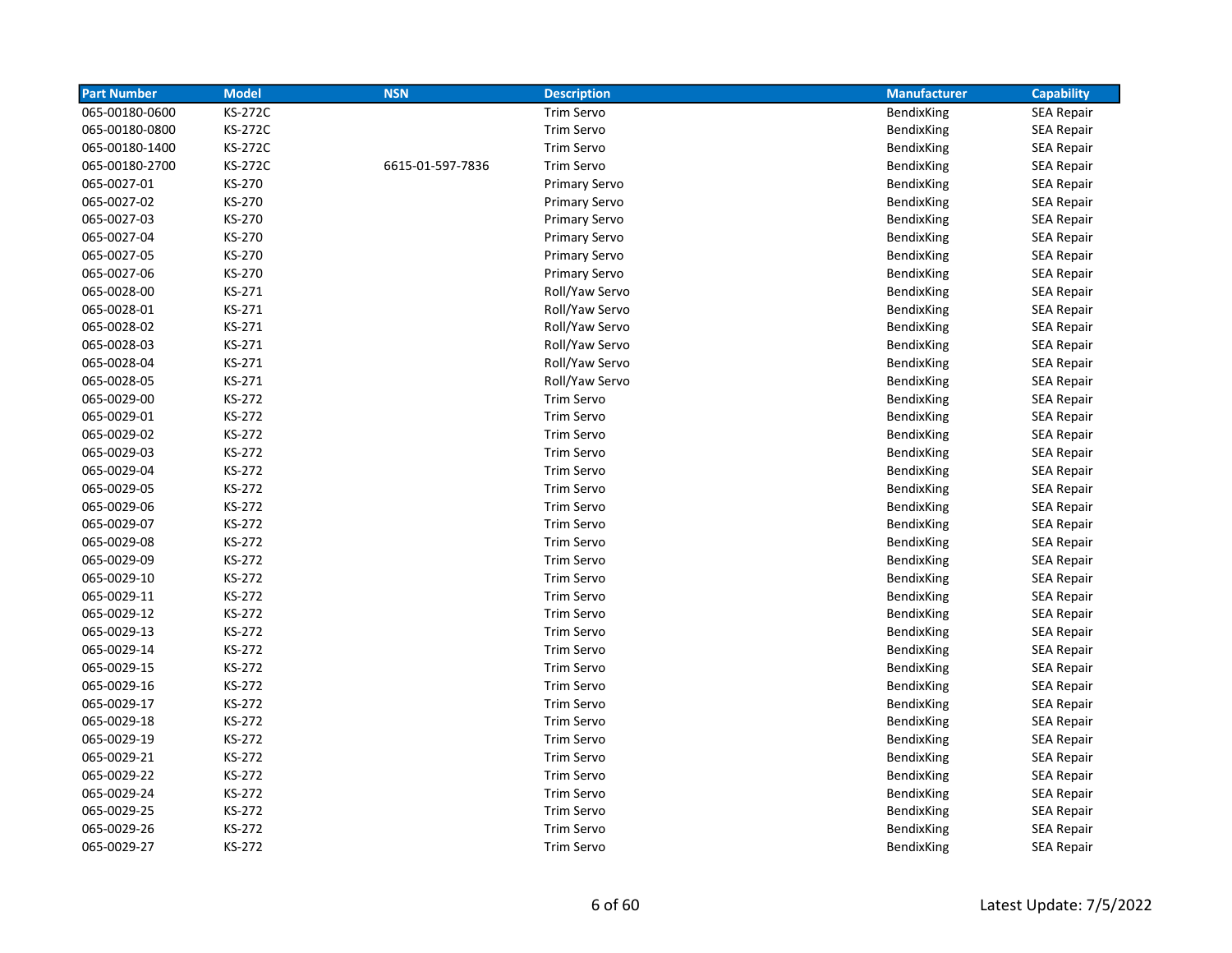| <b>Part Number</b> | <b>Model</b>   | <b>NSN</b>       | <b>Description</b>   | <b>Manufacturer</b> | <b>Capability</b> |
|--------------------|----------------|------------------|----------------------|---------------------|-------------------|
| 065-00180-0600     | <b>KS-272C</b> |                  | Trim Servo           | BendixKing          | <b>SEA Repair</b> |
| 065-00180-0800     | <b>KS-272C</b> |                  | Trim Servo           | BendixKing          | <b>SEA Repair</b> |
| 065-00180-1400     | <b>KS-272C</b> |                  | Trim Servo           | BendixKing          | <b>SEA Repair</b> |
| 065-00180-2700     | <b>KS-272C</b> | 6615-01-597-7836 | Trim Servo           | BendixKing          | <b>SEA Repair</b> |
| 065-0027-01        | KS-270         |                  | <b>Primary Servo</b> | BendixKing          | <b>SEA Repair</b> |
| 065-0027-02        | KS-270         |                  | <b>Primary Servo</b> | BendixKing          | <b>SEA Repair</b> |
| 065-0027-03        | KS-270         |                  | <b>Primary Servo</b> | <b>BendixKing</b>   | <b>SEA Repair</b> |
| 065-0027-04        | KS-270         |                  | <b>Primary Servo</b> | BendixKing          | <b>SEA Repair</b> |
| 065-0027-05        | KS-270         |                  | <b>Primary Servo</b> | BendixKing          | <b>SEA Repair</b> |
| 065-0027-06        | KS-270         |                  | <b>Primary Servo</b> | BendixKing          | <b>SEA Repair</b> |
| 065-0028-00        | KS-271         |                  | Roll/Yaw Servo       | BendixKing          | <b>SEA Repair</b> |
| 065-0028-01        | KS-271         |                  | Roll/Yaw Servo       | BendixKing          | <b>SEA Repair</b> |
| 065-0028-02        | KS-271         |                  | Roll/Yaw Servo       | BendixKing          | <b>SEA Repair</b> |
| 065-0028-03        | KS-271         |                  | Roll/Yaw Servo       | BendixKing          | <b>SEA Repair</b> |
| 065-0028-04        | KS-271         |                  | Roll/Yaw Servo       | BendixKing          | <b>SEA Repair</b> |
| 065-0028-05        | KS-271         |                  | Roll/Yaw Servo       | BendixKing          | <b>SEA Repair</b> |
| 065-0029-00        | KS-272         |                  | Trim Servo           | BendixKing          | <b>SEA Repair</b> |
| 065-0029-01        | KS-272         |                  | Trim Servo           | BendixKing          | SEA Repair        |
| 065-0029-02        | KS-272         |                  | <b>Trim Servo</b>    | BendixKing          | <b>SEA Repair</b> |
| 065-0029-03        | KS-272         |                  | Trim Servo           | BendixKing          | SEA Repair        |
| 065-0029-04        | KS-272         |                  | Trim Servo           | BendixKing          | SEA Repair        |
| 065-0029-05        | KS-272         |                  | Trim Servo           | BendixKing          | <b>SEA Repair</b> |
| 065-0029-06        | KS-272         |                  | <b>Trim Servo</b>    | BendixKing          | <b>SEA Repair</b> |
| 065-0029-07        | KS-272         |                  | Trim Servo           | BendixKing          | <b>SEA Repair</b> |
| 065-0029-08        | KS-272         |                  | <b>Trim Servo</b>    | BendixKing          | <b>SEA Repair</b> |
| 065-0029-09        | KS-272         |                  | <b>Trim Servo</b>    | <b>BendixKing</b>   | SEA Repair        |
| 065-0029-10        | KS-272         |                  | Trim Servo           | BendixKing          | <b>SEA Repair</b> |
| 065-0029-11        | KS-272         |                  | <b>Trim Servo</b>    | BendixKing          | <b>SEA Repair</b> |
| 065-0029-12        | KS-272         |                  | Trim Servo           | BendixKing          | <b>SEA Repair</b> |
| 065-0029-13        | KS-272         |                  | Trim Servo           | BendixKing          | <b>SEA Repair</b> |
| 065-0029-14        | KS-272         |                  | <b>Trim Servo</b>    | BendixKing          | <b>SEA Repair</b> |
| 065-0029-15        | KS-272         |                  | Trim Servo           | BendixKing          | <b>SEA Repair</b> |
| 065-0029-16        | KS-272         |                  | Trim Servo           | BendixKing          | <b>SEA Repair</b> |
| 065-0029-17        | KS-272         |                  | <b>Trim Servo</b>    | BendixKing          | <b>SEA Repair</b> |
| 065-0029-18        | KS-272         |                  | <b>Trim Servo</b>    | BendixKing          | <b>SEA Repair</b> |
| 065-0029-19        | KS-272         |                  | <b>Trim Servo</b>    | BendixKing          | <b>SEA Repair</b> |
| 065-0029-21        | KS-272         |                  | Trim Servo           | BendixKing          | <b>SEA Repair</b> |
| 065-0029-22        | KS-272         |                  | <b>Trim Servo</b>    | BendixKing          | <b>SEA Repair</b> |
| 065-0029-24        | KS-272         |                  | <b>Trim Servo</b>    | BendixKing          | <b>SEA Repair</b> |
| 065-0029-25        | KS-272         |                  | Trim Servo           | BendixKing          | <b>SEA Repair</b> |
| 065-0029-26        | KS-272         |                  | Trim Servo           | BendixKing          | <b>SEA Repair</b> |
| 065-0029-27        | KS-272         |                  | <b>Trim Servo</b>    | BendixKing          | <b>SEA Repair</b> |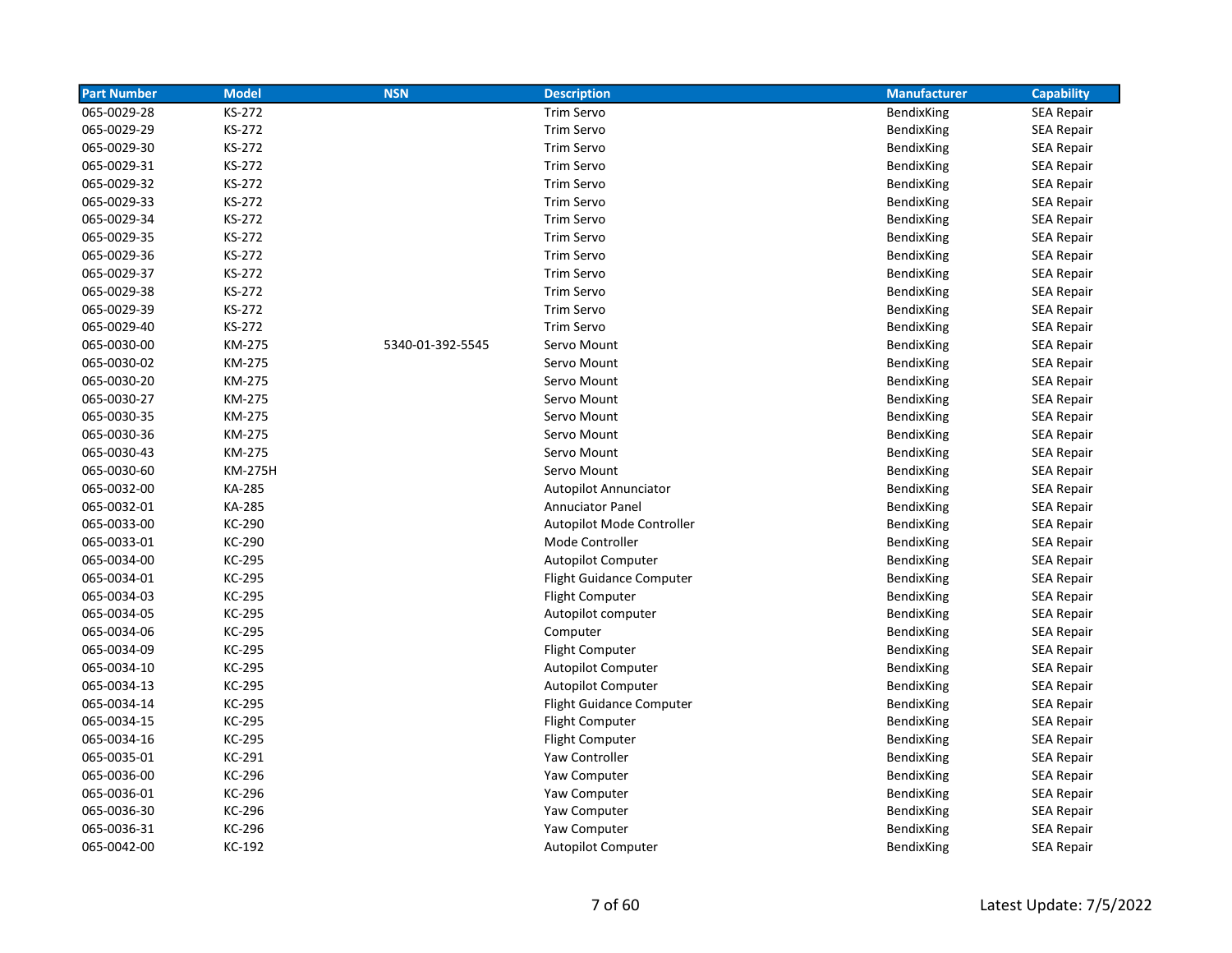| <b>Part Number</b> | <b>Model</b>   | <b>NSN</b>       | <b>Description</b>              | <b>Manufacturer</b> | <b>Capability</b> |
|--------------------|----------------|------------------|---------------------------------|---------------------|-------------------|
| 065-0029-28        | KS-272         |                  | Trim Servo                      | BendixKing          | <b>SEA Repair</b> |
| 065-0029-29        | KS-272         |                  | <b>Trim Servo</b>               | BendixKing          | <b>SEA Repair</b> |
| 065-0029-30        | KS-272         |                  | Trim Servo                      | BendixKing          | <b>SEA Repair</b> |
| 065-0029-31        | KS-272         |                  | Trim Servo                      | BendixKing          | <b>SEA Repair</b> |
| 065-0029-32        | KS-272         |                  | Trim Servo                      | BendixKing          | <b>SEA Repair</b> |
| 065-0029-33        | KS-272         |                  | Trim Servo                      | BendixKing          | <b>SEA Repair</b> |
| 065-0029-34        | KS-272         |                  | <b>Trim Servo</b>               | BendixKing          | <b>SEA Repair</b> |
| 065-0029-35        | KS-272         |                  | <b>Trim Servo</b>               | BendixKing          | <b>SEA Repair</b> |
| 065-0029-36        | KS-272         |                  | Trim Servo                      | BendixKing          | <b>SEA Repair</b> |
| 065-0029-37        | KS-272         |                  | Trim Servo                      | BendixKing          | <b>SEA Repair</b> |
| 065-0029-38        | KS-272         |                  | <b>Trim Servo</b>               | BendixKing          | <b>SEA Repair</b> |
| 065-0029-39        | KS-272         |                  | <b>Trim Servo</b>               | BendixKing          | <b>SEA Repair</b> |
| 065-0029-40        | KS-272         |                  | <b>Trim Servo</b>               | BendixKing          | <b>SEA Repair</b> |
| 065-0030-00        | KM-275         | 5340-01-392-5545 | Servo Mount                     | BendixKing          | <b>SEA Repair</b> |
| 065-0030-02        | KM-275         |                  | Servo Mount                     | BendixKing          | <b>SEA Repair</b> |
| 065-0030-20        | KM-275         |                  | Servo Mount                     | BendixKing          | <b>SEA Repair</b> |
| 065-0030-27        | KM-275         |                  | Servo Mount                     | <b>BendixKing</b>   | <b>SEA Repair</b> |
| 065-0030-35        | KM-275         |                  | Servo Mount                     | BendixKing          | <b>SEA Repair</b> |
| 065-0030-36        | KM-275         |                  | Servo Mount                     | BendixKing          | <b>SEA Repair</b> |
| 065-0030-43        | KM-275         |                  | Servo Mount                     | BendixKing          | <b>SEA Repair</b> |
| 065-0030-60        | <b>KM-275H</b> |                  | Servo Mount                     | BendixKing          | <b>SEA Repair</b> |
| 065-0032-00        | KA-285         |                  | <b>Autopilot Annunciator</b>    | BendixKing          | <b>SEA Repair</b> |
| 065-0032-01        | KA-285         |                  | <b>Annuciator Panel</b>         | BendixKing          | <b>SEA Repair</b> |
| 065-0033-00        | KC-290         |                  | Autopilot Mode Controller       | BendixKing          | <b>SEA Repair</b> |
| 065-0033-01        | KC-290         |                  | Mode Controller                 | BendixKing          | <b>SEA Repair</b> |
| 065-0034-00        | KC-295         |                  | <b>Autopilot Computer</b>       | BendixKing          | <b>SEA Repair</b> |
| 065-0034-01        | KC-295         |                  | <b>Flight Guidance Computer</b> | BendixKing          | <b>SEA Repair</b> |
| 065-0034-03        | KC-295         |                  | <b>Flight Computer</b>          | BendixKing          | <b>SEA Repair</b> |
| 065-0034-05        | KC-295         |                  | Autopilot computer              | BendixKing          | <b>SEA Repair</b> |
| 065-0034-06        | KC-295         |                  | Computer                        | BendixKing          | <b>SEA Repair</b> |
| 065-0034-09        | KC-295         |                  | Flight Computer                 | BendixKing          | <b>SEA Repair</b> |
| 065-0034-10        | KC-295         |                  | <b>Autopilot Computer</b>       | BendixKing          | <b>SEA Repair</b> |
| 065-0034-13        | KC-295         |                  | <b>Autopilot Computer</b>       | BendixKing          | SEA Repair        |
| 065-0034-14        | KC-295         |                  | <b>Flight Guidance Computer</b> | BendixKing          | <b>SEA Repair</b> |
| 065-0034-15        | KC-295         |                  | <b>Flight Computer</b>          | BendixKing          | SEA Repair        |
| 065-0034-16        | KC-295         |                  | <b>Flight Computer</b>          | BendixKing          | <b>SEA Repair</b> |
| 065-0035-01        | KC-291         |                  | Yaw Controller                  | BendixKing          | <b>SEA Repair</b> |
| 065-0036-00        | KC-296         |                  | Yaw Computer                    | BendixKing          | <b>SEA Repair</b> |
| 065-0036-01        | KC-296         |                  | Yaw Computer                    | BendixKing          | <b>SEA Repair</b> |
| 065-0036-30        | KC-296         |                  | Yaw Computer                    | BendixKing          | <b>SEA Repair</b> |
| 065-0036-31        | KC-296         |                  | Yaw Computer                    | BendixKing          | <b>SEA Repair</b> |
| 065-0042-00        | KC-192         |                  | <b>Autopilot Computer</b>       | BendixKing          | <b>SEA Repair</b> |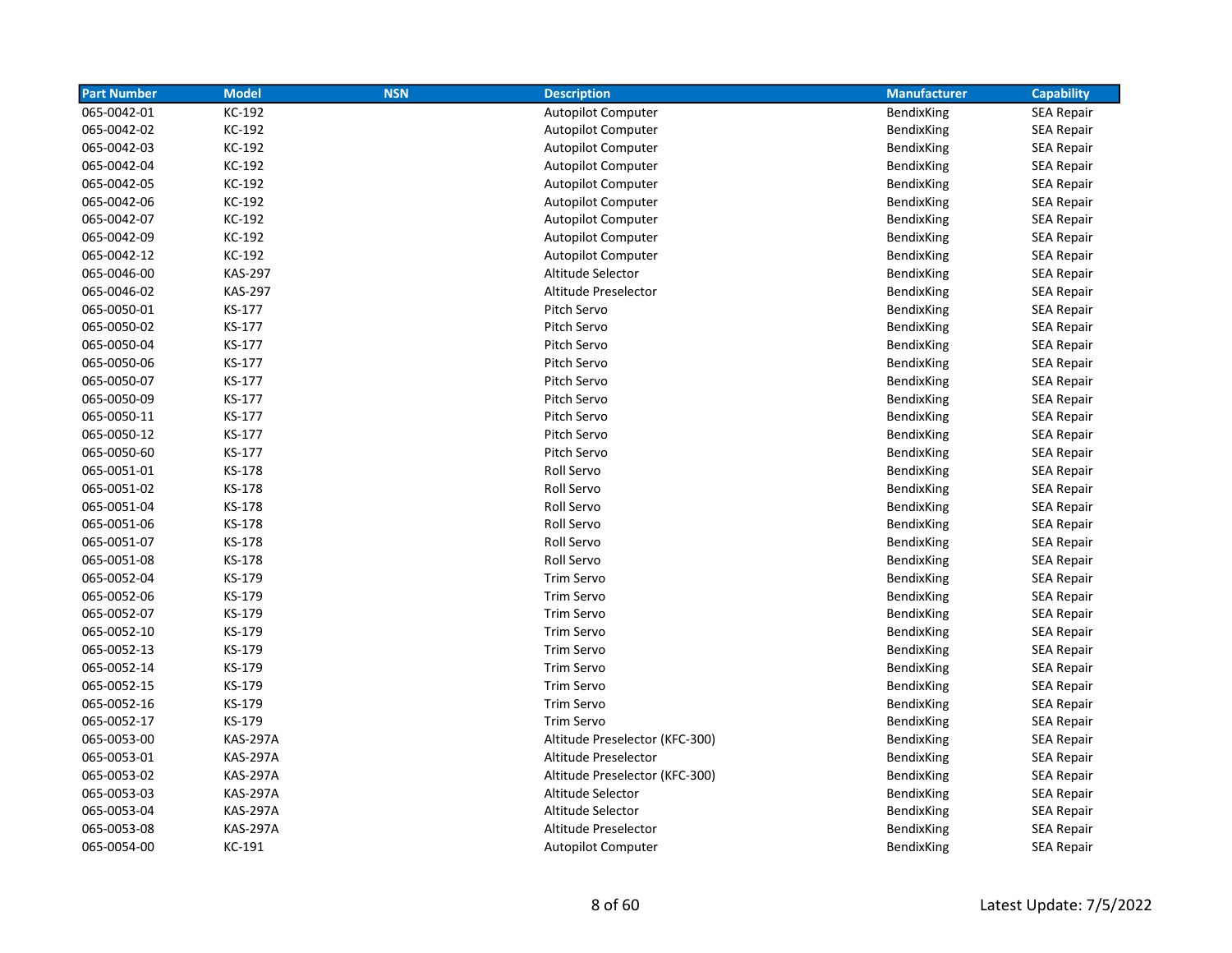| <b>Part Number</b> | <b>Model</b>    | <b>NSN</b> | <b>Description</b>             | <b>Manufacturer</b> | <b>Capability</b> |
|--------------------|-----------------|------------|--------------------------------|---------------------|-------------------|
| 065-0042-01        | KC-192          |            | <b>Autopilot Computer</b>      | BendixKing          | SEA Repair        |
| 065-0042-02        | KC-192          |            | <b>Autopilot Computer</b>      | BendixKing          | <b>SEA Repair</b> |
| 065-0042-03        | KC-192          |            | <b>Autopilot Computer</b>      | BendixKing          | <b>SEA Repair</b> |
| 065-0042-04        | KC-192          |            | <b>Autopilot Computer</b>      | BendixKing          | <b>SEA Repair</b> |
| 065-0042-05        | KC-192          |            | <b>Autopilot Computer</b>      | BendixKing          | <b>SEA Repair</b> |
| 065-0042-06        | KC-192          |            | <b>Autopilot Computer</b>      | BendixKing          | <b>SEA Repair</b> |
| 065-0042-07        | KC-192          |            | <b>Autopilot Computer</b>      | BendixKing          | <b>SEA Repair</b> |
| 065-0042-09        | KC-192          |            | <b>Autopilot Computer</b>      | BendixKing          | <b>SEA Repair</b> |
| 065-0042-12        | KC-192          |            | <b>Autopilot Computer</b>      | BendixKing          | <b>SEA Repair</b> |
| 065-0046-00        | <b>KAS-297</b>  |            | Altitude Selector              | BendixKing          | SEA Repair        |
| 065-0046-02        | <b>KAS-297</b>  |            | Altitude Preselector           | BendixKing          | <b>SEA Repair</b> |
| 065-0050-01        | KS-177          |            | Pitch Servo                    | BendixKing          | <b>SEA Repair</b> |
| 065-0050-02        | KS-177          |            | Pitch Servo                    | BendixKing          | SEA Repair        |
| 065-0050-04        | KS-177          |            | Pitch Servo                    | BendixKing          | <b>SEA Repair</b> |
| 065-0050-06        | KS-177          |            | Pitch Servo                    | BendixKing          | <b>SEA Repair</b> |
| 065-0050-07        | KS-177          |            | Pitch Servo                    | BendixKing          | <b>SEA Repair</b> |
| 065-0050-09        | KS-177          |            | Pitch Servo                    | BendixKing          | <b>SEA Repair</b> |
| 065-0050-11        | KS-177          |            | Pitch Servo                    | BendixKing          | <b>SEA Repair</b> |
| 065-0050-12        | KS-177          |            | Pitch Servo                    | BendixKing          | <b>SEA Repair</b> |
| 065-0050-60        | KS-177          |            | Pitch Servo                    | BendixKing          | <b>SEA Repair</b> |
| 065-0051-01        | KS-178          |            | Roll Servo                     | BendixKing          | <b>SEA Repair</b> |
| 065-0051-02        | KS-178          |            | Roll Servo                     | BendixKing          | <b>SEA Repair</b> |
| 065-0051-04        | KS-178          |            | Roll Servo                     | BendixKing          | <b>SEA Repair</b> |
| 065-0051-06        | KS-178          |            | Roll Servo                     | BendixKing          | <b>SEA Repair</b> |
| 065-0051-07        | KS-178          |            | Roll Servo                     | BendixKing          | <b>SEA Repair</b> |
| 065-0051-08        | KS-178          |            | Roll Servo                     | BendixKing          | <b>SEA Repair</b> |
| 065-0052-04        | KS-179          |            | <b>Trim Servo</b>              | <b>BendixKing</b>   | SEA Repair        |
| 065-0052-06        | KS-179          |            | <b>Trim Servo</b>              | BendixKing          | <b>SEA Repair</b> |
| 065-0052-07        | KS-179          |            | Trim Servo                     | BendixKing          | <b>SEA Repair</b> |
| 065-0052-10        | KS-179          |            | <b>Trim Servo</b>              | BendixKing          | <b>SEA Repair</b> |
| 065-0052-13        | KS-179          |            | Trim Servo                     | BendixKing          | <b>SEA Repair</b> |
| 065-0052-14        | KS-179          |            | Trim Servo                     | BendixKing          | <b>SEA Repair</b> |
| 065-0052-15        | KS-179          |            | Trim Servo                     | BendixKing          | <b>SEA Repair</b> |
| 065-0052-16        | KS-179          |            | Trim Servo                     | BendixKing          | <b>SEA Repair</b> |
| 065-0052-17        | KS-179          |            | <b>Trim Servo</b>              | BendixKing          | SEA Repair        |
| 065-0053-00        | <b>KAS-297A</b> |            | Altitude Preselector (KFC-300) | BendixKing          | <b>SEA Repair</b> |
| 065-0053-01        | <b>KAS-297A</b> |            | Altitude Preselector           | BendixKing          | SEA Repair        |
| 065-0053-02        | <b>KAS-297A</b> |            | Altitude Preselector (KFC-300) | BendixKing          | <b>SEA Repair</b> |
| 065-0053-03        | <b>KAS-297A</b> |            | Altitude Selector              | BendixKing          | <b>SEA Repair</b> |
| 065-0053-04        | <b>KAS-297A</b> |            | Altitude Selector              | BendixKing          | <b>SEA Repair</b> |
| 065-0053-08        | <b>KAS-297A</b> |            | Altitude Preselector           | BendixKing          | <b>SEA Repair</b> |
| 065-0054-00        | KC-191          |            | Autopilot Computer             | BendixKing          | <b>SEA Repair</b> |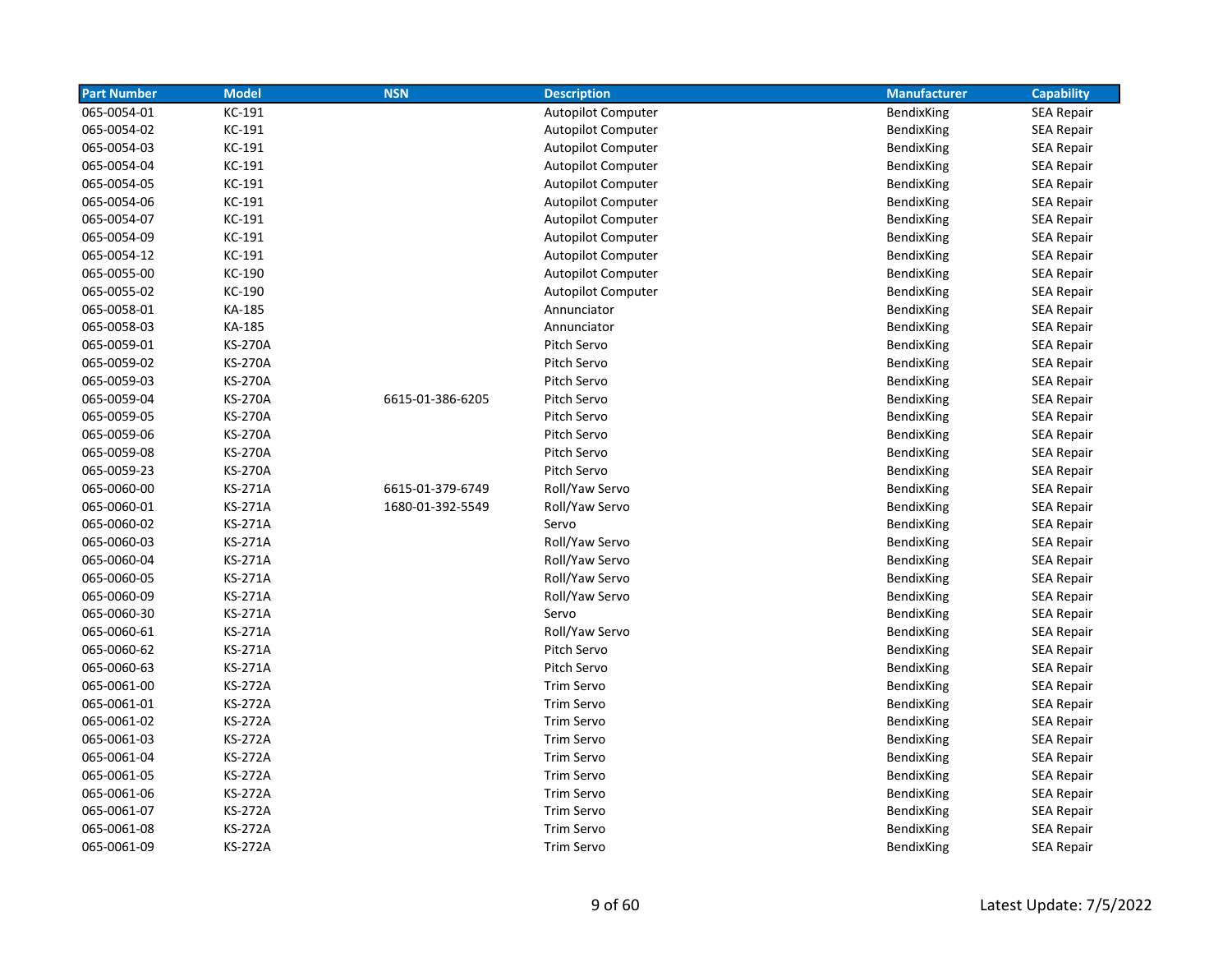| <b>Part Number</b> | <b>Model</b>   | <b>NSN</b>       | <b>Description</b>        | <b>Manufacturer</b> | <b>Capability</b> |
|--------------------|----------------|------------------|---------------------------|---------------------|-------------------|
| 065-0054-01        | KC-191         |                  | <b>Autopilot Computer</b> | BendixKing          | <b>SEA Repair</b> |
| 065-0054-02        | KC-191         |                  | <b>Autopilot Computer</b> | BendixKing          | <b>SEA Repair</b> |
| 065-0054-03        | KC-191         |                  | <b>Autopilot Computer</b> | BendixKing          | <b>SEA Repair</b> |
| 065-0054-04        | KC-191         |                  | <b>Autopilot Computer</b> | BendixKing          | <b>SEA Repair</b> |
| 065-0054-05        | KC-191         |                  | <b>Autopilot Computer</b> | BendixKing          | <b>SEA Repair</b> |
| 065-0054-06        | KC-191         |                  | <b>Autopilot Computer</b> | BendixKing          | <b>SEA Repair</b> |
| 065-0054-07        | KC-191         |                  | <b>Autopilot Computer</b> | BendixKing          | SEA Repair        |
| 065-0054-09        | KC-191         |                  | <b>Autopilot Computer</b> | BendixKing          | <b>SEA Repair</b> |
| 065-0054-12        | KC-191         |                  | <b>Autopilot Computer</b> | BendixKing          | <b>SEA Repair</b> |
| 065-0055-00        | KC-190         |                  | Autopilot Computer        | <b>BendixKing</b>   | <b>SEA Repair</b> |
| 065-0055-02        | KC-190         |                  | <b>Autopilot Computer</b> | BendixKing          | <b>SEA Repair</b> |
| 065-0058-01        | KA-185         |                  | Annunciator               | <b>BendixKing</b>   | <b>SEA Repair</b> |
| 065-0058-03        | KA-185         |                  | Annunciator               | BendixKing          | <b>SEA Repair</b> |
| 065-0059-01        | <b>KS-270A</b> |                  | Pitch Servo               | BendixKing          | SEA Repair        |
| 065-0059-02        | <b>KS-270A</b> |                  | Pitch Servo               | BendixKing          | SEA Repair        |
| 065-0059-03        | <b>KS-270A</b> |                  | Pitch Servo               | BendixKing          | <b>SEA Repair</b> |
| 065-0059-04        | <b>KS-270A</b> | 6615-01-386-6205 | Pitch Servo               | BendixKing          | <b>SEA Repair</b> |
| 065-0059-05        | <b>KS-270A</b> |                  | Pitch Servo               | BendixKing          | <b>SEA Repair</b> |
| 065-0059-06        | <b>KS-270A</b> |                  | Pitch Servo               | BendixKing          | <b>SEA Repair</b> |
| 065-0059-08        | <b>KS-270A</b> |                  | Pitch Servo               | BendixKing          | SEA Repair        |
| 065-0059-23        | <b>KS-270A</b> |                  | Pitch Servo               | BendixKing          | <b>SEA Repair</b> |
| 065-0060-00        | KS-271A        | 6615-01-379-6749 | Roll/Yaw Servo            | BendixKing          | SEA Repair        |
| 065-0060-01        | <b>KS-271A</b> | 1680-01-392-5549 | Roll/Yaw Servo            | BendixKing          | <b>SEA Repair</b> |
| 065-0060-02        | <b>KS-271A</b> |                  | Servo                     | BendixKing          | SEA Repair        |
| 065-0060-03        | <b>KS-271A</b> |                  | Roll/Yaw Servo            | BendixKing          | SEA Repair        |
| 065-0060-04        | <b>KS-271A</b> |                  | Roll/Yaw Servo            | BendixKing          | <b>SEA Repair</b> |
| 065-0060-05        | <b>KS-271A</b> |                  | Roll/Yaw Servo            | BendixKing          | <b>SEA Repair</b> |
| 065-0060-09        | KS-271A        |                  | Roll/Yaw Servo            | BendixKing          | <b>SEA Repair</b> |
| 065-0060-30        | KS-271A        |                  | Servo                     | BendixKing          | <b>SEA Repair</b> |
| 065-0060-61        | KS-271A        |                  | Roll/Yaw Servo            | BendixKing          | <b>SEA Repair</b> |
| 065-0060-62        | <b>KS-271A</b> |                  | Pitch Servo               | BendixKing          | <b>SEA Repair</b> |
| 065-0060-63        | <b>KS-271A</b> |                  | Pitch Servo               | BendixKing          | <b>SEA Repair</b> |
| 065-0061-00        | <b>KS-272A</b> |                  | Trim Servo                | BendixKing          | <b>SEA Repair</b> |
| 065-0061-01        | <b>KS-272A</b> |                  | Trim Servo                | BendixKing          | <b>SEA Repair</b> |
| 065-0061-02        | <b>KS-272A</b> |                  | Trim Servo                | BendixKing          | <b>SEA Repair</b> |
| 065-0061-03        | <b>KS-272A</b> |                  | Trim Servo                | <b>BendixKing</b>   | <b>SEA Repair</b> |
| 065-0061-04        | <b>KS-272A</b> |                  | Trim Servo                | <b>BendixKing</b>   | <b>SEA Repair</b> |
| 065-0061-05        | <b>KS-272A</b> |                  | Trim Servo                | BendixKing          | <b>SEA Repair</b> |
| 065-0061-06        | <b>KS-272A</b> |                  | Trim Servo                | BendixKing          | SEA Repair        |
| 065-0061-07        | <b>KS-272A</b> |                  | Trim Servo                | BendixKing          | <b>SEA Repair</b> |
| 065-0061-08        | <b>KS-272A</b> |                  | <b>Trim Servo</b>         | BendixKing          | <b>SEA Repair</b> |
| 065-0061-09        | <b>KS-272A</b> |                  | Trim Servo                | BendixKing          | <b>SEA Repair</b> |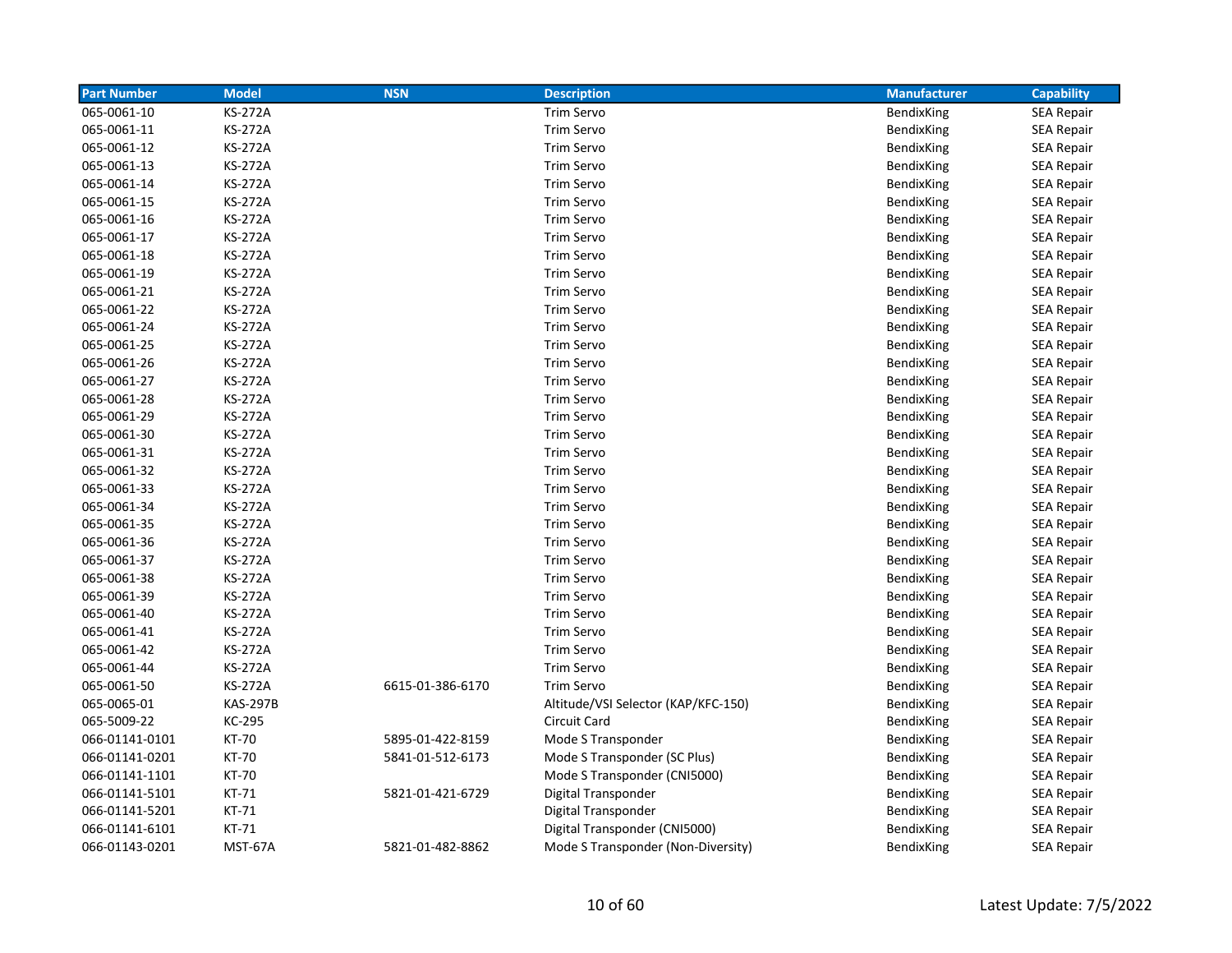| <b>Part Number</b> | <b>Model</b>    | <b>NSN</b>       | <b>Description</b>                  | <b>Manufacturer</b> | <b>Capability</b> |
|--------------------|-----------------|------------------|-------------------------------------|---------------------|-------------------|
| 065-0061-10        | <b>KS-272A</b>  |                  | <b>Trim Servo</b>                   | BendixKing          | SEA Repair        |
| 065-0061-11        | <b>KS-272A</b>  |                  | <b>Trim Servo</b>                   | BendixKing          | <b>SEA Repair</b> |
| 065-0061-12        | <b>KS-272A</b>  |                  | <b>Trim Servo</b>                   | BendixKing          | <b>SEA Repair</b> |
| 065-0061-13        | <b>KS-272A</b>  |                  | <b>Trim Servo</b>                   | BendixKing          | SEA Repair        |
| 065-0061-14        | <b>KS-272A</b>  |                  | <b>Trim Servo</b>                   | BendixKing          | <b>SEA Repair</b> |
| 065-0061-15        | <b>KS-272A</b>  |                  | <b>Trim Servo</b>                   | BendixKing          | <b>SEA Repair</b> |
| 065-0061-16        | <b>KS-272A</b>  |                  | <b>Trim Servo</b>                   | BendixKing          | SEA Repair        |
| 065-0061-17        | <b>KS-272A</b>  |                  | <b>Trim Servo</b>                   | BendixKing          | SEA Repair        |
| 065-0061-18        | <b>KS-272A</b>  |                  | <b>Trim Servo</b>                   | BendixKing          | SEA Repair        |
| 065-0061-19        | <b>KS-272A</b>  |                  | Trim Servo                          | BendixKing          | <b>SEA Repair</b> |
| 065-0061-21        | <b>KS-272A</b>  |                  | <b>Trim Servo</b>                   | BendixKing          | SEA Repair        |
| 065-0061-22        | <b>KS-272A</b>  |                  | Trim Servo                          | BendixKing          | <b>SEA Repair</b> |
| 065-0061-24        | <b>KS-272A</b>  |                  | Trim Servo                          | BendixKing          | <b>SEA Repair</b> |
| 065-0061-25        | <b>KS-272A</b>  |                  | <b>Trim Servo</b>                   | BendixKing          | SEA Repair        |
| 065-0061-26        | <b>KS-272A</b>  |                  | <b>Trim Servo</b>                   | BendixKing          | SEA Repair        |
| 065-0061-27        | <b>KS-272A</b>  |                  | Trim Servo                          | BendixKing          | SEA Repair        |
| 065-0061-28        | <b>KS-272A</b>  |                  | <b>Trim Servo</b>                   | BendixKing          | SEA Repair        |
| 065-0061-29        | <b>KS-272A</b>  |                  | <b>Trim Servo</b>                   | BendixKing          | <b>SEA Repair</b> |
| 065-0061-30        | <b>KS-272A</b>  |                  | <b>Trim Servo</b>                   | BendixKing          | <b>SEA Repair</b> |
| 065-0061-31        | <b>KS-272A</b>  |                  | <b>Trim Servo</b>                   | BendixKing          | <b>SEA Repair</b> |
| 065-0061-32        | <b>KS-272A</b>  |                  | <b>Trim Servo</b>                   | BendixKing          | <b>SEA Repair</b> |
| 065-0061-33        | <b>KS-272A</b>  |                  | <b>Trim Servo</b>                   | BendixKing          | SEA Repair        |
| 065-0061-34        | <b>KS-272A</b>  |                  | <b>Trim Servo</b>                   | BendixKing          | SEA Repair        |
| 065-0061-35        | <b>KS-272A</b>  |                  | <b>Trim Servo</b>                   | BendixKing          | SEA Repair        |
| 065-0061-36        | <b>KS-272A</b>  |                  | <b>Trim Servo</b>                   | BendixKing          | SEA Repair        |
| 065-0061-37        | <b>KS-272A</b>  |                  | <b>Trim Servo</b>                   | BendixKing          | <b>SEA Repair</b> |
| 065-0061-38        | <b>KS-272A</b>  |                  | <b>Trim Servo</b>                   | BendixKing          | <b>SEA Repair</b> |
| 065-0061-39        | <b>KS-272A</b>  |                  | <b>Trim Servo</b>                   | BendixKing          | <b>SEA Repair</b> |
| 065-0061-40        | <b>KS-272A</b>  |                  | <b>Trim Servo</b>                   | BendixKing          | <b>SEA Repair</b> |
| 065-0061-41        | <b>KS-272A</b>  |                  | <b>Trim Servo</b>                   | BendixKing          | <b>SEA Repair</b> |
| 065-0061-42        | <b>KS-272A</b>  |                  | <b>Trim Servo</b>                   | BendixKing          | SEA Repair        |
| 065-0061-44        | <b>KS-272A</b>  |                  | <b>Trim Servo</b>                   | BendixKing          | SEA Repair        |
| 065-0061-50        | <b>KS-272A</b>  | 6615-01-386-6170 | Trim Servo                          | BendixKing          | SEA Repair        |
| 065-0065-01        | <b>KAS-297B</b> |                  | Altitude/VSI Selector (KAP/KFC-150) | BendixKing          | <b>SEA Repair</b> |
| 065-5009-22        | KC-295          |                  | Circuit Card                        | BendixKing          | SEA Repair        |
| 066-01141-0101     | <b>KT-70</b>    | 5895-01-422-8159 | Mode S Transponder                  | BendixKing          | <b>SEA Repair</b> |
| 066-01141-0201     | KT-70           | 5841-01-512-6173 | Mode S Transponder (SC Plus)        | BendixKing          | <b>SEA Repair</b> |
| 066-01141-1101     | KT-70           |                  | Mode S Transponder (CNI5000)        | BendixKing          | SEA Repair        |
| 066-01141-5101     | KT-71           | 5821-01-421-6729 | Digital Transponder                 | BendixKing          | SEA Repair        |
| 066-01141-5201     | KT-71           |                  | Digital Transponder                 | BendixKing          | SEA Repair        |
| 066-01141-6101     | KT-71           |                  | Digital Transponder (CNI5000)       | BendixKing          | <b>SEA Repair</b> |
| 066-01143-0201     | MST-67A         | 5821-01-482-8862 | Mode S Transponder (Non-Diversity)  | <b>BendixKing</b>   | <b>SEA Repair</b> |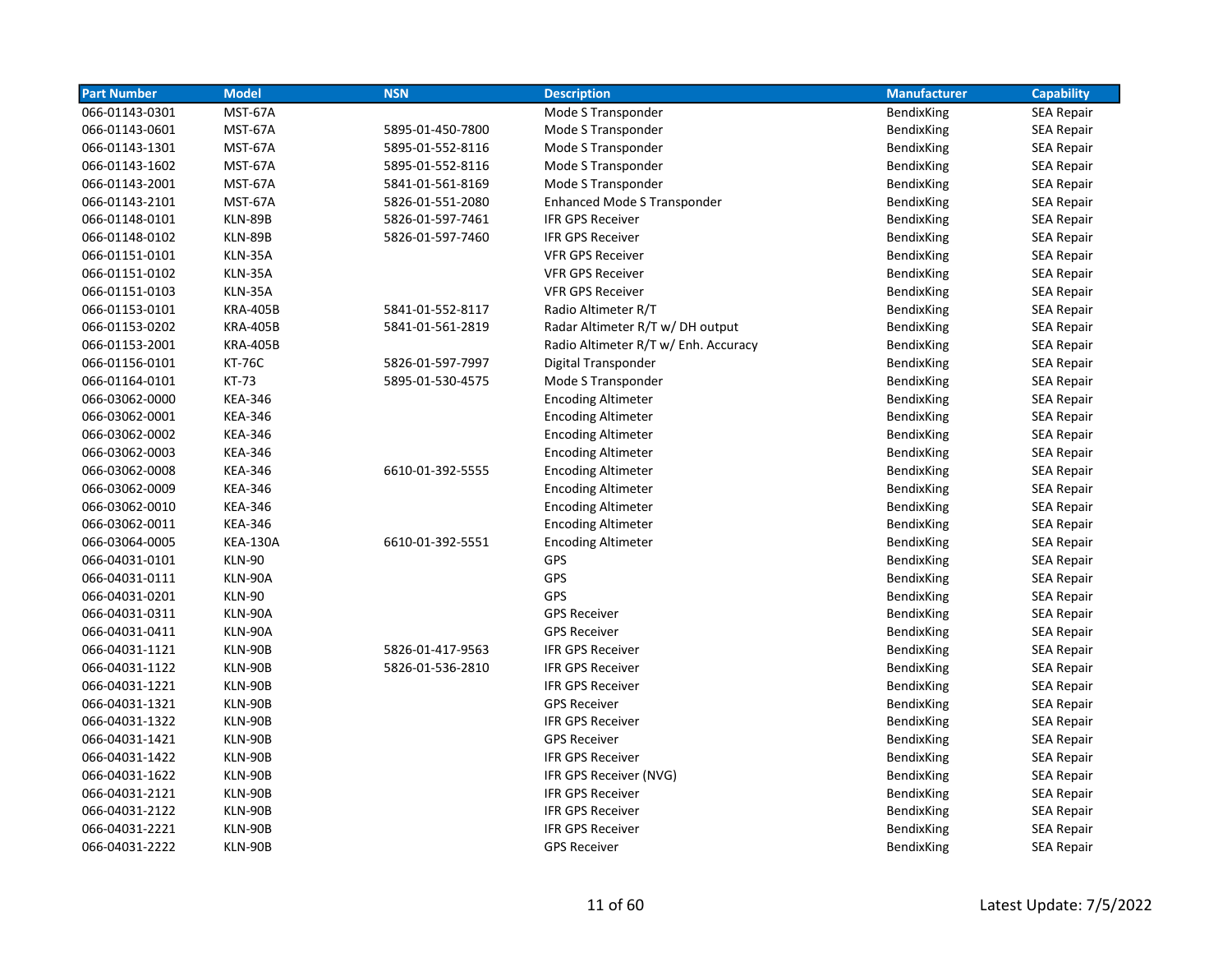| <b>Part Number</b> | <b>Model</b>    | <b>NSN</b>       | <b>Description</b>                   | <b>Manufacturer</b> | <b>Capability</b> |
|--------------------|-----------------|------------------|--------------------------------------|---------------------|-------------------|
| 066-01143-0301     | MST-67A         |                  | Mode S Transponder                   | BendixKing          | <b>SEA Repair</b> |
| 066-01143-0601     | MST-67A         | 5895-01-450-7800 | Mode S Transponder                   | BendixKing          | <b>SEA Repair</b> |
| 066-01143-1301     | MST-67A         | 5895-01-552-8116 | Mode S Transponder                   | BendixKing          | SEA Repair        |
| 066-01143-1602     | MST-67A         | 5895-01-552-8116 | Mode S Transponder                   | BendixKing          | <b>SEA Repair</b> |
| 066-01143-2001     | MST-67A         | 5841-01-561-8169 | Mode S Transponder                   | BendixKing          | SEA Repair        |
| 066-01143-2101     | MST-67A         | 5826-01-551-2080 | <b>Enhanced Mode S Transponder</b>   | BendixKing          | <b>SEA Repair</b> |
| 066-01148-0101     | KLN-89B         | 5826-01-597-7461 | <b>IFR GPS Receiver</b>              | BendixKing          | <b>SEA Repair</b> |
| 066-01148-0102     | KLN-89B         | 5826-01-597-7460 | <b>IFR GPS Receiver</b>              | BendixKing          | <b>SEA Repair</b> |
| 066-01151-0101     | KLN-35A         |                  | <b>VFR GPS Receiver</b>              | BendixKing          | <b>SEA Repair</b> |
| 066-01151-0102     | KLN-35A         |                  | <b>VFR GPS Receiver</b>              | BendixKing          | <b>SEA Repair</b> |
| 066-01151-0103     | KLN-35A         |                  | <b>VFR GPS Receiver</b>              | BendixKing          | <b>SEA Repair</b> |
| 066-01153-0101     | <b>KRA-405B</b> | 5841-01-552-8117 | Radio Altimeter R/T                  | BendixKing          | <b>SEA Repair</b> |
| 066-01153-0202     | <b>KRA-405B</b> | 5841-01-561-2819 | Radar Altimeter R/T w/ DH output     | BendixKing          | <b>SEA Repair</b> |
| 066-01153-2001     | <b>KRA-405B</b> |                  | Radio Altimeter R/T w/ Enh. Accuracy | BendixKing          | <b>SEA Repair</b> |
| 066-01156-0101     | <b>KT-76C</b>   | 5826-01-597-7997 | Digital Transponder                  | BendixKing          | <b>SEA Repair</b> |
| 066-01164-0101     | <b>KT-73</b>    | 5895-01-530-4575 | Mode S Transponder                   | BendixKing          | <b>SEA Repair</b> |
| 066-03062-0000     | <b>KEA-346</b>  |                  | <b>Encoding Altimeter</b>            | BendixKing          | <b>SEA Repair</b> |
| 066-03062-0001     | <b>KEA-346</b>  |                  | <b>Encoding Altimeter</b>            | BendixKing          | <b>SEA Repair</b> |
| 066-03062-0002     | <b>KEA-346</b>  |                  | <b>Encoding Altimeter</b>            | BendixKing          | <b>SEA Repair</b> |
| 066-03062-0003     | <b>KEA-346</b>  |                  | <b>Encoding Altimeter</b>            | BendixKing          | <b>SEA Repair</b> |
| 066-03062-0008     | <b>KEA-346</b>  | 6610-01-392-5555 | <b>Encoding Altimeter</b>            | BendixKing          | <b>SEA Repair</b> |
| 066-03062-0009     | <b>KEA-346</b>  |                  | <b>Encoding Altimeter</b>            | BendixKing          | <b>SEA Repair</b> |
| 066-03062-0010     | <b>KEA-346</b>  |                  | <b>Encoding Altimeter</b>            | BendixKing          | <b>SEA Repair</b> |
| 066-03062-0011     | <b>KEA-346</b>  |                  | <b>Encoding Altimeter</b>            | BendixKing          | <b>SEA Repair</b> |
| 066-03064-0005     | <b>KEA-130A</b> | 6610-01-392-5551 | <b>Encoding Altimeter</b>            | BendixKing          | <b>SEA Repair</b> |
| 066-04031-0101     | <b>KLN-90</b>   |                  | <b>GPS</b>                           | BendixKing          | <b>SEA Repair</b> |
| 066-04031-0111     | KLN-90A         |                  | <b>GPS</b>                           | BendixKing          | <b>SEA Repair</b> |
| 066-04031-0201     | <b>KLN-90</b>   |                  | <b>GPS</b>                           | BendixKing          | <b>SEA Repair</b> |
| 066-04031-0311     | KLN-90A         |                  | <b>GPS Receiver</b>                  | BendixKing          | SEA Repair        |
| 066-04031-0411     | KLN-90A         |                  | <b>GPS Receiver</b>                  | BendixKing          | <b>SEA Repair</b> |
| 066-04031-1121     | KLN-90B         | 5826-01-417-9563 | <b>IFR GPS Receiver</b>              | BendixKing          | <b>SEA Repair</b> |
| 066-04031-1122     | KLN-90B         | 5826-01-536-2810 | <b>IFR GPS Receiver</b>              | BendixKing          | <b>SEA Repair</b> |
| 066-04031-1221     | KLN-90B         |                  | <b>IFR GPS Receiver</b>              | BendixKing          | SEA Repair        |
| 066-04031-1321     | KLN-90B         |                  | <b>GPS Receiver</b>                  | BendixKing          | <b>SEA Repair</b> |
| 066-04031-1322     | KLN-90B         |                  | <b>IFR GPS Receiver</b>              | BendixKing          | <b>SEA Repair</b> |
| 066-04031-1421     | KLN-90B         |                  | <b>GPS Receiver</b>                  | BendixKing          | <b>SEA Repair</b> |
| 066-04031-1422     | KLN-90B         |                  | <b>IFR GPS Receiver</b>              | BendixKing          | <b>SEA Repair</b> |
| 066-04031-1622     | KLN-90B         |                  | IFR GPS Receiver (NVG)               | BendixKing          | <b>SEA Repair</b> |
| 066-04031-2121     | KLN-90B         |                  | <b>IFR GPS Receiver</b>              | BendixKing          | <b>SEA Repair</b> |
| 066-04031-2122     | KLN-90B         |                  | <b>IFR GPS Receiver</b>              | BendixKing          | <b>SEA Repair</b> |
| 066-04031-2221     | KLN-90B         |                  | <b>IFR GPS Receiver</b>              | BendixKing          | <b>SEA Repair</b> |
| 066-04031-2222     | KLN-90B         |                  | <b>GPS Receiver</b>                  | BendixKing          | <b>SEA Repair</b> |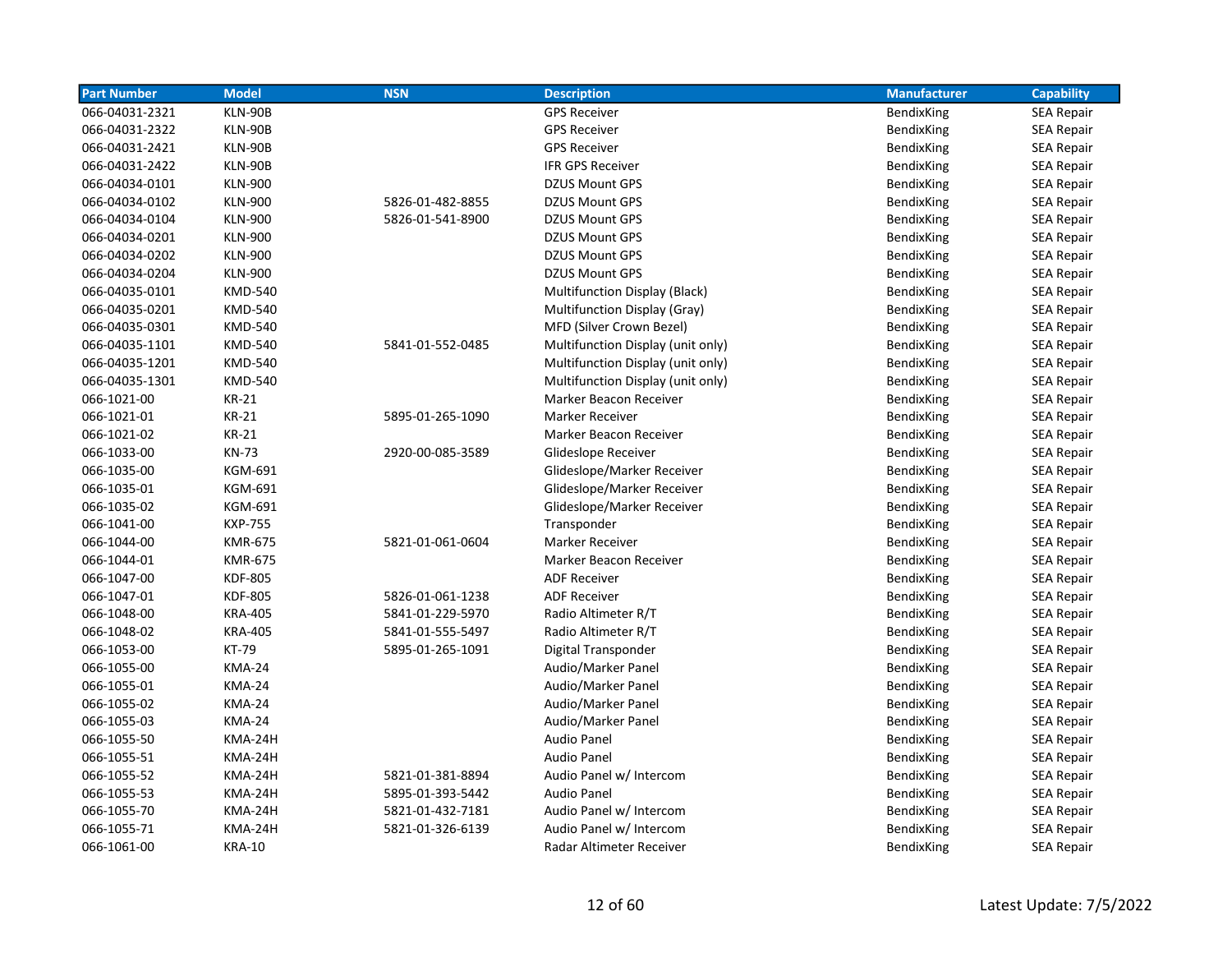| <b>Part Number</b> | <b>Model</b>   | <b>NSN</b>       | <b>Description</b>                   | <b>Manufacturer</b> | <b>Capability</b> |
|--------------------|----------------|------------------|--------------------------------------|---------------------|-------------------|
| 066-04031-2321     | KLN-90B        |                  | <b>GPS Receiver</b>                  | BendixKing          | <b>SEA Repair</b> |
| 066-04031-2322     | KLN-90B        |                  | <b>GPS Receiver</b>                  | BendixKing          | <b>SEA Repair</b> |
| 066-04031-2421     | KLN-90B        |                  | <b>GPS Receiver</b>                  | BendixKing          | <b>SEA Repair</b> |
| 066-04031-2422     | KLN-90B        |                  | <b>IFR GPS Receiver</b>              | BendixKing          | <b>SEA Repair</b> |
| 066-04034-0101     | <b>KLN-900</b> |                  | <b>DZUS Mount GPS</b>                | BendixKing          | <b>SEA Repair</b> |
| 066-04034-0102     | <b>KLN-900</b> | 5826-01-482-8855 | <b>DZUS Mount GPS</b>                | BendixKing          | <b>SEA Repair</b> |
| 066-04034-0104     | <b>KLN-900</b> | 5826-01-541-8900 | DZUS Mount GPS                       | BendixKing          | <b>SEA Repair</b> |
| 066-04034-0201     | <b>KLN-900</b> |                  | <b>DZUS Mount GPS</b>                | BendixKing          | <b>SEA Repair</b> |
| 066-04034-0202     | <b>KLN-900</b> |                  | <b>DZUS Mount GPS</b>                | BendixKing          | <b>SEA Repair</b> |
| 066-04034-0204     | <b>KLN-900</b> |                  | <b>DZUS Mount GPS</b>                | BendixKing          | SEA Repair        |
| 066-04035-0101     | <b>KMD-540</b> |                  | <b>Multifunction Display (Black)</b> | BendixKing          | <b>SEA Repair</b> |
| 066-04035-0201     | <b>KMD-540</b> |                  | Multifunction Display (Gray)         | BendixKing          | SEA Repair        |
| 066-04035-0301     | <b>KMD-540</b> |                  | MFD (Silver Crown Bezel)             | BendixKing          | <b>SEA Repair</b> |
| 066-04035-1101     | <b>KMD-540</b> | 5841-01-552-0485 | Multifunction Display (unit only)    | BendixKing          | <b>SEA Repair</b> |
| 066-04035-1201     | <b>KMD-540</b> |                  | Multifunction Display (unit only)    | BendixKing          | <b>SEA Repair</b> |
| 066-04035-1301     | <b>KMD-540</b> |                  | Multifunction Display (unit only)    | BendixKing          | <b>SEA Repair</b> |
| 066-1021-00        | <b>KR-21</b>   |                  | Marker Beacon Receiver               | BendixKing          | <b>SEA Repair</b> |
| 066-1021-01        | <b>KR-21</b>   | 5895-01-265-1090 | Marker Receiver                      | BendixKing          | <b>SEA Repair</b> |
| 066-1021-02        | <b>KR-21</b>   |                  | Marker Beacon Receiver               | BendixKing          | <b>SEA Repair</b> |
| 066-1033-00        | <b>KN-73</b>   | 2920-00-085-3589 | Glideslope Receiver                  | BendixKing          | <b>SEA Repair</b> |
| 066-1035-00        | KGM-691        |                  | Glideslope/Marker Receiver           | BendixKing          | <b>SEA Repair</b> |
| 066-1035-01        | KGM-691        |                  | Glideslope/Marker Receiver           | BendixKing          | SEA Repair        |
| 066-1035-02        | <b>KGM-691</b> |                  | Glideslope/Marker Receiver           | BendixKing          | <b>SEA Repair</b> |
| 066-1041-00        | <b>KXP-755</b> |                  | Transponder                          | BendixKing          | SEA Repair        |
| 066-1044-00        | <b>KMR-675</b> | 5821-01-061-0604 | Marker Receiver                      | BendixKing          | <b>SEA Repair</b> |
| 066-1044-01        | <b>KMR-675</b> |                  | Marker Beacon Receiver               | BendixKing          | <b>SEA Repair</b> |
| 066-1047-00        | <b>KDF-805</b> |                  | <b>ADF Receiver</b>                  | BendixKing          | <b>SEA Repair</b> |
| 066-1047-01        | <b>KDF-805</b> | 5826-01-061-1238 | <b>ADF Receiver</b>                  | BendixKing          | SEA Repair        |
| 066-1048-00        | <b>KRA-405</b> | 5841-01-229-5970 | Radio Altimeter R/T                  | BendixKing          | <b>SEA Repair</b> |
| 066-1048-02        | <b>KRA-405</b> | 5841-01-555-5497 | Radio Altimeter R/T                  | BendixKing          | <b>SEA Repair</b> |
| 066-1053-00        | <b>KT-79</b>   | 5895-01-265-1091 | Digital Transponder                  | BendixKing          | <b>SEA Repair</b> |
| 066-1055-00        | <b>KMA-24</b>  |                  | Audio/Marker Panel                   | BendixKing          | <b>SEA Repair</b> |
| 066-1055-01        | <b>KMA-24</b>  |                  | Audio/Marker Panel                   | BendixKing          | <b>SEA Repair</b> |
| 066-1055-02        | <b>KMA-24</b>  |                  | Audio/Marker Panel                   | BendixKing          | <b>SEA Repair</b> |
| 066-1055-03        | <b>KMA-24</b>  |                  | Audio/Marker Panel                   | BendixKing          | SEA Repair        |
| 066-1055-50        | KMA-24H        |                  | <b>Audio Panel</b>                   | BendixKing          | <b>SEA Repair</b> |
| 066-1055-51        | KMA-24H        |                  | <b>Audio Panel</b>                   | BendixKing          | <b>SEA Repair</b> |
| 066-1055-52        | KMA-24H        | 5821-01-381-8894 | Audio Panel w/ Intercom              | BendixKing          | <b>SEA Repair</b> |
| 066-1055-53        | KMA-24H        | 5895-01-393-5442 | <b>Audio Panel</b>                   | BendixKing          | <b>SEA Repair</b> |
| 066-1055-70        | KMA-24H        | 5821-01-432-7181 | Audio Panel w/ Intercom              | BendixKing          | <b>SEA Repair</b> |
| 066-1055-71        | KMA-24H        | 5821-01-326-6139 | Audio Panel w/ Intercom              | BendixKing          | <b>SEA Repair</b> |
| 066-1061-00        | <b>KRA-10</b>  |                  | Radar Altimeter Receiver             | <b>BendixKing</b>   | <b>SEA Repair</b> |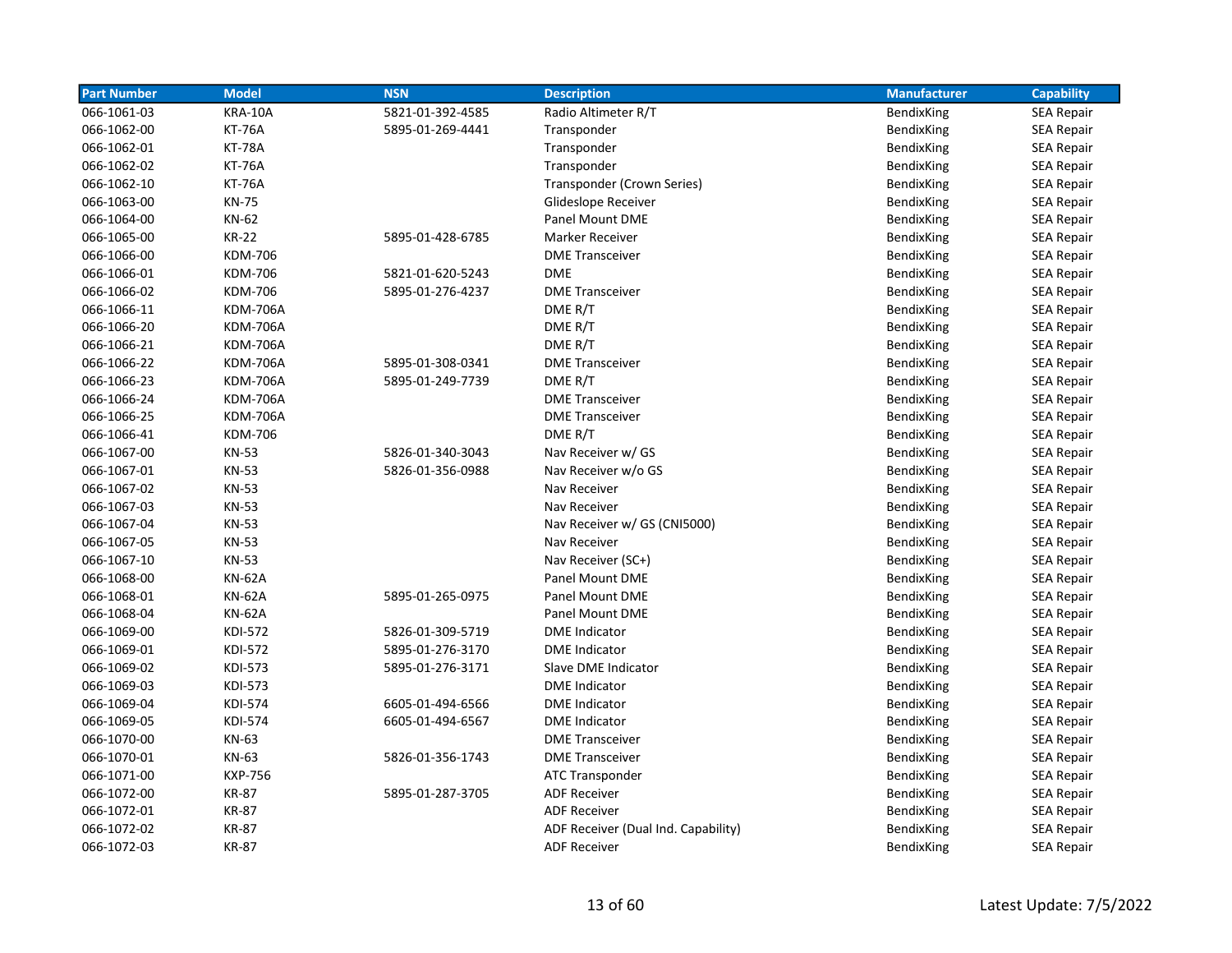| <b>Part Number</b> | <b>Model</b>    | <b>NSN</b>       | <b>Description</b>                  | <b>Manufacturer</b> | <b>Capability</b> |
|--------------------|-----------------|------------------|-------------------------------------|---------------------|-------------------|
| 066-1061-03        | KRA-10A         | 5821-01-392-4585 | Radio Altimeter R/T                 | BendixKing          | <b>SEA Repair</b> |
| 066-1062-00        | <b>KT-76A</b>   | 5895-01-269-4441 | Transponder                         | BendixKing          | <b>SEA Repair</b> |
| 066-1062-01        | <b>KT-78A</b>   |                  | Transponder                         | BendixKing          | <b>SEA Repair</b> |
| 066-1062-02        | <b>KT-76A</b>   |                  | Transponder                         | BendixKing          | <b>SEA Repair</b> |
| 066-1062-10        | <b>KT-76A</b>   |                  | Transponder (Crown Series)          | BendixKing          | <b>SEA Repair</b> |
| 066-1063-00        | <b>KN-75</b>    |                  | Glideslope Receiver                 | BendixKing          | <b>SEA Repair</b> |
| 066-1064-00        | KN-62           |                  | <b>Panel Mount DME</b>              | BendixKing          | <b>SEA Repair</b> |
| 066-1065-00        | <b>KR-22</b>    | 5895-01-428-6785 | <b>Marker Receiver</b>              | BendixKing          | <b>SEA Repair</b> |
| 066-1066-00        | <b>KDM-706</b>  |                  | <b>DME Transceiver</b>              | <b>BendixKing</b>   | <b>SEA Repair</b> |
| 066-1066-01        | <b>KDM-706</b>  | 5821-01-620-5243 | <b>DME</b>                          | BendixKing          | SEA Repair        |
| 066-1066-02        | <b>KDM-706</b>  | 5895-01-276-4237 | <b>DME Transceiver</b>              | BendixKing          | <b>SEA Repair</b> |
| 066-1066-11        | <b>KDM-706A</b> |                  | DME R/T                             | BendixKing          | SEA Repair        |
| 066-1066-20        | <b>KDM-706A</b> |                  | DME R/T                             | BendixKing          | <b>SEA Repair</b> |
| 066-1066-21        | <b>KDM-706A</b> |                  | DME R/T                             | BendixKing          | <b>SEA Repair</b> |
| 066-1066-22        | <b>KDM-706A</b> | 5895-01-308-0341 | <b>DME Transceiver</b>              | BendixKing          | <b>SEA Repair</b> |
| 066-1066-23        | <b>KDM-706A</b> | 5895-01-249-7739 | DME R/T                             | BendixKing          | <b>SEA Repair</b> |
| 066-1066-24        | <b>KDM-706A</b> |                  | <b>DME Transceiver</b>              | BendixKing          | <b>SEA Repair</b> |
| 066-1066-25        | <b>KDM-706A</b> |                  | <b>DME</b> Transceiver              | BendixKing          | <b>SEA Repair</b> |
| 066-1066-41        | <b>KDM-706</b>  |                  | DME R/T                             | BendixKing          | <b>SEA Repair</b> |
| 066-1067-00        | <b>KN-53</b>    | 5826-01-340-3043 | Nav Receiver w/ GS                  | BendixKing          | <b>SEA Repair</b> |
| 066-1067-01        | <b>KN-53</b>    | 5826-01-356-0988 | Nav Receiver w/o GS                 | BendixKing          | <b>SEA Repair</b> |
| 066-1067-02        | <b>KN-53</b>    |                  | Nav Receiver                        | BendixKing          | <b>SEA Repair</b> |
| 066-1067-03        | <b>KN-53</b>    |                  | Nav Receiver                        | BendixKing          | <b>SEA Repair</b> |
| 066-1067-04        | <b>KN-53</b>    |                  | Nav Receiver w/ GS (CNI5000)        | BendixKing          | <b>SEA Repair</b> |
| 066-1067-05        | <b>KN-53</b>    |                  | Nav Receiver                        | BendixKing          | <b>SEA Repair</b> |
| 066-1067-10        | <b>KN-53</b>    |                  | Nav Receiver (SC+)                  | BendixKing          | <b>SEA Repair</b> |
| 066-1068-00        | <b>KN-62A</b>   |                  | Panel Mount DME                     | BendixKing          | <b>SEA Repair</b> |
| 066-1068-01        | <b>KN-62A</b>   | 5895-01-265-0975 | Panel Mount DME                     | BendixKing          | <b>SEA Repair</b> |
| 066-1068-04        | <b>KN-62A</b>   |                  | Panel Mount DME                     | BendixKing          | <b>SEA Repair</b> |
| 066-1069-00        | <b>KDI-572</b>  | 5826-01-309-5719 | <b>DME</b> Indicator                | BendixKing          | <b>SEA Repair</b> |
| 066-1069-01        | <b>KDI-572</b>  | 5895-01-276-3170 | <b>DME</b> Indicator                | BendixKing          | <b>SEA Repair</b> |
| 066-1069-02        | <b>KDI-573</b>  | 5895-01-276-3171 | Slave DME Indicator                 | BendixKing          | <b>SEA Repair</b> |
| 066-1069-03        | <b>KDI-573</b>  |                  | <b>DME</b> Indicator                | BendixKing          | <b>SEA Repair</b> |
| 066-1069-04        | <b>KDI-574</b>  | 6605-01-494-6566 | <b>DME</b> Indicator                | <b>BendixKing</b>   | <b>SEA Repair</b> |
| 066-1069-05        | <b>KDI-574</b>  | 6605-01-494-6567 | <b>DME</b> Indicator                | BendixKing          | <b>SEA Repair</b> |
| 066-1070-00        | KN-63           |                  | <b>DME Transceiver</b>              | BendixKing          | <b>SEA Repair</b> |
| 066-1070-01        | KN-63           | 5826-01-356-1743 | <b>DME Transceiver</b>              | BendixKing          | <b>SEA Repair</b> |
| 066-1071-00        | <b>KXP-756</b>  |                  | ATC Transponder                     | BendixKing          | <b>SEA Repair</b> |
| 066-1072-00        | <b>KR-87</b>    | 5895-01-287-3705 | <b>ADF Receiver</b>                 | BendixKing          | <b>SEA Repair</b> |
| 066-1072-01        | <b>KR-87</b>    |                  | <b>ADF Receiver</b>                 | BendixKing          | <b>SEA Repair</b> |
| 066-1072-02        | <b>KR-87</b>    |                  | ADF Receiver (Dual Ind. Capability) | BendixKing          | <b>SEA Repair</b> |
| 066-1072-03        | <b>KR-87</b>    |                  | <b>ADF Receiver</b>                 | BendixKing          | <b>SEA Repair</b> |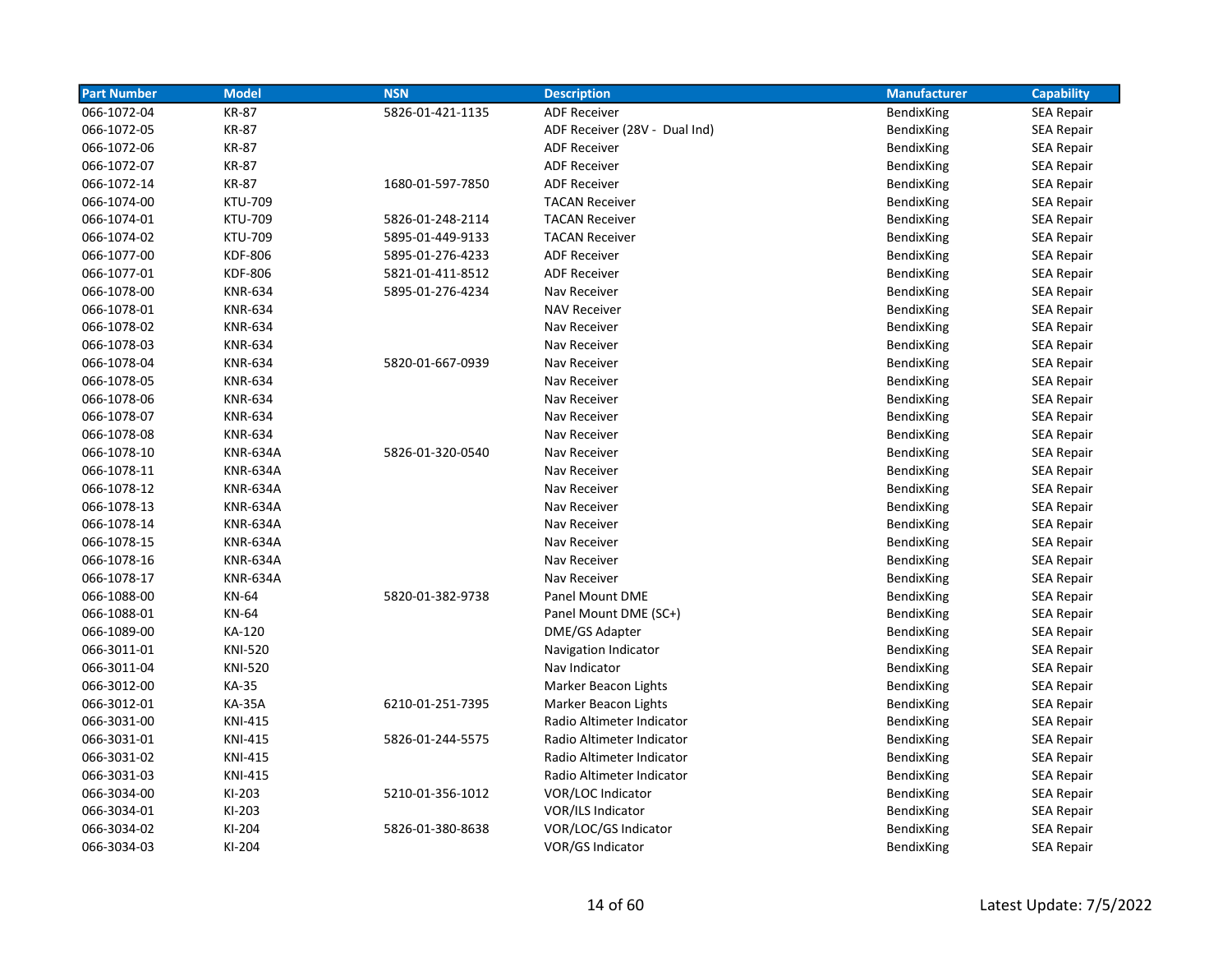| <b>Part Number</b> | <b>Model</b>    | <b>NSN</b>       | <b>Description</b>            | <b>Manufacturer</b> | <b>Capability</b> |
|--------------------|-----------------|------------------|-------------------------------|---------------------|-------------------|
| 066-1072-04        | <b>KR-87</b>    | 5826-01-421-1135 | <b>ADF Receiver</b>           | BendixKing          | <b>SEA Repair</b> |
| 066-1072-05        | <b>KR-87</b>    |                  | ADF Receiver (28V - Dual Ind) | BendixKing          | <b>SEA Repair</b> |
| 066-1072-06        | <b>KR-87</b>    |                  | <b>ADF Receiver</b>           | BendixKing          | <b>SEA Repair</b> |
| 066-1072-07        | <b>KR-87</b>    |                  | <b>ADF Receiver</b>           | BendixKing          | <b>SEA Repair</b> |
| 066-1072-14        | <b>KR-87</b>    | 1680-01-597-7850 | <b>ADF Receiver</b>           | BendixKing          | <b>SEA Repair</b> |
| 066-1074-00        | <b>KTU-709</b>  |                  | <b>TACAN Receiver</b>         | BendixKing          | <b>SEA Repair</b> |
| 066-1074-01        | <b>KTU-709</b>  | 5826-01-248-2114 | <b>TACAN Receiver</b>         | BendixKing          | <b>SEA Repair</b> |
| 066-1074-02        | <b>KTU-709</b>  | 5895-01-449-9133 | <b>TACAN Receiver</b>         | BendixKing          | <b>SEA Repair</b> |
| 066-1077-00        | <b>KDF-806</b>  | 5895-01-276-4233 | <b>ADF Receiver</b>           | BendixKing          | <b>SEA Repair</b> |
| 066-1077-01        | <b>KDF-806</b>  | 5821-01-411-8512 | <b>ADF Receiver</b>           | BendixKing          | <b>SEA Repair</b> |
| 066-1078-00        | <b>KNR-634</b>  | 5895-01-276-4234 | Nav Receiver                  | BendixKing          | <b>SEA Repair</b> |
| 066-1078-01        | <b>KNR-634</b>  |                  | <b>NAV Receiver</b>           | BendixKing          | <b>SEA Repair</b> |
| 066-1078-02        | <b>KNR-634</b>  |                  | Nav Receiver                  | BendixKing          | <b>SEA Repair</b> |
| 066-1078-03        | <b>KNR-634</b>  |                  | Nav Receiver                  | BendixKing          | <b>SEA Repair</b> |
| 066-1078-04        | <b>KNR-634</b>  | 5820-01-667-0939 | Nav Receiver                  | BendixKing          | <b>SEA Repair</b> |
| 066-1078-05        | <b>KNR-634</b>  |                  | Nav Receiver                  | BendixKing          | <b>SEA Repair</b> |
| 066-1078-06        | <b>KNR-634</b>  |                  | Nav Receiver                  | BendixKing          | <b>SEA Repair</b> |
| 066-1078-07        | <b>KNR-634</b>  |                  | Nav Receiver                  | BendixKing          | SEA Repair        |
| 066-1078-08        | <b>KNR-634</b>  |                  | Nav Receiver                  | BendixKing          | <b>SEA Repair</b> |
| 066-1078-10        | <b>KNR-634A</b> | 5826-01-320-0540 | Nav Receiver                  | BendixKing          | <b>SEA Repair</b> |
| 066-1078-11        | <b>KNR-634A</b> |                  | Nav Receiver                  | BendixKing          | <b>SEA Repair</b> |
| 066-1078-12        | <b>KNR-634A</b> |                  | Nav Receiver                  | BendixKing          | <b>SEA Repair</b> |
| 066-1078-13        | <b>KNR-634A</b> |                  | Nav Receiver                  | BendixKing          | <b>SEA Repair</b> |
| 066-1078-14        | <b>KNR-634A</b> |                  | Nav Receiver                  | BendixKing          | <b>SEA Repair</b> |
| 066-1078-15        | <b>KNR-634A</b> |                  | Nav Receiver                  | BendixKing          | <b>SEA Repair</b> |
| 066-1078-16        | <b>KNR-634A</b> |                  | Nav Receiver                  | BendixKing          | <b>SEA Repair</b> |
| 066-1078-17        | <b>KNR-634A</b> |                  | Nav Receiver                  | BendixKing          | <b>SEA Repair</b> |
| 066-1088-00        | KN-64           | 5820-01-382-9738 | Panel Mount DME               | BendixKing          | <b>SEA Repair</b> |
| 066-1088-01        | KN-64           |                  | Panel Mount DME (SC+)         | BendixKing          | <b>SEA Repair</b> |
| 066-1089-00        | KA-120          |                  | DME/GS Adapter                | BendixKing          | <b>SEA Repair</b> |
| 066-3011-01        | <b>KNI-520</b>  |                  | Navigation Indicator          | BendixKing          | <b>SEA Repair</b> |
| 066-3011-04        | <b>KNI-520</b>  |                  | Nav Indicator                 | BendixKing          | <b>SEA Repair</b> |
| 066-3012-00        | KA-35           |                  | Marker Beacon Lights          | BendixKing          | <b>SEA Repair</b> |
| 066-3012-01        | <b>KA-35A</b>   | 6210-01-251-7395 | Marker Beacon Lights          | BendixKing          | <b>SEA Repair</b> |
| 066-3031-00        | <b>KNI-415</b>  |                  | Radio Altimeter Indicator     | BendixKing          | SEA Repair        |
| 066-3031-01        | <b>KNI-415</b>  | 5826-01-244-5575 | Radio Altimeter Indicator     | BendixKing          | <b>SEA Repair</b> |
| 066-3031-02        | <b>KNI-415</b>  |                  | Radio Altimeter Indicator     | BendixKing          | <b>SEA Repair</b> |
| 066-3031-03        | <b>KNI-415</b>  |                  | Radio Altimeter Indicator     | BendixKing          | <b>SEA Repair</b> |
| 066-3034-00        | KI-203          | 5210-01-356-1012 | VOR/LOC Indicator             | BendixKing          | SEA Repair        |
| 066-3034-01        | KI-203          |                  | VOR/ILS Indicator             | BendixKing          | SEA Repair        |
| 066-3034-02        | KI-204          | 5826-01-380-8638 | VOR/LOC/GS Indicator          | BendixKing          | <b>SEA Repair</b> |
| 066-3034-03        | KI-204          |                  | VOR/GS Indicator              | <b>BendixKing</b>   | <b>SEA Repair</b> |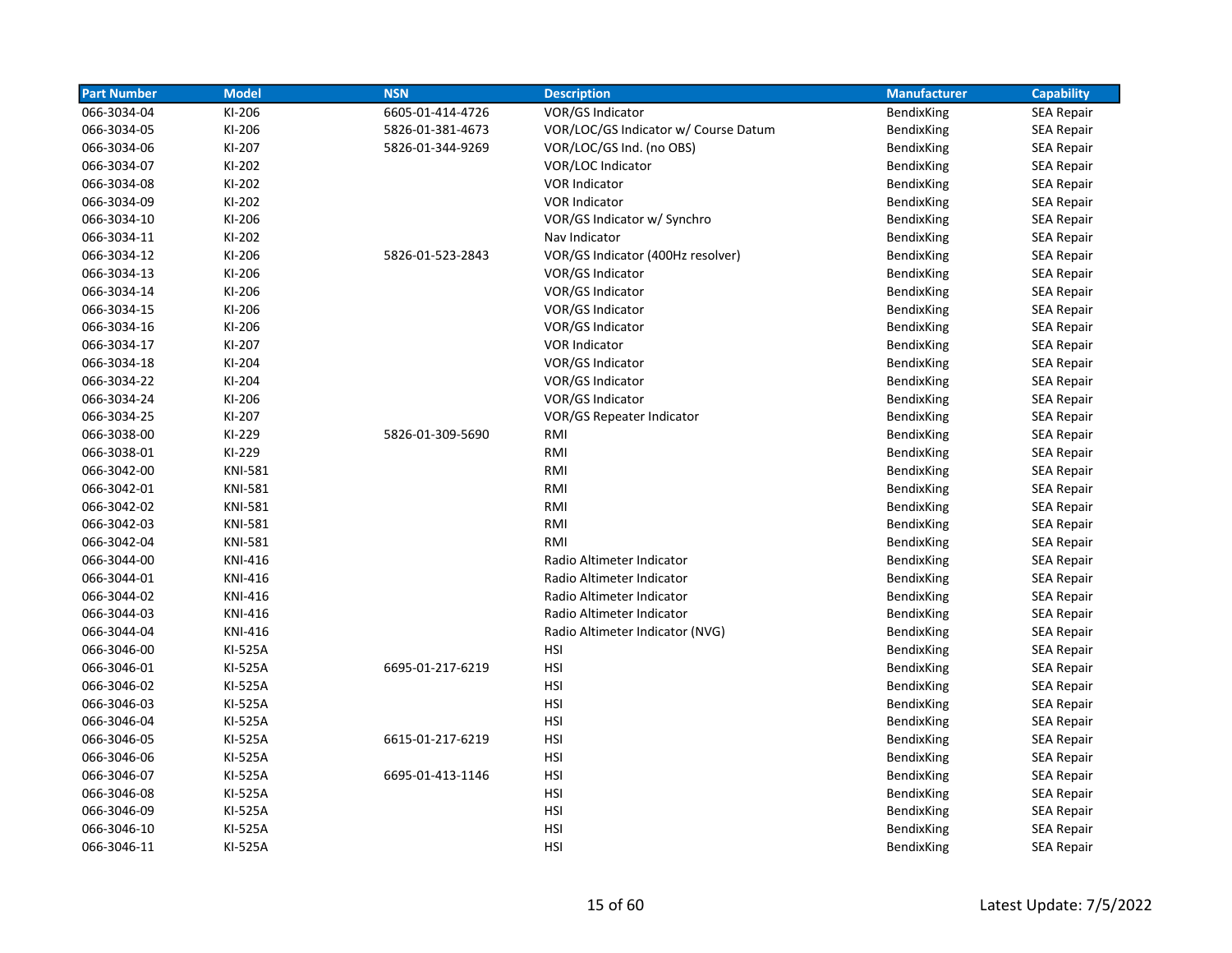| <b>Part Number</b> | <b>Model</b>   | <b>NSN</b>       | <b>Description</b>                   | <b>Manufacturer</b> | <b>Capability</b> |
|--------------------|----------------|------------------|--------------------------------------|---------------------|-------------------|
| 066-3034-04        | KI-206         | 6605-01-414-4726 | VOR/GS Indicator                     | BendixKing          | <b>SEA Repair</b> |
| 066-3034-05        | KI-206         | 5826-01-381-4673 | VOR/LOC/GS Indicator w/ Course Datum | BendixKing          | <b>SEA Repair</b> |
| 066-3034-06        | KI-207         | 5826-01-344-9269 | VOR/LOC/GS Ind. (no OBS)             | BendixKing          | <b>SEA Repair</b> |
| 066-3034-07        | KI-202         |                  | VOR/LOC Indicator                    | BendixKing          | <b>SEA Repair</b> |
| 066-3034-08        | KI-202         |                  | <b>VOR Indicator</b>                 | BendixKing          | <b>SEA Repair</b> |
| 066-3034-09        | KI-202         |                  | <b>VOR Indicator</b>                 | <b>BendixKing</b>   | <b>SEA Repair</b> |
| 066-3034-10        | KI-206         |                  | VOR/GS Indicator w/ Synchro          | BendixKing          | <b>SEA Repair</b> |
| 066-3034-11        | KI-202         |                  | Nav Indicator                        | BendixKing          | <b>SEA Repair</b> |
| 066-3034-12        | KI-206         | 5826-01-523-2843 | VOR/GS Indicator (400Hz resolver)    | BendixKing          | SEA Repair        |
| 066-3034-13        | KI-206         |                  | VOR/GS Indicator                     | BendixKing          | <b>SEA Repair</b> |
| 066-3034-14        | KI-206         |                  | VOR/GS Indicator                     | BendixKing          | <b>SEA Repair</b> |
| 066-3034-15        | KI-206         |                  | VOR/GS Indicator                     | BendixKing          | <b>SEA Repair</b> |
| 066-3034-16        | KI-206         |                  | VOR/GS Indicator                     | BendixKing          | <b>SEA Repair</b> |
| 066-3034-17        | KI-207         |                  | <b>VOR Indicator</b>                 | BendixKing          | SEA Repair        |
| 066-3034-18        | KI-204         |                  | VOR/GS Indicator                     | BendixKing          | <b>SEA Repair</b> |
| 066-3034-22        | KI-204         |                  | VOR/GS Indicator                     | BendixKing          | <b>SEA Repair</b> |
| 066-3034-24        | KI-206         |                  | VOR/GS Indicator                     | BendixKing          | <b>SEA Repair</b> |
| 066-3034-25        | KI-207         |                  | VOR/GS Repeater Indicator            | BendixKing          | SEA Repair        |
| 066-3038-00        | KI-229         | 5826-01-309-5690 | RMI                                  | BendixKing          | <b>SEA Repair</b> |
| 066-3038-01        | KI-229         |                  | RMI                                  | BendixKing          | SEA Repair        |
| 066-3042-00        | <b>KNI-581</b> |                  | RMI                                  | BendixKing          | SEA Repair        |
| 066-3042-01        | <b>KNI-581</b> |                  | RMI                                  | BendixKing          | <b>SEA Repair</b> |
| 066-3042-02        | <b>KNI-581</b> |                  | RMI                                  | BendixKing          | <b>SEA Repair</b> |
| 066-3042-03        | <b>KNI-581</b> |                  | RMI                                  | BendixKing          | <b>SEA Repair</b> |
| 066-3042-04        | <b>KNI-581</b> |                  | RMI                                  | BendixKing          | <b>SEA Repair</b> |
| 066-3044-00        | <b>KNI-416</b> |                  | Radio Altimeter Indicator            | BendixKing          | <b>SEA Repair</b> |
| 066-3044-01        | <b>KNI-416</b> |                  | Radio Altimeter Indicator            | BendixKing          | <b>SEA Repair</b> |
| 066-3044-02        | <b>KNI-416</b> |                  | Radio Altimeter Indicator            | BendixKing          | <b>SEA Repair</b> |
| 066-3044-03        | <b>KNI-416</b> |                  | Radio Altimeter Indicator            | BendixKing          | <b>SEA Repair</b> |
| 066-3044-04        | KNI-416        |                  | Radio Altimeter Indicator (NVG)      | BendixKing          | <b>SEA Repair</b> |
| 066-3046-00        | KI-525A        |                  | <b>HSI</b>                           | BendixKing          | <b>SEA Repair</b> |
| 066-3046-01        | KI-525A        | 6695-01-217-6219 | HSI                                  | BendixKing          | <b>SEA Repair</b> |
| 066-3046-02        | KI-525A        |                  | HSI                                  | BendixKing          | <b>SEA Repair</b> |
| 066-3046-03        | KI-525A        |                  | <b>HSI</b>                           | BendixKing          | <b>SEA Repair</b> |
| 066-3046-04        | KI-525A        |                  | <b>HSI</b>                           | BendixKing          | <b>SEA Repair</b> |
| 066-3046-05        | KI-525A        | 6615-01-217-6219 | <b>HSI</b>                           | BendixKing          | <b>SEA Repair</b> |
| 066-3046-06        | KI-525A        |                  | <b>HSI</b>                           | BendixKing          | <b>SEA Repair</b> |
| 066-3046-07        | KI-525A        | 6695-01-413-1146 | <b>HSI</b>                           | BendixKing          | <b>SEA Repair</b> |
| 066-3046-08        | KI-525A        |                  | HSI                                  | BendixKing          | SEA Repair        |
| 066-3046-09        | KI-525A        |                  | <b>HSI</b>                           | BendixKing          | <b>SEA Repair</b> |
| 066-3046-10        | KI-525A        |                  | <b>HSI</b>                           | BendixKing          | <b>SEA Repair</b> |
| 066-3046-11        | KI-525A        |                  | <b>HSI</b>                           | BendixKing          | <b>SEA Repair</b> |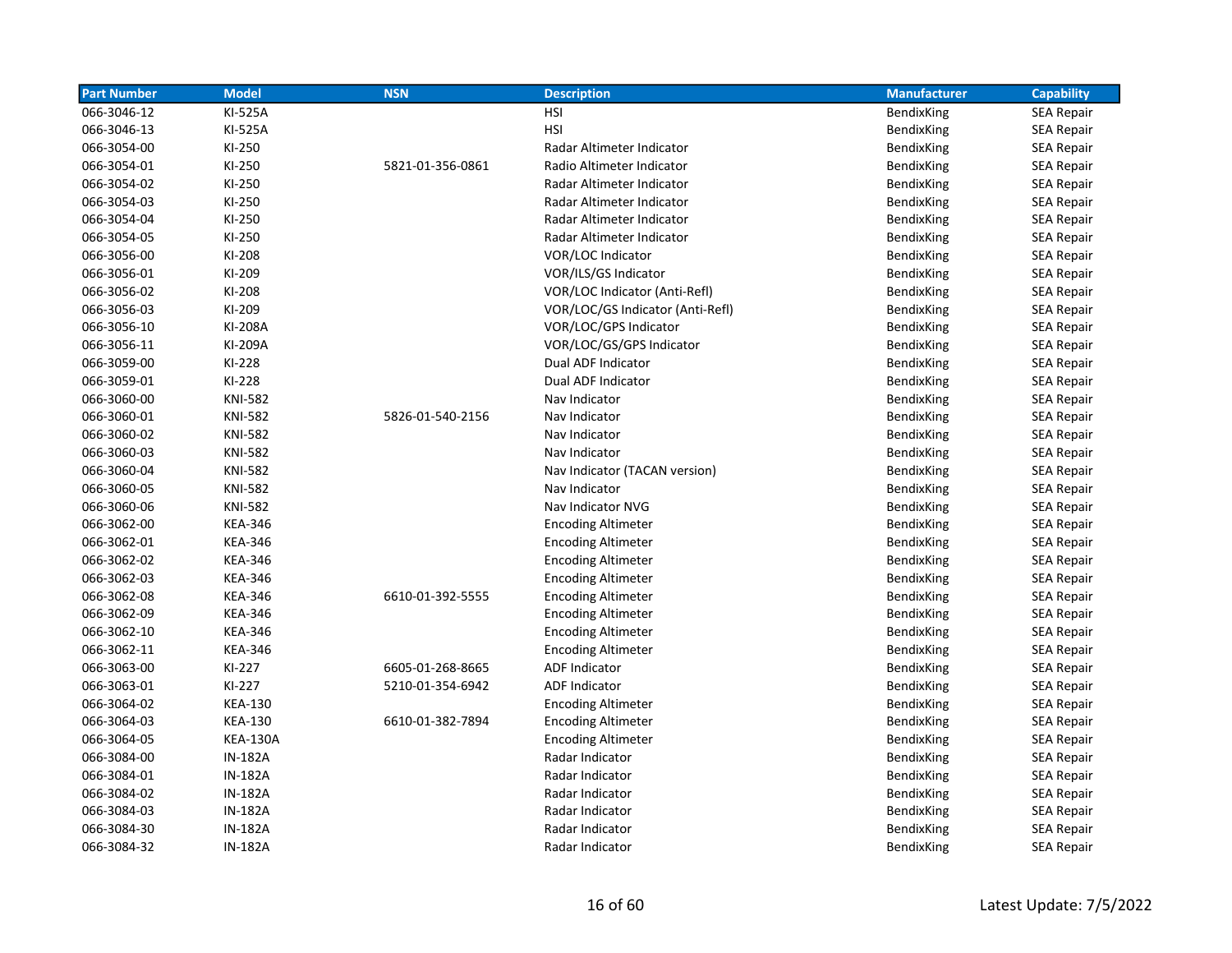| <b>Part Number</b> | <b>Model</b>    | <b>NSN</b>       | <b>Description</b>               | <b>Manufacturer</b> | <b>Capability</b> |
|--------------------|-----------------|------------------|----------------------------------|---------------------|-------------------|
| 066-3046-12        | KI-525A         |                  | HSI                              | BendixKing          | <b>SEA Repair</b> |
| 066-3046-13        | KI-525A         |                  | <b>HSI</b>                       | BendixKing          | <b>SEA Repair</b> |
| 066-3054-00        | KI-250          |                  | Radar Altimeter Indicator        | BendixKing          | <b>SEA Repair</b> |
| 066-3054-01        | KI-250          | 5821-01-356-0861 | Radio Altimeter Indicator        | BendixKing          | <b>SEA Repair</b> |
| 066-3054-02        | KI-250          |                  | Radar Altimeter Indicator        | BendixKing          | <b>SEA Repair</b> |
| 066-3054-03        | KI-250          |                  | Radar Altimeter Indicator        | BendixKing          | <b>SEA Repair</b> |
| 066-3054-04        | KI-250          |                  | Radar Altimeter Indicator        | BendixKing          | <b>SEA Repair</b> |
| 066-3054-05        | KI-250          |                  | Radar Altimeter Indicator        | BendixKing          | <b>SEA Repair</b> |
| 066-3056-00        | KI-208          |                  | VOR/LOC Indicator                | BendixKing          | <b>SEA Repair</b> |
| 066-3056-01        | KI-209          |                  | VOR/ILS/GS Indicator             | BendixKing          | SEA Repair        |
| 066-3056-02        | KI-208          |                  | VOR/LOC Indicator (Anti-Refl)    | BendixKing          | <b>SEA Repair</b> |
| 066-3056-03        | KI-209          |                  | VOR/LOC/GS Indicator (Anti-Refl) | BendixKing          | SEA Repair        |
| 066-3056-10        | KI-208A         |                  | VOR/LOC/GPS Indicator            | BendixKing          | <b>SEA Repair</b> |
| 066-3056-11        | KI-209A         |                  | VOR/LOC/GS/GPS Indicator         | BendixKing          | <b>SEA Repair</b> |
| 066-3059-00        | KI-228          |                  | Dual ADF Indicator               | BendixKing          | <b>SEA Repair</b> |
| 066-3059-01        | KI-228          |                  | Dual ADF Indicator               | BendixKing          | <b>SEA Repair</b> |
| 066-3060-00        | <b>KNI-582</b>  |                  | Nav Indicator                    | BendixKing          | <b>SEA Repair</b> |
| 066-3060-01        | <b>KNI-582</b>  | 5826-01-540-2156 | Nav Indicator                    | BendixKing          | <b>SEA Repair</b> |
| 066-3060-02        | <b>KNI-582</b>  |                  | Nav Indicator                    | BendixKing          | <b>SEA Repair</b> |
| 066-3060-03        | <b>KNI-582</b>  |                  | Nav Indicator                    | BendixKing          | <b>SEA Repair</b> |
| 066-3060-04        | <b>KNI-582</b>  |                  | Nav Indicator (TACAN version)    | BendixKing          | <b>SEA Repair</b> |
| 066-3060-05        | <b>KNI-582</b>  |                  | Nav Indicator                    | BendixKing          | SEA Repair        |
| 066-3060-06        | <b>KNI-582</b>  |                  | Nav Indicator NVG                | BendixKing          | <b>SEA Repair</b> |
| 066-3062-00        | <b>KEA-346</b>  |                  | <b>Encoding Altimeter</b>        | BendixKing          | SEA Repair        |
| 066-3062-01        | <b>KEA-346</b>  |                  | <b>Encoding Altimeter</b>        | BendixKing          | <b>SEA Repair</b> |
| 066-3062-02        | <b>KEA-346</b>  |                  | <b>Encoding Altimeter</b>        | BendixKing          | <b>SEA Repair</b> |
| 066-3062-03        | <b>KEA-346</b>  |                  | <b>Encoding Altimeter</b>        | BendixKing          | <b>SEA Repair</b> |
| 066-3062-08        | <b>KEA-346</b>  | 6610-01-392-5555 | <b>Encoding Altimeter</b>        | BendixKing          | SEA Repair        |
| 066-3062-09        | <b>KEA-346</b>  |                  | <b>Encoding Altimeter</b>        | BendixKing          | <b>SEA Repair</b> |
| 066-3062-10        | <b>KEA-346</b>  |                  | <b>Encoding Altimeter</b>        | BendixKing          | SEA Repair        |
| 066-3062-11        | <b>KEA-346</b>  |                  | <b>Encoding Altimeter</b>        | BendixKing          | <b>SEA Repair</b> |
| 066-3063-00        | KI-227          | 6605-01-268-8665 | <b>ADF Indicator</b>             | BendixKing          | <b>SEA Repair</b> |
| 066-3063-01        | KI-227          | 5210-01-354-6942 | <b>ADF Indicator</b>             | BendixKing          | <b>SEA Repair</b> |
| 066-3064-02        | <b>KEA-130</b>  |                  | <b>Encoding Altimeter</b>        | BendixKing          | <b>SEA Repair</b> |
| 066-3064-03        | <b>KEA-130</b>  | 6610-01-382-7894 | <b>Encoding Altimeter</b>        | BendixKing          | <b>SEA Repair</b> |
| 066-3064-05        | <b>KEA-130A</b> |                  | <b>Encoding Altimeter</b>        | BendixKing          | <b>SEA Repair</b> |
| 066-3084-00        | <b>IN-182A</b>  |                  | Radar Indicator                  | BendixKing          | SEA Repair        |
| 066-3084-01        | <b>IN-182A</b>  |                  | Radar Indicator                  | BendixKing          | <b>SEA Repair</b> |
| 066-3084-02        | <b>IN-182A</b>  |                  | Radar Indicator                  | BendixKing          | <b>SEA Repair</b> |
| 066-3084-03        | <b>IN-182A</b>  |                  | Radar Indicator                  | BendixKing          | <b>SEA Repair</b> |
| 066-3084-30        | <b>IN-182A</b>  |                  | Radar Indicator                  | BendixKing          | <b>SEA Repair</b> |
| 066-3084-32        | <b>IN-182A</b>  |                  | Radar Indicator                  | <b>BendixKing</b>   | <b>SEA Repair</b> |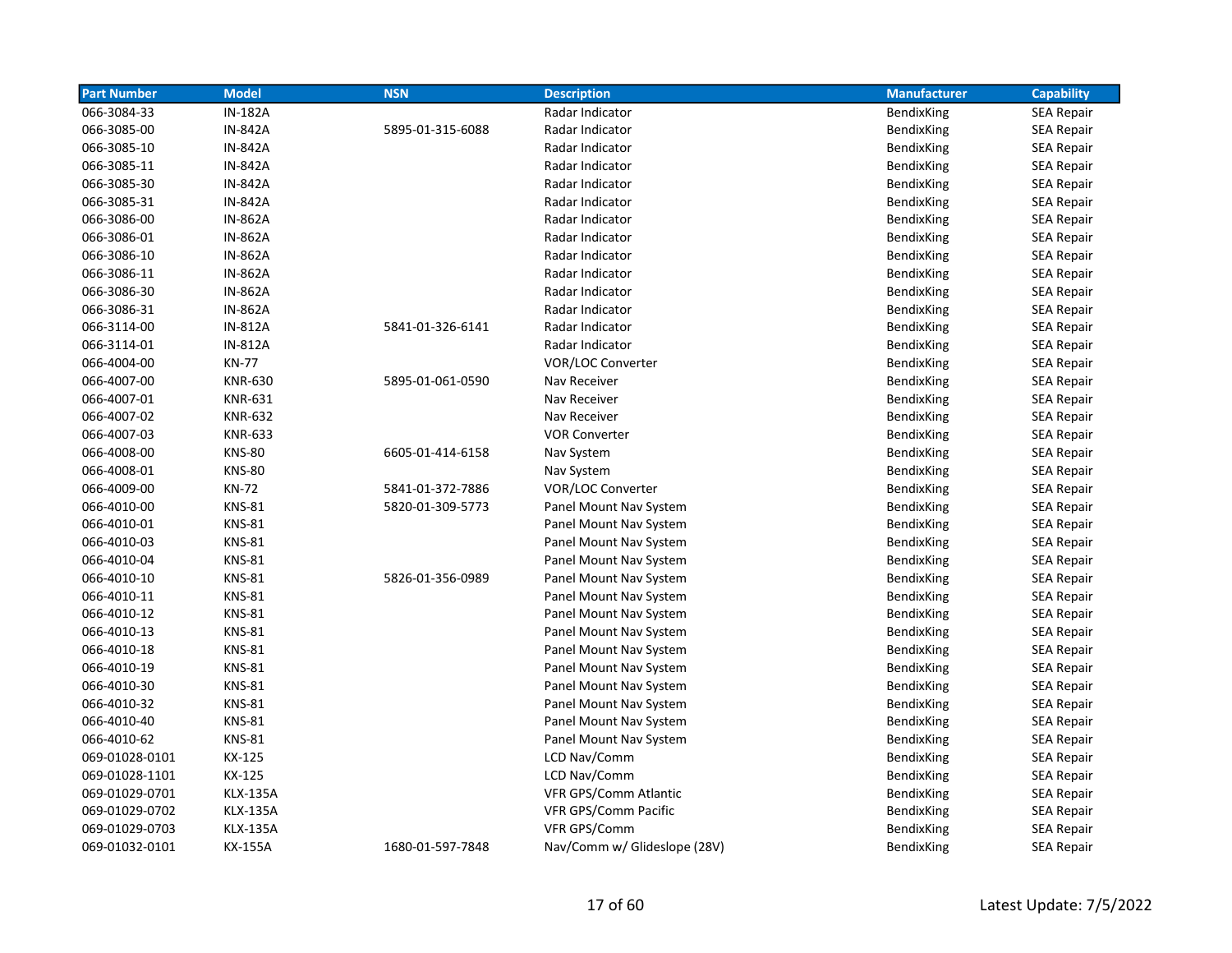| <b>Part Number</b> | <b>Model</b>    | <b>NSN</b>       | <b>Description</b>           | <b>Manufacturer</b> | <b>Capability</b> |
|--------------------|-----------------|------------------|------------------------------|---------------------|-------------------|
| 066-3084-33        | <b>IN-182A</b>  |                  | Radar Indicator              | BendixKing          | <b>SEA Repair</b> |
| 066-3085-00        | <b>IN-842A</b>  | 5895-01-315-6088 | Radar Indicator              | BendixKing          | <b>SEA Repair</b> |
| 066-3085-10        | <b>IN-842A</b>  |                  | Radar Indicator              | BendixKing          | <b>SEA Repair</b> |
| 066-3085-11        | <b>IN-842A</b>  |                  | Radar Indicator              | BendixKing          | <b>SEA Repair</b> |
| 066-3085-30        | <b>IN-842A</b>  |                  | Radar Indicator              | BendixKing          | <b>SEA Repair</b> |
| 066-3085-31        | <b>IN-842A</b>  |                  | Radar Indicator              | BendixKing          | <b>SEA Repair</b> |
| 066-3086-00        | <b>IN-862A</b>  |                  | Radar Indicator              | <b>BendixKing</b>   | <b>SEA Repair</b> |
| 066-3086-01        | <b>IN-862A</b>  |                  | Radar Indicator              | BendixKing          | <b>SEA Repair</b> |
| 066-3086-10        | <b>IN-862A</b>  |                  | Radar Indicator              | BendixKing          | <b>SEA Repair</b> |
| 066-3086-11        | <b>IN-862A</b>  |                  | Radar Indicator              | BendixKing          | <b>SEA Repair</b> |
| 066-3086-30        | <b>IN-862A</b>  |                  | Radar Indicator              | BendixKing          | <b>SEA Repair</b> |
| 066-3086-31        | <b>IN-862A</b>  |                  | Radar Indicator              | BendixKing          | <b>SEA Repair</b> |
| 066-3114-00        | <b>IN-812A</b>  | 5841-01-326-6141 | Radar Indicator              | BendixKing          | <b>SEA Repair</b> |
| 066-3114-01        | <b>IN-812A</b>  |                  | Radar Indicator              | BendixKing          | <b>SEA Repair</b> |
| 066-4004-00        | <b>KN-77</b>    |                  | VOR/LOC Converter            | BendixKing          | <b>SEA Repair</b> |
| 066-4007-00        | <b>KNR-630</b>  | 5895-01-061-0590 | Nav Receiver                 | BendixKing          | <b>SEA Repair</b> |
| 066-4007-01        | <b>KNR-631</b>  |                  | Nav Receiver                 | BendixKing          | <b>SEA Repair</b> |
| 066-4007-02        | <b>KNR-632</b>  |                  | Nav Receiver                 | BendixKing          | SEA Repair        |
| 066-4007-03        | <b>KNR-633</b>  |                  | <b>VOR Converter</b>         | BendixKing          | <b>SEA Repair</b> |
| 066-4008-00        | <b>KNS-80</b>   | 6605-01-414-6158 | Nav System                   | BendixKing          | <b>SEA Repair</b> |
| 066-4008-01        | <b>KNS-80</b>   |                  | Nav System                   | BendixKing          | <b>SEA Repair</b> |
| 066-4009-00        | <b>KN-72</b>    | 5841-01-372-7886 | VOR/LOC Converter            | BendixKing          | <b>SEA Repair</b> |
| 066-4010-00        | <b>KNS-81</b>   | 5820-01-309-5773 | Panel Mount Nav System       | BendixKing          | <b>SEA Repair</b> |
| 066-4010-01        | <b>KNS-81</b>   |                  | Panel Mount Nav System       | BendixKing          | <b>SEA Repair</b> |
| 066-4010-03        | <b>KNS-81</b>   |                  | Panel Mount Nav System       | BendixKing          | <b>SEA Repair</b> |
| 066-4010-04        | <b>KNS-81</b>   |                  | Panel Mount Nav System       | <b>BendixKing</b>   | SEA Repair        |
| 066-4010-10        | <b>KNS-81</b>   | 5826-01-356-0989 | Panel Mount Nav System       | BendixKing          | <b>SEA Repair</b> |
| 066-4010-11        | <b>KNS-81</b>   |                  | Panel Mount Nav System       | BendixKing          | <b>SEA Repair</b> |
| 066-4010-12        | <b>KNS-81</b>   |                  | Panel Mount Nav System       | BendixKing          | <b>SEA Repair</b> |
| 066-4010-13        | <b>KNS-81</b>   |                  | Panel Mount Nav System       | BendixKing          | <b>SEA Repair</b> |
| 066-4010-18        | <b>KNS-81</b>   |                  | Panel Mount Nav System       | BendixKing          | <b>SEA Repair</b> |
| 066-4010-19        | <b>KNS-81</b>   |                  | Panel Mount Nav System       | BendixKing          | <b>SEA Repair</b> |
| 066-4010-30        | <b>KNS-81</b>   |                  | Panel Mount Nav System       | BendixKing          | <b>SEA Repair</b> |
| 066-4010-32        | <b>KNS-81</b>   |                  | Panel Mount Nav System       | BendixKing          | <b>SEA Repair</b> |
| 066-4010-40        | <b>KNS-81</b>   |                  | Panel Mount Nav System       | BendixKing          | <b>SEA Repair</b> |
| 066-4010-62        | <b>KNS-81</b>   |                  | Panel Mount Nav System       | BendixKing          | <b>SEA Repair</b> |
| 069-01028-0101     | KX-125          |                  | LCD Nav/Comm                 | BendixKing          | <b>SEA Repair</b> |
| 069-01028-1101     | KX-125          |                  | LCD Nav/Comm                 | BendixKing          | <b>SEA Repair</b> |
| 069-01029-0701     | <b>KLX-135A</b> |                  | VFR GPS/Comm Atlantic        | BendixKing          | <b>SEA Repair</b> |
| 069-01029-0702     | <b>KLX-135A</b> |                  | VFR GPS/Comm Pacific         | BendixKing          | <b>SEA Repair</b> |
| 069-01029-0703     | <b>KLX-135A</b> |                  | VFR GPS/Comm                 | BendixKing          | <b>SEA Repair</b> |
| 069-01032-0101     | KX-155A         | 1680-01-597-7848 | Nav/Comm w/ Glideslope (28V) | <b>BendixKing</b>   | <b>SEA Repair</b> |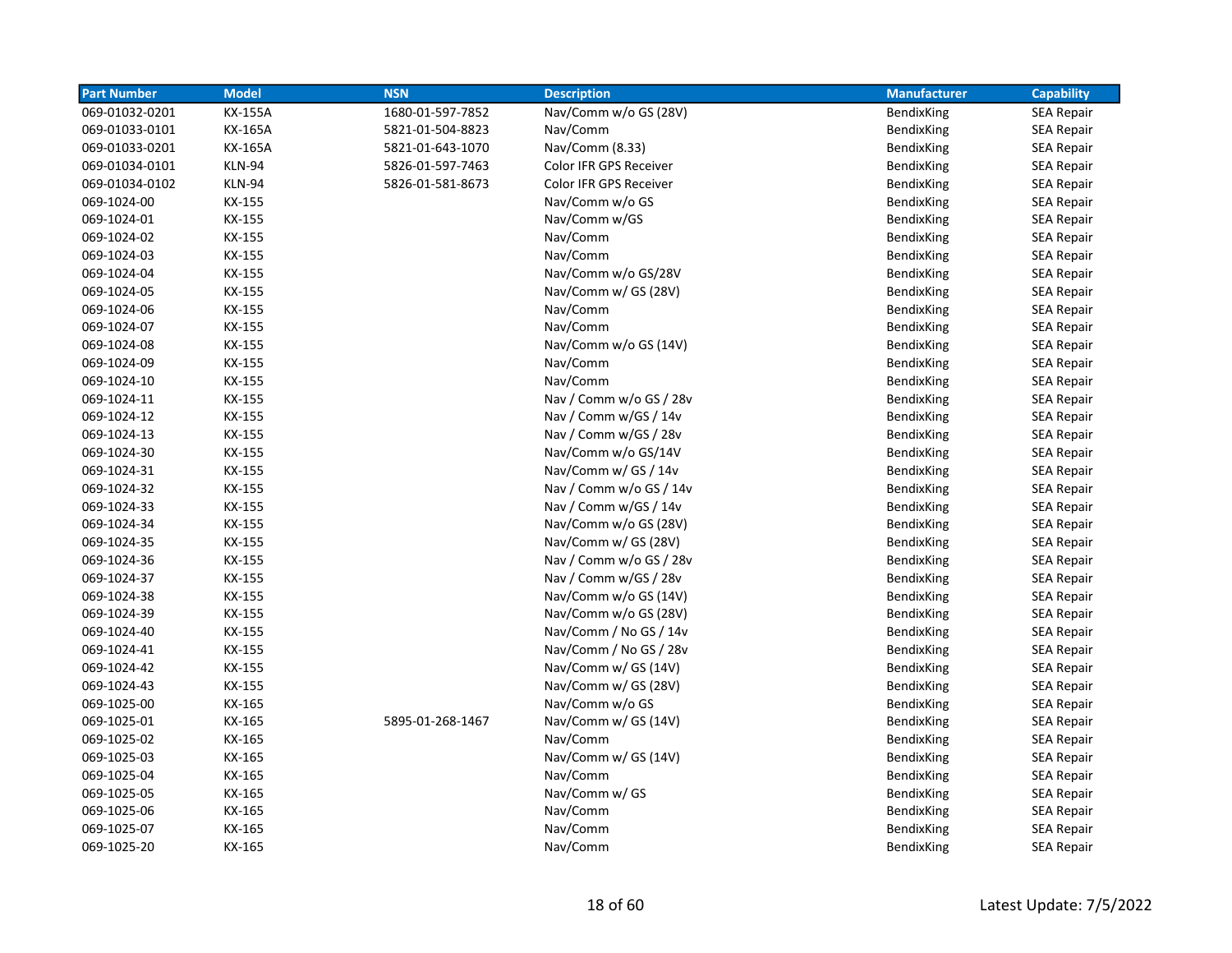| <b>Part Number</b> | <b>Model</b>   | <b>NSN</b>       | <b>Description</b>      | <b>Manufacturer</b> | <b>Capability</b> |
|--------------------|----------------|------------------|-------------------------|---------------------|-------------------|
| 069-01032-0201     | <b>KX-155A</b> | 1680-01-597-7852 | Nav/Comm w/o GS (28V)   | BendixKing          | <b>SEA Repair</b> |
| 069-01033-0101     | KX-165A        | 5821-01-504-8823 | Nav/Comm                | BendixKing          | <b>SEA Repair</b> |
| 069-01033-0201     | KX-165A        | 5821-01-643-1070 | Nav/Comm (8.33)         | BendixKing          | <b>SEA Repair</b> |
| 069-01034-0101     | KLN-94         | 5826-01-597-7463 | Color IFR GPS Receiver  | BendixKing          | <b>SEA Repair</b> |
| 069-01034-0102     | <b>KLN-94</b>  | 5826-01-581-8673 | Color IFR GPS Receiver  | BendixKing          | <b>SEA Repair</b> |
| 069-1024-00        | KX-155         |                  | Nav/Comm w/o GS         | BendixKing          | <b>SEA Repair</b> |
| 069-1024-01        | KX-155         |                  | Nav/Comm w/GS           | BendixKing          | <b>SEA Repair</b> |
| 069-1024-02        | KX-155         |                  | Nav/Comm                | BendixKing          | <b>SEA Repair</b> |
| 069-1024-03        | KX-155         |                  | Nav/Comm                | BendixKing          | <b>SEA Repair</b> |
| 069-1024-04        | KX-155         |                  | Nav/Comm w/o GS/28V     | BendixKing          | SEA Repair        |
| 069-1024-05        | KX-155         |                  | Nav/Comm w/ GS (28V)    | BendixKing          | <b>SEA Repair</b> |
| 069-1024-06        | KX-155         |                  | Nav/Comm                | BendixKing          | <b>SEA Repair</b> |
| 069-1024-07        | KX-155         |                  | Nav/Comm                | BendixKing          | <b>SEA Repair</b> |
| 069-1024-08        | KX-155         |                  | Nav/Comm w/o GS (14V)   | BendixKing          | <b>SEA Repair</b> |
| 069-1024-09        | KX-155         |                  | Nav/Comm                | BendixKing          | <b>SEA Repair</b> |
| 069-1024-10        | KX-155         |                  | Nav/Comm                | BendixKing          | <b>SEA Repair</b> |
| 069-1024-11        | KX-155         |                  | Nav / Comm w/o GS / 28v | BendixKing          | <b>SEA Repair</b> |
| 069-1024-12        | KX-155         |                  | Nav / Comm w/GS / 14v   | BendixKing          | <b>SEA Repair</b> |
| 069-1024-13        | KX-155         |                  | Nav / Comm w/GS / 28v   | BendixKing          | <b>SEA Repair</b> |
| 069-1024-30        | KX-155         |                  | Nav/Comm w/o GS/14V     | BendixKing          | <b>SEA Repair</b> |
| 069-1024-31        | KX-155         |                  | Nav/Comm w/ GS / 14v    | BendixKing          | <b>SEA Repair</b> |
| 069-1024-32        | KX-155         |                  | Nav / Comm w/o GS / 14v | BendixKing          | SEA Repair        |
| 069-1024-33        | KX-155         |                  | Nav / Comm w/GS / 14v   | BendixKing          | <b>SEA Repair</b> |
| 069-1024-34        | KX-155         |                  | Nav/Comm w/o GS (28V)   | BendixKing          | SEA Repair        |
| 069-1024-35        | KX-155         |                  | Nav/Comm w/ GS (28V)    | BendixKing          | <b>SEA Repair</b> |
| 069-1024-36        | KX-155         |                  | Nav / Comm w/o GS / 28v | BendixKing          | <b>SEA Repair</b> |
| 069-1024-37        | KX-155         |                  | Nav / Comm w/GS / 28v   | BendixKing          | <b>SEA Repair</b> |
| 069-1024-38        | KX-155         |                  | Nav/Comm w/o GS (14V)   | BendixKing          | <b>SEA Repair</b> |
| 069-1024-39        | KX-155         |                  | Nav/Comm w/o GS (28V)   | BendixKing          | SEA Repair        |
| 069-1024-40        | KX-155         |                  | Nav/Comm / No GS / 14v  | BendixKing          | SEA Repair        |
| 069-1024-41        | KX-155         |                  | Nav/Comm / No GS / 28v  | BendixKing          | <b>SEA Repair</b> |
| 069-1024-42        | KX-155         |                  | Nav/Comm w/ GS (14V)    | BendixKing          | <b>SEA Repair</b> |
| 069-1024-43        | KX-155         |                  | Nav/Comm w/ GS (28V)    | BendixKing          | <b>SEA Repair</b> |
| 069-1025-00        | KX-165         |                  | Nav/Comm w/o GS         | BendixKing          | <b>SEA Repair</b> |
| 069-1025-01        | KX-165         | 5895-01-268-1467 | Nav/Comm w/ GS (14V)    | BendixKing          | SEA Repair        |
| 069-1025-02        | KX-165         |                  | Nav/Comm                | BendixKing          | <b>SEA Repair</b> |
| 069-1025-03        | KX-165         |                  | Nav/Comm w/ GS (14V)    | BendixKing          | <b>SEA Repair</b> |
| 069-1025-04        | KX-165         |                  | Nav/Comm                | BendixKing          | <b>SEA Repair</b> |
| 069-1025-05        | KX-165         |                  | Nav/Comm w/ GS          | BendixKing          | <b>SEA Repair</b> |
| 069-1025-06        | KX-165         |                  | Nav/Comm                | BendixKing          | <b>SEA Repair</b> |
| 069-1025-07        | KX-165         |                  | Nav/Comm                | BendixKing          | <b>SEA Repair</b> |
| 069-1025-20        | KX-165         |                  | Nav/Comm                | BendixKing          | <b>SEA Repair</b> |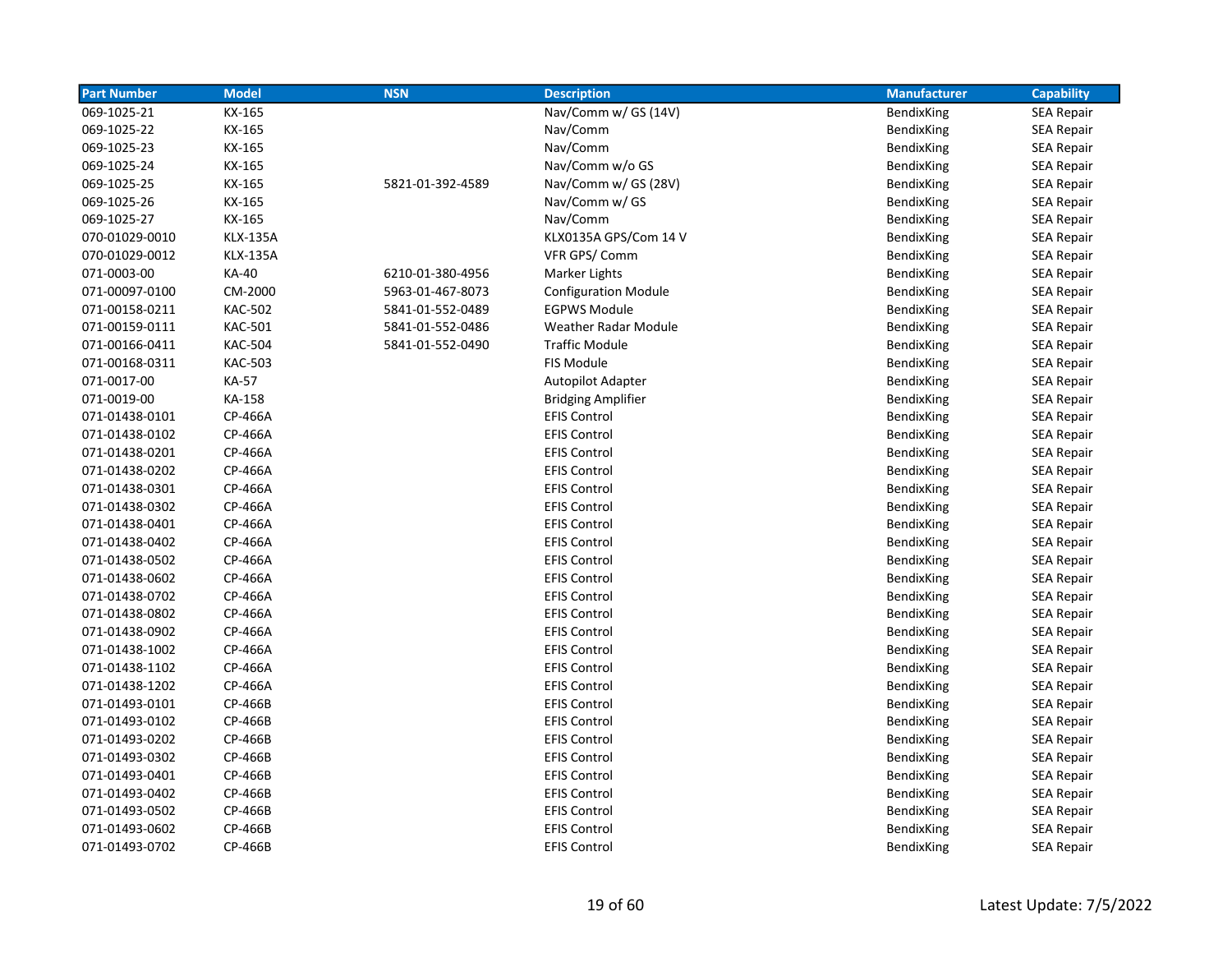| <b>Part Number</b> | <b>Model</b>    | <b>NSN</b>       | <b>Description</b>          | <b>Manufacturer</b> | <b>Capability</b> |
|--------------------|-----------------|------------------|-----------------------------|---------------------|-------------------|
| 069-1025-21        | KX-165          |                  | Nav/Comm w/ GS (14V)        | BendixKing          | <b>SEA Repair</b> |
| 069-1025-22        | KX-165          |                  | Nav/Comm                    | BendixKing          | <b>SEA Repair</b> |
| 069-1025-23        | KX-165          |                  | Nav/Comm                    | BendixKing          | <b>SEA Repair</b> |
| 069-1025-24        | KX-165          |                  | Nav/Comm w/o GS             | BendixKing          | <b>SEA Repair</b> |
| 069-1025-25        | KX-165          | 5821-01-392-4589 | Nav/Comm w/ GS (28V)        | BendixKing          | <b>SEA Repair</b> |
| 069-1025-26        | KX-165          |                  | Nav/Comm w/ GS              | BendixKing          | <b>SEA Repair</b> |
| 069-1025-27        | KX-165          |                  | Nav/Comm                    | BendixKing          | <b>SEA Repair</b> |
| 070-01029-0010     | <b>KLX-135A</b> |                  | KLX0135A GPS/Com 14 V       | BendixKing          | <b>SEA Repair</b> |
| 070-01029-0012     | <b>KLX-135A</b> |                  | VFR GPS/Comm                | BendixKing          | <b>SEA Repair</b> |
| 071-0003-00        | <b>KA-40</b>    | 6210-01-380-4956 | Marker Lights               | BendixKing          | <b>SEA Repair</b> |
| 071-00097-0100     | CM-2000         | 5963-01-467-8073 | <b>Configuration Module</b> | BendixKing          | <b>SEA Repair</b> |
| 071-00158-0211     | <b>KAC-502</b>  | 5841-01-552-0489 | <b>EGPWS Module</b>         | BendixKing          | <b>SEA Repair</b> |
| 071-00159-0111     | <b>KAC-501</b>  | 5841-01-552-0486 | <b>Weather Radar Module</b> | BendixKing          | <b>SEA Repair</b> |
| 071-00166-0411     | <b>KAC-504</b>  | 5841-01-552-0490 | <b>Traffic Module</b>       | BendixKing          | SEA Repair        |
| 071-00168-0311     | <b>KAC-503</b>  |                  | <b>FIS Module</b>           | BendixKing          | <b>SEA Repair</b> |
| 071-0017-00        | KA-57           |                  | <b>Autopilot Adapter</b>    | BendixKing          | <b>SEA Repair</b> |
| 071-0019-00        | KA-158          |                  | <b>Bridging Amplifier</b>   | BendixKing          | <b>SEA Repair</b> |
| 071-01438-0101     | CP-466A         |                  | <b>EFIS Control</b>         | BendixKing          | <b>SEA Repair</b> |
| 071-01438-0102     | CP-466A         |                  | <b>EFIS Control</b>         | BendixKing          | <b>SEA Repair</b> |
| 071-01438-0201     | CP-466A         |                  | <b>EFIS Control</b>         | BendixKing          | <b>SEA Repair</b> |
| 071-01438-0202     | CP-466A         |                  | <b>EFIS Control</b>         | BendixKing          | <b>SEA Repair</b> |
| 071-01438-0301     | CP-466A         |                  | <b>EFIS Control</b>         | BendixKing          | SEA Repair        |
| 071-01438-0302     | CP-466A         |                  | <b>EFIS Control</b>         | BendixKing          | <b>SEA Repair</b> |
| 071-01438-0401     | CP-466A         |                  | <b>EFIS Control</b>         | BendixKing          | SEA Repair        |
| 071-01438-0402     | CP-466A         |                  | <b>EFIS Control</b>         | BendixKing          | SEA Repair        |
| 071-01438-0502     | CP-466A         |                  | <b>EFIS Control</b>         | BendixKing          | <b>SEA Repair</b> |
| 071-01438-0602     | CP-466A         |                  | <b>EFIS Control</b>         | BendixKing          | <b>SEA Repair</b> |
| 071-01438-0702     | CP-466A         |                  | <b>EFIS Control</b>         | BendixKing          | <b>SEA Repair</b> |
| 071-01438-0802     | CP-466A         |                  | <b>EFIS Control</b>         | BendixKing          | <b>SEA Repair</b> |
| 071-01438-0902     | CP-466A         |                  | <b>EFIS Control</b>         | BendixKing          | <b>SEA Repair</b> |
| 071-01438-1002     | CP-466A         |                  | <b>EFIS Control</b>         | BendixKing          | <b>SEA Repair</b> |
| 071-01438-1102     | CP-466A         |                  | <b>EFIS Control</b>         | BendixKing          | <b>SEA Repair</b> |
| 071-01438-1202     | CP-466A         |                  | <b>EFIS Control</b>         | BendixKing          | <b>SEA Repair</b> |
| 071-01493-0101     | CP-466B         |                  | <b>EFIS Control</b>         | BendixKing          | <b>SEA Repair</b> |
| 071-01493-0102     | CP-466B         |                  | <b>EFIS Control</b>         | BendixKing          | <b>SEA Repair</b> |
| 071-01493-0202     | CP-466B         |                  | <b>EFIS Control</b>         | BendixKing          | <b>SEA Repair</b> |
| 071-01493-0302     | CP-466B         |                  | <b>EFIS Control</b>         | BendixKing          | <b>SEA Repair</b> |
| 071-01493-0401     | CP-466B         |                  | <b>EFIS Control</b>         | BendixKing          | <b>SEA Repair</b> |
| 071-01493-0402     | CP-466B         |                  | <b>EFIS Control</b>         | BendixKing          | <b>SEA Repair</b> |
| 071-01493-0502     | CP-466B         |                  | <b>EFIS Control</b>         | BendixKing          | <b>SEA Repair</b> |
| 071-01493-0602     | CP-466B         |                  | <b>EFIS Control</b>         | BendixKing          | <b>SEA Repair</b> |
| 071-01493-0702     | CP-466B         |                  | <b>EFIS Control</b>         | BendixKing          | <b>SEA Repair</b> |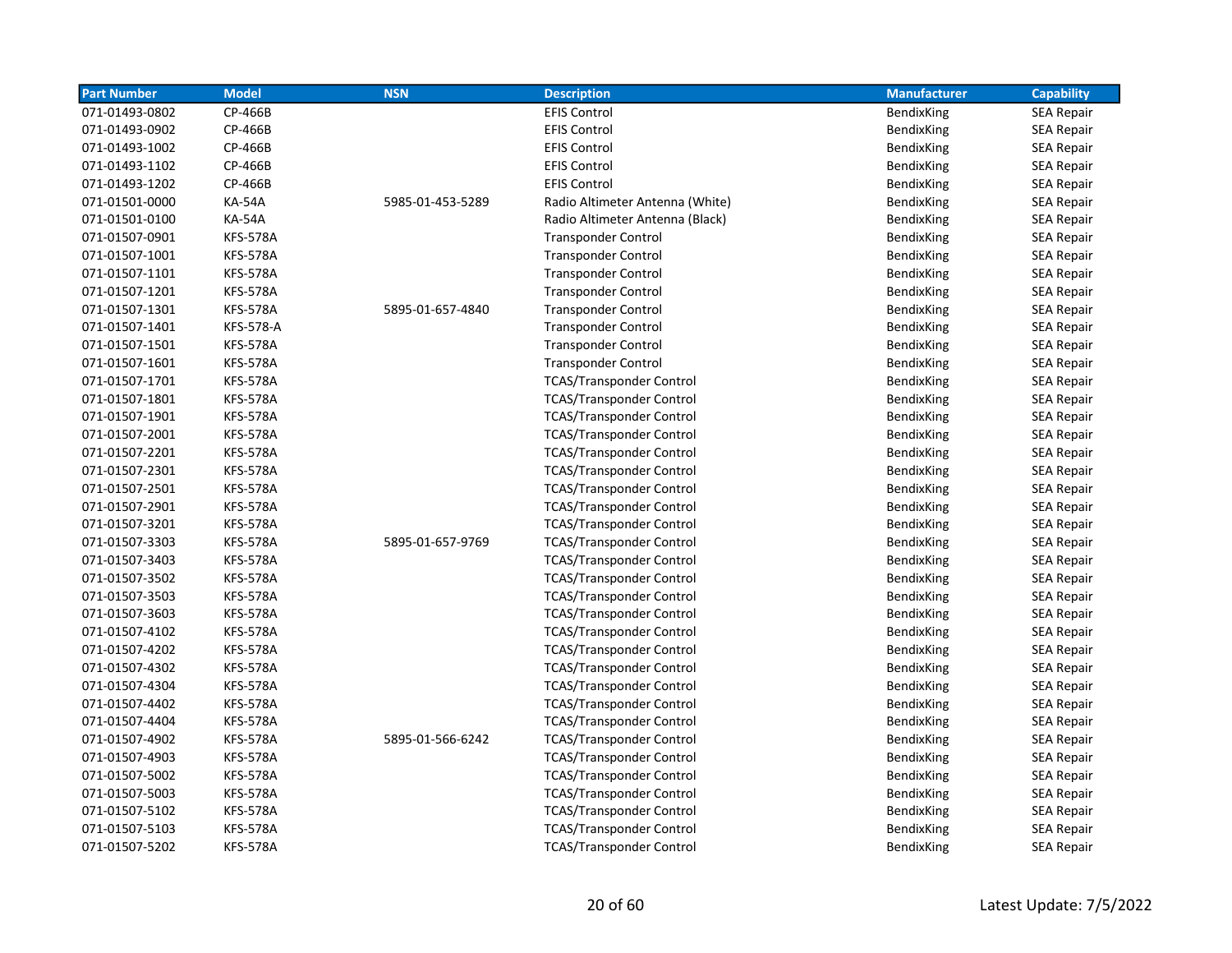| <b>Part Number</b> | <b>Model</b>     | <b>NSN</b>       | <b>Description</b>              | <b>Manufacturer</b> | <b>Capability</b> |
|--------------------|------------------|------------------|---------------------------------|---------------------|-------------------|
| 071-01493-0802     | CP-466B          |                  | <b>EFIS Control</b>             | BendixKing          | <b>SEA Repair</b> |
| 071-01493-0902     | CP-466B          |                  | <b>EFIS Control</b>             | BendixKing          | <b>SEA Repair</b> |
| 071-01493-1002     | CP-466B          |                  | <b>EFIS Control</b>             | BendixKing          | <b>SEA Repair</b> |
| 071-01493-1102     | CP-466B          |                  | <b>EFIS Control</b>             | BendixKing          | SEA Repair        |
| 071-01493-1202     | CP-466B          |                  | <b>EFIS Control</b>             | BendixKing          | <b>SEA Repair</b> |
| 071-01501-0000     | <b>KA-54A</b>    | 5985-01-453-5289 | Radio Altimeter Antenna (White) | BendixKing          | <b>SEA Repair</b> |
| 071-01501-0100     | <b>KA-54A</b>    |                  | Radio Altimeter Antenna (Black) | BendixKing          | <b>SEA Repair</b> |
| 071-01507-0901     | <b>KFS-578A</b>  |                  | <b>Transponder Control</b>      | BendixKing          | <b>SEA Repair</b> |
| 071-01507-1001     | <b>KFS-578A</b>  |                  | <b>Transponder Control</b>      | BendixKing          | <b>SEA Repair</b> |
| 071-01507-1101     | <b>KFS-578A</b>  |                  | <b>Transponder Control</b>      | BendixKing          | SEA Repair        |
| 071-01507-1201     | <b>KFS-578A</b>  |                  | <b>Transponder Control</b>      | BendixKing          | SEA Repair        |
| 071-01507-1301     | <b>KFS-578A</b>  | 5895-01-657-4840 | <b>Transponder Control</b>      | BendixKing          | SEA Repair        |
| 071-01507-1401     | <b>KFS-578-A</b> |                  | <b>Transponder Control</b>      | BendixKing          | <b>SEA Repair</b> |
| 071-01507-1501     | <b>KFS-578A</b>  |                  | <b>Transponder Control</b>      | BendixKing          | <b>SEA Repair</b> |
| 071-01507-1601     | <b>KFS-578A</b>  |                  | <b>Transponder Control</b>      | BendixKing          | SEA Repair        |
| 071-01507-1701     | <b>KFS-578A</b>  |                  | <b>TCAS/Transponder Control</b> | <b>BendixKing</b>   | <b>SEA Repair</b> |
| 071-01507-1801     | <b>KFS-578A</b>  |                  | <b>TCAS/Transponder Control</b> | BendixKing          | <b>SEA Repair</b> |
| 071-01507-1901     | <b>KFS-578A</b>  |                  | <b>TCAS/Transponder Control</b> | BendixKing          | SEA Repair        |
| 071-01507-2001     | <b>KFS-578A</b>  |                  | <b>TCAS/Transponder Control</b> | BendixKing          | <b>SEA Repair</b> |
| 071-01507-2201     | <b>KFS-578A</b>  |                  | <b>TCAS/Transponder Control</b> | BendixKing          | <b>SEA Repair</b> |
| 071-01507-2301     | <b>KFS-578A</b>  |                  | <b>TCAS/Transponder Control</b> | BendixKing          | <b>SEA Repair</b> |
| 071-01507-2501     | <b>KFS-578A</b>  |                  | <b>TCAS/Transponder Control</b> | BendixKing          | SEA Repair        |
| 071-01507-2901     | <b>KFS-578A</b>  |                  | <b>TCAS/Transponder Control</b> | <b>BendixKing</b>   | <b>SEA Repair</b> |
| 071-01507-3201     | <b>KFS-578A</b>  |                  | <b>TCAS/Transponder Control</b> | BendixKing          | SEA Repair        |
| 071-01507-3303     | <b>KFS-578A</b>  | 5895-01-657-9769 | <b>TCAS/Transponder Control</b> | BendixKing          | <b>SEA Repair</b> |
| 071-01507-3403     | <b>KFS-578A</b>  |                  | <b>TCAS/Transponder Control</b> | BendixKing          | <b>SEA Repair</b> |
| 071-01507-3502     | <b>KFS-578A</b>  |                  | <b>TCAS/Transponder Control</b> | BendixKing          | <b>SEA Repair</b> |
| 071-01507-3503     | <b>KFS-578A</b>  |                  | <b>TCAS/Transponder Control</b> | BendixKing          | SEA Repair        |
| 071-01507-3603     | <b>KFS-578A</b>  |                  | <b>TCAS/Transponder Control</b> | BendixKing          | <b>SEA Repair</b> |
| 071-01507-4102     | <b>KFS-578A</b>  |                  | <b>TCAS/Transponder Control</b> | BendixKing          | <b>SEA Repair</b> |
| 071-01507-4202     | <b>KFS-578A</b>  |                  | <b>TCAS/Transponder Control</b> | BendixKing          | <b>SEA Repair</b> |
| 071-01507-4302     | <b>KFS-578A</b>  |                  | <b>TCAS/Transponder Control</b> | BendixKing          | <b>SEA Repair</b> |
| 071-01507-4304     | <b>KFS-578A</b>  |                  | <b>TCAS/Transponder Control</b> | BendixKing          | <b>SEA Repair</b> |
| 071-01507-4402     | <b>KFS-578A</b>  |                  | <b>TCAS/Transponder Control</b> | BendixKing          | <b>SEA Repair</b> |
| 071-01507-4404     | <b>KFS-578A</b>  |                  | <b>TCAS/Transponder Control</b> | BendixKing          | SEA Repair        |
| 071-01507-4902     | <b>KFS-578A</b>  | 5895-01-566-6242 | <b>TCAS/Transponder Control</b> | BendixKing          | <b>SEA Repair</b> |
| 071-01507-4903     | <b>KFS-578A</b>  |                  | <b>TCAS/Transponder Control</b> | BendixKing          | <b>SEA Repair</b> |
| 071-01507-5002     | <b>KFS-578A</b>  |                  | <b>TCAS/Transponder Control</b> | BendixKing          | <b>SEA Repair</b> |
| 071-01507-5003     | <b>KFS-578A</b>  |                  | <b>TCAS/Transponder Control</b> | BendixKing          | SEA Repair        |
| 071-01507-5102     | <b>KFS-578A</b>  |                  | <b>TCAS/Transponder Control</b> | BendixKing          | <b>SEA Repair</b> |
| 071-01507-5103     | <b>KFS-578A</b>  |                  | <b>TCAS/Transponder Control</b> | <b>BendixKing</b>   | <b>SEA Repair</b> |
| 071-01507-5202     | <b>KFS-578A</b>  |                  | <b>TCAS/Transponder Control</b> | BendixKing          | <b>SEA Repair</b> |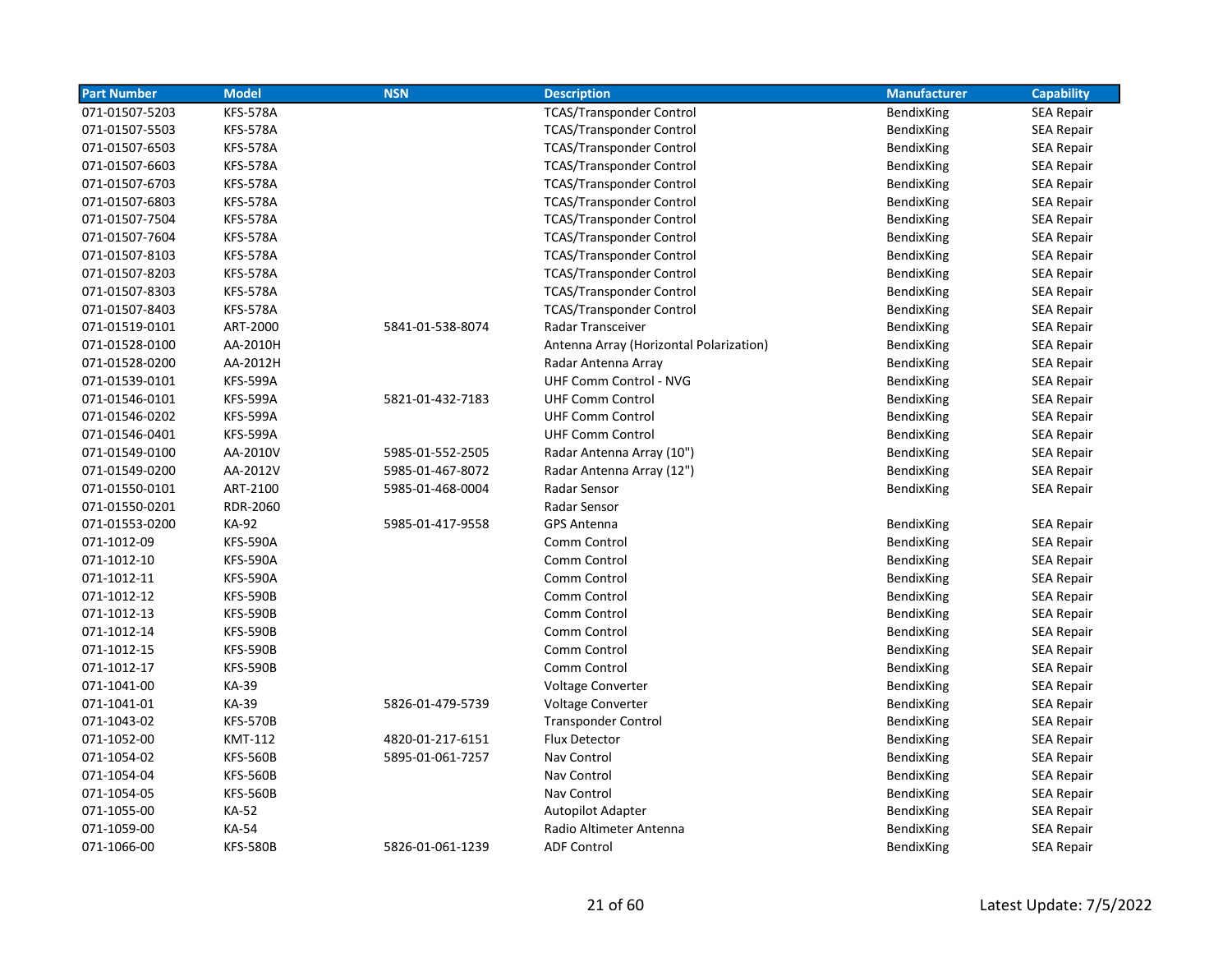| <b>Part Number</b> | <b>Model</b>    | <b>NSN</b>       | <b>Description</b>                      | <b>Manufacturer</b> | <b>Capability</b> |
|--------------------|-----------------|------------------|-----------------------------------------|---------------------|-------------------|
| 071-01507-5203     | <b>KFS-578A</b> |                  | <b>TCAS/Transponder Control</b>         | BendixKing          | <b>SEA Repair</b> |
| 071-01507-5503     | <b>KFS-578A</b> |                  | <b>TCAS/Transponder Control</b>         | BendixKing          | <b>SEA Repair</b> |
| 071-01507-6503     | <b>KFS-578A</b> |                  | <b>TCAS/Transponder Control</b>         | BendixKing          | <b>SEA Repair</b> |
| 071-01507-6603     | <b>KFS-578A</b> |                  | <b>TCAS/Transponder Control</b>         | BendixKing          | <b>SEA Repair</b> |
| 071-01507-6703     | <b>KFS-578A</b> |                  | <b>TCAS/Transponder Control</b>         | BendixKing          | <b>SEA Repair</b> |
| 071-01507-6803     | <b>KFS-578A</b> |                  | <b>TCAS/Transponder Control</b>         | BendixKing          | <b>SEA Repair</b> |
| 071-01507-7504     | <b>KFS-578A</b> |                  | <b>TCAS/Transponder Control</b>         | BendixKing          | <b>SEA Repair</b> |
| 071-01507-7604     | <b>KFS-578A</b> |                  | <b>TCAS/Transponder Control</b>         | BendixKing          | <b>SEA Repair</b> |
| 071-01507-8103     | <b>KFS-578A</b> |                  | <b>TCAS/Transponder Control</b>         | BendixKing          | <b>SEA Repair</b> |
| 071-01507-8203     | <b>KFS-578A</b> |                  | <b>TCAS/Transponder Control</b>         | BendixKing          | <b>SEA Repair</b> |
| 071-01507-8303     | <b>KFS-578A</b> |                  | <b>TCAS/Transponder Control</b>         | BendixKing          | <b>SEA Repair</b> |
| 071-01507-8403     | <b>KFS-578A</b> |                  | <b>TCAS/Transponder Control</b>         | BendixKing          | <b>SEA Repair</b> |
| 071-01519-0101     | ART-2000        | 5841-01-538-8074 | <b>Radar Transceiver</b>                | BendixKing          | <b>SEA Repair</b> |
| 071-01528-0100     | AA-2010H        |                  | Antenna Array (Horizontal Polarization) | BendixKing          | <b>SEA Repair</b> |
| 071-01528-0200     | AA-2012H        |                  | Radar Antenna Array                     | BendixKing          | <b>SEA Repair</b> |
| 071-01539-0101     | <b>KFS-599A</b> |                  | <b>UHF Comm Control - NVG</b>           | BendixKing          | <b>SEA Repair</b> |
| 071-01546-0101     | <b>KFS-599A</b> | 5821-01-432-7183 | <b>UHF Comm Control</b>                 | BendixKing          | <b>SEA Repair</b> |
| 071-01546-0202     | <b>KFS-599A</b> |                  | <b>UHF Comm Control</b>                 | BendixKing          | SEA Repair        |
| 071-01546-0401     | <b>KFS-599A</b> |                  | <b>UHF Comm Control</b>                 | BendixKing          | <b>SEA Repair</b> |
| 071-01549-0100     | AA-2010V        | 5985-01-552-2505 | Radar Antenna Array (10")               | BendixKing          | SEA Repair        |
| 071-01549-0200     | AA-2012V        | 5985-01-467-8072 | Radar Antenna Array (12")               | BendixKing          | <b>SEA Repair</b> |
| 071-01550-0101     | ART-2100        | 5985-01-468-0004 | Radar Sensor                            | BendixKing          | <b>SEA Repair</b> |
| 071-01550-0201     | <b>RDR-2060</b> |                  | Radar Sensor                            |                     |                   |
| 071-01553-0200     | KA-92           | 5985-01-417-9558 | <b>GPS Antenna</b>                      | BendixKing          | <b>SEA Repair</b> |
| 071-1012-09        | <b>KFS-590A</b> |                  | Comm Control                            | BendixKing          | <b>SEA Repair</b> |
| 071-1012-10        | <b>KFS-590A</b> |                  | Comm Control                            | BendixKing          | <b>SEA Repair</b> |
| 071-1012-11        | <b>KFS-590A</b> |                  | Comm Control                            | BendixKing          | <b>SEA Repair</b> |
| 071-1012-12        | <b>KFS-590B</b> |                  | Comm Control                            | BendixKing          | <b>SEA Repair</b> |
| 071-1012-13        | <b>KFS-590B</b> |                  | Comm Control                            | BendixKing          | <b>SEA Repair</b> |
| 071-1012-14        | <b>KFS-590B</b> |                  | Comm Control                            | BendixKing          | <b>SEA Repair</b> |
| 071-1012-15        | <b>KFS-590B</b> |                  | Comm Control                            | BendixKing          | <b>SEA Repair</b> |
| 071-1012-17        | <b>KFS-590B</b> |                  | Comm Control                            | BendixKing          | <b>SEA Repair</b> |
| 071-1041-00        | KA-39           |                  | <b>Voltage Converter</b>                | BendixKing          | <b>SEA Repair</b> |
| 071-1041-01        | KA-39           | 5826-01-479-5739 | <b>Voltage Converter</b>                | BendixKing          | <b>SEA Repair</b> |
| 071-1043-02        | <b>KFS-570B</b> |                  | <b>Transponder Control</b>              | BendixKing          | <b>SEA Repair</b> |
| 071-1052-00        | KMT-112         | 4820-01-217-6151 | Flux Detector                           | BendixKing          | <b>SEA Repair</b> |
| 071-1054-02        | <b>KFS-560B</b> | 5895-01-061-7257 | Nav Control                             | BendixKing          | <b>SEA Repair</b> |
| 071-1054-04        | <b>KFS-560B</b> |                  | Nav Control                             | BendixKing          | <b>SEA Repair</b> |
| 071-1054-05        | <b>KFS-560B</b> |                  | Nav Control                             | BendixKing          | SEA Repair        |
| 071-1055-00        | <b>KA-52</b>    |                  | <b>Autopilot Adapter</b>                | BendixKing          | <b>SEA Repair</b> |
| 071-1059-00        | <b>KA-54</b>    |                  | Radio Altimeter Antenna                 | BendixKing          | <b>SEA Repair</b> |
| 071-1066-00        | <b>KFS-580B</b> | 5826-01-061-1239 | <b>ADF Control</b>                      | BendixKing          | <b>SEA Repair</b> |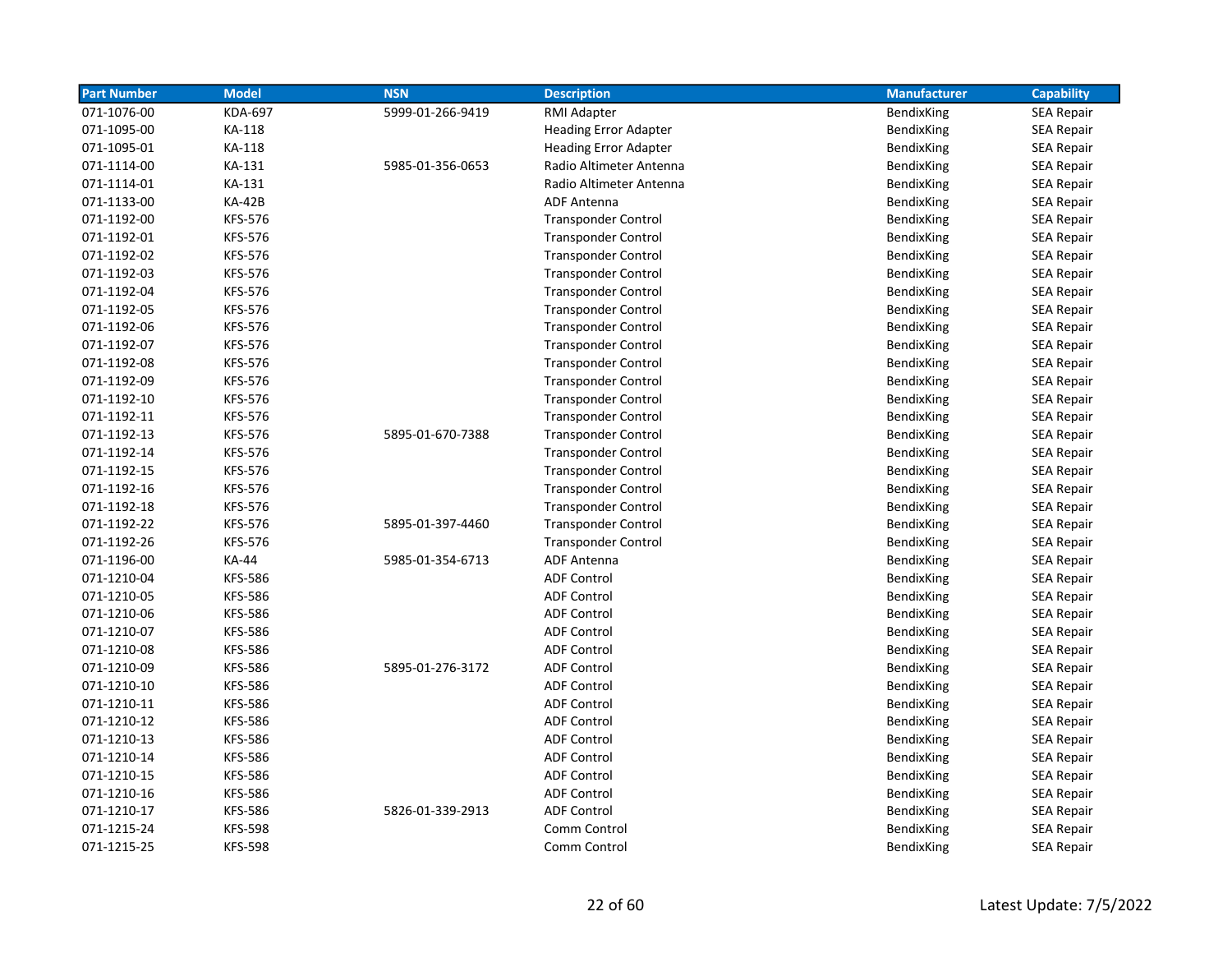| <b>Part Number</b> | <b>Model</b>   | <b>NSN</b>       | <b>Description</b>           | <b>Manufacturer</b> | <b>Capability</b> |
|--------------------|----------------|------------------|------------------------------|---------------------|-------------------|
| 071-1076-00        | <b>KDA-697</b> | 5999-01-266-9419 | RMI Adapter                  | BendixKing          | <b>SEA Repair</b> |
| 071-1095-00        | KA-118         |                  | <b>Heading Error Adapter</b> | BendixKing          | <b>SEA Repair</b> |
| 071-1095-01        | KA-118         |                  | <b>Heading Error Adapter</b> | BendixKing          | <b>SEA Repair</b> |
| 071-1114-00        | KA-131         | 5985-01-356-0653 | Radio Altimeter Antenna      | BendixKing          | <b>SEA Repair</b> |
| 071-1114-01        | KA-131         |                  | Radio Altimeter Antenna      | BendixKing          | <b>SEA Repair</b> |
| 071-1133-00        | <b>KA-42B</b>  |                  | <b>ADF Antenna</b>           | <b>BendixKing</b>   | <b>SEA Repair</b> |
| 071-1192-00        | <b>KFS-576</b> |                  | <b>Transponder Control</b>   | BendixKing          | <b>SEA Repair</b> |
| 071-1192-01        | <b>KFS-576</b> |                  | <b>Transponder Control</b>   | BendixKing          | <b>SEA Repair</b> |
| 071-1192-02        | <b>KFS-576</b> |                  | <b>Transponder Control</b>   | BendixKing          | <b>SEA Repair</b> |
| 071-1192-03        | <b>KFS-576</b> |                  | <b>Transponder Control</b>   | BendixKing          | <b>SEA Repair</b> |
| 071-1192-04        | <b>KFS-576</b> |                  | <b>Transponder Control</b>   | BendixKing          | SEA Repair        |
| 071-1192-05        | <b>KFS-576</b> |                  | <b>Transponder Control</b>   | <b>BendixKing</b>   | <b>SEA Repair</b> |
| 071-1192-06        | <b>KFS-576</b> |                  | <b>Transponder Control</b>   | BendixKing          | <b>SEA Repair</b> |
| 071-1192-07        | <b>KFS-576</b> |                  | <b>Transponder Control</b>   | BendixKing          | <b>SEA Repair</b> |
| 071-1192-08        | <b>KFS-576</b> |                  | <b>Transponder Control</b>   | BendixKing          | <b>SEA Repair</b> |
| 071-1192-09        | <b>KFS-576</b> |                  | <b>Transponder Control</b>   | BendixKing          | <b>SEA Repair</b> |
| 071-1192-10        | <b>KFS-576</b> |                  | <b>Transponder Control</b>   | BendixKing          | <b>SEA Repair</b> |
| 071-1192-11        | <b>KFS-576</b> |                  | <b>Transponder Control</b>   | BendixKing          | SEA Repair        |
| 071-1192-13        | <b>KFS-576</b> | 5895-01-670-7388 | <b>Transponder Control</b>   | <b>BendixKing</b>   | <b>SEA Repair</b> |
| 071-1192-14        | <b>KFS-576</b> |                  | <b>Transponder Control</b>   | <b>BendixKing</b>   | <b>SEA Repair</b> |
| 071-1192-15        | <b>KFS-576</b> |                  | <b>Transponder Control</b>   | BendixKing          | <b>SEA Repair</b> |
| 071-1192-16        | <b>KFS-576</b> |                  | <b>Transponder Control</b>   | BendixKing          | <b>SEA Repair</b> |
| 071-1192-18        | <b>KFS-576</b> |                  | <b>Transponder Control</b>   | BendixKing          | <b>SEA Repair</b> |
| 071-1192-22        | <b>KFS-576</b> | 5895-01-397-4460 | <b>Transponder Control</b>   | BendixKing          | <b>SEA Repair</b> |
| 071-1192-26        | <b>KFS-576</b> |                  | <b>Transponder Control</b>   | BendixKing          | <b>SEA Repair</b> |
| 071-1196-00        | KA-44          | 5985-01-354-6713 | <b>ADF Antenna</b>           | <b>BendixKing</b>   | <b>SEA Repair</b> |
| 071-1210-04        | <b>KFS-586</b> |                  | <b>ADF Control</b>           | BendixKing          | <b>SEA Repair</b> |
| 071-1210-05        | <b>KFS-586</b> |                  | <b>ADF Control</b>           | BendixKing          | <b>SEA Repair</b> |
| 071-1210-06        | <b>KFS-586</b> |                  | <b>ADF Control</b>           | BendixKing          | <b>SEA Repair</b> |
| 071-1210-07        | <b>KFS-586</b> |                  | <b>ADF Control</b>           | BendixKing          | <b>SEA Repair</b> |
| 071-1210-08        | <b>KFS-586</b> |                  | <b>ADF Control</b>           | BendixKing          | <b>SEA Repair</b> |
| 071-1210-09        | <b>KFS-586</b> | 5895-01-276-3172 | <b>ADF Control</b>           | BendixKing          | <b>SEA Repair</b> |
| 071-1210-10        | <b>KFS-586</b> |                  | <b>ADF Control</b>           | BendixKing          | <b>SEA Repair</b> |
| 071-1210-11        | <b>KFS-586</b> |                  | <b>ADF Control</b>           | BendixKing          | <b>SEA Repair</b> |
| 071-1210-12        | <b>KFS-586</b> |                  | <b>ADF Control</b>           | BendixKing          | <b>SEA Repair</b> |
| 071-1210-13        | <b>KFS-586</b> |                  | <b>ADF Control</b>           | BendixKing          | <b>SEA Repair</b> |
| 071-1210-14        | <b>KFS-586</b> |                  | <b>ADF Control</b>           | BendixKing          | <b>SEA Repair</b> |
| 071-1210-15        | <b>KFS-586</b> |                  | <b>ADF Control</b>           | BendixKing          | <b>SEA Repair</b> |
| 071-1210-16        | <b>KFS-586</b> |                  | <b>ADF Control</b>           | BendixKing          | SEA Repair        |
| 071-1210-17        | <b>KFS-586</b> | 5826-01-339-2913 | <b>ADF Control</b>           | BendixKing          | <b>SEA Repair</b> |
| 071-1215-24        | <b>KFS-598</b> |                  | Comm Control                 | BendixKing          | <b>SEA Repair</b> |
| 071-1215-25        | <b>KFS-598</b> |                  | Comm Control                 | <b>BendixKing</b>   | <b>SEA Repair</b> |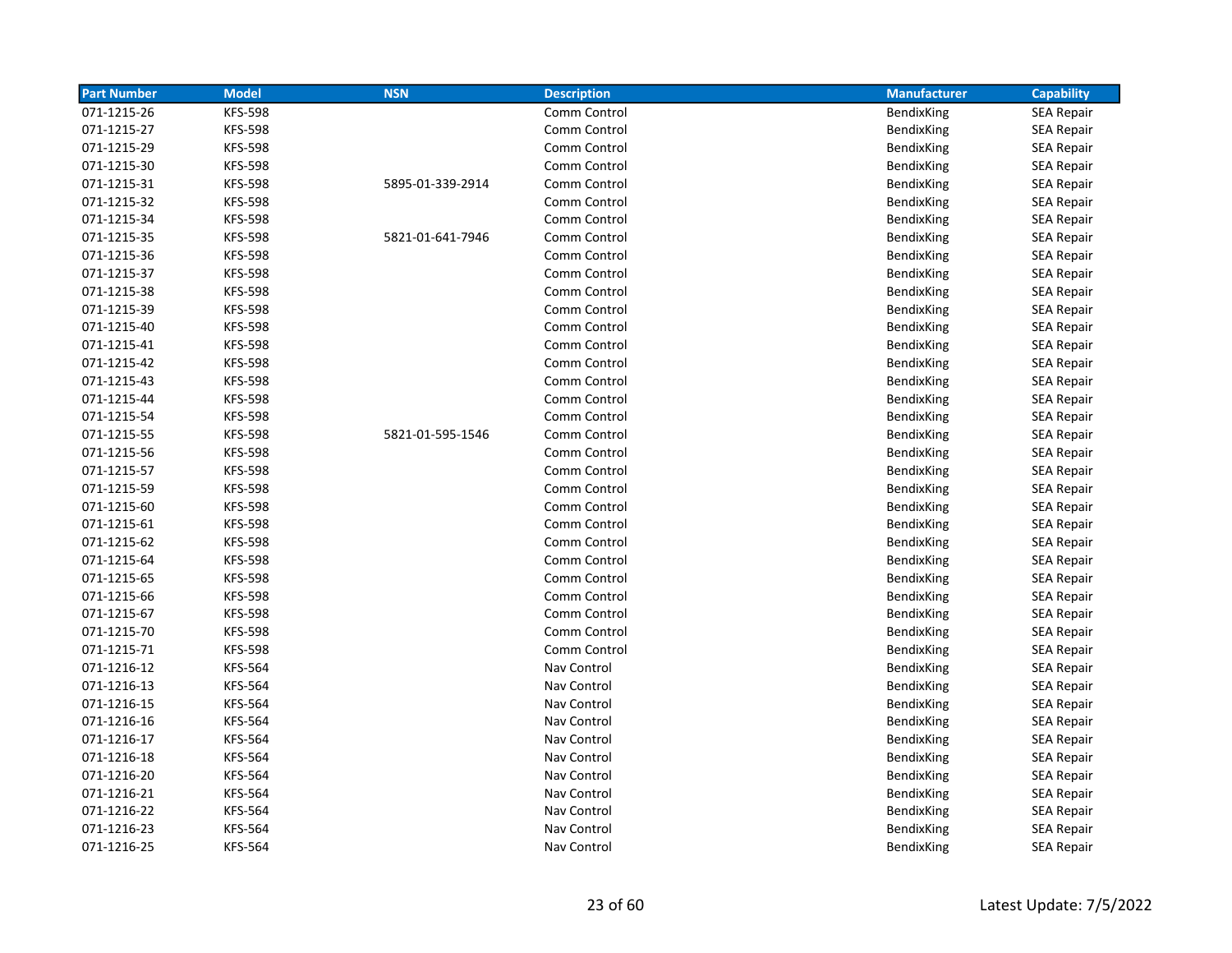| <b>Part Number</b> | <b>Model</b>   | <b>NSN</b>       | <b>Description</b> | <b>Manufacturer</b> | <b>Capability</b> |
|--------------------|----------------|------------------|--------------------|---------------------|-------------------|
| 071-1215-26        | <b>KFS-598</b> |                  | Comm Control       | BendixKing          | <b>SEA Repair</b> |
| 071-1215-27        | <b>KFS-598</b> |                  | Comm Control       | BendixKing          | <b>SEA Repair</b> |
| 071-1215-29        | <b>KFS-598</b> |                  | Comm Control       | BendixKing          | <b>SEA Repair</b> |
| 071-1215-30        | <b>KFS-598</b> |                  | Comm Control       | BendixKing          | <b>SEA Repair</b> |
| 071-1215-31        | <b>KFS-598</b> | 5895-01-339-2914 | Comm Control       | BendixKing          | <b>SEA Repair</b> |
| 071-1215-32        | <b>KFS-598</b> |                  | Comm Control       | BendixKing          | <b>SEA Repair</b> |
| 071-1215-34        | <b>KFS-598</b> |                  | Comm Control       | BendixKing          | <b>SEA Repair</b> |
| 071-1215-35        | <b>KFS-598</b> | 5821-01-641-7946 | Comm Control       | BendixKing          | <b>SEA Repair</b> |
| 071-1215-36        | <b>KFS-598</b> |                  | Comm Control       | BendixKing          | <b>SEA Repair</b> |
| 071-1215-37        | <b>KFS-598</b> |                  | Comm Control       | BendixKing          | <b>SEA Repair</b> |
| 071-1215-38        | <b>KFS-598</b> |                  | Comm Control       | BendixKing          | <b>SEA Repair</b> |
| 071-1215-39        | <b>KFS-598</b> |                  | Comm Control       | BendixKing          | <b>SEA Repair</b> |
| 071-1215-40        | <b>KFS-598</b> |                  | Comm Control       | BendixKing          | <b>SEA Repair</b> |
| 071-1215-41        | <b>KFS-598</b> |                  | Comm Control       | BendixKing          | SEA Repair        |
| 071-1215-42        | <b>KFS-598</b> |                  | Comm Control       | BendixKing          | <b>SEA Repair</b> |
| 071-1215-43        | <b>KFS-598</b> |                  | Comm Control       | BendixKing          | SEA Repair        |
| 071-1215-44        | <b>KFS-598</b> |                  | Comm Control       | BendixKing          | SEA Repair        |
| 071-1215-54        | <b>KFS-598</b> |                  | Comm Control       | BendixKing          | <b>SEA Repair</b> |
| 071-1215-55        | <b>KFS-598</b> | 5821-01-595-1546 | Comm Control       | BendixKing          | <b>SEA Repair</b> |
| 071-1215-56        | <b>KFS-598</b> |                  | Comm Control       | BendixKing          | <b>SEA Repair</b> |
| 071-1215-57        | <b>KFS-598</b> |                  | Comm Control       | BendixKing          | <b>SEA Repair</b> |
| 071-1215-59        | <b>KFS-598</b> |                  | Comm Control       | BendixKing          | SEA Repair        |
| 071-1215-60        | <b>KFS-598</b> |                  | Comm Control       | BendixKing          | <b>SEA Repair</b> |
| 071-1215-61        | <b>KFS-598</b> |                  | Comm Control       | BendixKing          | SEA Repair        |
| 071-1215-62        | <b>KFS-598</b> |                  | Comm Control       | BendixKing          | <b>SEA Repair</b> |
| 071-1215-64        | <b>KFS-598</b> |                  | Comm Control       | BendixKing          | <b>SEA Repair</b> |
| 071-1215-65        | <b>KFS-598</b> |                  | Comm Control       | BendixKing          | <b>SEA Repair</b> |
| 071-1215-66        | <b>KFS-598</b> |                  | Comm Control       | BendixKing          | <b>SEA Repair</b> |
| 071-1215-67        | <b>KFS-598</b> |                  | Comm Control       | BendixKing          | <b>SEA Repair</b> |
| 071-1215-70        | <b>KFS-598</b> |                  | Comm Control       | BendixKing          | <b>SEA Repair</b> |
| 071-1215-71        | <b>KFS-598</b> |                  | Comm Control       | BendixKing          | <b>SEA Repair</b> |
| 071-1216-12        | <b>KFS-564</b> |                  | Nav Control        | BendixKing          | <b>SEA Repair</b> |
| 071-1216-13        | <b>KFS-564</b> |                  | Nav Control        | BendixKing          | <b>SEA Repair</b> |
| 071-1216-15        | <b>KFS-564</b> |                  | Nav Control        | BendixKing          | <b>SEA Repair</b> |
| 071-1216-16        | <b>KFS-564</b> |                  | Nav Control        | BendixKing          | <b>SEA Repair</b> |
| 071-1216-17        | <b>KFS-564</b> |                  | Nav Control        | BendixKing          | <b>SEA Repair</b> |
| 071-1216-18        | <b>KFS-564</b> |                  | Nav Control        | BendixKing          | <b>SEA Repair</b> |
| 071-1216-20        | <b>KFS-564</b> |                  | Nav Control        | BendixKing          | <b>SEA Repair</b> |
| 071-1216-21        | <b>KFS-564</b> |                  | Nav Control        | BendixKing          | <b>SEA Repair</b> |
| 071-1216-22        | <b>KFS-564</b> |                  | Nav Control        | BendixKing          | SEA Repair        |
| 071-1216-23        | <b>KFS-564</b> |                  | Nav Control        | BendixKing          | <b>SEA Repair</b> |
| 071-1216-25        | <b>KFS-564</b> |                  | Nav Control        | BendixKing          | <b>SEA Repair</b> |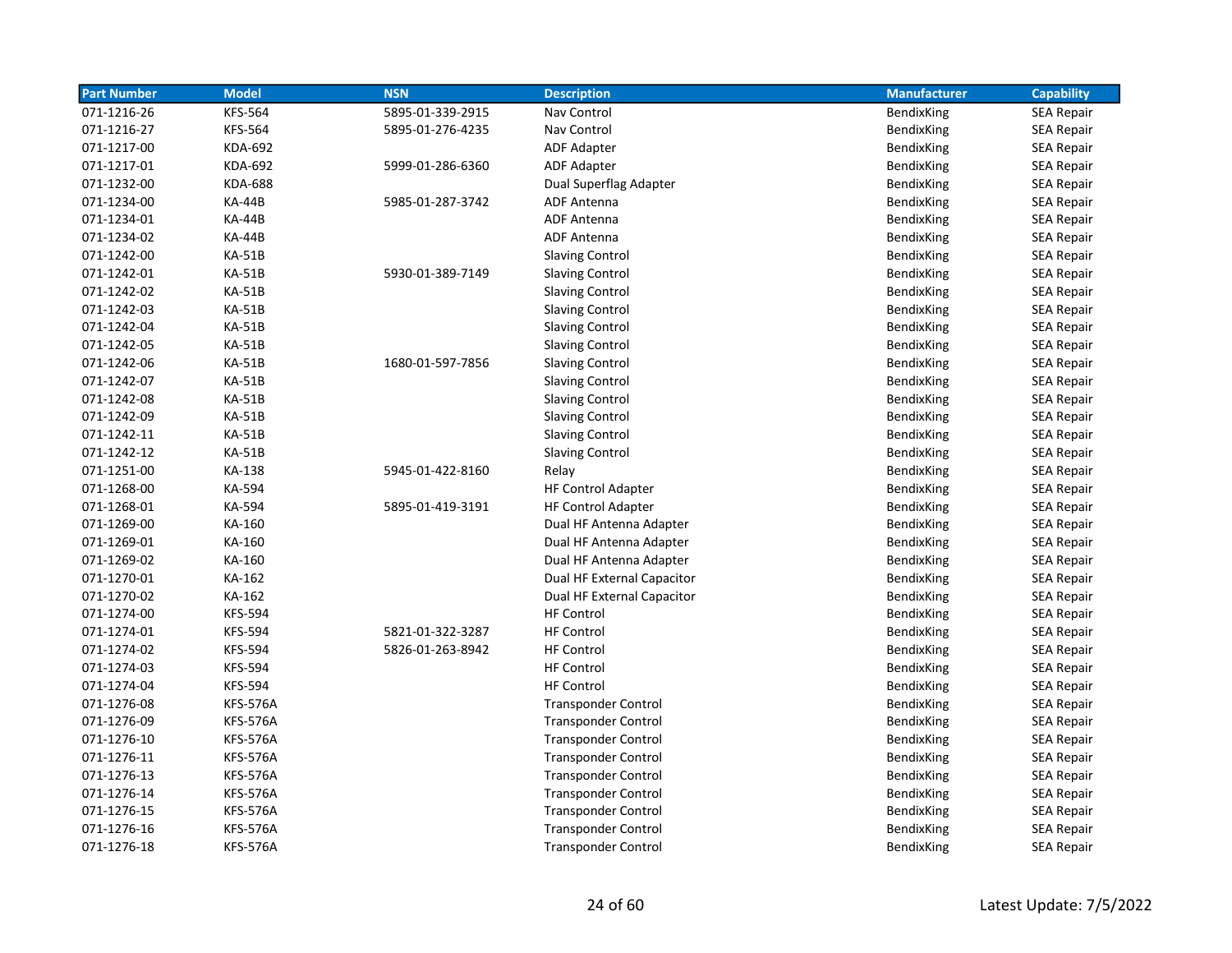| <b>Part Number</b> | <b>Model</b>    | <b>NSN</b>       | <b>Description</b>         | <b>Manufacturer</b> | <b>Capability</b> |
|--------------------|-----------------|------------------|----------------------------|---------------------|-------------------|
| 071-1216-26        | <b>KFS-564</b>  | 5895-01-339-2915 | Nav Control                | BendixKing          | <b>SEA Repair</b> |
| 071-1216-27        | <b>KFS-564</b>  | 5895-01-276-4235 | Nav Control                | BendixKing          | <b>SEA Repair</b> |
| 071-1217-00        | KDA-692         |                  | <b>ADF Adapter</b>         | BendixKing          | SEA Repair        |
| 071-1217-01        | <b>KDA-692</b>  | 5999-01-286-6360 | ADF Adapter                | BendixKing          | <b>SEA Repair</b> |
| 071-1232-00        | <b>KDA-688</b>  |                  | Dual Superflag Adapter     | BendixKing          | <b>SEA Repair</b> |
| 071-1234-00        | <b>KA-44B</b>   | 5985-01-287-3742 | ADF Antenna                | BendixKing          | <b>SEA Repair</b> |
| 071-1234-01        | <b>KA-44B</b>   |                  | <b>ADF Antenna</b>         | BendixKing          | <b>SEA Repair</b> |
| 071-1234-02        | <b>KA-44B</b>   |                  | ADF Antenna                | BendixKing          | <b>SEA Repair</b> |
| 071-1242-00        | <b>KA-51B</b>   |                  | <b>Slaving Control</b>     | BendixKing          | <b>SEA Repair</b> |
| 071-1242-01        | <b>KA-51B</b>   | 5930-01-389-7149 | <b>Slaving Control</b>     | BendixKing          | <b>SEA Repair</b> |
| 071-1242-02        | <b>KA-51B</b>   |                  | <b>Slaving Control</b>     | BendixKing          | <b>SEA Repair</b> |
| 071-1242-03        | KA-51B          |                  | <b>Slaving Control</b>     | BendixKing          | <b>SEA Repair</b> |
| 071-1242-04        | <b>KA-51B</b>   |                  | <b>Slaving Control</b>     | BendixKing          | <b>SEA Repair</b> |
| 071-1242-05        | <b>KA-51B</b>   |                  | <b>Slaving Control</b>     | BendixKing          | <b>SEA Repair</b> |
| 071-1242-06        | <b>KA-51B</b>   | 1680-01-597-7856 | <b>Slaving Control</b>     | BendixKing          | <b>SEA Repair</b> |
| 071-1242-07        | <b>KA-51B</b>   |                  | <b>Slaving Control</b>     | BendixKing          | <b>SEA Repair</b> |
| 071-1242-08        | <b>KA-51B</b>   |                  | <b>Slaving Control</b>     | BendixKing          | <b>SEA Repair</b> |
| 071-1242-09        | <b>KA-51B</b>   |                  | <b>Slaving Control</b>     | BendixKing          | <b>SEA Repair</b> |
| 071-1242-11        | <b>KA-51B</b>   |                  | <b>Slaving Control</b>     | BendixKing          | <b>SEA Repair</b> |
| 071-1242-12        | <b>KA-51B</b>   |                  | <b>Slaving Control</b>     | BendixKing          | <b>SEA Repair</b> |
| 071-1251-00        | KA-138          | 5945-01-422-8160 | Relay                      | BendixKing          | <b>SEA Repair</b> |
| 071-1268-00        | KA-594          |                  | <b>HF Control Adapter</b>  | BendixKing          | <b>SEA Repair</b> |
| 071-1268-01        | KA-594          | 5895-01-419-3191 | <b>HF Control Adapter</b>  | BendixKing          | <b>SEA Repair</b> |
| 071-1269-00        | KA-160          |                  | Dual HF Antenna Adapter    | BendixKing          | <b>SEA Repair</b> |
| 071-1269-01        | KA-160          |                  | Dual HF Antenna Adapter    | BendixKing          | SEA Repair        |
| 071-1269-02        | KA-160          |                  | Dual HF Antenna Adapter    | BendixKing          | <b>SEA Repair</b> |
| 071-1270-01        | KA-162          |                  | Dual HF External Capacitor | <b>BendixKing</b>   | <b>SEA Repair</b> |
| 071-1270-02        | KA-162          |                  | Dual HF External Capacitor | BendixKing          | <b>SEA Repair</b> |
| 071-1274-00        | <b>KFS-594</b>  |                  | <b>HF Control</b>          | BendixKing          | SEA Repair        |
| 071-1274-01        | <b>KFS-594</b>  | 5821-01-322-3287 | <b>HF Control</b>          | BendixKing          | <b>SEA Repair</b> |
| 071-1274-02        | <b>KFS-594</b>  | 5826-01-263-8942 | <b>HF Control</b>          | BendixKing          | <b>SEA Repair</b> |
| 071-1274-03        | <b>KFS-594</b>  |                  | <b>HF Control</b>          | BendixKing          | SEA Repair        |
| 071-1274-04        | <b>KFS-594</b>  |                  | <b>HF Control</b>          | BendixKing          | <b>SEA Repair</b> |
| 071-1276-08        | <b>KFS-576A</b> |                  | <b>Transponder Control</b> | BendixKing          | <b>SEA Repair</b> |
| 071-1276-09        | <b>KFS-576A</b> |                  | <b>Transponder Control</b> | BendixKing          | <b>SEA Repair</b> |
| 071-1276-10        | <b>KFS-576A</b> |                  | <b>Transponder Control</b> | BendixKing          | <b>SEA Repair</b> |
| 071-1276-11        | <b>KFS-576A</b> |                  | <b>Transponder Control</b> | BendixKing          | <b>SEA Repair</b> |
| 071-1276-13        | <b>KFS-576A</b> |                  | <b>Transponder Control</b> | BendixKing          | <b>SEA Repair</b> |
| 071-1276-14        | <b>KFS-576A</b> |                  | <b>Transponder Control</b> | BendixKing          | <b>SEA Repair</b> |
| 071-1276-15        | <b>KFS-576A</b> |                  | <b>Transponder Control</b> | BendixKing          | <b>SEA Repair</b> |
| 071-1276-16        | <b>KFS-576A</b> |                  | <b>Transponder Control</b> | BendixKing          | <b>SEA Repair</b> |
| 071-1276-18        | <b>KFS-576A</b> |                  | <b>Transponder Control</b> | BendixKing          | <b>SEA Repair</b> |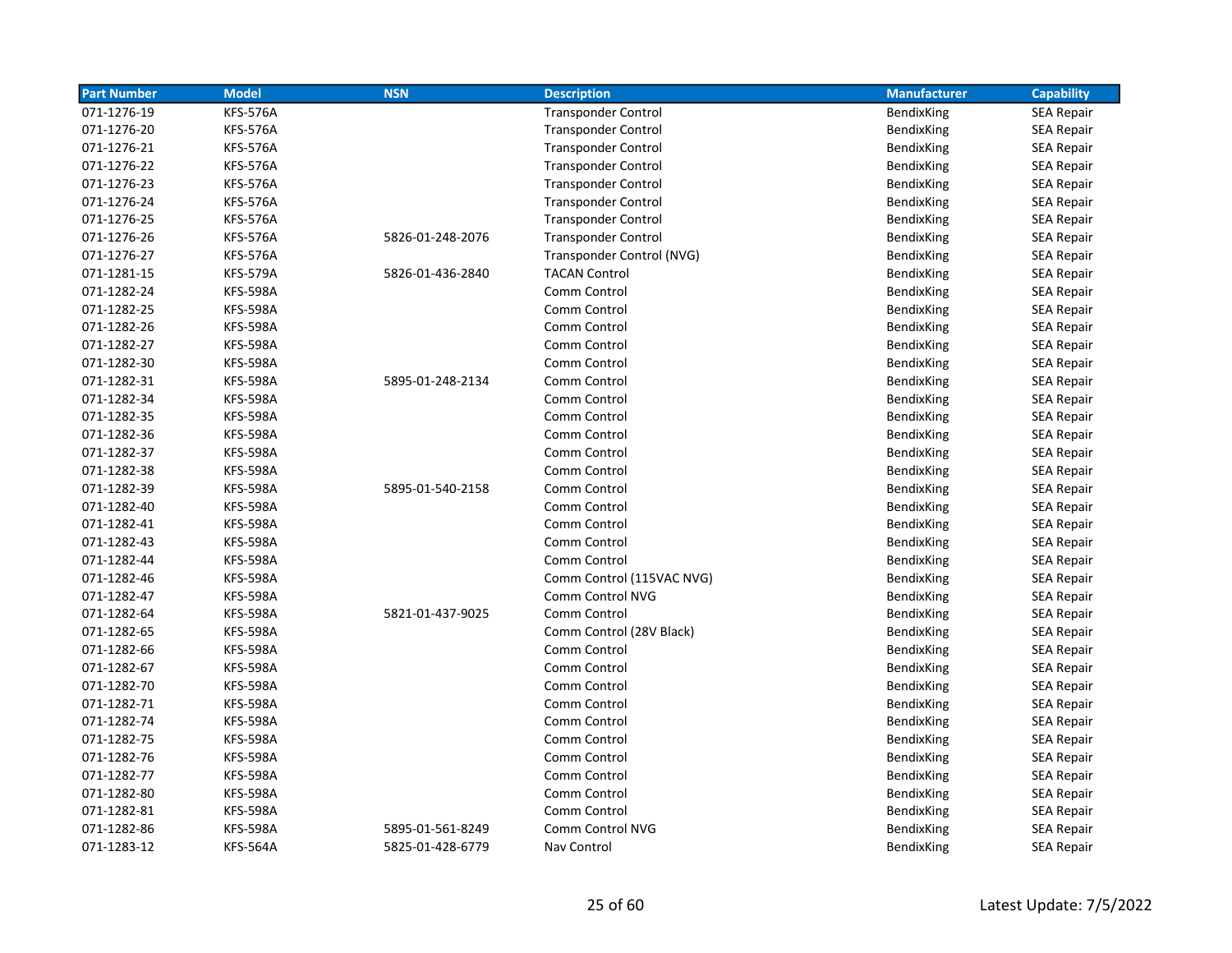| <b>Part Number</b> | <b>Model</b>    | <b>NSN</b>       | <b>Description</b>         | <b>Manufacturer</b> | <b>Capability</b> |
|--------------------|-----------------|------------------|----------------------------|---------------------|-------------------|
| 071-1276-19        | <b>KFS-576A</b> |                  | <b>Transponder Control</b> | BendixKing          | <b>SEA Repair</b> |
| 071-1276-20        | <b>KFS-576A</b> |                  | <b>Transponder Control</b> | BendixKing          | <b>SEA Repair</b> |
| 071-1276-21        | <b>KFS-576A</b> |                  | <b>Transponder Control</b> | BendixKing          | <b>SEA Repair</b> |
| 071-1276-22        | <b>KFS-576A</b> |                  | <b>Transponder Control</b> | BendixKing          | <b>SEA Repair</b> |
| 071-1276-23        | <b>KFS-576A</b> |                  | <b>Transponder Control</b> | BendixKing          | <b>SEA Repair</b> |
| 071-1276-24        | <b>KFS-576A</b> |                  | <b>Transponder Control</b> | BendixKing          | <b>SEA Repair</b> |
| 071-1276-25        | <b>KFS-576A</b> |                  | <b>Transponder Control</b> | BendixKing          | <b>SEA Repair</b> |
| 071-1276-26        | <b>KFS-576A</b> | 5826-01-248-2076 | <b>Transponder Control</b> | BendixKing          | <b>SEA Repair</b> |
| 071-1276-27        | <b>KFS-576A</b> |                  | Transponder Control (NVG)  | BendixKing          | <b>SEA Repair</b> |
| 071-1281-15        | <b>KFS-579A</b> | 5826-01-436-2840 | <b>TACAN Control</b>       | BendixKing          | <b>SEA Repair</b> |
| 071-1282-24        | <b>KFS-598A</b> |                  | Comm Control               | BendixKing          | <b>SEA Repair</b> |
| 071-1282-25        | <b>KFS-598A</b> |                  | Comm Control               | BendixKing          | <b>SEA Repair</b> |
| 071-1282-26        | <b>KFS-598A</b> |                  | Comm Control               | BendixKing          | <b>SEA Repair</b> |
| 071-1282-27        | <b>KFS-598A</b> |                  | Comm Control               | BendixKing          | <b>SEA Repair</b> |
| 071-1282-30        | <b>KFS-598A</b> |                  | Comm Control               | BendixKing          | <b>SEA Repair</b> |
| 071-1282-31        | <b>KFS-598A</b> | 5895-01-248-2134 | Comm Control               | BendixKing          | <b>SEA Repair</b> |
| 071-1282-34        | <b>KFS-598A</b> |                  | Comm Control               | BendixKing          | <b>SEA Repair</b> |
| 071-1282-35        | <b>KFS-598A</b> |                  | Comm Control               | BendixKing          | <b>SEA Repair</b> |
| 071-1282-36        | <b>KFS-598A</b> |                  | Comm Control               | BendixKing          | <b>SEA Repair</b> |
| 071-1282-37        | <b>KFS-598A</b> |                  | Comm Control               | BendixKing          | <b>SEA Repair</b> |
| 071-1282-38        | <b>KFS-598A</b> |                  | Comm Control               | BendixKing          | <b>SEA Repair</b> |
| 071-1282-39        | <b>KFS-598A</b> | 5895-01-540-2158 | Comm Control               | BendixKing          | <b>SEA Repair</b> |
| 071-1282-40        | <b>KFS-598A</b> |                  | Comm Control               | BendixKing          | <b>SEA Repair</b> |
| 071-1282-41        | <b>KFS-598A</b> |                  | Comm Control               | BendixKing          | <b>SEA Repair</b> |
| 071-1282-43        | <b>KFS-598A</b> |                  | Comm Control               | BendixKing          | <b>SEA Repair</b> |
| 071-1282-44        | <b>KFS-598A</b> |                  | Comm Control               | BendixKing          | <b>SEA Repair</b> |
| 071-1282-46        | <b>KFS-598A</b> |                  | Comm Control (115VAC NVG)  | BendixKing          | <b>SEA Repair</b> |
| 071-1282-47        | <b>KFS-598A</b> |                  | Comm Control NVG           | BendixKing          | <b>SEA Repair</b> |
| 071-1282-64        | <b>KFS-598A</b> | 5821-01-437-9025 | Comm Control               | BendixKing          | <b>SEA Repair</b> |
| 071-1282-65        | <b>KFS-598A</b> |                  | Comm Control (28V Black)   | BendixKing          | <b>SEA Repair</b> |
| 071-1282-66        | <b>KFS-598A</b> |                  | Comm Control               | <b>BendixKing</b>   | <b>SEA Repair</b> |
| 071-1282-67        | <b>KFS-598A</b> |                  | Comm Control               | BendixKing          | <b>SEA Repair</b> |
| 071-1282-70        | <b>KFS-598A</b> |                  | Comm Control               | BendixKing          | <b>SEA Repair</b> |
| 071-1282-71        | <b>KFS-598A</b> |                  | Comm Control               | BendixKing          | <b>SEA Repair</b> |
| 071-1282-74        | <b>KFS-598A</b> |                  | Comm Control               | BendixKing          | <b>SEA Repair</b> |
| 071-1282-75        | <b>KFS-598A</b> |                  | Comm Control               | BendixKing          | <b>SEA Repair</b> |
| 071-1282-76        | <b>KFS-598A</b> |                  | Comm Control               | BendixKing          | <b>SEA Repair</b> |
| 071-1282-77        | <b>KFS-598A</b> |                  | Comm Control               | BendixKing          | <b>SEA Repair</b> |
| 071-1282-80        | <b>KFS-598A</b> |                  | Comm Control               | BendixKing          | SEA Repair        |
| 071-1282-81        | <b>KFS-598A</b> |                  | Comm Control               | BendixKing          | <b>SEA Repair</b> |
| 071-1282-86        | <b>KFS-598A</b> | 5895-01-561-8249 | Comm Control NVG           | <b>BendixKing</b>   | <b>SEA Repair</b> |
| 071-1283-12        | <b>KFS-564A</b> | 5825-01-428-6779 | Nav Control                | BendixKing          | <b>SEA Repair</b> |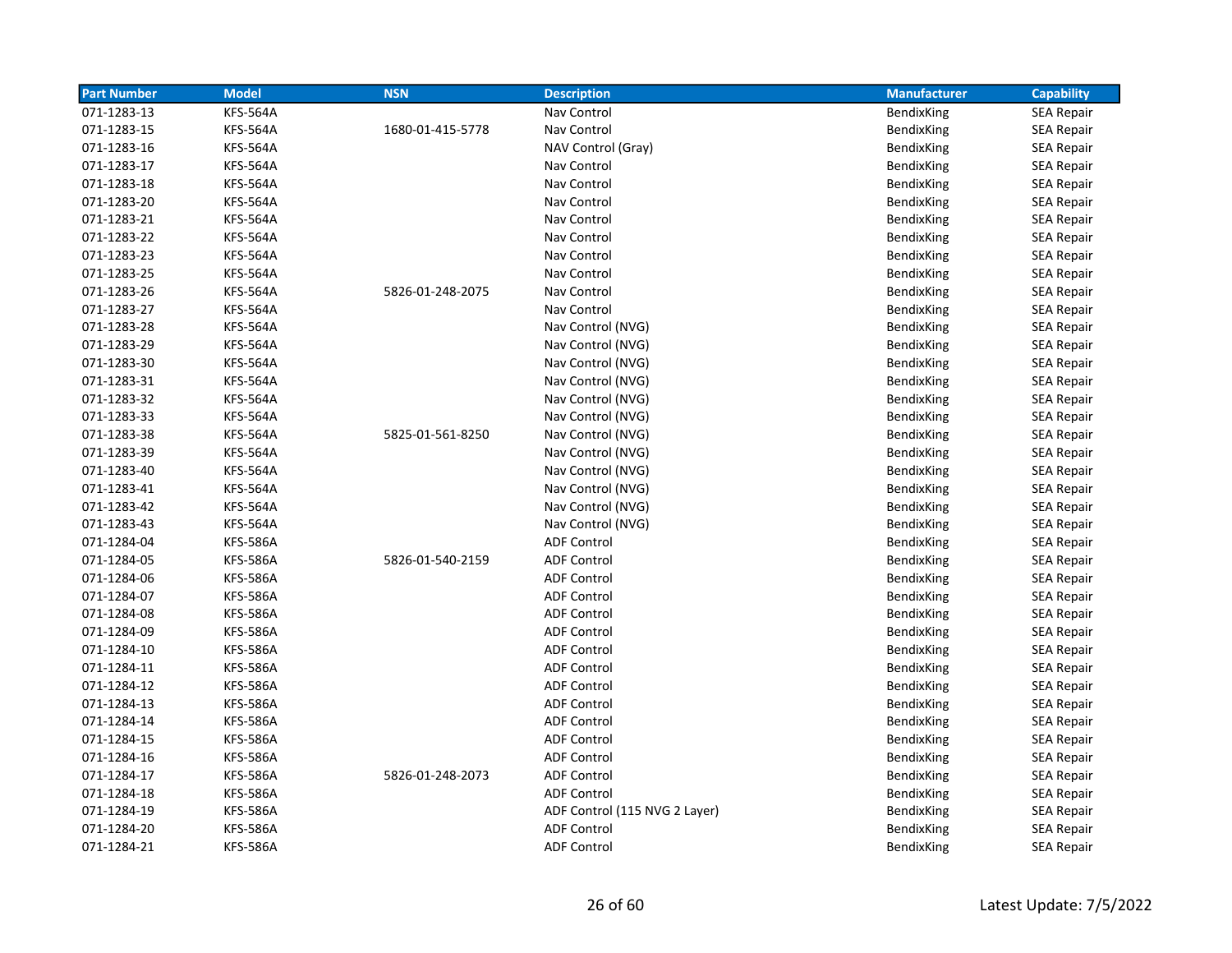| <b>Part Number</b> | <b>Model</b>    | <b>NSN</b>       | <b>Description</b>            | <b>Manufacturer</b> | <b>Capability</b> |
|--------------------|-----------------|------------------|-------------------------------|---------------------|-------------------|
| 071-1283-13        | <b>KFS-564A</b> |                  | Nav Control                   | BendixKing          | SEA Repair        |
| 071-1283-15        | <b>KFS-564A</b> | 1680-01-415-5778 | Nav Control                   | BendixKing          | <b>SEA Repair</b> |
| 071-1283-16        | <b>KFS-564A</b> |                  | NAV Control (Gray)            | BendixKing          | <b>SEA Repair</b> |
| 071-1283-17        | <b>KFS-564A</b> |                  | Nav Control                   | BendixKing          | SEA Repair        |
| 071-1283-18        | <b>KFS-564A</b> |                  | Nav Control                   | BendixKing          | <b>SEA Repair</b> |
| 071-1283-20        | <b>KFS-564A</b> |                  | Nav Control                   | BendixKing          | <b>SEA Repair</b> |
| 071-1283-21        | <b>KFS-564A</b> |                  | Nav Control                   | BendixKing          | SEA Repair        |
| 071-1283-22        | <b>KFS-564A</b> |                  | Nav Control                   | BendixKing          | SEA Repair        |
| 071-1283-23        | <b>KFS-564A</b> |                  | Nav Control                   | BendixKing          | SEA Repair        |
| 071-1283-25        | <b>KFS-564A</b> |                  | Nav Control                   | BendixKing          | <b>SEA Repair</b> |
| 071-1283-26        | <b>KFS-564A</b> | 5826-01-248-2075 | Nav Control                   | BendixKing          | SEA Repair        |
| 071-1283-27        | <b>KFS-564A</b> |                  | Nav Control                   | BendixKing          | <b>SEA Repair</b> |
| 071-1283-28        | <b>KFS-564A</b> |                  | Nav Control (NVG)             | BendixKing          | <b>SEA Repair</b> |
| 071-1283-29        | <b>KFS-564A</b> |                  | Nav Control (NVG)             | BendixKing          | SEA Repair        |
| 071-1283-30        | <b>KFS-564A</b> |                  | Nav Control (NVG)             | BendixKing          | SEA Repair        |
| 071-1283-31        | <b>KFS-564A</b> |                  | Nav Control (NVG)             | BendixKing          | SEA Repair        |
| 071-1283-32        | <b>KFS-564A</b> |                  | Nav Control (NVG)             | BendixKing          | SEA Repair        |
| 071-1283-33        | <b>KFS-564A</b> |                  | Nav Control (NVG)             | BendixKing          | <b>SEA Repair</b> |
| 071-1283-38        | <b>KFS-564A</b> | 5825-01-561-8250 | Nav Control (NVG)             | BendixKing          | <b>SEA Repair</b> |
| 071-1283-39        | <b>KFS-564A</b> |                  | Nav Control (NVG)             | BendixKing          | <b>SEA Repair</b> |
| 071-1283-40        | <b>KFS-564A</b> |                  | Nav Control (NVG)             | BendixKing          | <b>SEA Repair</b> |
| 071-1283-41        | <b>KFS-564A</b> |                  | Nav Control (NVG)             | BendixKing          | SEA Repair        |
| 071-1283-42        | <b>KFS-564A</b> |                  | Nav Control (NVG)             | BendixKing          | <b>SEA Repair</b> |
| 071-1283-43        | <b>KFS-564A</b> |                  | Nav Control (NVG)             | BendixKing          | SEA Repair        |
| 071-1284-04        | <b>KFS-586A</b> |                  | <b>ADF Control</b>            | BendixKing          | SEA Repair        |
| 071-1284-05        | <b>KFS-586A</b> | 5826-01-540-2159 | <b>ADF Control</b>            | BendixKing          | <b>SEA Repair</b> |
| 071-1284-06        | <b>KFS-586A</b> |                  | <b>ADF Control</b>            | BendixKing          | <b>SEA Repair</b> |
| 071-1284-07        | <b>KFS-586A</b> |                  | <b>ADF Control</b>            | BendixKing          | <b>SEA Repair</b> |
| 071-1284-08        | <b>KFS-586A</b> |                  | <b>ADF Control</b>            | BendixKing          | <b>SEA Repair</b> |
| 071-1284-09        | <b>KFS-586A</b> |                  | <b>ADF Control</b>            | BendixKing          | <b>SEA Repair</b> |
| 071-1284-10        | <b>KFS-586A</b> |                  | <b>ADF Control</b>            | BendixKing          | <b>SEA Repair</b> |
| 071-1284-11        | <b>KFS-586A</b> |                  | <b>ADF Control</b>            | BendixKing          | SEA Repair        |
| 071-1284-12        | <b>KFS-586A</b> |                  | <b>ADF Control</b>            | BendixKing          | SEA Repair        |
| 071-1284-13        | <b>KFS-586A</b> |                  | <b>ADF Control</b>            | BendixKing          | <b>SEA Repair</b> |
| 071-1284-14        | <b>KFS-586A</b> |                  | <b>ADF Control</b>            | BendixKing          | <b>SEA Repair</b> |
| 071-1284-15        | <b>KFS-586A</b> |                  | <b>ADF Control</b>            | BendixKing          | <b>SEA Repair</b> |
| 071-1284-16        | <b>KFS-586A</b> |                  | <b>ADF Control</b>            | <b>BendixKing</b>   | <b>SEA Repair</b> |
| 071-1284-17        | <b>KFS-586A</b> | 5826-01-248-2073 | <b>ADF Control</b>            | BendixKing          | SEA Repair        |
| 071-1284-18        | <b>KFS-586A</b> |                  | <b>ADF Control</b>            | BendixKing          | SEA Repair        |
| 071-1284-19        | <b>KFS-586A</b> |                  | ADF Control (115 NVG 2 Layer) | BendixKing          | SEA Repair        |
| 071-1284-20        | <b>KFS-586A</b> |                  | <b>ADF Control</b>            | BendixKing          | <b>SEA Repair</b> |
| 071-1284-21        | <b>KFS-586A</b> |                  | <b>ADF Control</b>            | <b>BendixKing</b>   | <b>SEA Repair</b> |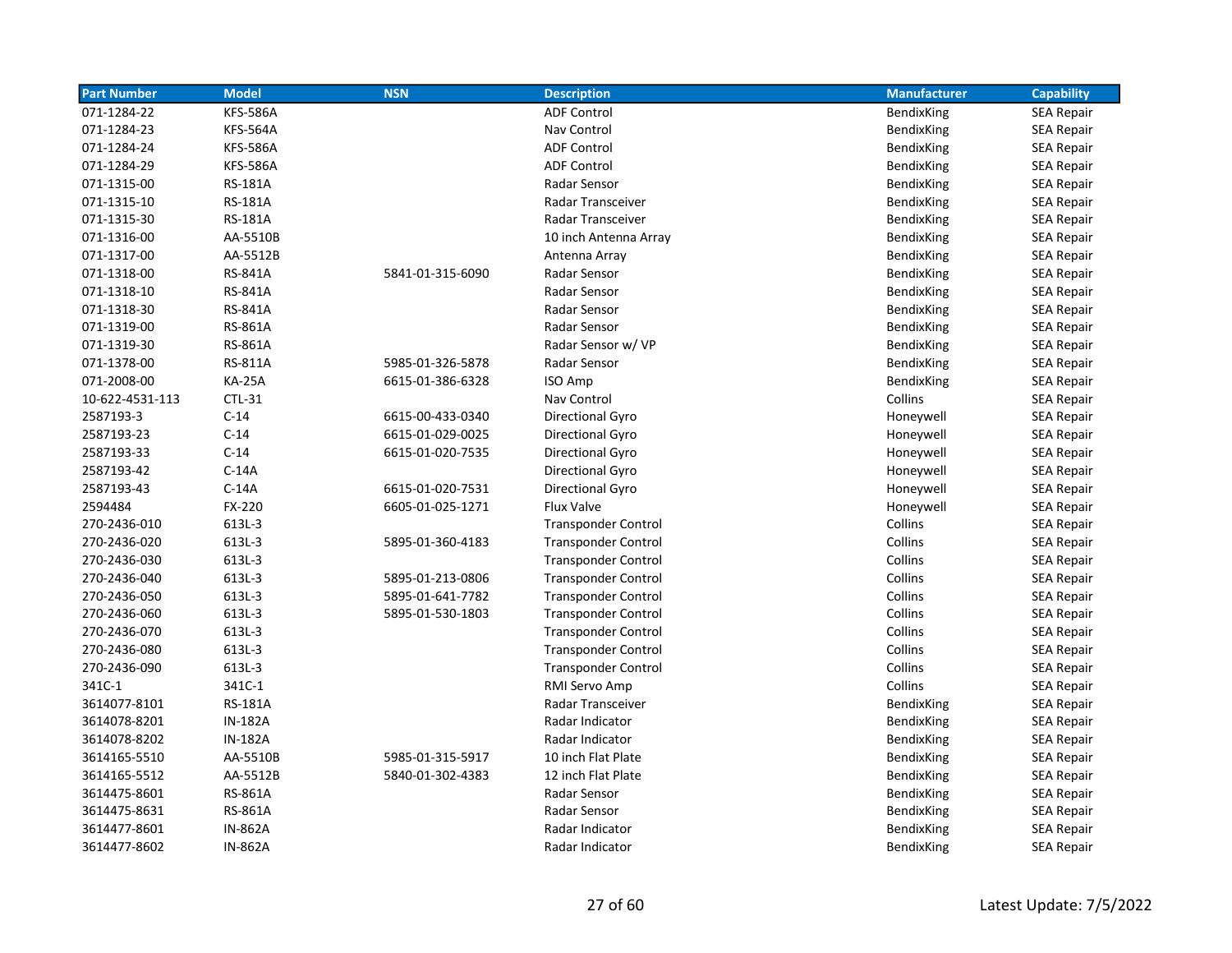| <b>Part Number</b> | <b>Model</b>    | <b>NSN</b>       | <b>Description</b>         | <b>Manufacturer</b> | <b>Capability</b> |
|--------------------|-----------------|------------------|----------------------------|---------------------|-------------------|
| 071-1284-22        | <b>KFS-586A</b> |                  | <b>ADF Control</b>         | BendixKing          | <b>SEA Repair</b> |
| 071-1284-23        | <b>KFS-564A</b> |                  | Nav Control                | BendixKing          | <b>SEA Repair</b> |
| 071-1284-24        | <b>KFS-586A</b> |                  | <b>ADF Control</b>         | BendixKing          | <b>SEA Repair</b> |
| 071-1284-29        | <b>KFS-586A</b> |                  | <b>ADF Control</b>         | BendixKing          | SEA Repair        |
| 071-1315-00        | RS-181A         |                  | Radar Sensor               | BendixKing          | <b>SEA Repair</b> |
| 071-1315-10        | <b>RS-181A</b>  |                  | Radar Transceiver          | BendixKing          | <b>SEA Repair</b> |
| 071-1315-30        | <b>RS-181A</b>  |                  | Radar Transceiver          | BendixKing          | <b>SEA Repair</b> |
| 071-1316-00        | AA-5510B        |                  | 10 inch Antenna Array      | BendixKing          | <b>SEA Repair</b> |
| 071-1317-00        | AA-5512B        |                  | Antenna Array              | BendixKing          | <b>SEA Repair</b> |
| 071-1318-00        | RS-841A         | 5841-01-315-6090 | Radar Sensor               | BendixKing          | <b>SEA Repair</b> |
| 071-1318-10        | RS-841A         |                  | Radar Sensor               | BendixKing          | <b>SEA Repair</b> |
| 071-1318-30        | RS-841A         |                  | Radar Sensor               | BendixKing          | <b>SEA Repair</b> |
| 071-1319-00        | RS-861A         |                  | Radar Sensor               | <b>BendixKing</b>   | <b>SEA Repair</b> |
| 071-1319-30        | RS-861A         |                  | Radar Sensor w/ VP         | BendixKing          | <b>SEA Repair</b> |
| 071-1378-00        | RS-811A         | 5985-01-326-5878 | Radar Sensor               | BendixKing          | <b>SEA Repair</b> |
| 071-2008-00        | <b>KA-25A</b>   | 6615-01-386-6328 | ISO Amp                    | BendixKing          | <b>SEA Repair</b> |
| 10-622-4531-113    | CTL-31          |                  | Nav Control                | Collins             | <b>SEA Repair</b> |
| 2587193-3          | $C-14$          | 6615-00-433-0340 | Directional Gyro           | Honeywell           | <b>SEA Repair</b> |
| 2587193-23         | $C-14$          | 6615-01-029-0025 | Directional Gyro           | Honeywell           | <b>SEA Repair</b> |
| 2587193-33         | $C-14$          | 6615-01-020-7535 | <b>Directional Gyro</b>    | Honeywell           | <b>SEA Repair</b> |
| 2587193-42         | $C-14A$         |                  | <b>Directional Gyro</b>    | Honeywell           | <b>SEA Repair</b> |
| 2587193-43         | $C-14A$         | 6615-01-020-7531 | Directional Gyro           | Honeywell           | <b>SEA Repair</b> |
| 2594484            | FX-220          | 6605-01-025-1271 | <b>Flux Valve</b>          | Honeywell           | <b>SEA Repair</b> |
| 270-2436-010       | 613L-3          |                  | <b>Transponder Control</b> | Collins             | <b>SEA Repair</b> |
| 270-2436-020       | 613L-3          | 5895-01-360-4183 | <b>Transponder Control</b> | Collins             | <b>SEA Repair</b> |
| 270-2436-030       | 613L-3          |                  | <b>Transponder Control</b> | Collins             | <b>SEA Repair</b> |
| 270-2436-040       | 613L-3          | 5895-01-213-0806 | <b>Transponder Control</b> | Collins             | <b>SEA Repair</b> |
| 270-2436-050       | 613L-3          | 5895-01-641-7782 | <b>Transponder Control</b> | Collins             | <b>SEA Repair</b> |
| 270-2436-060       | 613L-3          | 5895-01-530-1803 | <b>Transponder Control</b> | Collins             | <b>SEA Repair</b> |
| 270-2436-070       | 613L-3          |                  | <b>Transponder Control</b> | Collins             | <b>SEA Repair</b> |
| 270-2436-080       | 613L-3          |                  | <b>Transponder Control</b> | Collins             | <b>SEA Repair</b> |
| 270-2436-090       | 613L-3          |                  | <b>Transponder Control</b> | Collins             | <b>SEA Repair</b> |
| 341C-1             | 341C-1          |                  | RMI Servo Amp              | Collins             | <b>SEA Repair</b> |
| 3614077-8101       | <b>RS-181A</b>  |                  | Radar Transceiver          | BendixKing          | <b>SEA Repair</b> |
| 3614078-8201       | IN-182A         |                  | Radar Indicator            | BendixKing          | SEA Repair        |
| 3614078-8202       | <b>IN-182A</b>  |                  | Radar Indicator            | BendixKing          | <b>SEA Repair</b> |
| 3614165-5510       | AA-5510B        | 5985-01-315-5917 | 10 inch Flat Plate         | BendixKing          | <b>SEA Repair</b> |
| 3614165-5512       | AA-5512B        | 5840-01-302-4383 | 12 inch Flat Plate         | BendixKing          | <b>SEA Repair</b> |
| 3614475-8601       | RS-861A         |                  | Radar Sensor               | BendixKing          | SEA Repair        |
| 3614475-8631       | RS-861A         |                  | Radar Sensor               | BendixKing          | <b>SEA Repair</b> |
| 3614477-8601       | <b>IN-862A</b>  |                  | Radar Indicator            | <b>BendixKing</b>   | <b>SEA Repair</b> |
| 3614477-8602       | <b>IN-862A</b>  |                  | Radar Indicator            | BendixKing          | <b>SEA Repair</b> |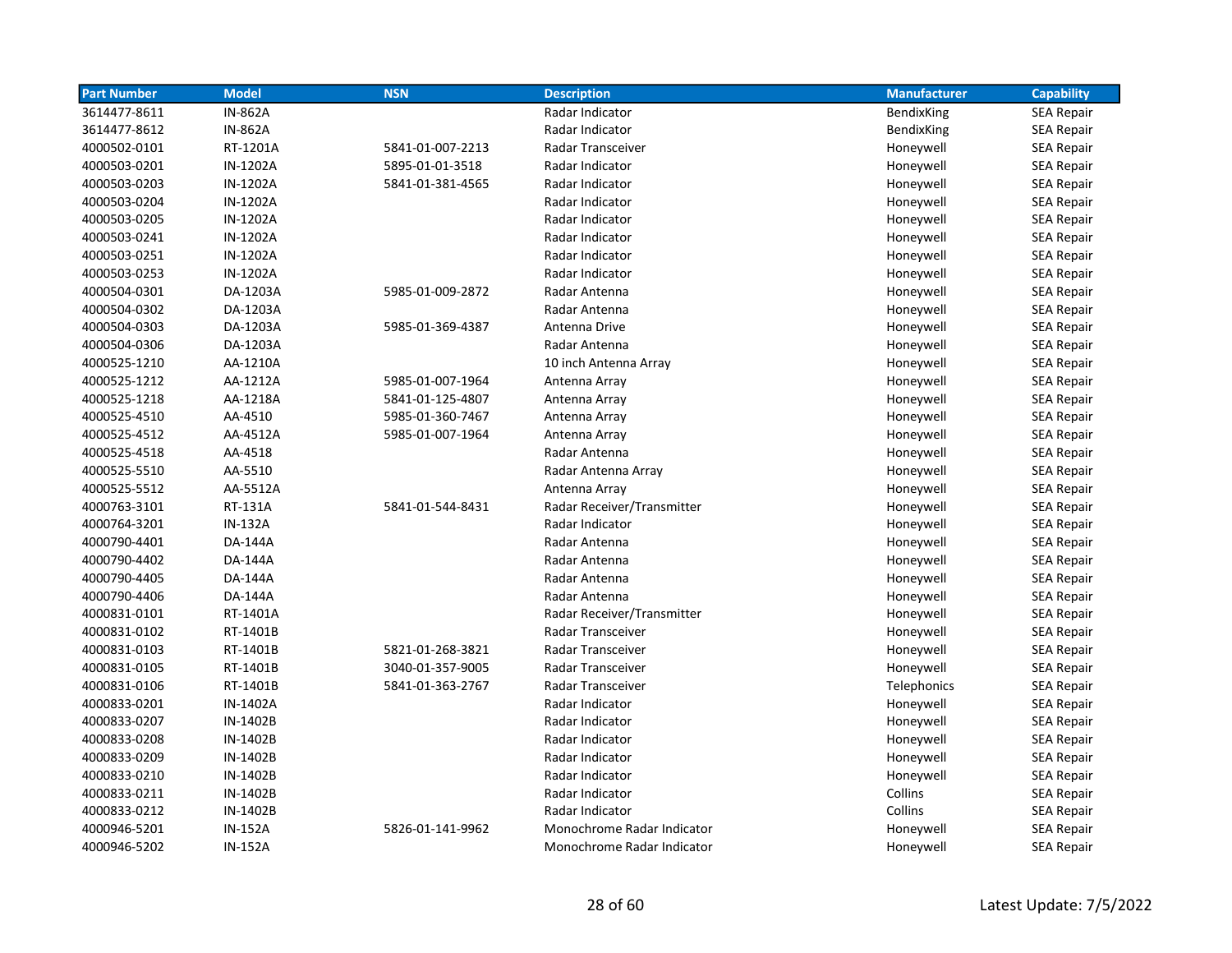| <b>Part Number</b> | <b>Model</b>   | <b>NSN</b>       | <b>Description</b>         | <b>Manufacturer</b> | <b>Capability</b> |
|--------------------|----------------|------------------|----------------------------|---------------------|-------------------|
| 3614477-8611       | <b>IN-862A</b> |                  | Radar Indicator            | BendixKing          | <b>SEA Repair</b> |
| 3614477-8612       | <b>IN-862A</b> |                  | Radar Indicator            | BendixKing          | <b>SEA Repair</b> |
| 4000502-0101       | RT-1201A       | 5841-01-007-2213 | Radar Transceiver          | Honeywell           | <b>SEA Repair</b> |
| 4000503-0201       | IN-1202A       | 5895-01-01-3518  | Radar Indicator            | Honeywell           | <b>SEA Repair</b> |
| 4000503-0203       | IN-1202A       | 5841-01-381-4565 | Radar Indicator            | Honeywell           | <b>SEA Repair</b> |
| 4000503-0204       | IN-1202A       |                  | Radar Indicator            | Honeywell           | <b>SEA Repair</b> |
| 4000503-0205       | IN-1202A       |                  | Radar Indicator            | Honeywell           | <b>SEA Repair</b> |
| 4000503-0241       | IN-1202A       |                  | Radar Indicator            | Honeywell           | <b>SEA Repair</b> |
| 4000503-0251       | IN-1202A       |                  | Radar Indicator            | Honeywell           | <b>SEA Repair</b> |
| 4000503-0253       | IN-1202A       |                  | Radar Indicator            | Honeywell           | <b>SEA Repair</b> |
| 4000504-0301       | DA-1203A       | 5985-01-009-2872 | Radar Antenna              | Honeywell           | <b>SEA Repair</b> |
| 4000504-0302       | DA-1203A       |                  | Radar Antenna              | Honeywell           | <b>SEA Repair</b> |
| 4000504-0303       | DA-1203A       | 5985-01-369-4387 | Antenna Drive              | Honeywell           | <b>SEA Repair</b> |
| 4000504-0306       | DA-1203A       |                  | Radar Antenna              | Honeywell           | <b>SEA Repair</b> |
| 4000525-1210       | AA-1210A       |                  | 10 inch Antenna Array      | Honeywell           | <b>SEA Repair</b> |
| 4000525-1212       | AA-1212A       | 5985-01-007-1964 | Antenna Array              | Honeywell           | <b>SEA Repair</b> |
| 4000525-1218       | AA-1218A       | 5841-01-125-4807 | Antenna Array              | Honeywell           | <b>SEA Repair</b> |
| 4000525-4510       | AA-4510        | 5985-01-360-7467 | Antenna Array              | Honeywell           | <b>SEA Repair</b> |
| 4000525-4512       | AA-4512A       | 5985-01-007-1964 | Antenna Array              | Honeywell           | <b>SEA Repair</b> |
| 4000525-4518       | AA-4518        |                  | Radar Antenna              | Honeywell           | <b>SEA Repair</b> |
| 4000525-5510       | AA-5510        |                  | Radar Antenna Array        | Honeywell           | <b>SEA Repair</b> |
| 4000525-5512       | AA-5512A       |                  | Antenna Array              | Honeywell           | <b>SEA Repair</b> |
| 4000763-3101       | RT-131A        | 5841-01-544-8431 | Radar Receiver/Transmitter | Honeywell           | <b>SEA Repair</b> |
| 4000764-3201       | <b>IN-132A</b> |                  | Radar Indicator            | Honeywell           | <b>SEA Repair</b> |
| 4000790-4401       | DA-144A        |                  | Radar Antenna              | Honeywell           | <b>SEA Repair</b> |
| 4000790-4402       | DA-144A        |                  | Radar Antenna              | Honeywell           | SEA Repair        |
| 4000790-4405       | DA-144A        |                  | Radar Antenna              | Honeywell           | <b>SEA Repair</b> |
| 4000790-4406       | DA-144A        |                  | Radar Antenna              | Honeywell           | <b>SEA Repair</b> |
| 4000831-0101       | RT-1401A       |                  | Radar Receiver/Transmitter | Honeywell           | <b>SEA Repair</b> |
| 4000831-0102       | RT-1401B       |                  | Radar Transceiver          | Honeywell           | <b>SEA Repair</b> |
| 4000831-0103       | RT-1401B       | 5821-01-268-3821 | <b>Radar Transceiver</b>   | Honeywell           | <b>SEA Repair</b> |
| 4000831-0105       | RT-1401B       | 3040-01-357-9005 | Radar Transceiver          | Honeywell           | <b>SEA Repair</b> |
| 4000831-0106       | RT-1401B       | 5841-01-363-2767 | Radar Transceiver          | Telephonics         | <b>SEA Repair</b> |
| 4000833-0201       | IN-1402A       |                  | Radar Indicator            | Honeywell           | <b>SEA Repair</b> |
| 4000833-0207       | IN-1402B       |                  | Radar Indicator            | Honeywell           | <b>SEA Repair</b> |
| 4000833-0208       | IN-1402B       |                  | Radar Indicator            | Honeywell           | <b>SEA Repair</b> |
| 4000833-0209       | IN-1402B       |                  | Radar Indicator            | Honeywell           | <b>SEA Repair</b> |
| 4000833-0210       | IN-1402B       |                  | Radar Indicator            | Honeywell           | <b>SEA Repair</b> |
| 4000833-0211       | IN-1402B       |                  | Radar Indicator            | Collins             | <b>SEA Repair</b> |
| 4000833-0212       | IN-1402B       |                  | Radar Indicator            | Collins             | <b>SEA Repair</b> |
| 4000946-5201       | <b>IN-152A</b> | 5826-01-141-9962 | Monochrome Radar Indicator | Honeywell           | <b>SEA Repair</b> |
| 4000946-5202       | <b>IN-152A</b> |                  | Monochrome Radar Indicator | Honeywell           | <b>SEA Repair</b> |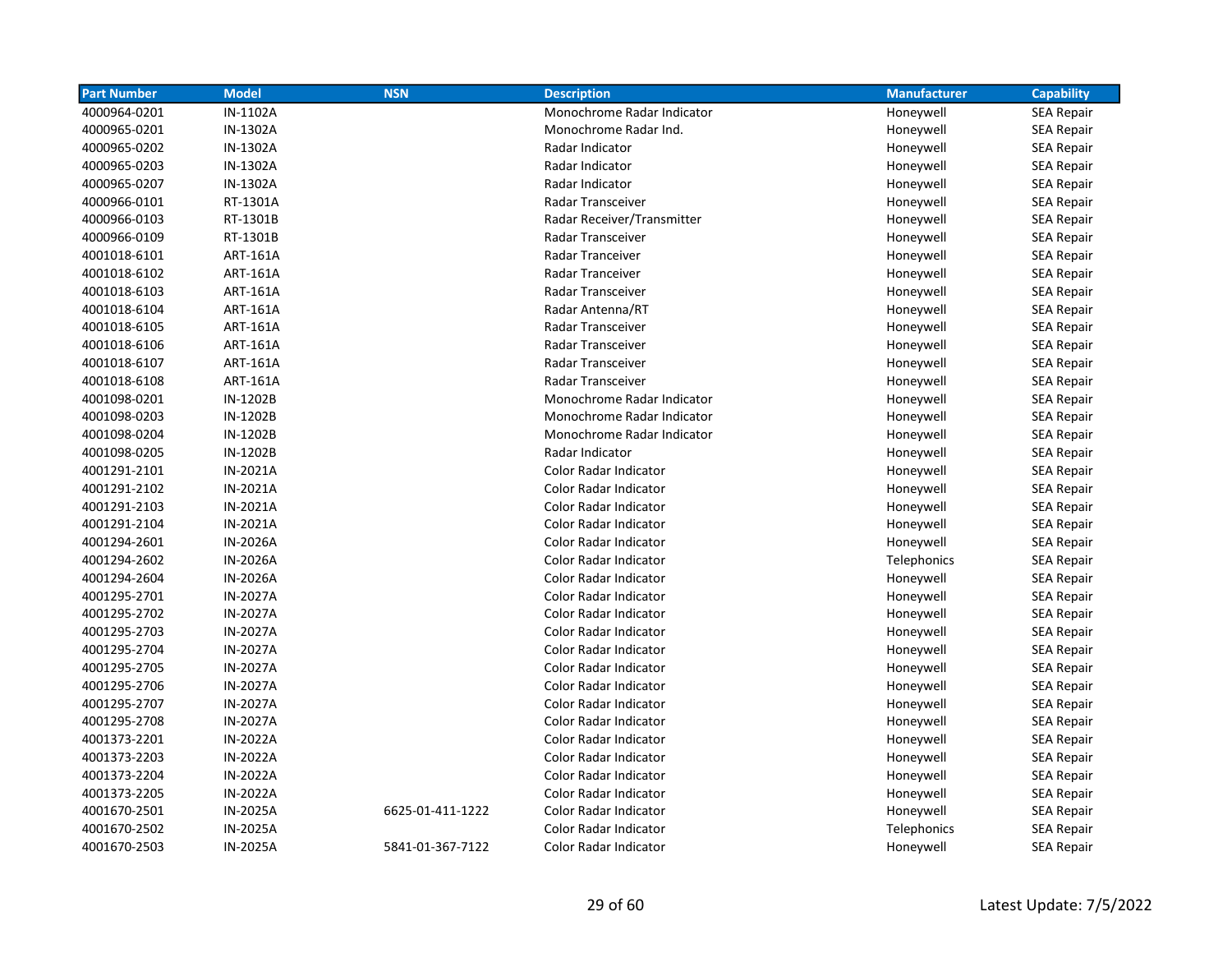| <b>Part Number</b> | <b>Model</b>    | <b>NSN</b>       | <b>Description</b>           | <b>Manufacturer</b> | <b>Capability</b> |
|--------------------|-----------------|------------------|------------------------------|---------------------|-------------------|
| 4000964-0201       | IN-1102A        |                  | Monochrome Radar Indicator   | Honeywell           | <b>SEA Repair</b> |
| 4000965-0201       | IN-1302A        |                  | Monochrome Radar Ind.        | Honeywell           | <b>SEA Repair</b> |
| 4000965-0202       | IN-1302A        |                  | Radar Indicator              | Honeywell           | <b>SEA Repair</b> |
| 4000965-0203       | IN-1302A        |                  | Radar Indicator              | Honeywell           | <b>SEA Repair</b> |
| 4000965-0207       | IN-1302A        |                  | Radar Indicator              | Honeywell           | <b>SEA Repair</b> |
| 4000966-0101       | RT-1301A        |                  | Radar Transceiver            | Honeywell           | <b>SEA Repair</b> |
| 4000966-0103       | RT-1301B        |                  | Radar Receiver/Transmitter   | Honeywell           | <b>SEA Repair</b> |
| 4000966-0109       | RT-1301B        |                  | Radar Transceiver            | Honeywell           | <b>SEA Repair</b> |
| 4001018-6101       | <b>ART-161A</b> |                  | Radar Tranceiver             | Honeywell           | <b>SEA Repair</b> |
| 4001018-6102       | <b>ART-161A</b> |                  | Radar Tranceiver             | Honeywell           | <b>SEA Repair</b> |
| 4001018-6103       | <b>ART-161A</b> |                  | Radar Transceiver            | Honeywell           | <b>SEA Repair</b> |
| 4001018-6104       | <b>ART-161A</b> |                  | Radar Antenna/RT             | Honeywell           | <b>SEA Repair</b> |
| 4001018-6105       | <b>ART-161A</b> |                  | Radar Transceiver            | Honeywell           | <b>SEA Repair</b> |
| 4001018-6106       | <b>ART-161A</b> |                  | <b>Radar Transceiver</b>     | Honeywell           | <b>SEA Repair</b> |
| 4001018-6107       | <b>ART-161A</b> |                  | <b>Radar Transceiver</b>     | Honeywell           | <b>SEA Repair</b> |
| 4001018-6108       | <b>ART-161A</b> |                  | <b>Radar Transceiver</b>     | Honeywell           | <b>SEA Repair</b> |
| 4001098-0201       | IN-1202B        |                  | Monochrome Radar Indicator   | Honeywell           | <b>SEA Repair</b> |
| 4001098-0203       | IN-1202B        |                  | Monochrome Radar Indicator   | Honeywell           | <b>SEA Repair</b> |
| 4001098-0204       | IN-1202B        |                  | Monochrome Radar Indicator   | Honeywell           | <b>SEA Repair</b> |
| 4001098-0205       | IN-1202B        |                  | Radar Indicator              | Honeywell           | <b>SEA Repair</b> |
| 4001291-2101       | IN-2021A        |                  | Color Radar Indicator        | Honeywell           | <b>SEA Repair</b> |
| 4001291-2102       | IN-2021A        |                  | Color Radar Indicator        | Honeywell           | <b>SEA Repair</b> |
| 4001291-2103       | IN-2021A        |                  | Color Radar Indicator        | Honeywell           | <b>SEA Repair</b> |
| 4001291-2104       | IN-2021A        |                  | Color Radar Indicator        | Honeywell           | <b>SEA Repair</b> |
| 4001294-2601       | IN-2026A        |                  | Color Radar Indicator        | Honeywell           | <b>SEA Repair</b> |
| 4001294-2602       | IN-2026A        |                  | <b>Color Radar Indicator</b> | Telephonics         | <b>SEA Repair</b> |
| 4001294-2604       | <b>IN-2026A</b> |                  | <b>Color Radar Indicator</b> | Honeywell           | <b>SEA Repair</b> |
| 4001295-2701       | IN-2027A        |                  | <b>Color Radar Indicator</b> | Honeywell           | <b>SEA Repair</b> |
| 4001295-2702       | IN-2027A        |                  | <b>Color Radar Indicator</b> | Honeywell           | <b>SEA Repair</b> |
| 4001295-2703       | <b>IN-2027A</b> |                  | <b>Color Radar Indicator</b> | Honeywell           | SEA Repair        |
| 4001295-2704       | <b>IN-2027A</b> |                  | <b>Color Radar Indicator</b> | Honeywell           | <b>SEA Repair</b> |
| 4001295-2705       | IN-2027A        |                  | Color Radar Indicator        | Honeywell           | <b>SEA Repair</b> |
| 4001295-2706       | IN-2027A        |                  | Color Radar Indicator        | Honeywell           | <b>SEA Repair</b> |
| 4001295-2707       | IN-2027A        |                  | Color Radar Indicator        | Honeywell           | <b>SEA Repair</b> |
| 4001295-2708       | IN-2027A        |                  | <b>Color Radar Indicator</b> | Honeywell           | <b>SEA Repair</b> |
| 4001373-2201       | IN-2022A        |                  | Color Radar Indicator        | Honeywell           | <b>SEA Repair</b> |
| 4001373-2203       | IN-2022A        |                  | Color Radar Indicator        | Honeywell           | <b>SEA Repair</b> |
| 4001373-2204       | IN-2022A        |                  | Color Radar Indicator        | Honeywell           | <b>SEA Repair</b> |
| 4001373-2205       | IN-2022A        |                  | Color Radar Indicator        | Honeywell           | <b>SEA Repair</b> |
| 4001670-2501       | IN-2025A        | 6625-01-411-1222 | Color Radar Indicator        | Honeywell           | SEA Repair        |
| 4001670-2502       | IN-2025A        |                  | <b>Color Radar Indicator</b> | Telephonics         | SEA Repair        |
| 4001670-2503       | <b>IN-2025A</b> | 5841-01-367-7122 | <b>Color Radar Indicator</b> | Honeywell           | <b>SEA Repair</b> |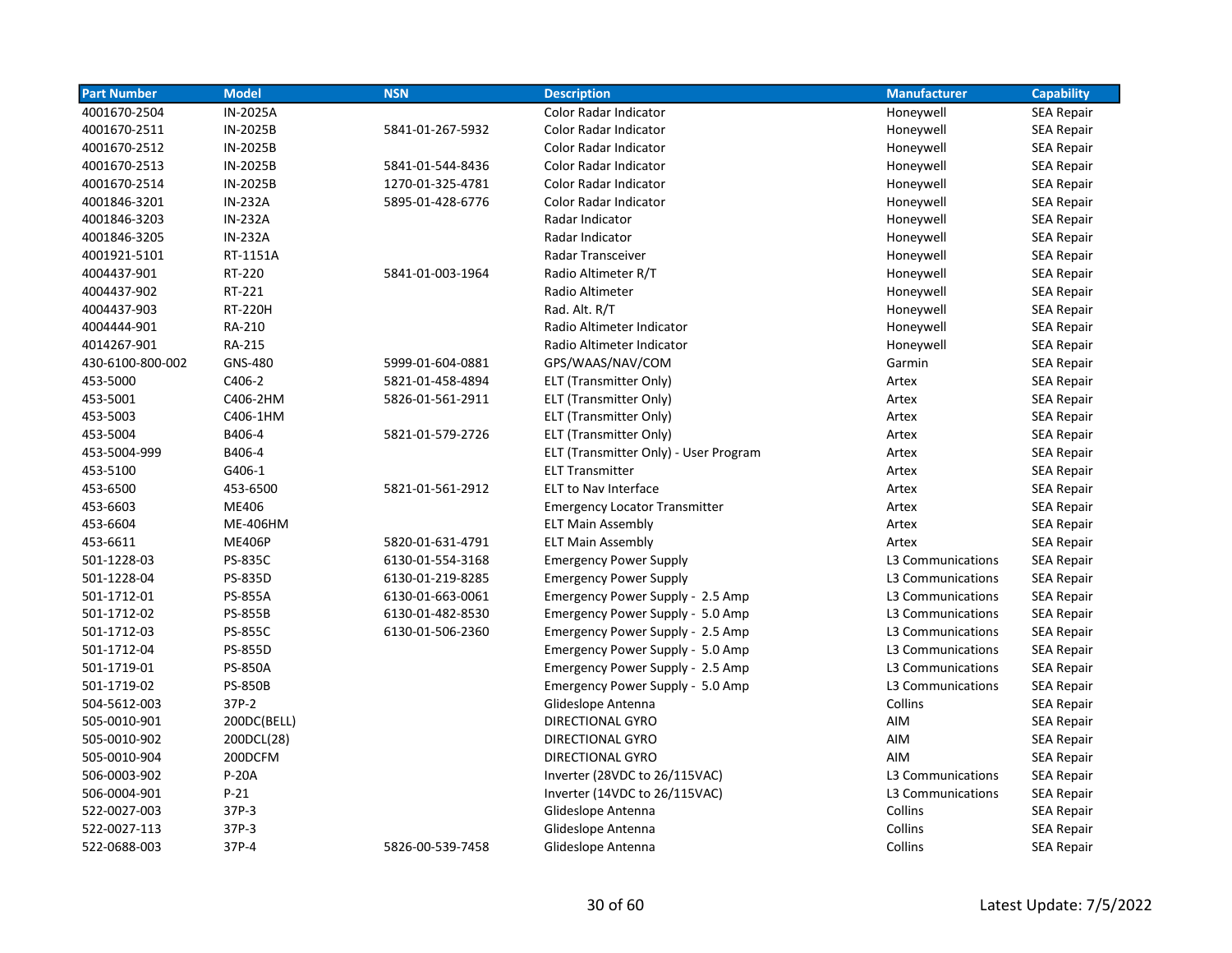| <b>Part Number</b> | <b>Model</b>    | <b>NSN</b>       | <b>Description</b>                    | <b>Manufacturer</b> | <b>Capability</b> |
|--------------------|-----------------|------------------|---------------------------------------|---------------------|-------------------|
| 4001670-2504       | IN-2025A        |                  | Color Radar Indicator                 | Honeywell           | <b>SEA Repair</b> |
| 4001670-2511       | IN-2025B        | 5841-01-267-5932 | Color Radar Indicator                 | Honeywell           | <b>SEA Repair</b> |
| 4001670-2512       | IN-2025B        |                  | <b>Color Radar Indicator</b>          | Honeywell           | <b>SEA Repair</b> |
| 4001670-2513       | IN-2025B        | 5841-01-544-8436 | <b>Color Radar Indicator</b>          | Honeywell           | <b>SEA Repair</b> |
| 4001670-2514       | IN-2025B        | 1270-01-325-4781 | <b>Color Radar Indicator</b>          | Honeywell           | <b>SEA Repair</b> |
| 4001846-3201       | <b>IN-232A</b>  | 5895-01-428-6776 | Color Radar Indicator                 | Honeywell           | <b>SEA Repair</b> |
| 4001846-3203       | <b>IN-232A</b>  |                  | Radar Indicator                       | Honeywell           | <b>SEA Repair</b> |
| 4001846-3205       | <b>IN-232A</b>  |                  | Radar Indicator                       | Honeywell           | <b>SEA Repair</b> |
| 4001921-5101       | RT-1151A        |                  | Radar Transceiver                     | Honeywell           | <b>SEA Repair</b> |
| 4004437-901        | RT-220          | 5841-01-003-1964 | Radio Altimeter R/T                   | Honeywell           | <b>SEA Repair</b> |
| 4004437-902        | RT-221          |                  | Radio Altimeter                       | Honeywell           | <b>SEA Repair</b> |
| 4004437-903        | <b>RT-220H</b>  |                  | Rad. Alt. R/T                         | Honeywell           | <b>SEA Repair</b> |
| 4004444-901        | RA-210          |                  | Radio Altimeter Indicator             | Honeywell           | <b>SEA Repair</b> |
| 4014267-901        | RA-215          |                  | Radio Altimeter Indicator             | Honeywell           | <b>SEA Repair</b> |
| 430-6100-800-002   | <b>GNS-480</b>  | 5999-01-604-0881 | GPS/WAAS/NAV/COM                      | Garmin              | <b>SEA Repair</b> |
| 453-5000           | C406-2          | 5821-01-458-4894 | ELT (Transmitter Only)                | Artex               | <b>SEA Repair</b> |
| 453-5001           | C406-2HM        | 5826-01-561-2911 | ELT (Transmitter Only)                | Artex               | <b>SEA Repair</b> |
| 453-5003           | C406-1HM        |                  | ELT (Transmitter Only)                | Artex               | SEA Repair        |
| 453-5004           | B406-4          | 5821-01-579-2726 | ELT (Transmitter Only)                | Artex               | <b>SEA Repair</b> |
| 453-5004-999       | B406-4          |                  | ELT (Transmitter Only) - User Program | Artex               | <b>SEA Repair</b> |
| 453-5100           | G406-1          |                  | <b>ELT Transmitter</b>                | Artex               | <b>SEA Repair</b> |
| 453-6500           | 453-6500        | 5821-01-561-2912 | <b>ELT to Nav Interface</b>           | Artex               | <b>SEA Repair</b> |
| 453-6603           | ME406           |                  | <b>Emergency Locator Transmitter</b>  | Artex               | <b>SEA Repair</b> |
| 453-6604           | <b>ME-406HM</b> |                  | <b>ELT Main Assembly</b>              | Artex               | SEA Repair        |
| 453-6611           | <b>ME406P</b>   | 5820-01-631-4791 | <b>ELT Main Assembly</b>              | Artex               | <b>SEA Repair</b> |
| 501-1228-03        | <b>PS-835C</b>  | 6130-01-554-3168 | <b>Emergency Power Supply</b>         | L3 Communications   | <b>SEA Repair</b> |
| 501-1228-04        | PS-835D         | 6130-01-219-8285 | <b>Emergency Power Supply</b>         | L3 Communications   | <b>SEA Repair</b> |
| 501-1712-01        | <b>PS-855A</b>  | 6130-01-663-0061 | Emergency Power Supply - 2.5 Amp      | L3 Communications   | <b>SEA Repair</b> |
| 501-1712-02        | <b>PS-855B</b>  | 6130-01-482-8530 | Emergency Power Supply - 5.0 Amp      | L3 Communications   | <b>SEA Repair</b> |
| 501-1712-03        | <b>PS-855C</b>  | 6130-01-506-2360 | Emergency Power Supply - 2.5 Amp      | L3 Communications   | <b>SEA Repair</b> |
| 501-1712-04        | <b>PS-855D</b>  |                  | Emergency Power Supply - 5.0 Amp      | L3 Communications   | <b>SEA Repair</b> |
| 501-1719-01        | <b>PS-850A</b>  |                  | Emergency Power Supply - 2.5 Amp      | L3 Communications   | <b>SEA Repair</b> |
| 501-1719-02        | <b>PS-850B</b>  |                  | Emergency Power Supply - 5.0 Amp      | L3 Communications   | <b>SEA Repair</b> |
| 504-5612-003       | 37P-2           |                  | Glideslope Antenna                    | Collins             | <b>SEA Repair</b> |
| 505-0010-901       | 200DC(BELL)     |                  | DIRECTIONAL GYRO                      | AIM                 | <b>SEA Repair</b> |
| 505-0010-902       | 200DCL(28)      |                  | DIRECTIONAL GYRO                      | AIM                 | <b>SEA Repair</b> |
| 505-0010-904       | 200DCFM         |                  | DIRECTIONAL GYRO                      | AIM                 | <b>SEA Repair</b> |
| 506-0003-902       | <b>P-20A</b>    |                  | Inverter (28VDC to 26/115VAC)         | L3 Communications   | <b>SEA Repair</b> |
| 506-0004-901       | $P-21$          |                  | Inverter (14VDC to 26/115VAC)         | L3 Communications   | <b>SEA Repair</b> |
| 522-0027-003       | 37P-3           |                  | Glideslope Antenna                    | Collins             | <b>SEA Repair</b> |
| 522-0027-113       | 37P-3           |                  | Glideslope Antenna                    | Collins             | <b>SEA Repair</b> |
| 522-0688-003       | 37P-4           | 5826-00-539-7458 | Glideslope Antenna                    | Collins             | <b>SEA Repair</b> |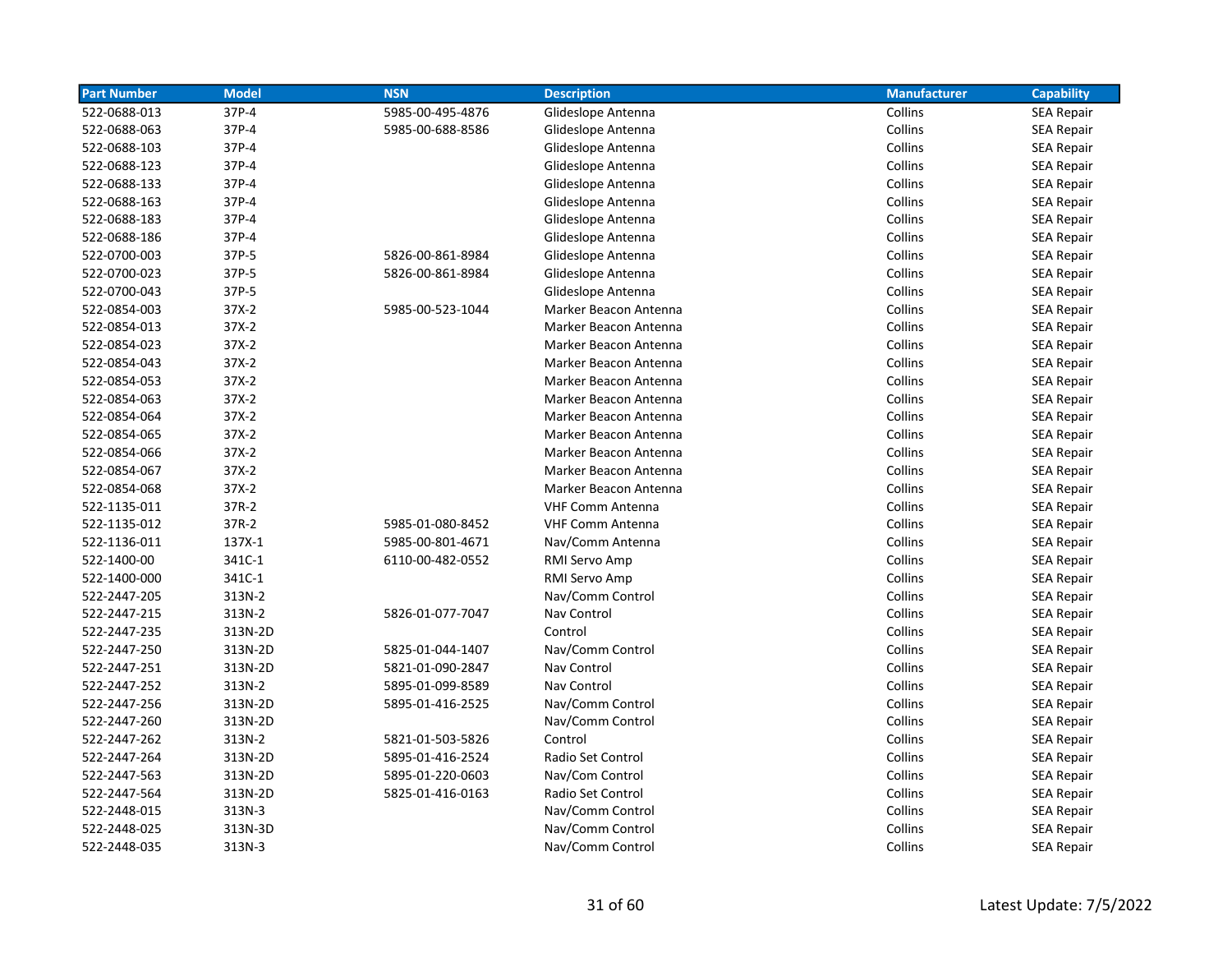| <b>Part Number</b> | <b>Model</b> | <b>NSN</b>       | <b>Description</b>      | <b>Manufacturer</b> | <b>Capability</b> |
|--------------------|--------------|------------------|-------------------------|---------------------|-------------------|
| 522-0688-013       | 37P-4        | 5985-00-495-4876 | Glideslope Antenna      | Collins             | <b>SEA Repair</b> |
| 522-0688-063       | 37P-4        | 5985-00-688-8586 | Glideslope Antenna      | Collins             | <b>SEA Repair</b> |
| 522-0688-103       | 37P-4        |                  | Glideslope Antenna      | Collins             | <b>SEA Repair</b> |
| 522-0688-123       | 37P-4        |                  | Glideslope Antenna      | Collins             | <b>SEA Repair</b> |
| 522-0688-133       | 37P-4        |                  | Glideslope Antenna      | Collins             | <b>SEA Repair</b> |
| 522-0688-163       | 37P-4        |                  | Glideslope Antenna      | Collins             | <b>SEA Repair</b> |
| 522-0688-183       | 37P-4        |                  | Glideslope Antenna      | Collins             | <b>SEA Repair</b> |
| 522-0688-186       | 37P-4        |                  | Glideslope Antenna      | Collins             | <b>SEA Repair</b> |
| 522-0700-003       | 37P-5        | 5826-00-861-8984 | Glideslope Antenna      | Collins             | SEA Repair        |
| 522-0700-023       | 37P-5        | 5826-00-861-8984 | Glideslope Antenna      | Collins             | <b>SEA Repair</b> |
| 522-0700-043       | 37P-5        |                  | Glideslope Antenna      | Collins             | <b>SEA Repair</b> |
| 522-0854-003       | 37X-2        | 5985-00-523-1044 | Marker Beacon Antenna   | Collins             | <b>SEA Repair</b> |
| 522-0854-013       | $37X-2$      |                  | Marker Beacon Antenna   | Collins             | <b>SEA Repair</b> |
| 522-0854-023       | $37X-2$      |                  | Marker Beacon Antenna   | Collins             | <b>SEA Repair</b> |
| 522-0854-043       | $37X-2$      |                  | Marker Beacon Antenna   | Collins             | <b>SEA Repair</b> |
| 522-0854-053       | $37X-2$      |                  | Marker Beacon Antenna   | Collins             | <b>SEA Repair</b> |
| 522-0854-063       | $37X-2$      |                  | Marker Beacon Antenna   | Collins             | <b>SEA Repair</b> |
| 522-0854-064       | 37X-2        |                  | Marker Beacon Antenna   | Collins             | <b>SEA Repair</b> |
| 522-0854-065       | 37X-2        |                  | Marker Beacon Antenna   | Collins             | <b>SEA Repair</b> |
| 522-0854-066       | 37X-2        |                  | Marker Beacon Antenna   | Collins             | <b>SEA Repair</b> |
| 522-0854-067       | $37X-2$      |                  | Marker Beacon Antenna   | Collins             | <b>SEA Repair</b> |
| 522-0854-068       | $37X-2$      |                  | Marker Beacon Antenna   | Collins             | <b>SEA Repair</b> |
| 522-1135-011       | 37R-2        |                  | <b>VHF Comm Antenna</b> | Collins             | <b>SEA Repair</b> |
| 522-1135-012       | 37R-2        | 5985-01-080-8452 | <b>VHF Comm Antenna</b> | Collins             | <b>SEA Repair</b> |
| 522-1136-011       | 137X-1       | 5985-00-801-4671 | Nav/Comm Antenna        | Collins             | <b>SEA Repair</b> |
| 522-1400-00        | 341C-1       | 6110-00-482-0552 | RMI Servo Amp           | Collins             | <b>SEA Repair</b> |
| 522-1400-000       | 341C-1       |                  | RMI Servo Amp           | Collins             | <b>SEA Repair</b> |
| 522-2447-205       | 313N-2       |                  | Nav/Comm Control        | Collins             | <b>SEA Repair</b> |
| 522-2447-215       | 313N-2       | 5826-01-077-7047 | Nav Control             | Collins             | SEA Repair        |
| 522-2447-235       | 313N-2D      |                  | Control                 | Collins             | SEA Repair        |
| 522-2447-250       | 313N-2D      | 5825-01-044-1407 | Nav/Comm Control        | Collins             | SEA Repair        |
| 522-2447-251       | 313N-2D      | 5821-01-090-2847 | Nav Control             | Collins             | <b>SEA Repair</b> |
| 522-2447-252       | 313N-2       | 5895-01-099-8589 | Nav Control             | Collins             | <b>SEA Repair</b> |
| 522-2447-256       | 313N-2D      | 5895-01-416-2525 | Nav/Comm Control        | Collins             | <b>SEA Repair</b> |
| 522-2447-260       | 313N-2D      |                  | Nav/Comm Control        | Collins             | <b>SEA Repair</b> |
| 522-2447-262       | 313N-2       | 5821-01-503-5826 | Control                 | Collins             | <b>SEA Repair</b> |
| 522-2447-264       | 313N-2D      | 5895-01-416-2524 | Radio Set Control       | Collins             | <b>SEA Repair</b> |
| 522-2447-563       | 313N-2D      | 5895-01-220-0603 | Nav/Com Control         | Collins             | <b>SEA Repair</b> |
| 522-2447-564       | 313N-2D      | 5825-01-416-0163 | Radio Set Control       | Collins             | <b>SEA Repair</b> |
| 522-2448-015       | 313N-3       |                  | Nav/Comm Control        | Collins             | <b>SEA Repair</b> |
| 522-2448-025       | 313N-3D      |                  | Nav/Comm Control        | Collins             | <b>SEA Repair</b> |
| 522-2448-035       | 313N-3       |                  | Nav/Comm Control        | Collins             | <b>SEA Repair</b> |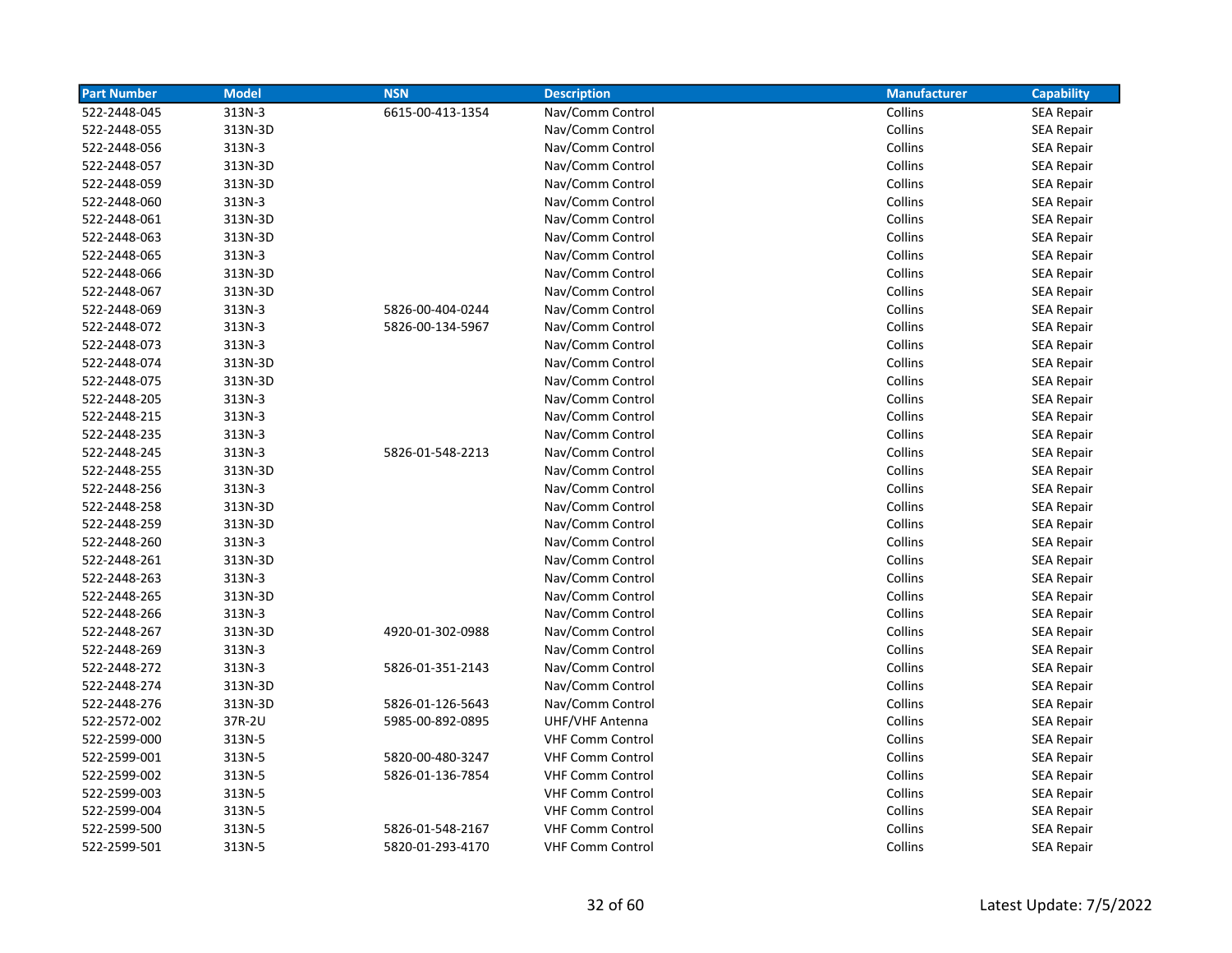| <b>Part Number</b> | <b>Model</b> | <b>NSN</b>       | <b>Description</b>      | <b>Manufacturer</b> | <b>Capability</b> |
|--------------------|--------------|------------------|-------------------------|---------------------|-------------------|
| 522-2448-045       | 313N-3       | 6615-00-413-1354 | Nav/Comm Control        | Collins             | <b>SEA Repair</b> |
| 522-2448-055       | 313N-3D      |                  | Nav/Comm Control        | Collins             | <b>SEA Repair</b> |
| 522-2448-056       | 313N-3       |                  | Nav/Comm Control        | Collins             | <b>SEA Repair</b> |
| 522-2448-057       | 313N-3D      |                  | Nav/Comm Control        | Collins             | <b>SEA Repair</b> |
| 522-2448-059       | 313N-3D      |                  | Nav/Comm Control        | Collins             | <b>SEA Repair</b> |
| 522-2448-060       | 313N-3       |                  | Nav/Comm Control        | Collins             | <b>SEA Repair</b> |
| 522-2448-061       | 313N-3D      |                  | Nav/Comm Control        | Collins             | <b>SEA Repair</b> |
| 522-2448-063       | 313N-3D      |                  | Nav/Comm Control        | Collins             | <b>SEA Repair</b> |
| 522-2448-065       | 313N-3       |                  | Nav/Comm Control        | Collins             | <b>SEA Repair</b> |
| 522-2448-066       | 313N-3D      |                  | Nav/Comm Control        | Collins             | <b>SEA Repair</b> |
| 522-2448-067       | 313N-3D      |                  | Nav/Comm Control        | Collins             | <b>SEA Repair</b> |
| 522-2448-069       | 313N-3       | 5826-00-404-0244 | Nav/Comm Control        | Collins             | <b>SEA Repair</b> |
| 522-2448-072       | 313N-3       | 5826-00-134-5967 | Nav/Comm Control        | Collins             | <b>SEA Repair</b> |
| 522-2448-073       | 313N-3       |                  | Nav/Comm Control        | Collins             | SEA Repair        |
| 522-2448-074       | 313N-3D      |                  | Nav/Comm Control        | Collins             | <b>SEA Repair</b> |
| 522-2448-075       | 313N-3D      |                  | Nav/Comm Control        | Collins             | <b>SEA Repair</b> |
| 522-2448-205       | 313N-3       |                  | Nav/Comm Control        | Collins             | <b>SEA Repair</b> |
| 522-2448-215       | 313N-3       |                  | Nav/Comm Control        | Collins             | <b>SEA Repair</b> |
| 522-2448-235       | 313N-3       |                  | Nav/Comm Control        | Collins             | <b>SEA Repair</b> |
| 522-2448-245       | 313N-3       | 5826-01-548-2213 | Nav/Comm Control        | Collins             | <b>SEA Repair</b> |
| 522-2448-255       | 313N-3D      |                  | Nav/Comm Control        | Collins             | <b>SEA Repair</b> |
| 522-2448-256       | 313N-3       |                  | Nav/Comm Control        | Collins             | <b>SEA Repair</b> |
| 522-2448-258       | 313N-3D      |                  | Nav/Comm Control        | Collins             | <b>SEA Repair</b> |
| 522-2448-259       | 313N-3D      |                  | Nav/Comm Control        | Collins             | <b>SEA Repair</b> |
| 522-2448-260       | 313N-3       |                  | Nav/Comm Control        | Collins             | <b>SEA Repair</b> |
| 522-2448-261       | 313N-3D      |                  | Nav/Comm Control        | Collins             | <b>SEA Repair</b> |
| 522-2448-263       | 313N-3       |                  | Nav/Comm Control        | Collins             | <b>SEA Repair</b> |
| 522-2448-265       | 313N-3D      |                  | Nav/Comm Control        | Collins             | <b>SEA Repair</b> |
| 522-2448-266       | 313N-3       |                  | Nav/Comm Control        | Collins             | <b>SEA Repair</b> |
| 522-2448-267       | 313N-3D      | 4920-01-302-0988 | Nav/Comm Control        | Collins             | <b>SEA Repair</b> |
| 522-2448-269       | 313N-3       |                  | Nav/Comm Control        | Collins             | <b>SEA Repair</b> |
| 522-2448-272       | 313N-3       | 5826-01-351-2143 | Nav/Comm Control        | Collins             | <b>SEA Repair</b> |
| 522-2448-274       | 313N-3D      |                  | Nav/Comm Control        | Collins             | <b>SEA Repair</b> |
| 522-2448-276       | 313N-3D      | 5826-01-126-5643 | Nav/Comm Control        | Collins             | <b>SEA Repair</b> |
| 522-2572-002       | 37R-2U       | 5985-00-892-0895 | UHF/VHF Antenna         | Collins             | <b>SEA Repair</b> |
| 522-2599-000       | 313N-5       |                  | <b>VHF Comm Control</b> | Collins             | SEA Repair        |
| 522-2599-001       | 313N-5       | 5820-00-480-3247 | <b>VHF Comm Control</b> | Collins             | <b>SEA Repair</b> |
| 522-2599-002       | 313N-5       | 5826-01-136-7854 | <b>VHF Comm Control</b> | Collins             | <b>SEA Repair</b> |
| 522-2599-003       | 313N-5       |                  | <b>VHF Comm Control</b> | Collins             | <b>SEA Repair</b> |
| 522-2599-004       | 313N-5       |                  | <b>VHF Comm Control</b> | Collins             | <b>SEA Repair</b> |
| 522-2599-500       | 313N-5       | 5826-01-548-2167 | <b>VHF Comm Control</b> | Collins             | <b>SEA Repair</b> |
| 522-2599-501       | 313N-5       | 5820-01-293-4170 | <b>VHF Comm Control</b> | Collins             | <b>SEA Repair</b> |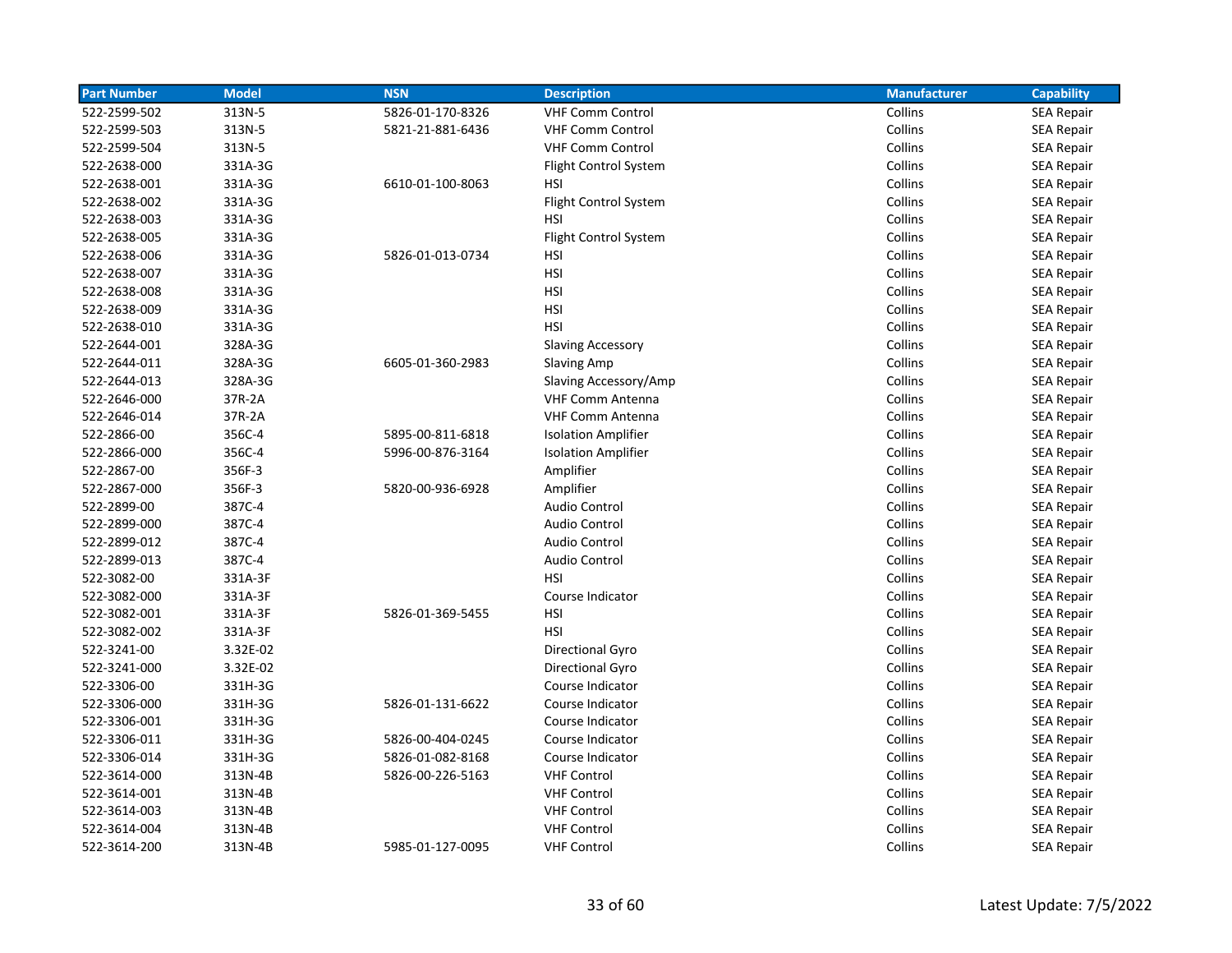| <b>Part Number</b> | <b>Model</b> | <b>NSN</b>       | <b>Description</b>         | <b>Manufacturer</b> | <b>Capability</b> |
|--------------------|--------------|------------------|----------------------------|---------------------|-------------------|
| 522-2599-502       | 313N-5       | 5826-01-170-8326 | <b>VHF Comm Control</b>    | Collins             | <b>SEA Repair</b> |
| 522-2599-503       | 313N-5       | 5821-21-881-6436 | <b>VHF Comm Control</b>    | Collins             | <b>SEA Repair</b> |
| 522-2599-504       | 313N-5       |                  | <b>VHF Comm Control</b>    | Collins             | <b>SEA Repair</b> |
| 522-2638-000       | 331A-3G      |                  | Flight Control System      | Collins             | <b>SEA Repair</b> |
| 522-2638-001       | 331A-3G      | 6610-01-100-8063 | HSI                        | Collins             | <b>SEA Repair</b> |
| 522-2638-002       | 331A-3G      |                  | Flight Control System      | Collins             | <b>SEA Repair</b> |
| 522-2638-003       | 331A-3G      |                  | <b>HSI</b>                 | Collins             | <b>SEA Repair</b> |
| 522-2638-005       | 331A-3G      |                  | Flight Control System      | Collins             | <b>SEA Repair</b> |
| 522-2638-006       | 331A-3G      | 5826-01-013-0734 | <b>HSI</b>                 | Collins             | <b>SEA Repair</b> |
| 522-2638-007       | 331A-3G      |                  | <b>HSI</b>                 | Collins             | <b>SEA Repair</b> |
| 522-2638-008       | 331A-3G      |                  | <b>HSI</b>                 | Collins             | <b>SEA Repair</b> |
| 522-2638-009       | 331A-3G      |                  | HSI                        | Collins             | SEA Repair        |
| 522-2638-010       | 331A-3G      |                  | <b>HSI</b>                 | Collins             | <b>SEA Repair</b> |
| 522-2644-001       | 328A-3G      |                  | <b>Slaving Accessory</b>   | Collins             | SEA Repair        |
| 522-2644-011       | 328A-3G      | 6605-01-360-2983 | <b>Slaving Amp</b>         | Collins             | <b>SEA Repair</b> |
| 522-2644-013       | 328A-3G      |                  | Slaving Accessory/Amp      | Collins             | <b>SEA Repair</b> |
| 522-2646-000       | 37R-2A       |                  | <b>VHF Comm Antenna</b>    | Collins             | SEA Repair        |
| 522-2646-014       | 37R-2A       |                  | <b>VHF Comm Antenna</b>    | Collins             | SEA Repair        |
| 522-2866-00        | 356C-4       | 5895-00-811-6818 | <b>Isolation Amplifier</b> | Collins             | <b>SEA Repair</b> |
| 522-2866-000       | 356C-4       | 5996-00-876-3164 | <b>Isolation Amplifier</b> | Collins             | <b>SEA Repair</b> |
| 522-2867-00        | 356F-3       |                  | Amplifier                  | Collins             | <b>SEA Repair</b> |
| 522-2867-000       | 356F-3       | 5820-00-936-6928 | Amplifier                  | Collins             | <b>SEA Repair</b> |
| 522-2899-00        | 387C-4       |                  | <b>Audio Control</b>       | Collins             | <b>SEA Repair</b> |
| 522-2899-000       | 387C-4       |                  | <b>Audio Control</b>       | Collins             | <b>SEA Repair</b> |
| 522-2899-012       | 387C-4       |                  | Audio Control              | Collins             | <b>SEA Repair</b> |
| 522-2899-013       | 387C-4       |                  | <b>Audio Control</b>       | Collins             | SEA Repair        |
| 522-3082-00        | 331A-3F      |                  | <b>HSI</b>                 | Collins             | SEA Repair        |
| 522-3082-000       | 331A-3F      |                  | Course Indicator           | Collins             | <b>SEA Repair</b> |
| 522-3082-001       | 331A-3F      | 5826-01-369-5455 | <b>HSI</b>                 | Collins             | <b>SEA Repair</b> |
| 522-3082-002       | 331A-3F      |                  | <b>HSI</b>                 | Collins             | <b>SEA Repair</b> |
| 522-3241-00        | 3.32E-02     |                  | Directional Gyro           | Collins             | <b>SEA Repair</b> |
| 522-3241-000       | 3.32E-02     |                  | Directional Gyro           | Collins             | <b>SEA Repair</b> |
| 522-3306-00        | 331H-3G      |                  | Course Indicator           | Collins             | <b>SEA Repair</b> |
| 522-3306-000       | 331H-3G      | 5826-01-131-6622 | Course Indicator           | Collins             | <b>SEA Repair</b> |
| 522-3306-001       | 331H-3G      |                  | Course Indicator           | Collins             | SEA Repair        |
| 522-3306-011       | 331H-3G      | 5826-00-404-0245 | Course Indicator           | Collins             | SEA Repair        |
| 522-3306-014       | 331H-3G      | 5826-01-082-8168 | Course Indicator           | Collins             | <b>SEA Repair</b> |
| 522-3614-000       | 313N-4B      | 5826-00-226-5163 | <b>VHF Control</b>         | Collins             | <b>SEA Repair</b> |
| 522-3614-001       | 313N-4B      |                  | <b>VHF Control</b>         | Collins             | <b>SEA Repair</b> |
| 522-3614-003       | 313N-4B      |                  | <b>VHF Control</b>         | Collins             | SEA Repair        |
| 522-3614-004       | 313N-4B      |                  | <b>VHF Control</b>         | Collins             | <b>SEA Repair</b> |
| 522-3614-200       | 313N-4B      | 5985-01-127-0095 | <b>VHF Control</b>         | Collins             | <b>SEA Repair</b> |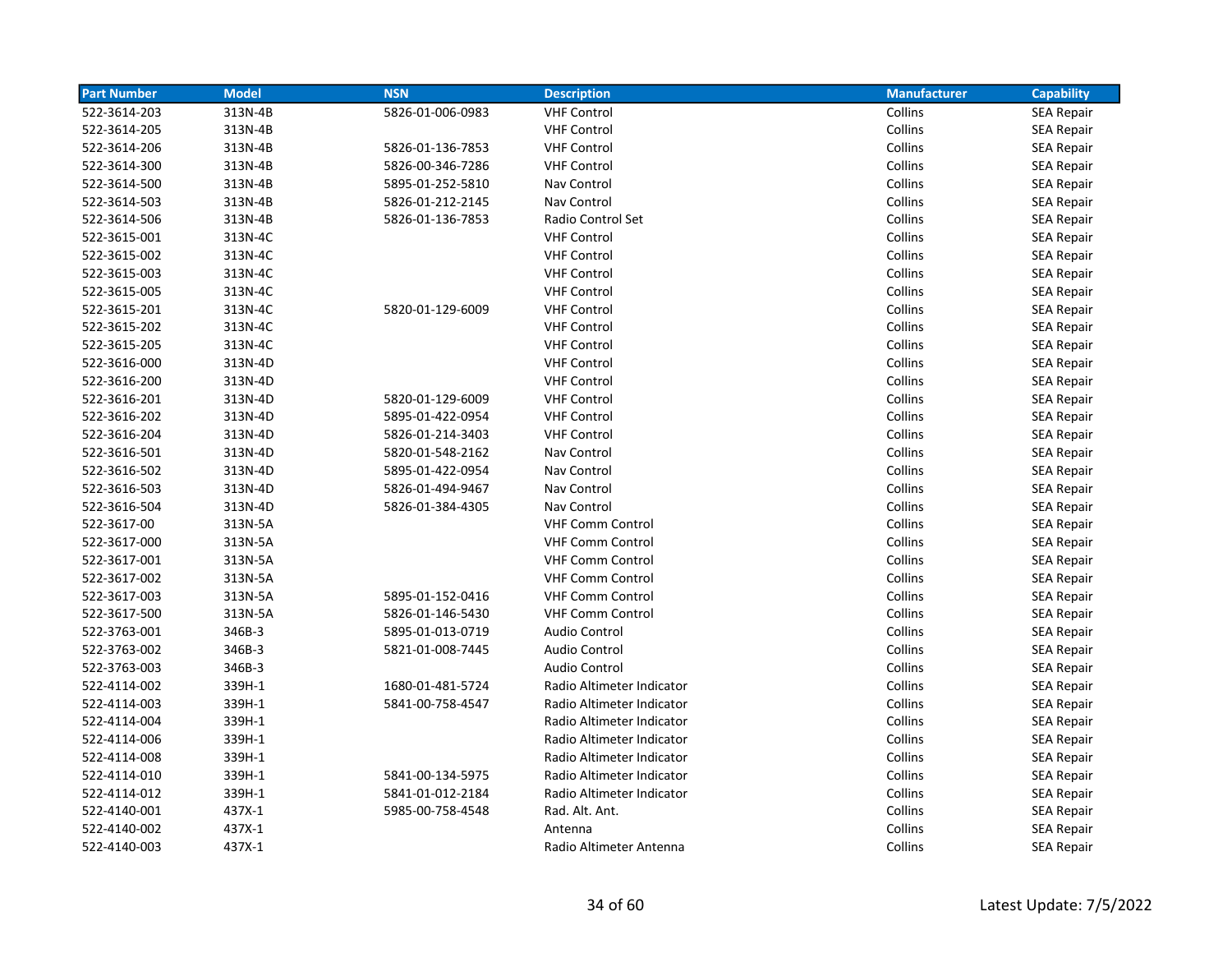| <b>Part Number</b> | <b>Model</b> | <b>NSN</b>       | <b>Description</b>        | <b>Manufacturer</b> | <b>Capability</b> |
|--------------------|--------------|------------------|---------------------------|---------------------|-------------------|
| 522-3614-203       | 313N-4B      | 5826-01-006-0983 | <b>VHF Control</b>        | Collins             | <b>SEA Repair</b> |
| 522-3614-205       | 313N-4B      |                  | <b>VHF Control</b>        | Collins             | <b>SEA Repair</b> |
| 522-3614-206       | 313N-4B      | 5826-01-136-7853 | <b>VHF Control</b>        | Collins             | <b>SEA Repair</b> |
| 522-3614-300       | 313N-4B      | 5826-00-346-7286 | <b>VHF Control</b>        | Collins             | <b>SEA Repair</b> |
| 522-3614-500       | 313N-4B      | 5895-01-252-5810 | Nav Control               | Collins             | <b>SEA Repair</b> |
| 522-3614-503       | 313N-4B      | 5826-01-212-2145 | Nav Control               | Collins             | <b>SEA Repair</b> |
| 522-3614-506       | 313N-4B      | 5826-01-136-7853 | Radio Control Set         | Collins             | <b>SEA Repair</b> |
| 522-3615-001       | 313N-4C      |                  | <b>VHF Control</b>        | Collins             | <b>SEA Repair</b> |
| 522-3615-002       | 313N-4C      |                  | <b>VHF Control</b>        | Collins             | <b>SEA Repair</b> |
| 522-3615-003       | 313N-4C      |                  | <b>VHF Control</b>        | Collins             | <b>SEA Repair</b> |
| 522-3615-005       | 313N-4C      |                  | <b>VHF Control</b>        | Collins             | <b>SEA Repair</b> |
| 522-3615-201       | 313N-4C      | 5820-01-129-6009 | <b>VHF Control</b>        | Collins             | <b>SEA Repair</b> |
| 522-3615-202       | 313N-4C      |                  | <b>VHF Control</b>        | Collins             | <b>SEA Repair</b> |
| 522-3615-205       | 313N-4C      |                  | <b>VHF Control</b>        | Collins             | <b>SEA Repair</b> |
| 522-3616-000       | 313N-4D      |                  | <b>VHF Control</b>        | Collins             | <b>SEA Repair</b> |
| 522-3616-200       | 313N-4D      |                  | <b>VHF Control</b>        | Collins             | <b>SEA Repair</b> |
| 522-3616-201       | 313N-4D      | 5820-01-129-6009 | <b>VHF Control</b>        | Collins             | <b>SEA Repair</b> |
| 522-3616-202       | 313N-4D      | 5895-01-422-0954 | <b>VHF Control</b>        | Collins             | <b>SEA Repair</b> |
| 522-3616-204       | 313N-4D      | 5826-01-214-3403 | <b>VHF Control</b>        | Collins             | <b>SEA Repair</b> |
| 522-3616-501       | 313N-4D      | 5820-01-548-2162 | Nav Control               | Collins             | <b>SEA Repair</b> |
| 522-3616-502       | 313N-4D      | 5895-01-422-0954 | Nav Control               | Collins             | <b>SEA Repair</b> |
| 522-3616-503       | 313N-4D      | 5826-01-494-9467 | Nav Control               | Collins             | <b>SEA Repair</b> |
| 522-3616-504       | 313N-4D      | 5826-01-384-4305 | Nav Control               | Collins             | <b>SEA Repair</b> |
| 522-3617-00        | 313N-5A      |                  | <b>VHF Comm Control</b>   | Collins             | <b>SEA Repair</b> |
| 522-3617-000       | 313N-5A      |                  | <b>VHF Comm Control</b>   | Collins             | <b>SEA Repair</b> |
| 522-3617-001       | 313N-5A      |                  | <b>VHF Comm Control</b>   | Collins             | <b>SEA Repair</b> |
| 522-3617-002       | 313N-5A      |                  | <b>VHF Comm Control</b>   | Collins             | <b>SEA Repair</b> |
| 522-3617-003       | 313N-5A      | 5895-01-152-0416 | <b>VHF Comm Control</b>   | Collins             | SEA Repair        |
| 522-3617-500       | 313N-5A      | 5826-01-146-5430 | <b>VHF Comm Control</b>   | Collins             | <b>SEA Repair</b> |
| 522-3763-001       | 346B-3       | 5895-01-013-0719 | <b>Audio Control</b>      | Collins             | <b>SEA Repair</b> |
| 522-3763-002       | 346B-3       | 5821-01-008-7445 | <b>Audio Control</b>      | Collins             | <b>SEA Repair</b> |
| 522-3763-003       | 346B-3       |                  | <b>Audio Control</b>      | Collins             | <b>SEA Repair</b> |
| 522-4114-002       | 339H-1       | 1680-01-481-5724 | Radio Altimeter Indicator | Collins             | <b>SEA Repair</b> |
| 522-4114-003       | 339H-1       | 5841-00-758-4547 | Radio Altimeter Indicator | Collins             | <b>SEA Repair</b> |
| 522-4114-004       | 339H-1       |                  | Radio Altimeter Indicator | Collins             | <b>SEA Repair</b> |
| 522-4114-006       | 339H-1       |                  | Radio Altimeter Indicator | Collins             | <b>SEA Repair</b> |
| 522-4114-008       | 339H-1       |                  | Radio Altimeter Indicator | Collins             | <b>SEA Repair</b> |
| 522-4114-010       | 339H-1       | 5841-00-134-5975 | Radio Altimeter Indicator | Collins             | <b>SEA Repair</b> |
| 522-4114-012       | 339H-1       | 5841-01-012-2184 | Radio Altimeter Indicator | Collins             | <b>SEA Repair</b> |
| 522-4140-001       | 437X-1       | 5985-00-758-4548 | Rad. Alt. Ant.            | Collins             | SEA Repair        |
| 522-4140-002       | 437X-1       |                  | Antenna                   | Collins             | <b>SEA Repair</b> |
| 522-4140-003       | 437X-1       |                  | Radio Altimeter Antenna   | Collins             | <b>SEA Repair</b> |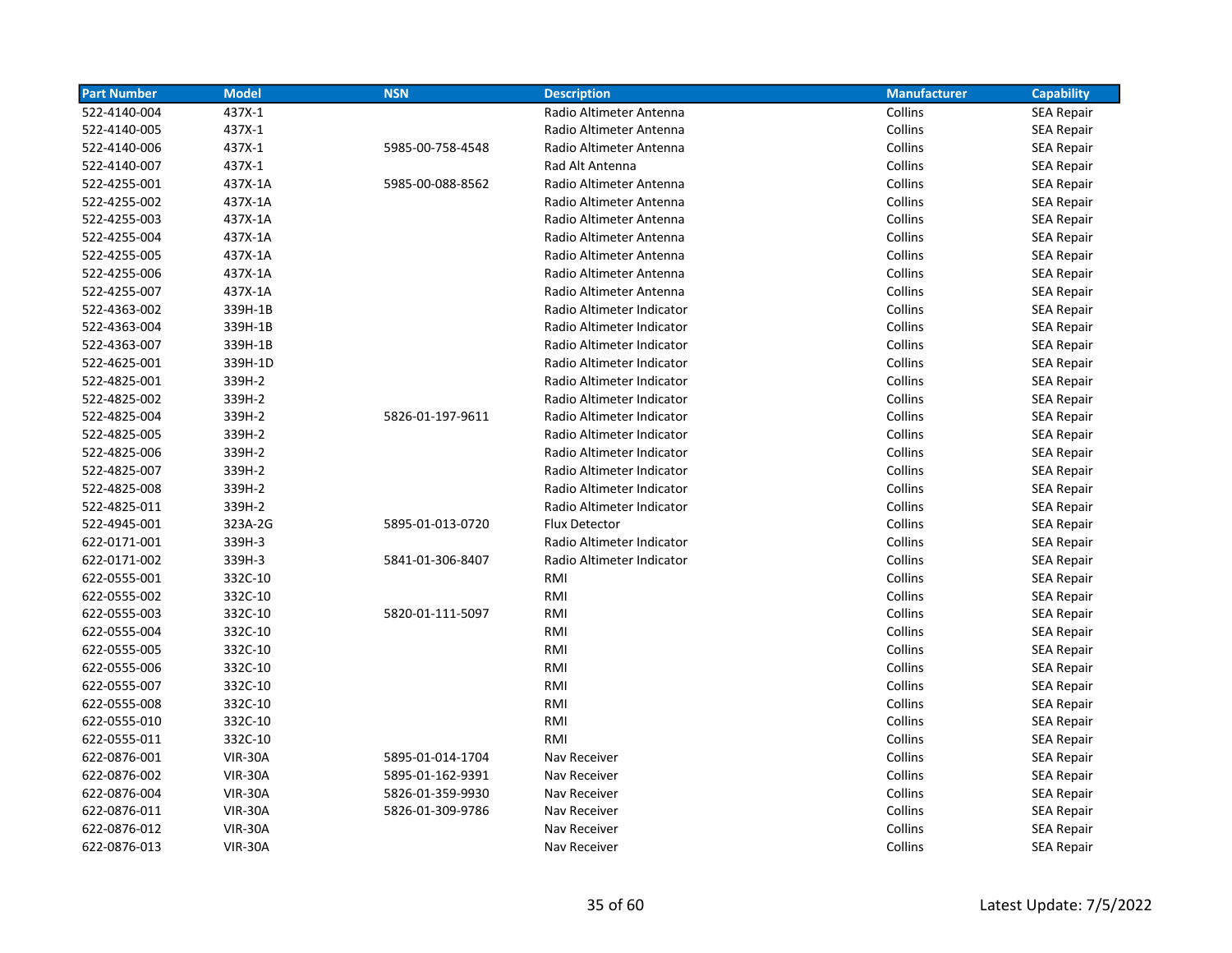| <b>Part Number</b> | <b>Model</b>   | <b>NSN</b>       | <b>Description</b>        | <b>Manufacturer</b> | <b>Capability</b> |
|--------------------|----------------|------------------|---------------------------|---------------------|-------------------|
| 522-4140-004       | 437X-1         |                  | Radio Altimeter Antenna   | Collins             | <b>SEA Repair</b> |
| 522-4140-005       | 437X-1         |                  | Radio Altimeter Antenna   | Collins             | <b>SEA Repair</b> |
| 522-4140-006       | 437X-1         | 5985-00-758-4548 | Radio Altimeter Antenna   | Collins             | <b>SEA Repair</b> |
| 522-4140-007       | 437X-1         |                  | Rad Alt Antenna           | Collins             | <b>SEA Repair</b> |
| 522-4255-001       | 437X-1A        | 5985-00-088-8562 | Radio Altimeter Antenna   | Collins             | <b>SEA Repair</b> |
| 522-4255-002       | 437X-1A        |                  | Radio Altimeter Antenna   | Collins             | <b>SEA Repair</b> |
| 522-4255-003       | 437X-1A        |                  | Radio Altimeter Antenna   | Collins             | <b>SEA Repair</b> |
| 522-4255-004       | 437X-1A        |                  | Radio Altimeter Antenna   | Collins             | <b>SEA Repair</b> |
| 522-4255-005       | 437X-1A        |                  | Radio Altimeter Antenna   | Collins             | <b>SEA Repair</b> |
| 522-4255-006       | 437X-1A        |                  | Radio Altimeter Antenna   | Collins             | <b>SEA Repair</b> |
| 522-4255-007       | 437X-1A        |                  | Radio Altimeter Antenna   | Collins             | <b>SEA Repair</b> |
| 522-4363-002       | 339H-1B        |                  | Radio Altimeter Indicator | Collins             | <b>SEA Repair</b> |
| 522-4363-004       | 339H-1B        |                  | Radio Altimeter Indicator | Collins             | <b>SEA Repair</b> |
| 522-4363-007       | 339H-1B        |                  | Radio Altimeter Indicator | Collins             | <b>SEA Repair</b> |
| 522-4625-001       | 339H-1D        |                  | Radio Altimeter Indicator | Collins             | <b>SEA Repair</b> |
| 522-4825-001       | 339H-2         |                  | Radio Altimeter Indicator | Collins             | SEA Repair        |
| 522-4825-002       | 339H-2         |                  | Radio Altimeter Indicator | Collins             | <b>SEA Repair</b> |
| 522-4825-004       | 339H-2         | 5826-01-197-9611 | Radio Altimeter Indicator | Collins             | <b>SEA Repair</b> |
| 522-4825-005       | 339H-2         |                  | Radio Altimeter Indicator | Collins             | <b>SEA Repair</b> |
| 522-4825-006       | 339H-2         |                  | Radio Altimeter Indicator | Collins             | <b>SEA Repair</b> |
| 522-4825-007       | 339H-2         |                  | Radio Altimeter Indicator | Collins             | <b>SEA Repair</b> |
| 522-4825-008       | 339H-2         |                  | Radio Altimeter Indicator | Collins             | <b>SEA Repair</b> |
| 522-4825-011       | 339H-2         |                  | Radio Altimeter Indicator | Collins             | <b>SEA Repair</b> |
| 522-4945-001       | 323A-2G        | 5895-01-013-0720 | <b>Flux Detector</b>      | Collins             | SEA Repair        |
| 622-0171-001       | 339H-3         |                  | Radio Altimeter Indicator | Collins             | SEA Repair        |
| 622-0171-002       | 339H-3         | 5841-01-306-8407 | Radio Altimeter Indicator | Collins             | SEA Repair        |
| 622-0555-001       | 332C-10        |                  | RMI                       | Collins             | <b>SEA Repair</b> |
| 622-0555-002       | 332C-10        |                  | RMI                       | Collins             | <b>SEA Repair</b> |
| 622-0555-003       | 332C-10        | 5820-01-111-5097 | RMI                       | Collins             | <b>SEA Repair</b> |
| 622-0555-004       | 332C-10        |                  | RMI                       | Collins             | <b>SEA Repair</b> |
| 622-0555-005       | 332C-10        |                  | RMI                       | Collins             | <b>SEA Repair</b> |
| 622-0555-006       | 332C-10        |                  | RMI                       | Collins             | <b>SEA Repair</b> |
| 622-0555-007       | 332C-10        |                  | RMI                       | Collins             | <b>SEA Repair</b> |
| 622-0555-008       | 332C-10        |                  | RMI                       | Collins             | <b>SEA Repair</b> |
| 622-0555-010       | 332C-10        |                  | RMI                       | Collins             | <b>SEA Repair</b> |
| 622-0555-011       | 332C-10        |                  | RMI                       | Collins             | <b>SEA Repair</b> |
| 622-0876-001       | <b>VIR-30A</b> | 5895-01-014-1704 | Nav Receiver              | Collins             | <b>SEA Repair</b> |
| 622-0876-002       | <b>VIR-30A</b> | 5895-01-162-9391 | Nav Receiver              | Collins             | <b>SEA Repair</b> |
| 622-0876-004       | <b>VIR-30A</b> | 5826-01-359-9930 | Nav Receiver              | Collins             | SEA Repair        |
| 622-0876-011       | <b>VIR-30A</b> | 5826-01-309-9786 | Nav Receiver              | Collins             | <b>SEA Repair</b> |
| 622-0876-012       | <b>VIR-30A</b> |                  | Nav Receiver              | Collins             | <b>SEA Repair</b> |
| 622-0876-013       | <b>VIR-30A</b> |                  | Nav Receiver              | Collins             | <b>SEA Repair</b> |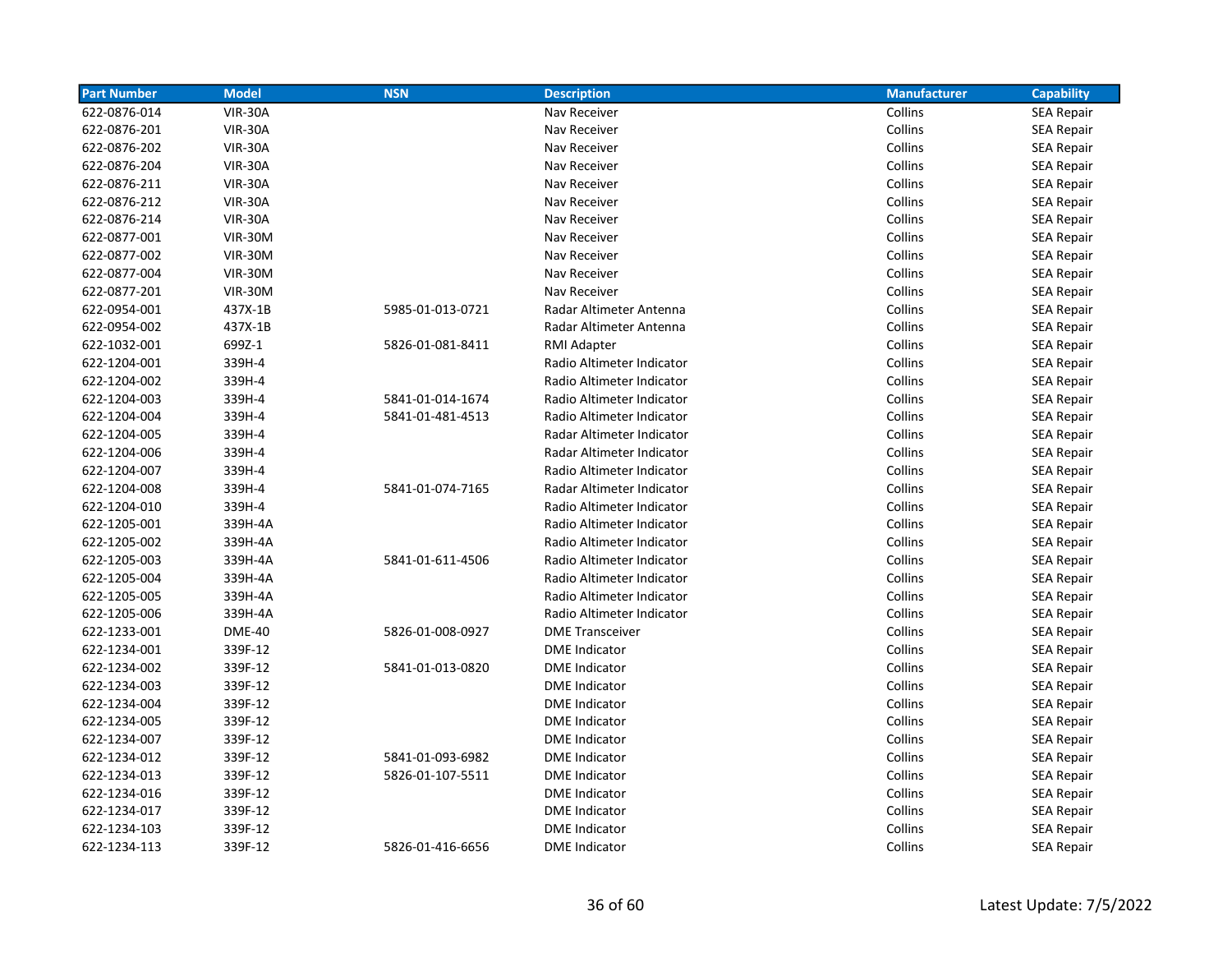| <b>Part Number</b> | <b>Model</b>   | <b>NSN</b>       | <b>Description</b>        | <b>Manufacturer</b> | <b>Capability</b> |
|--------------------|----------------|------------------|---------------------------|---------------------|-------------------|
| 622-0876-014       | <b>VIR-30A</b> |                  | Nav Receiver              | Collins             | <b>SEA Repair</b> |
| 622-0876-201       | <b>VIR-30A</b> |                  | Nav Receiver              | Collins             | <b>SEA Repair</b> |
| 622-0876-202       | <b>VIR-30A</b> |                  | Nav Receiver              | Collins             | SEA Repair        |
| 622-0876-204       | <b>VIR-30A</b> |                  | Nav Receiver              | Collins             | <b>SEA Repair</b> |
| 622-0876-211       | <b>VIR-30A</b> |                  | Nav Receiver              | Collins             | <b>SEA Repair</b> |
| 622-0876-212       | <b>VIR-30A</b> |                  | Nav Receiver              | Collins             | <b>SEA Repair</b> |
| 622-0876-214       | <b>VIR-30A</b> |                  | Nav Receiver              | Collins             | <b>SEA Repair</b> |
| 622-0877-001       | <b>VIR-30M</b> |                  | Nav Receiver              | Collins             | <b>SEA Repair</b> |
| 622-0877-002       | <b>VIR-30M</b> |                  | Nav Receiver              | Collins             | <b>SEA Repair</b> |
| 622-0877-004       | <b>VIR-30M</b> |                  | Nav Receiver              | Collins             | <b>SEA Repair</b> |
| 622-0877-201       | <b>VIR-30M</b> |                  | Nav Receiver              | Collins             | <b>SEA Repair</b> |
| 622-0954-001       | 437X-1B        | 5985-01-013-0721 | Radar Altimeter Antenna   | Collins             | <b>SEA Repair</b> |
| 622-0954-002       | 437X-1B        |                  | Radar Altimeter Antenna   | Collins             | <b>SEA Repair</b> |
| 622-1032-001       | 699Z-1         | 5826-01-081-8411 | RMI Adapter               | Collins             | SEA Repair        |
| 622-1204-001       | 339H-4         |                  | Radio Altimeter Indicator | Collins             | <b>SEA Repair</b> |
| 622-1204-002       | 339H-4         |                  | Radio Altimeter Indicator | Collins             | SEA Repair        |
| 622-1204-003       | 339H-4         | 5841-01-014-1674 | Radio Altimeter Indicator | Collins             | <b>SEA Repair</b> |
| 622-1204-004       | 339H-4         | 5841-01-481-4513 | Radio Altimeter Indicator | Collins             | <b>SEA Repair</b> |
| 622-1204-005       | 339H-4         |                  | Radar Altimeter Indicator | Collins             | <b>SEA Repair</b> |
| 622-1204-006       | 339H-4         |                  | Radar Altimeter Indicator | Collins             | <b>SEA Repair</b> |
| 622-1204-007       | 339H-4         |                  | Radio Altimeter Indicator | Collins             | <b>SEA Repair</b> |
| 622-1204-008       | 339H-4         | 5841-01-074-7165 | Radar Altimeter Indicator | Collins             | <b>SEA Repair</b> |
| 622-1204-010       | 339H-4         |                  | Radio Altimeter Indicator | Collins             | <b>SEA Repair</b> |
| 622-1205-001       | 339H-4A        |                  | Radio Altimeter Indicator | Collins             | <b>SEA Repair</b> |
| 622-1205-002       | 339H-4A        |                  | Radio Altimeter Indicator | Collins             | <b>SEA Repair</b> |
| 622-1205-003       | 339H-4A        | 5841-01-611-4506 | Radio Altimeter Indicator | Collins             | SEA Repair        |
| 622-1205-004       | 339H-4A        |                  | Radio Altimeter Indicator | Collins             | <b>SEA Repair</b> |
| 622-1205-005       | 339H-4A        |                  | Radio Altimeter Indicator | Collins             | <b>SEA Repair</b> |
| 622-1205-006       | 339H-4A        |                  | Radio Altimeter Indicator | Collins             | <b>SEA Repair</b> |
| 622-1233-001       | <b>DME-40</b>  | 5826-01-008-0927 | <b>DME Transceiver</b>    | Collins             | <b>SEA Repair</b> |
| 622-1234-001       | 339F-12        |                  | <b>DME</b> Indicator      | Collins             | <b>SEA Repair</b> |
| 622-1234-002       | 339F-12        | 5841-01-013-0820 | <b>DME</b> Indicator      | Collins             | <b>SEA Repair</b> |
| 622-1234-003       | 339F-12        |                  | <b>DME Indicator</b>      | Collins             | <b>SEA Repair</b> |
| 622-1234-004       | 339F-12        |                  | <b>DME</b> Indicator      | Collins             | <b>SEA Repair</b> |
| 622-1234-005       | 339F-12        |                  | <b>DME</b> Indicator      | Collins             | <b>SEA Repair</b> |
| 622-1234-007       | 339F-12        |                  | <b>DME</b> Indicator      | Collins             | SEA Repair        |
| 622-1234-012       | 339F-12        | 5841-01-093-6982 | <b>DME</b> Indicator      | Collins             | SEA Repair        |
| 622-1234-013       | 339F-12        | 5826-01-107-5511 | <b>DME</b> Indicator      | Collins             | <b>SEA Repair</b> |
| 622-1234-016       | 339F-12        |                  | <b>DME</b> Indicator      | Collins             | SEA Repair        |
| 622-1234-017       | 339F-12        |                  | <b>DME</b> Indicator      | Collins             | SEA Repair        |
| 622-1234-103       | 339F-12        |                  | <b>DME</b> Indicator      | Collins             | <b>SEA Repair</b> |
| 622-1234-113       | 339F-12        | 5826-01-416-6656 | <b>DME</b> Indicator      | Collins             | <b>SEA Repair</b> |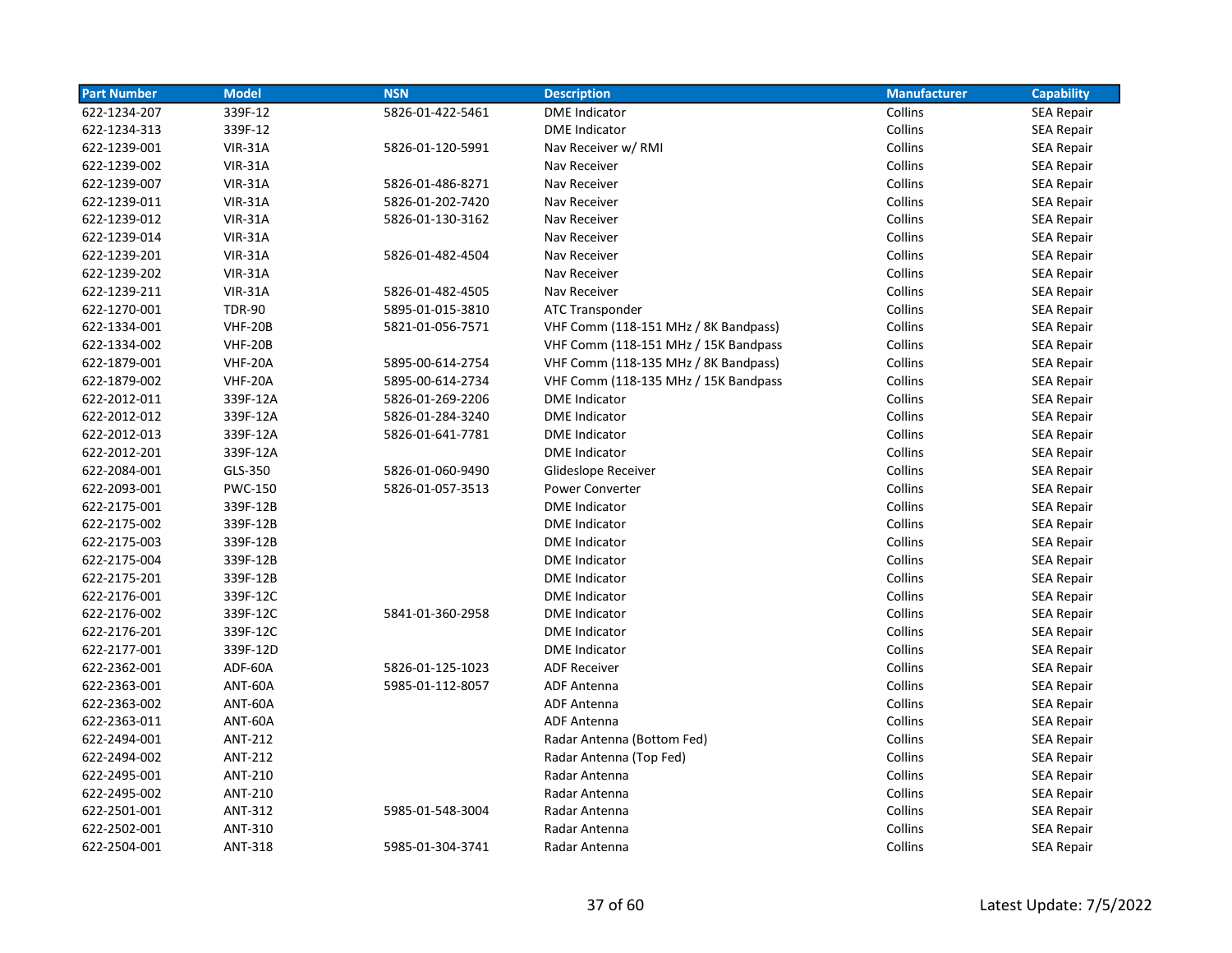| <b>Part Number</b> | <b>Model</b>   | <b>NSN</b>       | <b>Description</b>                   | <b>Manufacturer</b> | <b>Capability</b> |
|--------------------|----------------|------------------|--------------------------------------|---------------------|-------------------|
| 622-1234-207       | 339F-12        | 5826-01-422-5461 | <b>DME</b> Indicator                 | Collins             | <b>SEA Repair</b> |
| 622-1234-313       | 339F-12        |                  | <b>DME</b> Indicator                 | Collins             | <b>SEA Repair</b> |
| 622-1239-001       | <b>VIR-31A</b> | 5826-01-120-5991 | Nav Receiver w/ RMI                  | Collins             | SEA Repair        |
| 622-1239-002       | <b>VIR-31A</b> |                  | Nav Receiver                         | Collins             | <b>SEA Repair</b> |
| 622-1239-007       | <b>VIR-31A</b> | 5826-01-486-8271 | Nav Receiver                         | Collins             | <b>SEA Repair</b> |
| 622-1239-011       | <b>VIR-31A</b> | 5826-01-202-7420 | Nav Receiver                         | Collins             | <b>SEA Repair</b> |
| 622-1239-012       | <b>VIR-31A</b> | 5826-01-130-3162 | Nav Receiver                         | Collins             | <b>SEA Repair</b> |
| 622-1239-014       | <b>VIR-31A</b> |                  | Nav Receiver                         | Collins             | <b>SEA Repair</b> |
| 622-1239-201       | <b>VIR-31A</b> | 5826-01-482-4504 | Nav Receiver                         | Collins             | SEA Repair        |
| 622-1239-202       | <b>VIR-31A</b> |                  | Nav Receiver                         | Collins             | <b>SEA Repair</b> |
| 622-1239-211       | <b>VIR-31A</b> | 5826-01-482-4505 | Nav Receiver                         | Collins             | <b>SEA Repair</b> |
| 622-1270-001       | <b>TDR-90</b>  | 5895-01-015-3810 | ATC Transponder                      | Collins             | <b>SEA Repair</b> |
| 622-1334-001       | <b>VHF-20B</b> | 5821-01-056-7571 | VHF Comm (118-151 MHz / 8K Bandpass) | Collins             | <b>SEA Repair</b> |
| 622-1334-002       | <b>VHF-20B</b> |                  | VHF Comm (118-151 MHz / 15K Bandpass | Collins             | SEA Repair        |
| 622-1879-001       | <b>VHF-20A</b> | 5895-00-614-2754 | VHF Comm (118-135 MHz / 8K Bandpass) | Collins             | <b>SEA Repair</b> |
| 622-1879-002       | <b>VHF-20A</b> | 5895-00-614-2734 | VHF Comm (118-135 MHz / 15K Bandpass | Collins             | <b>SEA Repair</b> |
| 622-2012-011       | 339F-12A       | 5826-01-269-2206 | <b>DME</b> Indicator                 | Collins             | <b>SEA Repair</b> |
| 622-2012-012       | 339F-12A       | 5826-01-284-3240 | <b>DME</b> Indicator                 | Collins             | SEA Repair        |
| 622-2012-013       | 339F-12A       | 5826-01-641-7781 | <b>DME</b> Indicator                 | Collins             | SEA Repair        |
| 622-2012-201       | 339F-12A       |                  | <b>DME</b> Indicator                 | Collins             | SEA Repair        |
| 622-2084-001       | GLS-350        | 5826-01-060-9490 | Glideslope Receiver                  | Collins             | <b>SEA Repair</b> |
| 622-2093-001       | <b>PWC-150</b> | 5826-01-057-3513 | <b>Power Converter</b>               | Collins             | <b>SEA Repair</b> |
| 622-2175-001       | 339F-12B       |                  | <b>DME</b> Indicator                 | Collins             | <b>SEA Repair</b> |
| 622-2175-002       | 339F-12B       |                  | <b>DME</b> Indicator                 | Collins             | <b>SEA Repair</b> |
| 622-2175-003       | 339F-12B       |                  | <b>DME</b> Indicator                 | Collins             | <b>SEA Repair</b> |
| 622-2175-004       | 339F-12B       |                  | <b>DME</b> Indicator                 | Collins             | <b>SEA Repair</b> |
| 622-2175-201       | 339F-12B       |                  | <b>DME</b> Indicator                 | Collins             | <b>SEA Repair</b> |
| 622-2176-001       | 339F-12C       |                  | <b>DME Indicator</b>                 | Collins             | <b>SEA Repair</b> |
| 622-2176-002       | 339F-12C       | 5841-01-360-2958 | <b>DME</b> Indicator                 | Collins             | <b>SEA Repair</b> |
| 622-2176-201       | 339F-12C       |                  | <b>DME</b> Indicator                 | Collins             | <b>SEA Repair</b> |
| 622-2177-001       | 339F-12D       |                  | <b>DME Indicator</b>                 | Collins             | <b>SEA Repair</b> |
| 622-2362-001       | ADF-60A        | 5826-01-125-1023 | <b>ADF Receiver</b>                  | Collins             | <b>SEA Repair</b> |
| 622-2363-001       | ANT-60A        | 5985-01-112-8057 | <b>ADF Antenna</b>                   | Collins             | SEA Repair        |
| 622-2363-002       | ANT-60A        |                  | <b>ADF Antenna</b>                   | Collins             | <b>SEA Repair</b> |
| 622-2363-011       | ANT-60A        |                  | <b>ADF Antenna</b>                   | Collins             | <b>SEA Repair</b> |
| 622-2494-001       | <b>ANT-212</b> |                  | Radar Antenna (Bottom Fed)           | Collins             | SEA Repair        |
| 622-2494-002       | <b>ANT-212</b> |                  | Radar Antenna (Top Fed)              | Collins             | SEA Repair        |
| 622-2495-001       | <b>ANT-210</b> |                  | Radar Antenna                        | Collins             | SEA Repair        |
| 622-2495-002       | <b>ANT-210</b> |                  | Radar Antenna                        | Collins             | <b>SEA Repair</b> |
| 622-2501-001       | ANT-312        | 5985-01-548-3004 | Radar Antenna                        | Collins             | SEA Repair        |
| 622-2502-001       | ANT-310        |                  | Radar Antenna                        | Collins             | <b>SEA Repair</b> |
| 622-2504-001       | <b>ANT-318</b> | 5985-01-304-3741 | Radar Antenna                        | Collins             | <b>SEA Repair</b> |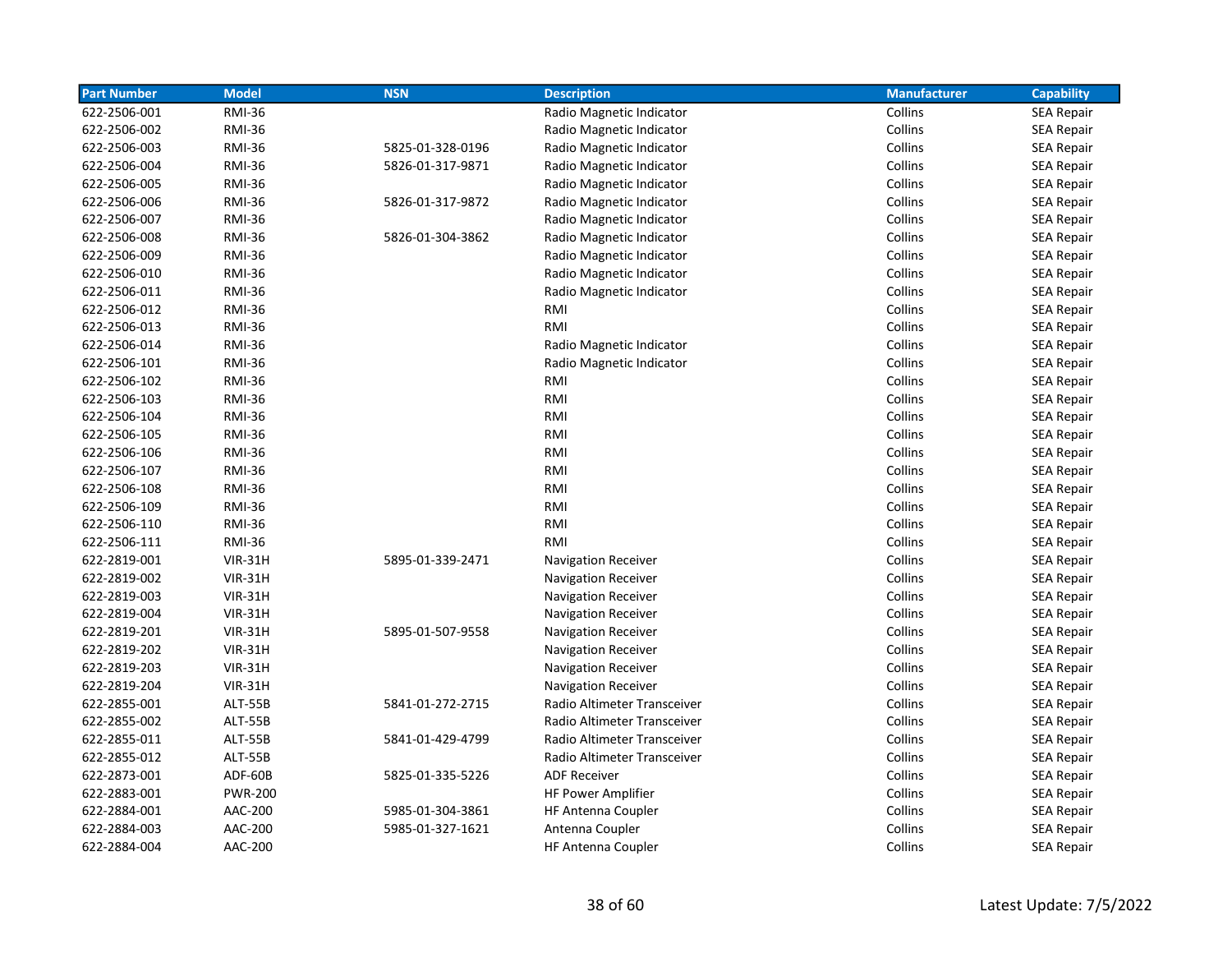| <b>Part Number</b> | <b>Model</b>   | <b>NSN</b>       | <b>Description</b>          | <b>Manufacturer</b> | <b>Capability</b> |
|--------------------|----------------|------------------|-----------------------------|---------------------|-------------------|
| 622-2506-001       | <b>RMI-36</b>  |                  | Radio Magnetic Indicator    | Collins             | SEA Repair        |
| 622-2506-002       | <b>RMI-36</b>  |                  | Radio Magnetic Indicator    | Collins             | <b>SEA Repair</b> |
| 622-2506-003       | <b>RMI-36</b>  | 5825-01-328-0196 | Radio Magnetic Indicator    | Collins             | <b>SEA Repair</b> |
| 622-2506-004       | <b>RMI-36</b>  | 5826-01-317-9871 | Radio Magnetic Indicator    | Collins             | <b>SEA Repair</b> |
| 622-2506-005       | <b>RMI-36</b>  |                  | Radio Magnetic Indicator    | Collins             | <b>SEA Repair</b> |
| 622-2506-006       | <b>RMI-36</b>  | 5826-01-317-9872 | Radio Magnetic Indicator    | Collins             | <b>SEA Repair</b> |
| 622-2506-007       | <b>RMI-36</b>  |                  | Radio Magnetic Indicator    | Collins             | SEA Repair        |
| 622-2506-008       | <b>RMI-36</b>  | 5826-01-304-3862 | Radio Magnetic Indicator    | Collins             | SEA Repair        |
| 622-2506-009       | <b>RMI-36</b>  |                  | Radio Magnetic Indicator    | Collins             | SEA Repair        |
| 622-2506-010       | <b>RMI-36</b>  |                  | Radio Magnetic Indicator    | Collins             | <b>SEA Repair</b> |
| 622-2506-011       | <b>RMI-36</b>  |                  | Radio Magnetic Indicator    | Collins             | <b>SEA Repair</b> |
| 622-2506-012       | <b>RMI-36</b>  |                  | RMI                         | Collins             | <b>SEA Repair</b> |
| 622-2506-013       | <b>RMI-36</b>  |                  | RMI                         | Collins             | <b>SEA Repair</b> |
| 622-2506-014       | <b>RMI-36</b>  |                  | Radio Magnetic Indicator    | Collins             | <b>SEA Repair</b> |
| 622-2506-101       | <b>RMI-36</b>  |                  | Radio Magnetic Indicator    | Collins             | SEA Repair        |
| 622-2506-102       | <b>RMI-36</b>  |                  | RMI                         | Collins             | SEA Repair        |
| 622-2506-103       | <b>RMI-36</b>  |                  | RMI                         | Collins             | <b>SEA Repair</b> |
| 622-2506-104       | <b>RMI-36</b>  |                  | RMI                         | Collins             | <b>SEA Repair</b> |
| 622-2506-105       | <b>RMI-36</b>  |                  | RMI                         | Collins             | <b>SEA Repair</b> |
| 622-2506-106       | <b>RMI-36</b>  |                  | RMI                         | Collins             | <b>SEA Repair</b> |
| 622-2506-107       | <b>RMI-36</b>  |                  | RMI                         | Collins             | <b>SEA Repair</b> |
| 622-2506-108       | <b>RMI-36</b>  |                  | RMI                         | Collins             | <b>SEA Repair</b> |
| 622-2506-109       | <b>RMI-36</b>  |                  | RMI                         | Collins             | <b>SEA Repair</b> |
| 622-2506-110       | <b>RMI-36</b>  |                  | RMI                         | Collins             | SEA Repair        |
| 622-2506-111       | <b>RMI-36</b>  |                  | RMI                         | Collins             | SEA Repair        |
| 622-2819-001       | <b>VIR-31H</b> | 5895-01-339-2471 | <b>Navigation Receiver</b>  | Collins             | <b>SEA Repair</b> |
| 622-2819-002       | <b>VIR-31H</b> |                  | <b>Navigation Receiver</b>  | Collins             | <b>SEA Repair</b> |
| 622-2819-003       | <b>VIR-31H</b> |                  | Navigation Receiver         | Collins             | <b>SEA Repair</b> |
| 622-2819-004       | $VIR-31H$      |                  | Navigation Receiver         | Collins             | <b>SEA Repair</b> |
| 622-2819-201       | <b>VIR-31H</b> | 5895-01-507-9558 | Navigation Receiver         | Collins             | <b>SEA Repair</b> |
| 622-2819-202       | <b>VIR-31H</b> |                  | Navigation Receiver         | Collins             | <b>SEA Repair</b> |
| 622-2819-203       | $VIR-31H$      |                  | <b>Navigation Receiver</b>  | Collins             | SEA Repair        |
| 622-2819-204       | $VIR-31H$      |                  | <b>Navigation Receiver</b>  | Collins             | SEA Repair        |
| 622-2855-001       | ALT-55B        | 5841-01-272-2715 | Radio Altimeter Transceiver | Collins             | <b>SEA Repair</b> |
| 622-2855-002       | ALT-55B        |                  | Radio Altimeter Transceiver | Collins             | <b>SEA Repair</b> |
| 622-2855-011       | <b>ALT-55B</b> | 5841-01-429-4799 | Radio Altimeter Transceiver | Collins             | <b>SEA Repair</b> |
| 622-2855-012       | ALT-55B        |                  | Radio Altimeter Transceiver | Collins             | <b>SEA Repair</b> |
| 622-2873-001       | ADF-60B        | 5825-01-335-5226 | <b>ADF Receiver</b>         | Collins             | SEA Repair        |
| 622-2883-001       | <b>PWR-200</b> |                  | HF Power Amplifier          | Collins             | SEA Repair        |
| 622-2884-001       | AAC-200        | 5985-01-304-3861 | <b>HF Antenna Coupler</b>   | Collins             | <b>SEA Repair</b> |
| 622-2884-003       | AAC-200        | 5985-01-327-1621 | Antenna Coupler             | Collins             | <b>SEA Repair</b> |
| 622-2884-004       | <b>AAC-200</b> |                  | <b>HF Antenna Coupler</b>   | Collins             | SEA Repair        |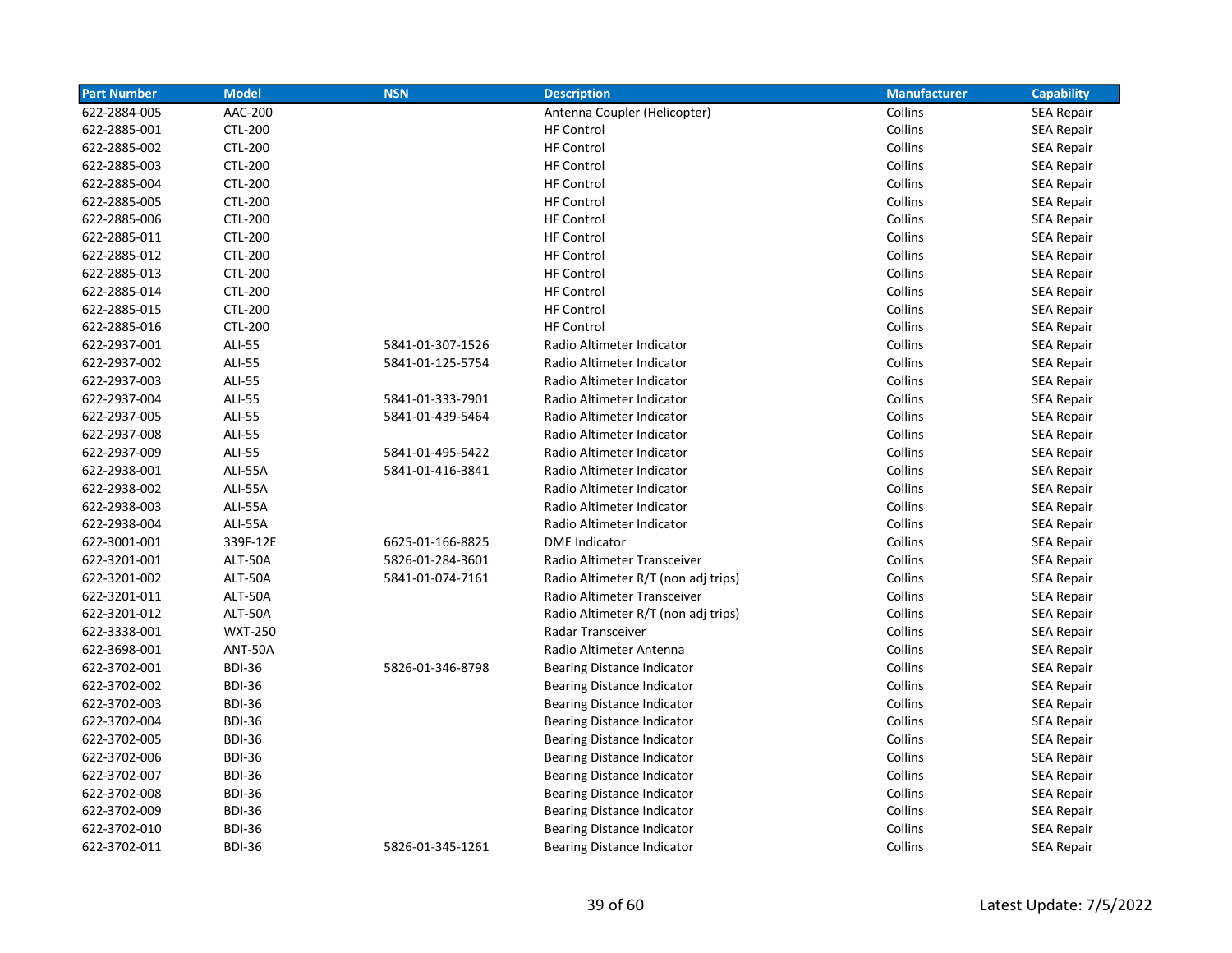| <b>Part Number</b> | <b>Model</b>   | <b>NSN</b>       | <b>Description</b>                  | <b>Manufacturer</b> | <b>Capability</b> |
|--------------------|----------------|------------------|-------------------------------------|---------------------|-------------------|
| 622-2884-005       | AAC-200        |                  | Antenna Coupler (Helicopter)        | Collins             | <b>SEA Repair</b> |
| 622-2885-001       | <b>CTL-200</b> |                  | <b>HF Control</b>                   | Collins             | <b>SEA Repair</b> |
| 622-2885-002       | <b>CTL-200</b> |                  | <b>HF Control</b>                   | Collins             | <b>SEA Repair</b> |
| 622-2885-003       | <b>CTL-200</b> |                  | <b>HF Control</b>                   | Collins             | <b>SEA Repair</b> |
| 622-2885-004       | <b>CTL-200</b> |                  | <b>HF Control</b>                   | Collins             | <b>SEA Repair</b> |
| 622-2885-005       | <b>CTL-200</b> |                  | <b>HF Control</b>                   | Collins             | <b>SEA Repair</b> |
| 622-2885-006       | <b>CTL-200</b> |                  | <b>HF Control</b>                   | Collins             | <b>SEA Repair</b> |
| 622-2885-011       | <b>CTL-200</b> |                  | <b>HF Control</b>                   | Collins             | <b>SEA Repair</b> |
| 622-2885-012       | CTL-200        |                  | <b>HF Control</b>                   | Collins             | SEA Repair        |
| 622-2885-013       | <b>CTL-200</b> |                  | <b>HF Control</b>                   | Collins             | <b>SEA Repair</b> |
| 622-2885-014       | <b>CTL-200</b> |                  | <b>HF Control</b>                   | Collins             | <b>SEA Repair</b> |
| 622-2885-015       | <b>CTL-200</b> |                  | <b>HF Control</b>                   | Collins             | <b>SEA Repair</b> |
| 622-2885-016       | <b>CTL-200</b> |                  | <b>HF Control</b>                   | Collins             | <b>SEA Repair</b> |
| 622-2937-001       | <b>ALI-55</b>  | 5841-01-307-1526 | Radio Altimeter Indicator           | Collins             | <b>SEA Repair</b> |
| 622-2937-002       | <b>ALI-55</b>  | 5841-01-125-5754 | Radio Altimeter Indicator           | Collins             | <b>SEA Repair</b> |
| 622-2937-003       | <b>ALI-55</b>  |                  | Radio Altimeter Indicator           | Collins             | <b>SEA Repair</b> |
| 622-2937-004       | <b>ALI-55</b>  | 5841-01-333-7901 | Radio Altimeter Indicator           | Collins             | <b>SEA Repair</b> |
| 622-2937-005       | <b>ALI-55</b>  | 5841-01-439-5464 | Radio Altimeter Indicator           | Collins             | <b>SEA Repair</b> |
| 622-2937-008       | <b>ALI-55</b>  |                  | Radio Altimeter Indicator           | Collins             | <b>SEA Repair</b> |
| 622-2937-009       | <b>ALI-55</b>  | 5841-01-495-5422 | Radio Altimeter Indicator           | Collins             | <b>SEA Repair</b> |
| 622-2938-001       | ALI-55A        | 5841-01-416-3841 | Radio Altimeter Indicator           | Collins             | <b>SEA Repair</b> |
| 622-2938-002       | ALI-55A        |                  | Radio Altimeter Indicator           | Collins             | <b>SEA Repair</b> |
| 622-2938-003       | ALI-55A        |                  | Radio Altimeter Indicator           | Collins             | <b>SEA Repair</b> |
| 622-2938-004       | ALI-55A        |                  | Radio Altimeter Indicator           | Collins             | <b>SEA Repair</b> |
| 622-3001-001       | 339F-12E       | 6625-01-166-8825 | <b>DME</b> Indicator                | Collins             | SEA Repair        |
| 622-3201-001       | ALT-50A        | 5826-01-284-3601 | Radio Altimeter Transceiver         | Collins             | SEA Repair        |
| 622-3201-002       | ALT-50A        | 5841-01-074-7161 | Radio Altimeter R/T (non adj trips) | Collins             | <b>SEA Repair</b> |
| 622-3201-011       | ALT-50A        |                  | Radio Altimeter Transceiver         | Collins             | <b>SEA Repair</b> |
| 622-3201-012       | ALT-50A        |                  | Radio Altimeter R/T (non adj trips) | Collins             | <b>SEA Repair</b> |
| 622-3338-001       | <b>WXT-250</b> |                  | Radar Transceiver                   | Collins             | <b>SEA Repair</b> |
| 622-3698-001       | <b>ANT-50A</b> |                  | Radio Altimeter Antenna             | Collins             | <b>SEA Repair</b> |
| 622-3702-001       | <b>BDI-36</b>  | 5826-01-346-8798 | Bearing Distance Indicator          | Collins             | <b>SEA Repair</b> |
| 622-3702-002       | <b>BDI-36</b>  |                  | <b>Bearing Distance Indicator</b>   | Collins             | SEA Repair        |
| 622-3702-003       | <b>BDI-36</b>  |                  | <b>Bearing Distance Indicator</b>   | Collins             | SEA Repair        |
| 622-3702-004       | <b>BDI-36</b>  |                  | <b>Bearing Distance Indicator</b>   | Collins             | <b>SEA Repair</b> |
| 622-3702-005       | <b>BDI-36</b>  |                  | <b>Bearing Distance Indicator</b>   | Collins             | <b>SEA Repair</b> |
| 622-3702-006       | <b>BDI-36</b>  |                  | <b>Bearing Distance Indicator</b>   | Collins             | <b>SEA Repair</b> |
| 622-3702-007       | <b>BDI-36</b>  |                  | <b>Bearing Distance Indicator</b>   | Collins             | <b>SEA Repair</b> |
| 622-3702-008       | <b>BDI-36</b>  |                  | <b>Bearing Distance Indicator</b>   | Collins             | <b>SEA Repair</b> |
| 622-3702-009       | <b>BDI-36</b>  |                  | <b>Bearing Distance Indicator</b>   | Collins             | <b>SEA Repair</b> |
| 622-3702-010       | <b>BDI-36</b>  |                  | <b>Bearing Distance Indicator</b>   | Collins             | <b>SEA Repair</b> |
| 622-3702-011       | <b>BDI-36</b>  | 5826-01-345-1261 | <b>Bearing Distance Indicator</b>   | Collins             | <b>SEA Repair</b> |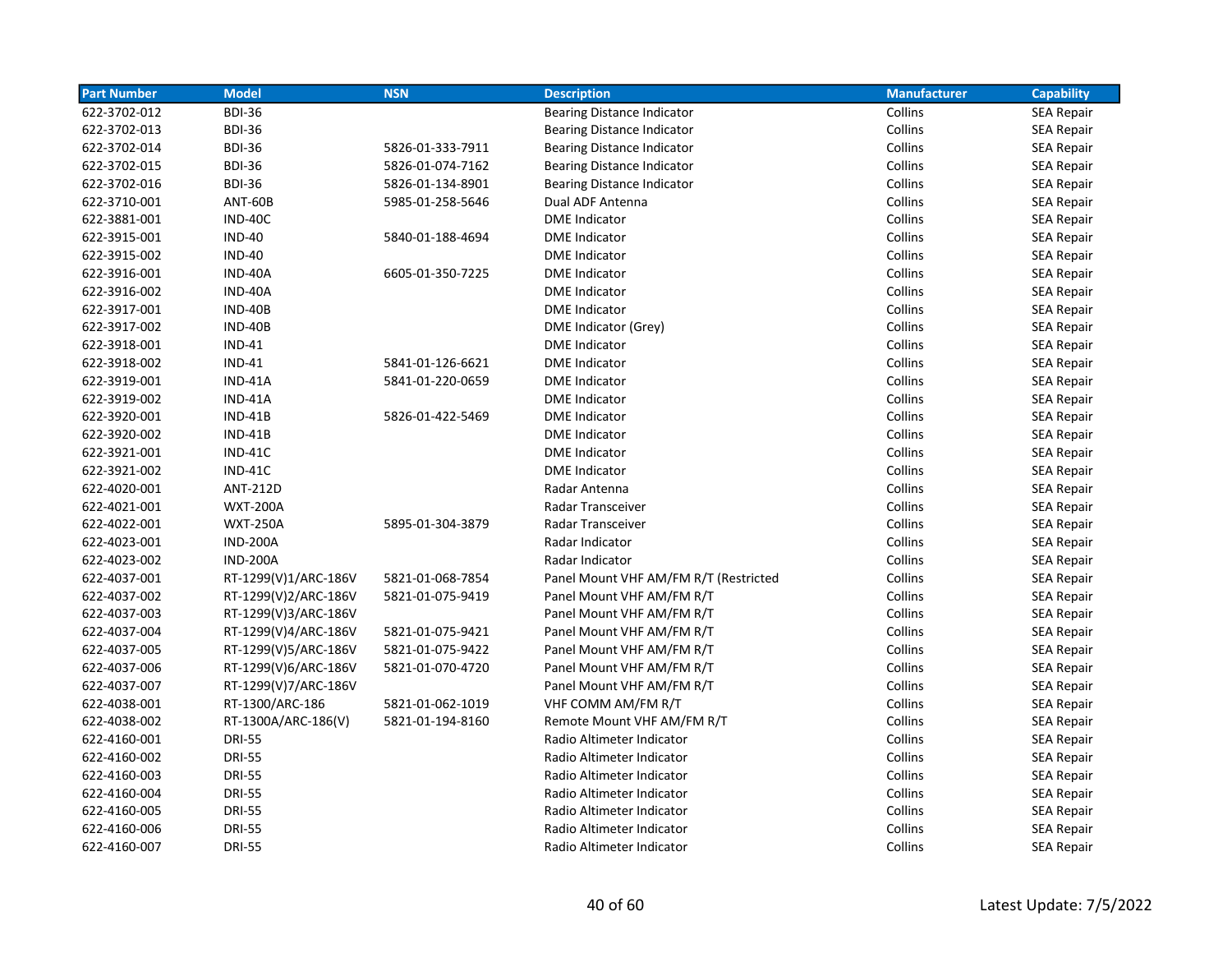| <b>Part Number</b> | <b>Model</b>         | <b>NSN</b>       | <b>Description</b>                    | <b>Manufacturer</b> | <b>Capability</b> |
|--------------------|----------------------|------------------|---------------------------------------|---------------------|-------------------|
| 622-3702-012       | <b>BDI-36</b>        |                  | <b>Bearing Distance Indicator</b>     | Collins             | <b>SEA Repair</b> |
| 622-3702-013       | <b>BDI-36</b>        |                  | <b>Bearing Distance Indicator</b>     | Collins             | <b>SEA Repair</b> |
| 622-3702-014       | <b>BDI-36</b>        | 5826-01-333-7911 | Bearing Distance Indicator            | Collins             | <b>SEA Repair</b> |
| 622-3702-015       | <b>BDI-36</b>        | 5826-01-074-7162 | <b>Bearing Distance Indicator</b>     | Collins             | <b>SEA Repair</b> |
| 622-3702-016       | <b>BDI-36</b>        | 5826-01-134-8901 | <b>Bearing Distance Indicator</b>     | Collins             | <b>SEA Repair</b> |
| 622-3710-001       | ANT-60B              | 5985-01-258-5646 | Dual ADF Antenna                      | Collins             | <b>SEA Repair</b> |
| 622-3881-001       | IND-40C              |                  | <b>DME</b> Indicator                  | Collins             | SEA Repair        |
| 622-3915-001       | <b>IND-40</b>        | 5840-01-188-4694 | <b>DME</b> Indicator                  | Collins             | <b>SEA Repair</b> |
| 622-3915-002       | <b>IND-40</b>        |                  | <b>DME</b> Indicator                  | Collins             | <b>SEA Repair</b> |
| 622-3916-001       | IND-40A              | 6605-01-350-7225 | <b>DME Indicator</b>                  | Collins             | <b>SEA Repair</b> |
| 622-3916-002       | IND-40A              |                  | <b>DME</b> Indicator                  | Collins             | SEA Repair        |
| 622-3917-001       | <b>IND-40B</b>       |                  | <b>DME</b> Indicator                  | Collins             | <b>SEA Repair</b> |
| 622-3917-002       | <b>IND-40B</b>       |                  | DME Indicator (Grey)                  | Collins             | <b>SEA Repair</b> |
| 622-3918-001       | <b>IND-41</b>        |                  | <b>DME</b> Indicator                  | Collins             | SEA Repair        |
| 622-3918-002       | <b>IND-41</b>        | 5841-01-126-6621 | <b>DME</b> Indicator                  | Collins             | <b>SEA Repair</b> |
| 622-3919-001       | IND-41A              | 5841-01-220-0659 | <b>DME Indicator</b>                  | Collins             | <b>SEA Repair</b> |
| 622-3919-002       | IND-41A              |                  | <b>DME</b> Indicator                  | Collins             | <b>SEA Repair</b> |
| 622-3920-001       | $IND-41B$            | 5826-01-422-5469 | <b>DME Indicator</b>                  | Collins             | <b>SEA Repair</b> |
| 622-3920-002       | $IND-41B$            |                  | <b>DME Indicator</b>                  | Collins             | SEA Repair        |
| 622-3921-001       | IND-41C              |                  | <b>DME</b> Indicator                  | Collins             | <b>SEA Repair</b> |
| 622-3921-002       | $IND-41C$            |                  | <b>DME</b> Indicator                  | Collins             | SEA Repair        |
| 622-4020-001       | <b>ANT-212D</b>      |                  | Radar Antenna                         | Collins             | <b>SEA Repair</b> |
| 622-4021-001       | <b>WXT-200A</b>      |                  | Radar Transceiver                     | Collins             | <b>SEA Repair</b> |
| 622-4022-001       | <b>WXT-250A</b>      | 5895-01-304-3879 | Radar Transceiver                     | Collins             | <b>SEA Repair</b> |
| 622-4023-001       | <b>IND-200A</b>      |                  | Radar Indicator                       | Collins             | <b>SEA Repair</b> |
| 622-4023-002       | <b>IND-200A</b>      |                  | Radar Indicator                       | Collins             | <b>SEA Repair</b> |
| 622-4037-001       | RT-1299(V)1/ARC-186V | 5821-01-068-7854 | Panel Mount VHF AM/FM R/T (Restricted | Collins             | <b>SEA Repair</b> |
| 622-4037-002       | RT-1299(V)2/ARC-186V | 5821-01-075-9419 | Panel Mount VHF AM/FM R/T             | Collins             | SEA Repair        |
| 622-4037-003       | RT-1299(V)3/ARC-186V |                  | Panel Mount VHF AM/FM R/T             | Collins             | <b>SEA Repair</b> |
| 622-4037-004       | RT-1299(V)4/ARC-186V | 5821-01-075-9421 | Panel Mount VHF AM/FM R/T             | Collins             | <b>SEA Repair</b> |
| 622-4037-005       | RT-1299(V)5/ARC-186V | 5821-01-075-9422 | Panel Mount VHF AM/FM R/T             | Collins             | <b>SEA Repair</b> |
| 622-4037-006       | RT-1299(V)6/ARC-186V | 5821-01-070-4720 | Panel Mount VHF AM/FM R/T             | Collins             | <b>SEA Repair</b> |
| 622-4037-007       | RT-1299(V)7/ARC-186V |                  | Panel Mount VHF AM/FM R/T             | Collins             | <b>SEA Repair</b> |
| 622-4038-001       | RT-1300/ARC-186      | 5821-01-062-1019 | VHF COMM AM/FM R/T                    | Collins             | <b>SEA Repair</b> |
| 622-4038-002       | RT-1300A/ARC-186(V)  | 5821-01-194-8160 | Remote Mount VHF AM/FM R/T            | Collins             | SEA Repair        |
| 622-4160-001       | <b>DRI-55</b>        |                  | Radio Altimeter Indicator             | Collins             | SEA Repair        |
| 622-4160-002       | <b>DRI-55</b>        |                  | Radio Altimeter Indicator             | Collins             | <b>SEA Repair</b> |
| 622-4160-003       | <b>DRI-55</b>        |                  | Radio Altimeter Indicator             | Collins             | <b>SEA Repair</b> |
| 622-4160-004       | <b>DRI-55</b>        |                  | Radio Altimeter Indicator             | Collins             | <b>SEA Repair</b> |
| 622-4160-005       | <b>DRI-55</b>        |                  | Radio Altimeter Indicator             | Collins             | <b>SEA Repair</b> |
| 622-4160-006       | <b>DRI-55</b>        |                  | Radio Altimeter Indicator             | Collins             | <b>SEA Repair</b> |
| 622-4160-007       | <b>DRI-55</b>        |                  | Radio Altimeter Indicator             | Collins             | SEA Repair        |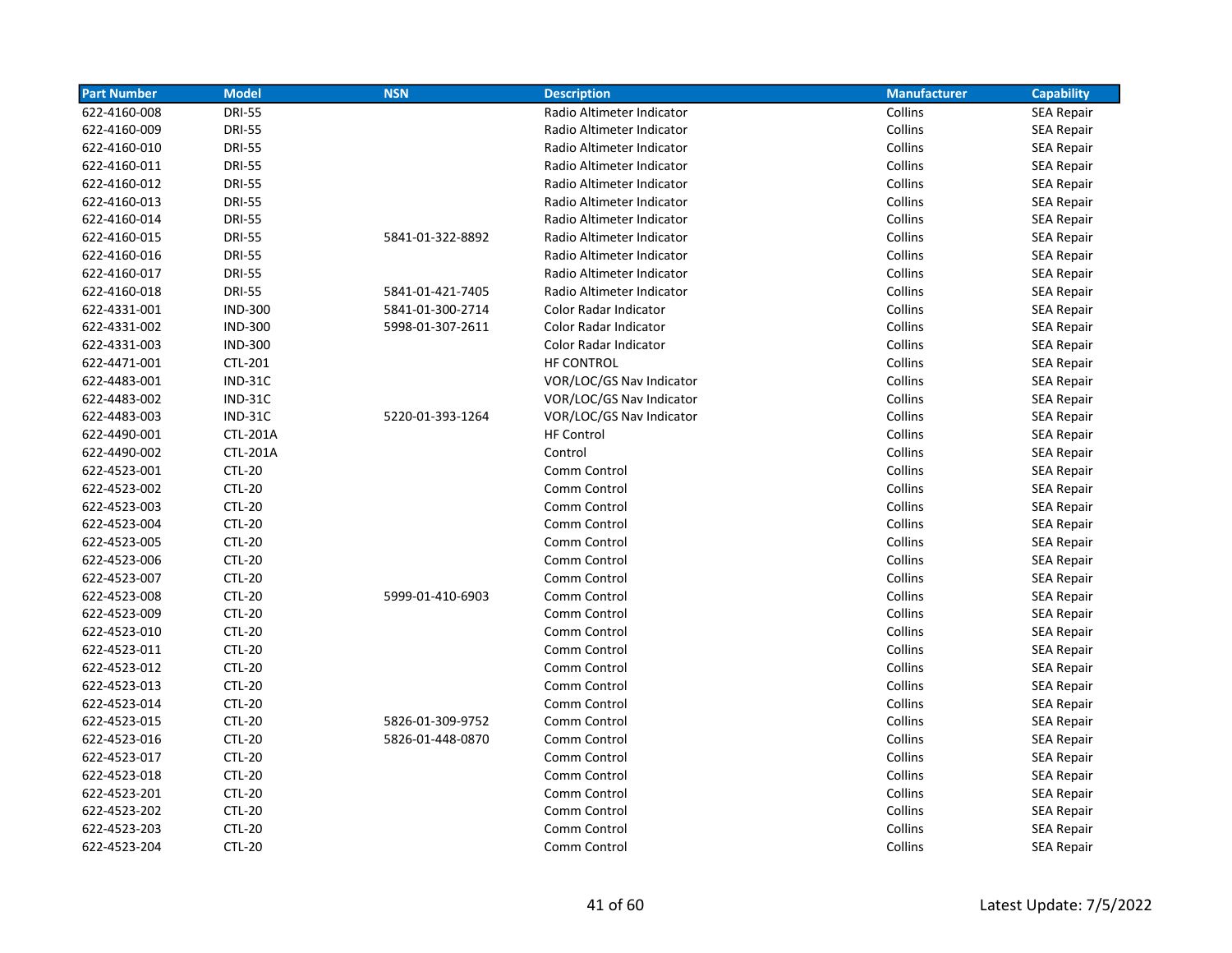| <b>Part Number</b> | <b>Model</b>    | <b>NSN</b>       | <b>Description</b>        | <b>Manufacturer</b> | <b>Capability</b> |
|--------------------|-----------------|------------------|---------------------------|---------------------|-------------------|
| 622-4160-008       | <b>DRI-55</b>   |                  | Radio Altimeter Indicator | Collins             | <b>SEA Repair</b> |
| 622-4160-009       | <b>DRI-55</b>   |                  | Radio Altimeter Indicator | Collins             | <b>SEA Repair</b> |
| 622-4160-010       | <b>DRI-55</b>   |                  | Radio Altimeter Indicator | Collins             | SEA Repair        |
| 622-4160-011       | <b>DRI-55</b>   |                  | Radio Altimeter Indicator | Collins             | <b>SEA Repair</b> |
| 622-4160-012       | <b>DRI-55</b>   |                  | Radio Altimeter Indicator | Collins             | <b>SEA Repair</b> |
| 622-4160-013       | <b>DRI-55</b>   |                  | Radio Altimeter Indicator | Collins             | <b>SEA Repair</b> |
| 622-4160-014       | <b>DRI-55</b>   |                  | Radio Altimeter Indicator | Collins             | <b>SEA Repair</b> |
| 622-4160-015       | <b>DRI-55</b>   | 5841-01-322-8892 | Radio Altimeter Indicator | Collins             | <b>SEA Repair</b> |
| 622-4160-016       | <b>DRI-55</b>   |                  | Radio Altimeter Indicator | Collins             | <b>SEA Repair</b> |
| 622-4160-017       | <b>DRI-55</b>   |                  | Radio Altimeter Indicator | Collins             | <b>SEA Repair</b> |
| 622-4160-018       | <b>DRI-55</b>   | 5841-01-421-7405 | Radio Altimeter Indicator | Collins             | <b>SEA Repair</b> |
| 622-4331-001       | <b>IND-300</b>  | 5841-01-300-2714 | Color Radar Indicator     | Collins             | <b>SEA Repair</b> |
| 622-4331-002       | <b>IND-300</b>  | 5998-01-307-2611 | Color Radar Indicator     | Collins             | <b>SEA Repair</b> |
| 622-4331-003       | <b>IND-300</b>  |                  | Color Radar Indicator     | Collins             | <b>SEA Repair</b> |
| 622-4471-001       | <b>CTL-201</b>  |                  | <b>HF CONTROL</b>         | Collins             | <b>SEA Repair</b> |
| 622-4483-001       | <b>IND-31C</b>  |                  | VOR/LOC/GS Nav Indicator  | Collins             | <b>SEA Repair</b> |
| 622-4483-002       | $IND-31C$       |                  | VOR/LOC/GS Nav Indicator  | Collins             | <b>SEA Repair</b> |
| 622-4483-003       | $IND-31C$       | 5220-01-393-1264 | VOR/LOC/GS Nav Indicator  | Collins             | <b>SEA Repair</b> |
| 622-4490-001       | <b>CTL-201A</b> |                  | <b>HF Control</b>         | Collins             | <b>SEA Repair</b> |
| 622-4490-002       | <b>CTL-201A</b> |                  | Control                   | Collins             | SEA Repair        |
| 622-4523-001       | <b>CTL-20</b>   |                  | Comm Control              | Collins             | SEA Repair        |
| 622-4523-002       | <b>CTL-20</b>   |                  | Comm Control              | Collins             | <b>SEA Repair</b> |
| 622-4523-003       | <b>CTL-20</b>   |                  | Comm Control              | Collins             | <b>SEA Repair</b> |
| 622-4523-004       | <b>CTL-20</b>   |                  | Comm Control              | Collins             | <b>SEA Repair</b> |
| 622-4523-005       | <b>CTL-20</b>   |                  | Comm Control              | Collins             | <b>SEA Repair</b> |
| 622-4523-006       | <b>CTL-20</b>   |                  | Comm Control              | Collins             | <b>SEA Repair</b> |
| 622-4523-007       | <b>CTL-20</b>   |                  | Comm Control              | Collins             | <b>SEA Repair</b> |
| 622-4523-008       | <b>CTL-20</b>   | 5999-01-410-6903 | Comm Control              | Collins             | <b>SEA Repair</b> |
| 622-4523-009       | <b>CTL-20</b>   |                  | Comm Control              | Collins             | <b>SEA Repair</b> |
| 622-4523-010       | <b>CTL-20</b>   |                  | Comm Control              | Collins             | <b>SEA Repair</b> |
| 622-4523-011       | <b>CTL-20</b>   |                  | Comm Control              | Collins             | <b>SEA Repair</b> |
| 622-4523-012       | <b>CTL-20</b>   |                  | Comm Control              | Collins             | SEA Repair        |
| 622-4523-013       | <b>CTL-20</b>   |                  | Comm Control              | Collins             | <b>SEA Repair</b> |
| 622-4523-014       | <b>CTL-20</b>   |                  | Comm Control              | Collins             | <b>SEA Repair</b> |
| 622-4523-015       | <b>CTL-20</b>   | 5826-01-309-9752 | Comm Control              | Collins             | SEA Repair        |
| 622-4523-016       | <b>CTL-20</b>   | 5826-01-448-0870 | Comm Control              | Collins             | SEA Repair        |
| 622-4523-017       | <b>CTL-20</b>   |                  | Comm Control              | Collins             | SEA Repair        |
| 622-4523-018       | <b>CTL-20</b>   |                  | Comm Control              | Collins             | <b>SEA Repair</b> |
| 622-4523-201       | <b>CTL-20</b>   |                  | Comm Control              | Collins             | <b>SEA Repair</b> |
| 622-4523-202       | <b>CTL-20</b>   |                  | Comm Control              | Collins             | SEA Repair        |
| 622-4523-203       | <b>CTL-20</b>   |                  | Comm Control              | Collins             | <b>SEA Repair</b> |
| 622-4523-204       | <b>CTL-20</b>   |                  | Comm Control              | Collins             | <b>SEA Repair</b> |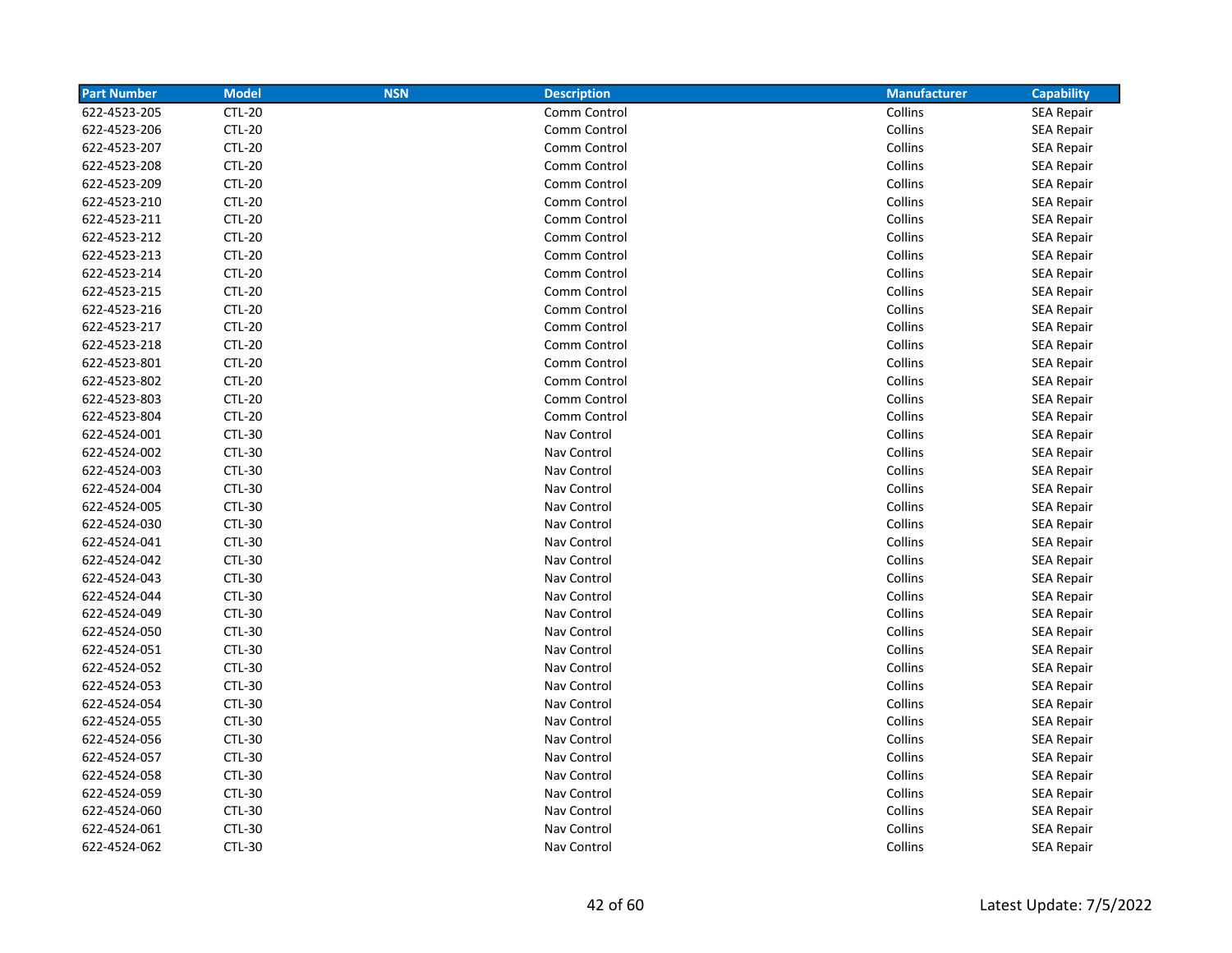| <b>Part Number</b> | <b>Model</b>  | <b>NSN</b> | <b>Description</b> | <b>Manufacturer</b> | <b>Capability</b> |
|--------------------|---------------|------------|--------------------|---------------------|-------------------|
| 622-4523-205       | <b>CTL-20</b> |            | Comm Control       | Collins             | <b>SEA Repair</b> |
| 622-4523-206       | <b>CTL-20</b> |            | Comm Control       | Collins             | <b>SEA Repair</b> |
| 622-4523-207       | <b>CTL-20</b> |            | Comm Control       | Collins             | <b>SEA Repair</b> |
| 622-4523-208       | <b>CTL-20</b> |            | Comm Control       | Collins             | <b>SEA Repair</b> |
| 622-4523-209       | <b>CTL-20</b> |            | Comm Control       | Collins             | <b>SEA Repair</b> |
| 622-4523-210       | <b>CTL-20</b> |            | Comm Control       | Collins             | <b>SEA Repair</b> |
| 622-4523-211       | <b>CTL-20</b> |            | Comm Control       | Collins             | <b>SEA Repair</b> |
| 622-4523-212       | <b>CTL-20</b> |            | Comm Control       | Collins             | <b>SEA Repair</b> |
| 622-4523-213       | <b>CTL-20</b> |            | Comm Control       | Collins             | <b>SEA Repair</b> |
| 622-4523-214       | <b>CTL-20</b> |            | Comm Control       | Collins             | <b>SEA Repair</b> |
| 622-4523-215       | <b>CTL-20</b> |            | Comm Control       | Collins             | <b>SEA Repair</b> |
| 622-4523-216       | <b>CTL-20</b> |            | Comm Control       | Collins             | <b>SEA Repair</b> |
| 622-4523-217       | <b>CTL-20</b> |            | Comm Control       | Collins             | <b>SEA Repair</b> |
| 622-4523-218       | <b>CTL-20</b> |            | Comm Control       | Collins             | <b>SEA Repair</b> |
| 622-4523-801       | <b>CTL-20</b> |            | Comm Control       | Collins             | <b>SEA Repair</b> |
| 622-4523-802       | <b>CTL-20</b> |            | Comm Control       | Collins             | <b>SEA Repair</b> |
| 622-4523-803       | <b>CTL-20</b> |            | Comm Control       | Collins             | <b>SEA Repair</b> |
| 622-4523-804       | <b>CTL-20</b> |            | Comm Control       | Collins             | <b>SEA Repair</b> |
| 622-4524-001       | <b>CTL-30</b> |            | Nav Control        | Collins             | <b>SEA Repair</b> |
| 622-4524-002       | <b>CTL-30</b> |            | Nav Control        | Collins             | <b>SEA Repair</b> |
| 622-4524-003       | <b>CTL-30</b> |            | Nav Control        | Collins             | <b>SEA Repair</b> |
| 622-4524-004       | <b>CTL-30</b> |            | Nav Control        | Collins             | <b>SEA Repair</b> |
| 622-4524-005       | <b>CTL-30</b> |            | Nav Control        | Collins             | <b>SEA Repair</b> |
| 622-4524-030       | <b>CTL-30</b> |            | Nav Control        | Collins             | <b>SEA Repair</b> |
| 622-4524-041       | <b>CTL-30</b> |            | Nav Control        | Collins             | <b>SEA Repair</b> |
| 622-4524-042       | CTL-30        |            | Nav Control        | Collins             | <b>SEA Repair</b> |
| 622-4524-043       | CTL-30        |            | Nav Control        | Collins             | <b>SEA Repair</b> |
| 622-4524-044       | <b>CTL-30</b> |            | Nav Control        | Collins             | <b>SEA Repair</b> |
| 622-4524-049       | <b>CTL-30</b> |            | Nav Control        | Collins             | <b>SEA Repair</b> |
| 622-4524-050       | <b>CTL-30</b> |            | Nav Control        | Collins             | <b>SEA Repair</b> |
| 622-4524-051       | <b>CTL-30</b> |            | Nav Control        | Collins             | <b>SEA Repair</b> |
| 622-4524-052       | <b>CTL-30</b> |            | Nav Control        | Collins             | <b>SEA Repair</b> |
| 622-4524-053       | <b>CTL-30</b> |            | Nav Control        | Collins             | <b>SEA Repair</b> |
| 622-4524-054       | CTL-30        |            | Nav Control        | Collins             | <b>SEA Repair</b> |
| 622-4524-055       | <b>CTL-30</b> |            | Nav Control        | Collins             | <b>SEA Repair</b> |
| 622-4524-056       | <b>CTL-30</b> |            | Nav Control        | Collins             | <b>SEA Repair</b> |
| 622-4524-057       | <b>CTL-30</b> |            | Nav Control        | Collins             | SEA Repair        |
| 622-4524-058       | <b>CTL-30</b> |            | Nav Control        | Collins             | <b>SEA Repair</b> |
| 622-4524-059       | <b>CTL-30</b> |            | Nav Control        | Collins             | <b>SEA Repair</b> |
| 622-4524-060       | <b>CTL-30</b> |            | Nav Control        | Collins             | <b>SEA Repair</b> |
| 622-4524-061       | <b>CTL-30</b> |            | Nav Control        | Collins             | <b>SEA Repair</b> |
| 622-4524-062       | <b>CTL-30</b> |            | Nav Control        | Collins             | <b>SEA Repair</b> |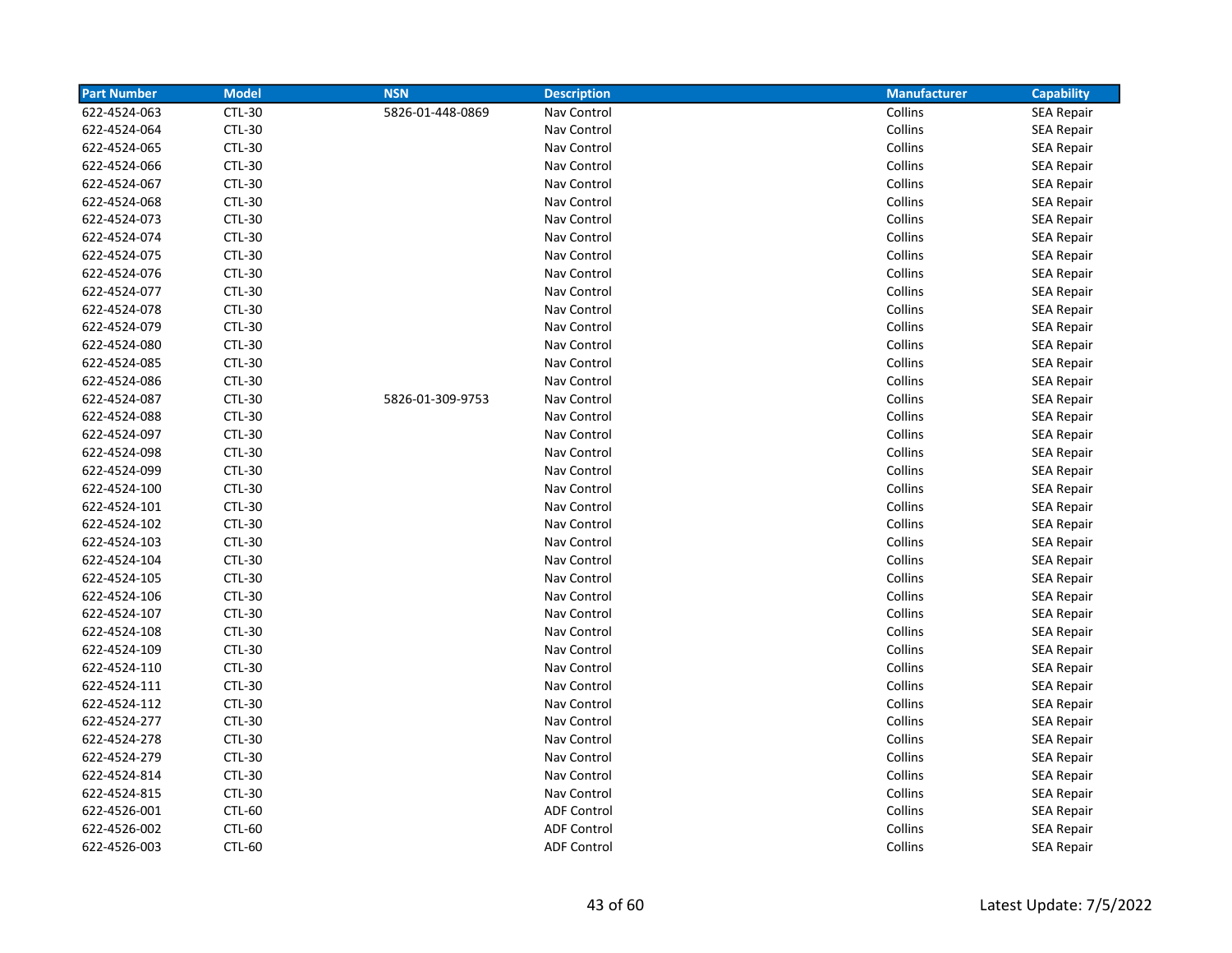| <b>Part Number</b> | <b>Model</b>  | <b>NSN</b>       | <b>Description</b> | <b>Manufacturer</b> | Capability        |
|--------------------|---------------|------------------|--------------------|---------------------|-------------------|
| 622-4524-063       | <b>CTL-30</b> | 5826-01-448-0869 | Nav Control        | Collins             | <b>SEA Repair</b> |
| 622-4524-064       | <b>CTL-30</b> |                  | Nav Control        | Collins             | <b>SEA Repair</b> |
| 622-4524-065       | <b>CTL-30</b> |                  | Nav Control        | Collins             | <b>SEA Repair</b> |
| 622-4524-066       | <b>CTL-30</b> |                  | Nav Control        | Collins             | <b>SEA Repair</b> |
| 622-4524-067       | <b>CTL-30</b> |                  | Nav Control        | Collins             | <b>SEA Repair</b> |
| 622-4524-068       | <b>CTL-30</b> |                  | Nav Control        | Collins             | <b>SEA Repair</b> |
| 622-4524-073       | <b>CTL-30</b> |                  | Nav Control        | Collins             | <b>SEA Repair</b> |
| 622-4524-074       | <b>CTL-30</b> |                  | Nav Control        | Collins             | <b>SEA Repair</b> |
| 622-4524-075       | <b>CTL-30</b> |                  | Nav Control        | Collins             | <b>SEA Repair</b> |
| 622-4524-076       | <b>CTL-30</b> |                  | Nav Control        | Collins             | <b>SEA Repair</b> |
| 622-4524-077       | <b>CTL-30</b> |                  | Nav Control        | Collins             | <b>SEA Repair</b> |
| 622-4524-078       | <b>CTL-30</b> |                  | Nav Control        | Collins             | <b>SEA Repair</b> |
| 622-4524-079       | <b>CTL-30</b> |                  | Nav Control        | Collins             | <b>SEA Repair</b> |
| 622-4524-080       | <b>CTL-30</b> |                  | Nav Control        | Collins             | <b>SEA Repair</b> |
| 622-4524-085       | <b>CTL-30</b> |                  | Nav Control        | Collins             | <b>SEA Repair</b> |
| 622-4524-086       | <b>CTL-30</b> |                  | Nav Control        | Collins             | <b>SEA Repair</b> |
| 622-4524-087       | <b>CTL-30</b> | 5826-01-309-9753 | Nav Control        | Collins             | <b>SEA Repair</b> |
| 622-4524-088       | <b>CTL-30</b> |                  | Nav Control        | Collins             | SEA Repair        |
| 622-4524-097       | CTL-30        |                  | Nav Control        | Collins             | SEA Repair        |
| 622-4524-098       | <b>CTL-30</b> |                  | Nav Control        | Collins             | SEA Repair        |
| 622-4524-099       | <b>CTL-30</b> |                  | Nav Control        | Collins             | <b>SEA Repair</b> |
| 622-4524-100       | <b>CTL-30</b> |                  | Nav Control        | Collins             | <b>SEA Repair</b> |
| 622-4524-101       | <b>CTL-30</b> |                  | Nav Control        | Collins             | <b>SEA Repair</b> |
| 622-4524-102       | <b>CTL-30</b> |                  | Nav Control        | Collins             | <b>SEA Repair</b> |
| 622-4524-103       | <b>CTL-30</b> |                  | Nav Control        | Collins             | <b>SEA Repair</b> |
| 622-4524-104       | <b>CTL-30</b> |                  | Nav Control        | Collins             | <b>SEA Repair</b> |
| 622-4524-105       | <b>CTL-30</b> |                  | Nav Control        | Collins             | <b>SEA Repair</b> |
| 622-4524-106       | <b>CTL-30</b> |                  | Nav Control        | Collins             | <b>SEA Repair</b> |
| 622-4524-107       | <b>CTL-30</b> |                  | Nav Control        | Collins             | <b>SEA Repair</b> |
| 622-4524-108       | <b>CTL-30</b> |                  | Nav Control        | Collins             | <b>SEA Repair</b> |
| 622-4524-109       | <b>CTL-30</b> |                  | Nav Control        | Collins             | <b>SEA Repair</b> |
| 622-4524-110       | <b>CTL-30</b> |                  | Nav Control        | Collins             | <b>SEA Repair</b> |
| 622-4524-111       | <b>CTL-30</b> |                  | Nav Control        | Collins             | <b>SEA Repair</b> |
| 622-4524-112       | <b>CTL-30</b> |                  | Nav Control        | Collins             | <b>SEA Repair</b> |
| 622-4524-277       | <b>CTL-30</b> |                  | Nav Control        | Collins             | SEA Repair        |
| 622-4524-278       | <b>CTL-30</b> |                  | Nav Control        | Collins             | <b>SEA Repair</b> |
| 622-4524-279       | <b>CTL-30</b> |                  | Nav Control        | Collins             | <b>SEA Repair</b> |
| 622-4524-814       | <b>CTL-30</b> |                  | Nav Control        | Collins             | SEA Repair        |
| 622-4524-815       | <b>CTL-30</b> |                  | Nav Control        | Collins             | <b>SEA Repair</b> |
| 622-4526-001       | <b>CTL-60</b> |                  | <b>ADF Control</b> | Collins             | <b>SEA Repair</b> |
| 622-4526-002       | <b>CTL-60</b> |                  | <b>ADF Control</b> | Collins             | <b>SEA Repair</b> |
| 622-4526-003       | CTL-60        |                  | <b>ADF Control</b> | Collins             | <b>SEA Repair</b> |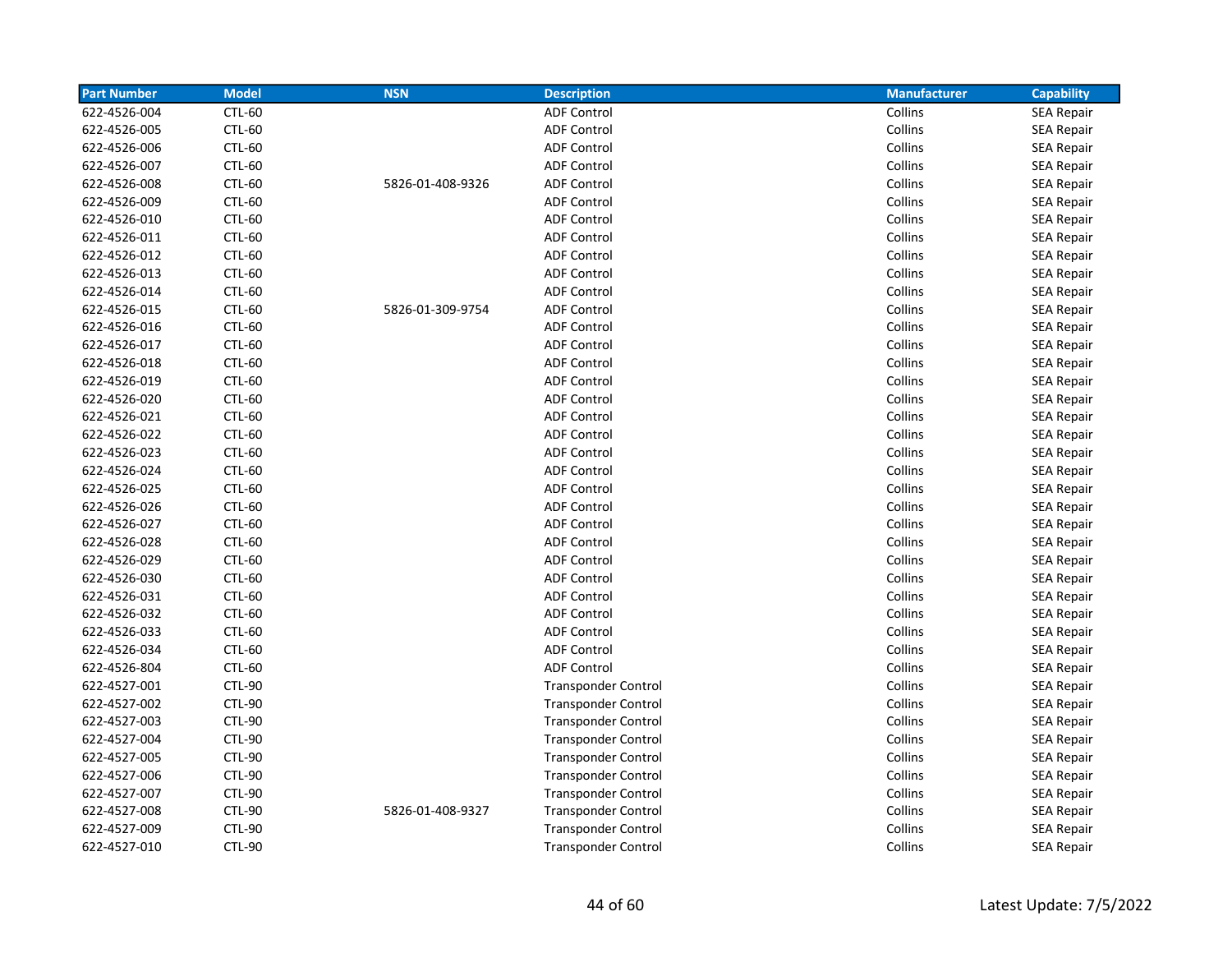| <b>Part Number</b> | <b>Model</b>  | <b>NSN</b>       | <b>Description</b>         | <b>Manufacturer</b> | <b>Capability</b> |
|--------------------|---------------|------------------|----------------------------|---------------------|-------------------|
| 622-4526-004       | <b>CTL-60</b> |                  | <b>ADF Control</b>         | Collins             | <b>SEA Repair</b> |
| 622-4526-005       | <b>CTL-60</b> |                  | <b>ADF Control</b>         | Collins             | <b>SEA Repair</b> |
| 622-4526-006       | <b>CTL-60</b> |                  | <b>ADF Control</b>         | Collins             | <b>SEA Repair</b> |
| 622-4526-007       | <b>CTL-60</b> |                  | <b>ADF Control</b>         | Collins             | <b>SEA Repair</b> |
| 622-4526-008       | CTL-60        | 5826-01-408-9326 | <b>ADF Control</b>         | Collins             | <b>SEA Repair</b> |
| 622-4526-009       | CTL-60        |                  | <b>ADF Control</b>         | Collins             | <b>SEA Repair</b> |
| 622-4526-010       | <b>CTL-60</b> |                  | <b>ADF Control</b>         | Collins             | SEA Repair        |
| 622-4526-011       | <b>CTL-60</b> |                  | <b>ADF Control</b>         | Collins             | <b>SEA Repair</b> |
| 622-4526-012       | <b>CTL-60</b> |                  | <b>ADF Control</b>         | Collins             | SEA Repair        |
| 622-4526-013       | <b>CTL-60</b> |                  | <b>ADF Control</b>         | Collins             | <b>SEA Repair</b> |
| 622-4526-014       | CTL-60        |                  | <b>ADF Control</b>         | Collins             | <b>SEA Repair</b> |
| 622-4526-015       | CTL-60        | 5826-01-309-9754 | <b>ADF Control</b>         | Collins             | <b>SEA Repair</b> |
| 622-4526-016       | CTL-60        |                  | <b>ADF Control</b>         | Collins             | <b>SEA Repair</b> |
| 622-4526-017       | CTL-60        |                  | <b>ADF Control</b>         | Collins             | <b>SEA Repair</b> |
| 622-4526-018       | <b>CTL-60</b> |                  | <b>ADF Control</b>         | Collins             | <b>SEA Repair</b> |
| 622-4526-019       | <b>CTL-60</b> |                  | <b>ADF Control</b>         | Collins             | <b>SEA Repair</b> |
| 622-4526-020       | <b>CTL-60</b> |                  | <b>ADF Control</b>         | Collins             | <b>SEA Repair</b> |
| 622-4526-021       | <b>CTL-60</b> |                  | <b>ADF Control</b>         | Collins             | <b>SEA Repair</b> |
| 622-4526-022       | CTL-60        |                  | <b>ADF Control</b>         | Collins             | <b>SEA Repair</b> |
| 622-4526-023       | <b>CTL-60</b> |                  | <b>ADF Control</b>         | Collins             | <b>SEA Repair</b> |
| 622-4526-024       | CTL-60        |                  | <b>ADF Control</b>         | Collins             | <b>SEA Repair</b> |
| 622-4526-025       | <b>CTL-60</b> |                  | <b>ADF Control</b>         | Collins             | <b>SEA Repair</b> |
| 622-4526-026       | CTL-60        |                  | <b>ADF Control</b>         | Collins             | <b>SEA Repair</b> |
| 622-4526-027       | <b>CTL-60</b> |                  | <b>ADF Control</b>         | Collins             | <b>SEA Repair</b> |
| 622-4526-028       | CTL-60        |                  | <b>ADF Control</b>         | Collins             | SEA Repair        |
| 622-4526-029       | <b>CTL-60</b> |                  | <b>ADF Control</b>         | Collins             | SEA Repair        |
| 622-4526-030       | <b>CTL-60</b> |                  | <b>ADF Control</b>         | Collins             | SEA Repair        |
| 622-4526-031       | CTL-60        |                  | <b>ADF Control</b>         | Collins             | <b>SEA Repair</b> |
| 622-4526-032       | CTL-60        |                  | <b>ADF Control</b>         | Collins             | <b>SEA Repair</b> |
| 622-4526-033       | <b>CTL-60</b> |                  | <b>ADF Control</b>         | Collins             | <b>SEA Repair</b> |
| 622-4526-034       | <b>CTL-60</b> |                  | <b>ADF Control</b>         | Collins             | <b>SEA Repair</b> |
| 622-4526-804       | <b>CTL-60</b> |                  | <b>ADF Control</b>         | Collins             | SEA Repair        |
| 622-4527-001       | CTL-90        |                  | <b>Transponder Control</b> | Collins             | <b>SEA Repair</b> |
| 622-4527-002       | <b>CTL-90</b> |                  | <b>Transponder Control</b> | Collins             | <b>SEA Repair</b> |
| 622-4527-003       | <b>CTL-90</b> |                  | <b>Transponder Control</b> | Collins             | <b>SEA Repair</b> |
| 622-4527-004       | <b>CTL-90</b> |                  | <b>Transponder Control</b> | Collins             | <b>SEA Repair</b> |
| 622-4527-005       | <b>CTL-90</b> |                  | <b>Transponder Control</b> | Collins             | <b>SEA Repair</b> |
| 622-4527-006       | <b>CTL-90</b> |                  | <b>Transponder Control</b> | Collins             | <b>SEA Repair</b> |
| 622-4527-007       | <b>CTL-90</b> |                  | <b>Transponder Control</b> | Collins             | <b>SEA Repair</b> |
| 622-4527-008       | <b>CTL-90</b> | 5826-01-408-9327 | <b>Transponder Control</b> | Collins             | <b>SEA Repair</b> |
| 622-4527-009       | <b>CTL-90</b> |                  | <b>Transponder Control</b> | Collins             | <b>SEA Repair</b> |
| 622-4527-010       | <b>CTL-90</b> |                  | <b>Transponder Control</b> | Collins             | <b>SEA Repair</b> |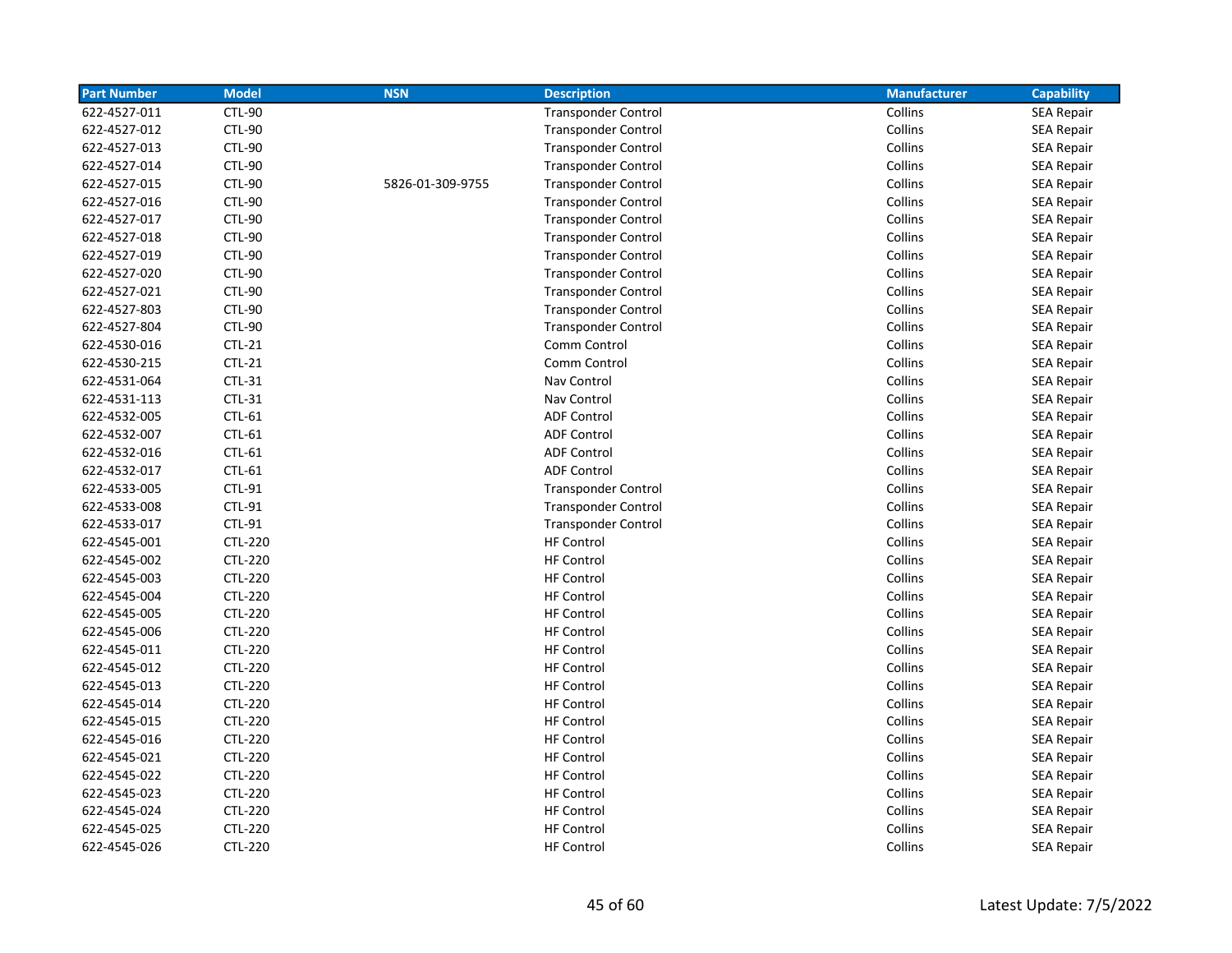| <b>Part Number</b> | <b>Model</b>   | <b>NSN</b>       | <b>Description</b>         | <b>Manufacturer</b> | <b>Capability</b> |
|--------------------|----------------|------------------|----------------------------|---------------------|-------------------|
| 622-4527-011       | <b>CTL-90</b>  |                  | <b>Transponder Control</b> | Collins             | <b>SEA Repair</b> |
| 622-4527-012       | <b>CTL-90</b>  |                  | <b>Transponder Control</b> | Collins             | <b>SEA Repair</b> |
| 622-4527-013       | <b>CTL-90</b>  |                  | <b>Transponder Control</b> | Collins             | SEA Repair        |
| 622-4527-014       | <b>CTL-90</b>  |                  | <b>Transponder Control</b> | Collins             | <b>SEA Repair</b> |
| 622-4527-015       | <b>CTL-90</b>  | 5826-01-309-9755 | <b>Transponder Control</b> | Collins             | <b>SEA Repair</b> |
| 622-4527-016       | <b>CTL-90</b>  |                  | <b>Transponder Control</b> | Collins             | <b>SEA Repair</b> |
| 622-4527-017       | <b>CTL-90</b>  |                  | <b>Transponder Control</b> | Collins             | <b>SEA Repair</b> |
| 622-4527-018       | <b>CTL-90</b>  |                  | <b>Transponder Control</b> | Collins             | <b>SEA Repair</b> |
| 622-4527-019       | <b>CTL-90</b>  |                  | <b>Transponder Control</b> | Collins             | <b>SEA Repair</b> |
| 622-4527-020       | <b>CTL-90</b>  |                  | <b>Transponder Control</b> | Collins             | <b>SEA Repair</b> |
| 622-4527-021       | <b>CTL-90</b>  |                  | <b>Transponder Control</b> | Collins             | <b>SEA Repair</b> |
| 622-4527-803       | <b>CTL-90</b>  |                  | <b>Transponder Control</b> | Collins             | <b>SEA Repair</b> |
| 622-4527-804       | <b>CTL-90</b>  |                  | <b>Transponder Control</b> | Collins             | <b>SEA Repair</b> |
| 622-4530-016       | $CTL-21$       |                  | Comm Control               | Collins             | <b>SEA Repair</b> |
| 622-4530-215       | $CTL-21$       |                  | Comm Control               | Collins             | <b>SEA Repair</b> |
| 622-4531-064       | CTL-31         |                  | Nav Control                | Collins             | <b>SEA Repair</b> |
| 622-4531-113       | CTL-31         |                  | Nav Control                | Collins             | <b>SEA Repair</b> |
| 622-4532-005       | CTL-61         |                  | <b>ADF Control</b>         | Collins             | <b>SEA Repair</b> |
| 622-4532-007       | CTL-61         |                  | <b>ADF Control</b>         | Collins             | <b>SEA Repair</b> |
| 622-4532-016       | CTL-61         |                  | <b>ADF Control</b>         | Collins             | <b>SEA Repair</b> |
| 622-4532-017       | CTL-61         |                  | <b>ADF Control</b>         | Collins             | SEA Repair        |
| 622-4533-005       | CTL-91         |                  | <b>Transponder Control</b> | Collins             | SEA Repair        |
| 622-4533-008       | CTL-91         |                  | <b>Transponder Control</b> | Collins             | <b>SEA Repair</b> |
| 622-4533-017       | CTL-91         |                  | <b>Transponder Control</b> | Collins             | <b>SEA Repair</b> |
| 622-4545-001       | <b>CTL-220</b> |                  | <b>HF Control</b>          | Collins             | <b>SEA Repair</b> |
| 622-4545-002       | <b>CTL-220</b> |                  | <b>HF Control</b>          | Collins             | <b>SEA Repair</b> |
| 622-4545-003       | <b>CTL-220</b> |                  | <b>HF Control</b>          | Collins             | <b>SEA Repair</b> |
| 622-4545-004       | <b>CTL-220</b> |                  | <b>HF Control</b>          | Collins             | <b>SEA Repair</b> |
| 622-4545-005       | <b>CTL-220</b> |                  | <b>HF Control</b>          | Collins             | <b>SEA Repair</b> |
| 622-4545-006       | <b>CTL-220</b> |                  | <b>HF Control</b>          | Collins             | <b>SEA Repair</b> |
| 622-4545-011       | <b>CTL-220</b> |                  | <b>HF Control</b>          | Collins             | <b>SEA Repair</b> |
| 622-4545-012       | CTL-220        |                  | <b>HF Control</b>          | Collins             | <b>SEA Repair</b> |
| 622-4545-013       | <b>CTL-220</b> |                  | <b>HF Control</b>          | Collins             | <b>SEA Repair</b> |
| 622-4545-014       | <b>CTL-220</b> |                  | <b>HF Control</b>          | Collins             | <b>SEA Repair</b> |
| 622-4545-015       | <b>CTL-220</b> |                  | <b>HF Control</b>          | Collins             | <b>SEA Repair</b> |
| 622-4545-016       | <b>CTL-220</b> |                  | <b>HF Control</b>          | Collins             | <b>SEA Repair</b> |
| 622-4545-021       | <b>CTL-220</b> |                  | <b>HF Control</b>          | Collins             | <b>SEA Repair</b> |
| 622-4545-022       | <b>CTL-220</b> |                  | <b>HF Control</b>          | Collins             | <b>SEA Repair</b> |
| 622-4545-023       | CTL-220        |                  | <b>HF Control</b>          | Collins             | <b>SEA Repair</b> |
| 622-4545-024       | <b>CTL-220</b> |                  | <b>HF Control</b>          | Collins             | <b>SEA Repair</b> |
| 622-4545-025       | <b>CTL-220</b> |                  | <b>HF Control</b>          | Collins             | <b>SEA Repair</b> |
| 622-4545-026       | <b>CTL-220</b> |                  | <b>HF Control</b>          | Collins             | <b>SEA Repair</b> |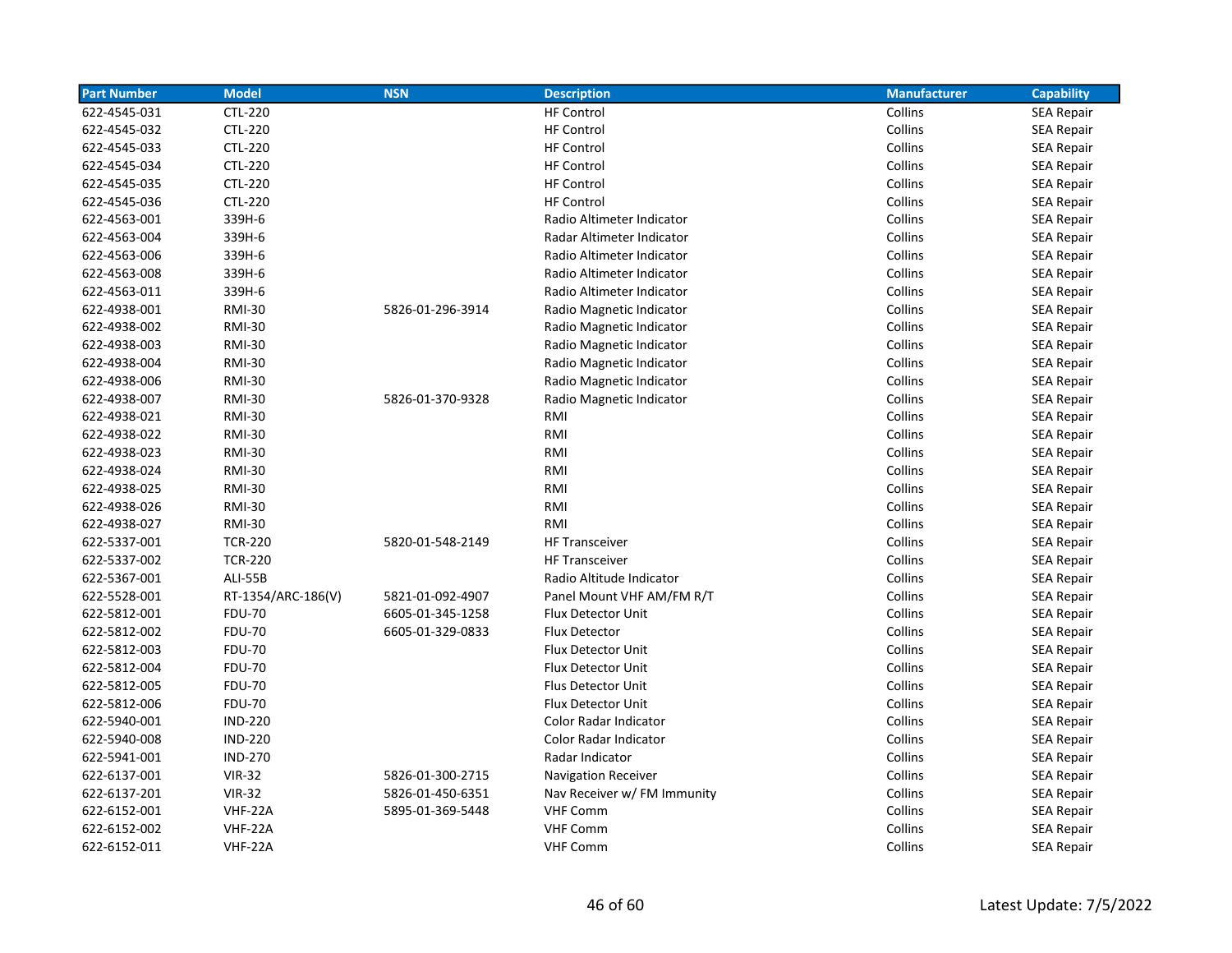| <b>Part Number</b> | <b>Model</b>       | <b>NSN</b>       | <b>Description</b>          | <b>Manufacturer</b> | <b>Capability</b> |
|--------------------|--------------------|------------------|-----------------------------|---------------------|-------------------|
| 622-4545-031       | <b>CTL-220</b>     |                  | <b>HF Control</b>           | Collins             | <b>SEA Repair</b> |
| 622-4545-032       | <b>CTL-220</b>     |                  | <b>HF Control</b>           | Collins             | <b>SEA Repair</b> |
| 622-4545-033       | <b>CTL-220</b>     |                  | <b>HF Control</b>           | Collins             | <b>SEA Repair</b> |
| 622-4545-034       | <b>CTL-220</b>     |                  | <b>HF Control</b>           | Collins             | <b>SEA Repair</b> |
| 622-4545-035       | <b>CTL-220</b>     |                  | <b>HF Control</b>           | Collins             | <b>SEA Repair</b> |
| 622-4545-036       | <b>CTL-220</b>     |                  | <b>HF Control</b>           | Collins             | <b>SEA Repair</b> |
| 622-4563-001       | 339H-6             |                  | Radio Altimeter Indicator   | Collins             | <b>SEA Repair</b> |
| 622-4563-004       | 339H-6             |                  | Radar Altimeter Indicator   | Collins             | <b>SEA Repair</b> |
| 622-4563-006       | 339H-6             |                  | Radio Altimeter Indicator   | Collins             | <b>SEA Repair</b> |
| 622-4563-008       | 339H-6             |                  | Radio Altimeter Indicator   | Collins             | <b>SEA Repair</b> |
| 622-4563-011       | 339H-6             |                  | Radio Altimeter Indicator   | Collins             | <b>SEA Repair</b> |
| 622-4938-001       | <b>RMI-30</b>      | 5826-01-296-3914 | Radio Magnetic Indicator    | Collins             | <b>SEA Repair</b> |
| 622-4938-002       | <b>RMI-30</b>      |                  | Radio Magnetic Indicator    | Collins             | <b>SEA Repair</b> |
| 622-4938-003       | <b>RMI-30</b>      |                  | Radio Magnetic Indicator    | Collins             | SEA Repair        |
| 622-4938-004       | <b>RMI-30</b>      |                  | Radio Magnetic Indicator    | Collins             | <b>SEA Repair</b> |
| 622-4938-006       | <b>RMI-30</b>      |                  | Radio Magnetic Indicator    | Collins             | <b>SEA Repair</b> |
| 622-4938-007       | <b>RMI-30</b>      | 5826-01-370-9328 | Radio Magnetic Indicator    | Collins             | <b>SEA Repair</b> |
| 622-4938-021       | <b>RMI-30</b>      |                  | RMI                         | Collins             | <b>SEA Repair</b> |
| 622-4938-022       | <b>RMI-30</b>      |                  | RMI                         | Collins             | <b>SEA Repair</b> |
| 622-4938-023       | <b>RMI-30</b>      |                  | RMI                         | Collins             | <b>SEA Repair</b> |
| 622-4938-024       | <b>RMI-30</b>      |                  | RMI                         | Collins             | <b>SEA Repair</b> |
| 622-4938-025       | <b>RMI-30</b>      |                  | RMI                         | Collins             | SEA Repair        |
| 622-4938-026       | <b>RMI-30</b>      |                  | RMI                         | Collins             | <b>SEA Repair</b> |
| 622-4938-027       | <b>RMI-30</b>      |                  | RMI                         | Collins             | <b>SEA Repair</b> |
| 622-5337-001       | <b>TCR-220</b>     | 5820-01-548-2149 | <b>HF Transceiver</b>       | Collins             | <b>SEA Repair</b> |
| 622-5337-002       | <b>TCR-220</b>     |                  | <b>HF Transceiver</b>       | Collins             | <b>SEA Repair</b> |
| 622-5367-001       | <b>ALI-55B</b>     |                  | Radio Altitude Indicator    | Collins             | <b>SEA Repair</b> |
| 622-5528-001       | RT-1354/ARC-186(V) | 5821-01-092-4907 | Panel Mount VHF AM/FM R/T   | Collins             | <b>SEA Repair</b> |
| 622-5812-001       | <b>FDU-70</b>      | 6605-01-345-1258 | Flux Detector Unit          | Collins             | <b>SEA Repair</b> |
| 622-5812-002       | <b>FDU-70</b>      | 6605-01-329-0833 | Flux Detector               | Collins             | <b>SEA Repair</b> |
| 622-5812-003       | <b>FDU-70</b>      |                  | Flux Detector Unit          | Collins             | <b>SEA Repair</b> |
| 622-5812-004       | <b>FDU-70</b>      |                  | Flux Detector Unit          | Collins             | SEA Repair        |
| 622-5812-005       | <b>FDU-70</b>      |                  | Flus Detector Unit          | Collins             | <b>SEA Repair</b> |
| 622-5812-006       | <b>FDU-70</b>      |                  | <b>Flux Detector Unit</b>   | Collins             | <b>SEA Repair</b> |
| 622-5940-001       | <b>IND-220</b>     |                  | Color Radar Indicator       | Collins             | <b>SEA Repair</b> |
| 622-5940-008       | <b>IND-220</b>     |                  | Color Radar Indicator       | Collins             | <b>SEA Repair</b> |
| 622-5941-001       | <b>IND-270</b>     |                  | Radar Indicator             | Collins             | <b>SEA Repair</b> |
| 622-6137-001       | <b>VIR-32</b>      | 5826-01-300-2715 | <b>Navigation Receiver</b>  | Collins             | <b>SEA Repair</b> |
| 622-6137-201       | <b>VIR-32</b>      | 5826-01-450-6351 | Nav Receiver w/ FM Immunity | Collins             | <b>SEA Repair</b> |
| 622-6152-001       | <b>VHF-22A</b>     | 5895-01-369-5448 | <b>VHF Comm</b>             | Collins             | <b>SEA Repair</b> |
| 622-6152-002       | <b>VHF-22A</b>     |                  | <b>VHF Comm</b>             | Collins             | <b>SEA Repair</b> |
| 622-6152-011       | VHF-22A            |                  | <b>VHF Comm</b>             | Collins             | <b>SEA Repair</b> |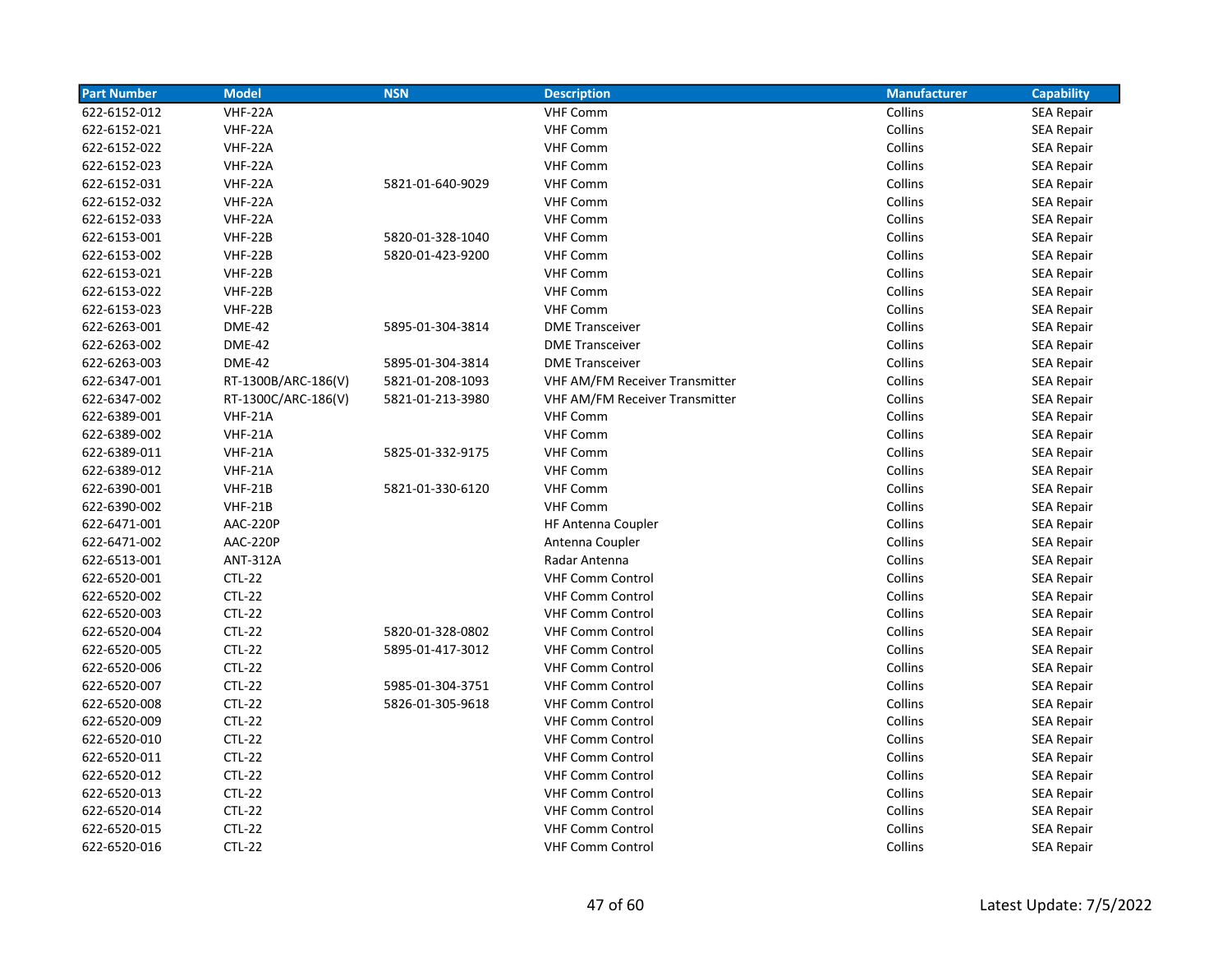| <b>Part Number</b> | <b>Model</b>        | <b>NSN</b>       | <b>Description</b>                    | <b>Manufacturer</b> | <b>Capability</b> |
|--------------------|---------------------|------------------|---------------------------------------|---------------------|-------------------|
| 622-6152-012       | VHF-22A             |                  | <b>VHF Comm</b>                       | Collins             | <b>SEA Repair</b> |
| 622-6152-021       | VHF-22A             |                  | <b>VHF Comm</b>                       | Collins             | <b>SEA Repair</b> |
| 622-6152-022       | VHF-22A             |                  | <b>VHF Comm</b>                       | Collins             | <b>SEA Repair</b> |
| 622-6152-023       | VHF-22A             |                  | <b>VHF Comm</b>                       | Collins             | <b>SEA Repair</b> |
| 622-6152-031       | <b>VHF-22A</b>      | 5821-01-640-9029 | <b>VHF Comm</b>                       | Collins             | <b>SEA Repair</b> |
| 622-6152-032       | VHF-22A             |                  | <b>VHF Comm</b>                       | Collins             | <b>SEA Repair</b> |
| 622-6152-033       | <b>VHF-22A</b>      |                  | <b>VHF Comm</b>                       | Collins             | <b>SEA Repair</b> |
| 622-6153-001       | <b>VHF-22B</b>      | 5820-01-328-1040 | <b>VHF Comm</b>                       | Collins             | <b>SEA Repair</b> |
| 622-6153-002       | <b>VHF-22B</b>      | 5820-01-423-9200 | <b>VHF Comm</b>                       | Collins             | <b>SEA Repair</b> |
| 622-6153-021       | <b>VHF-22B</b>      |                  | <b>VHF Comm</b>                       | Collins             | <b>SEA Repair</b> |
| 622-6153-022       | <b>VHF-22B</b>      |                  | <b>VHF Comm</b>                       | Collins             | <b>SEA Repair</b> |
| 622-6153-023       | <b>VHF-22B</b>      |                  | <b>VHF Comm</b>                       | Collins             | SEA Repair        |
| 622-6263-001       | <b>DME-42</b>       | 5895-01-304-3814 | <b>DME Transceiver</b>                | Collins             | <b>SEA Repair</b> |
| 622-6263-002       | <b>DME-42</b>       |                  | <b>DME Transceiver</b>                | Collins             | <b>SEA Repair</b> |
| 622-6263-003       | <b>DME-42</b>       | 5895-01-304-3814 | <b>DME Transceiver</b>                | Collins             | <b>SEA Repair</b> |
| 622-6347-001       | RT-1300B/ARC-186(V) | 5821-01-208-1093 | <b>VHF AM/FM Receiver Transmitter</b> | Collins             | <b>SEA Repair</b> |
| 622-6347-002       | RT-1300C/ARC-186(V) | 5821-01-213-3980 | <b>VHF AM/FM Receiver Transmitter</b> | Collins             | <b>SEA Repair</b> |
| 622-6389-001       | <b>VHF-21A</b>      |                  | <b>VHF Comm</b>                       | Collins             | SEA Repair        |
| 622-6389-002       | <b>VHF-21A</b>      |                  | <b>VHF Comm</b>                       | Collins             | SEA Repair        |
| 622-6389-011       | <b>VHF-21A</b>      | 5825-01-332-9175 | <b>VHF Comm</b>                       | Collins             | <b>SEA Repair</b> |
| 622-6389-012       | <b>VHF-21A</b>      |                  | <b>VHF Comm</b>                       | Collins             | SEA Repair        |
| 622-6390-001       | <b>VHF-21B</b>      | 5821-01-330-6120 | <b>VHF Comm</b>                       | Collins             | SEA Repair        |
| 622-6390-002       | <b>VHF-21B</b>      |                  | <b>VHF Comm</b>                       | Collins             | <b>SEA Repair</b> |
| 622-6471-001       | AAC-220P            |                  | <b>HF Antenna Coupler</b>             | Collins             | <b>SEA Repair</b> |
| 622-6471-002       | AAC-220P            |                  | Antenna Coupler                       | Collins             | <b>SEA Repair</b> |
| 622-6513-001       | <b>ANT-312A</b>     |                  | Radar Antenna                         | Collins             | <b>SEA Repair</b> |
| 622-6520-001       | $CTL-22$            |                  | <b>VHF Comm Control</b>               | Collins             | <b>SEA Repair</b> |
| 622-6520-002       | <b>CTL-22</b>       |                  | <b>VHF Comm Control</b>               | Collins             | SEA Repair        |
| 622-6520-003       | $CTL-22$            |                  | <b>VHF Comm Control</b>               | Collins             | <b>SEA Repair</b> |
| 622-6520-004       | $CTL-22$            | 5820-01-328-0802 | <b>VHF Comm Control</b>               | Collins             | <b>SEA Repair</b> |
| 622-6520-005       | $CTL-22$            | 5895-01-417-3012 | <b>VHF Comm Control</b>               | Collins             | <b>SEA Repair</b> |
| 622-6520-006       | $CTL-22$            |                  | <b>VHF Comm Control</b>               | Collins             | <b>SEA Repair</b> |
| 622-6520-007       | $CTL-22$            | 5985-01-304-3751 | <b>VHF Comm Control</b>               | Collins             | <b>SEA Repair</b> |
| 622-6520-008       | $CTL-22$            | 5826-01-305-9618 | <b>VHF Comm Control</b>               | Collins             | <b>SEA Repair</b> |
| 622-6520-009       | $CTL-22$            |                  | <b>VHF Comm Control</b>               | Collins             | <b>SEA Repair</b> |
| 622-6520-010       | $CTL-22$            |                  | <b>VHF Comm Control</b>               | Collins             | <b>SEA Repair</b> |
| 622-6520-011       | $CTL-22$            |                  | <b>VHF Comm Control</b>               | Collins             | <b>SEA Repair</b> |
| 622-6520-012       | $CTL-22$            |                  | <b>VHF Comm Control</b>               | Collins             | SEA Repair        |
| 622-6520-013       | $CTL-22$            |                  | <b>VHF Comm Control</b>               | Collins             | SEA Repair        |
| 622-6520-014       | $CTL-22$            |                  | <b>VHF Comm Control</b>               | Collins             | SEA Repair        |
| 622-6520-015       | $CTL-22$            |                  | <b>VHF Comm Control</b>               | Collins             | <b>SEA Repair</b> |
| 622-6520-016       | $CTL-22$            |                  | <b>VHF Comm Control</b>               | Collins             | SEA Repair        |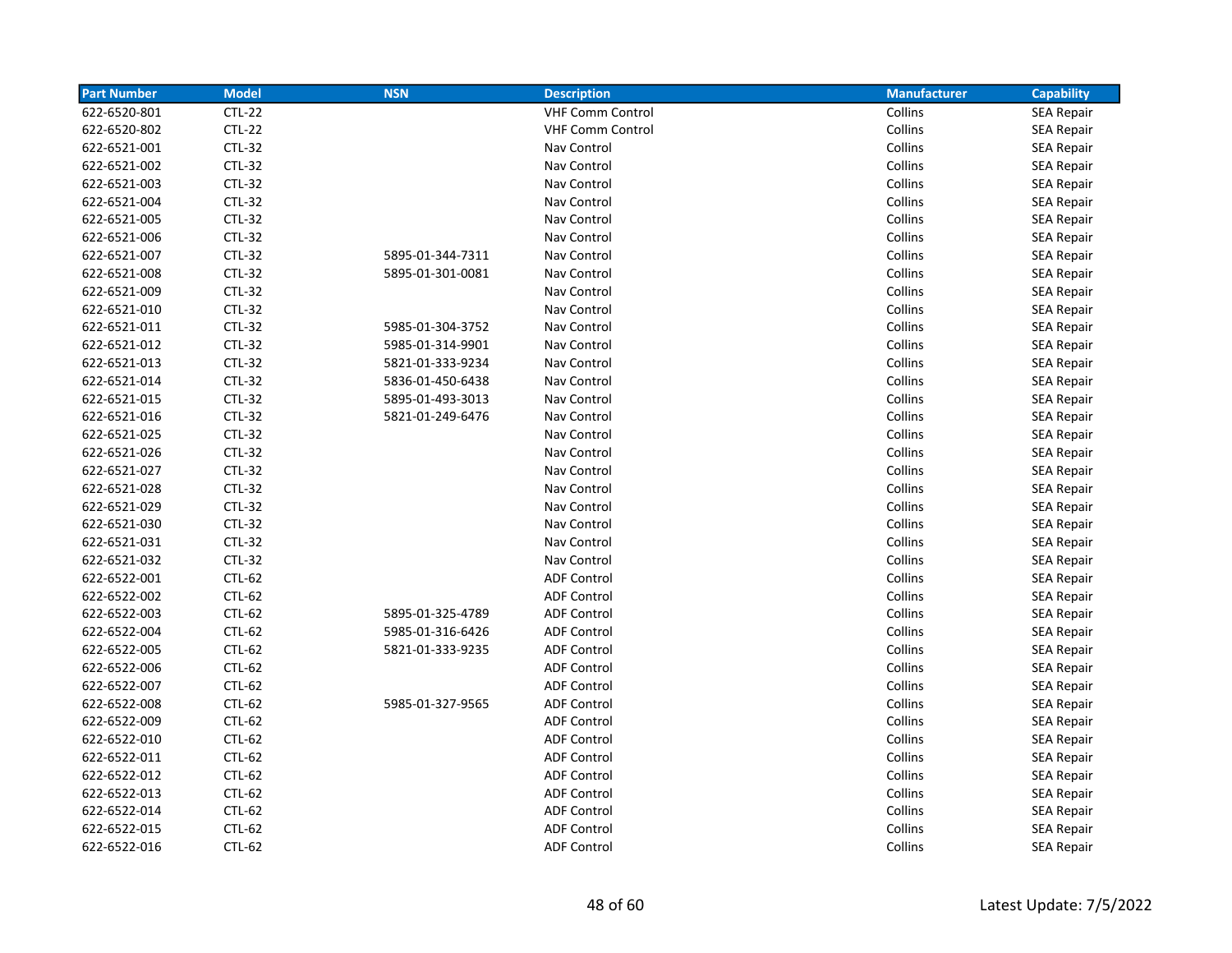| <b>Part Number</b> | <b>Model</b>  | <b>NSN</b>       | <b>Description</b>      | <b>Manufacturer</b> | <b>Capability</b> |
|--------------------|---------------|------------------|-------------------------|---------------------|-------------------|
| 622-6520-801       | $CTL-22$      |                  | <b>VHF Comm Control</b> | Collins             | <b>SEA Repair</b> |
| 622-6520-802       | $CTL-22$      |                  | <b>VHF Comm Control</b> | Collins             | <b>SEA Repair</b> |
| 622-6521-001       | <b>CTL-32</b> |                  | Nav Control             | Collins             | <b>SEA Repair</b> |
| 622-6521-002       | <b>CTL-32</b> |                  | Nav Control             | Collins             | <b>SEA Repair</b> |
| 622-6521-003       | <b>CTL-32</b> |                  | Nav Control             | Collins             | <b>SEA Repair</b> |
| 622-6521-004       | <b>CTL-32</b> |                  | Nav Control             | Collins             | <b>SEA Repair</b> |
| 622-6521-005       | <b>CTL-32</b> |                  | Nav Control             | Collins             | <b>SEA Repair</b> |
| 622-6521-006       | <b>CTL-32</b> |                  | Nav Control             | Collins             | <b>SEA Repair</b> |
| 622-6521-007       | <b>CTL-32</b> | 5895-01-344-7311 | Nav Control             | Collins             | <b>SEA Repair</b> |
| 622-6521-008       | <b>CTL-32</b> | 5895-01-301-0081 | Nav Control             | Collins             | <b>SEA Repair</b> |
| 622-6521-009       | $CTL-32$      |                  | Nav Control             | Collins             | <b>SEA Repair</b> |
| 622-6521-010       | $CTL-32$      |                  | Nav Control             | Collins             | SEA Repair        |
| 622-6521-011       | <b>CTL-32</b> | 5985-01-304-3752 | Nav Control             | Collins             | <b>SEA Repair</b> |
| 622-6521-012       | CTL-32        | 5985-01-314-9901 | Nav Control             | Collins             | <b>SEA Repair</b> |
| 622-6521-013       | <b>CTL-32</b> | 5821-01-333-9234 | Nav Control             | Collins             | <b>SEA Repair</b> |
| 622-6521-014       | <b>CTL-32</b> | 5836-01-450-6438 | Nav Control             | Collins             | <b>SEA Repair</b> |
| 622-6521-015       | <b>CTL-32</b> | 5895-01-493-3013 | Nav Control             | Collins             | <b>SEA Repair</b> |
| 622-6521-016       | <b>CTL-32</b> | 5821-01-249-6476 | Nav Control             | Collins             | SEA Repair        |
| 622-6521-025       | <b>CTL-32</b> |                  | Nav Control             | Collins             | <b>SEA Repair</b> |
| 622-6521-026       | <b>CTL-32</b> |                  | Nav Control             | Collins             | <b>SEA Repair</b> |
| 622-6521-027       | <b>CTL-32</b> |                  | Nav Control             | Collins             | <b>SEA Repair</b> |
| 622-6521-028       | $CTL-32$      |                  | Nav Control             | Collins             | <b>SEA Repair</b> |
| 622-6521-029       | $CTL-32$      |                  | Nav Control             | Collins             | <b>SEA Repair</b> |
| 622-6521-030       | <b>CTL-32</b> |                  | Nav Control             | Collins             | <b>SEA Repair</b> |
| 622-6521-031       | <b>CTL-32</b> |                  | Nav Control             | Collins             | <b>SEA Repair</b> |
| 622-6521-032       | <b>CTL-32</b> |                  | Nav Control             | Collins             | <b>SEA Repair</b> |
| 622-6522-001       | $CTL-62$      |                  | <b>ADF Control</b>      | Collins             | <b>SEA Repair</b> |
| 622-6522-002       | CTL-62        |                  | <b>ADF Control</b>      | Collins             | SEA Repair        |
| 622-6522-003       | CTL-62        | 5895-01-325-4789 | <b>ADF Control</b>      | Collins             | <b>SEA Repair</b> |
| 622-6522-004       | CTL-62        | 5985-01-316-6426 | <b>ADF Control</b>      | Collins             | <b>SEA Repair</b> |
| 622-6522-005       | CTL-62        | 5821-01-333-9235 | <b>ADF Control</b>      | Collins             | <b>SEA Repair</b> |
| 622-6522-006       | CTL-62        |                  | <b>ADF Control</b>      | Collins             | <b>SEA Repair</b> |
| 622-6522-007       | $CTL-62$      |                  | <b>ADF Control</b>      | Collins             | <b>SEA Repair</b> |
| 622-6522-008       | $CTL-62$      | 5985-01-327-9565 | <b>ADF Control</b>      | Collins             | <b>SEA Repair</b> |
| 622-6522-009       | CTL-62        |                  | <b>ADF Control</b>      | Collins             | <b>SEA Repair</b> |
| 622-6522-010       | CTL-62        |                  | <b>ADF Control</b>      | Collins             | <b>SEA Repair</b> |
| 622-6522-011       | $CTL-62$      |                  | <b>ADF Control</b>      | Collins             | <b>SEA Repair</b> |
| 622-6522-012       | CTL-62        |                  | <b>ADF Control</b>      | Collins             | <b>SEA Repair</b> |
| 622-6522-013       | CTL-62        |                  | <b>ADF Control</b>      | Collins             | <b>SEA Repair</b> |
| 622-6522-014       | CTL-62        |                  | <b>ADF Control</b>      | Collins             | <b>SEA Repair</b> |
| 622-6522-015       | CTL-62        |                  | <b>ADF Control</b>      | Collins             | <b>SEA Repair</b> |
| 622-6522-016       | CTL-62        |                  | <b>ADF Control</b>      | Collins             | <b>SEA Repair</b> |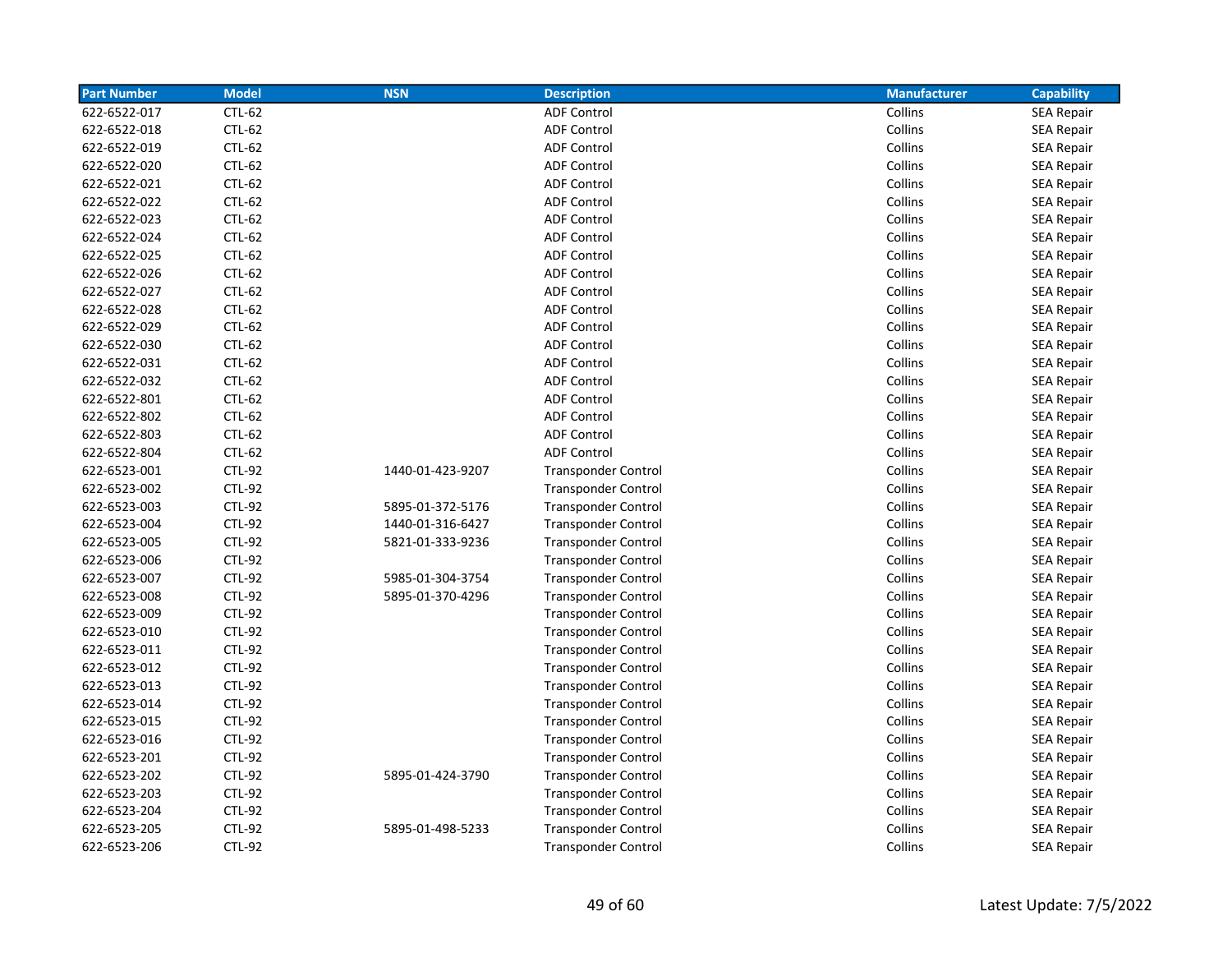| <b>Part Number</b> | <b>Model</b>  | <b>NSN</b>       | <b>Description</b>         | <b>Manufacturer</b> | <b>Capability</b> |
|--------------------|---------------|------------------|----------------------------|---------------------|-------------------|
| 622-6522-017       | CTL-62        |                  | <b>ADF Control</b>         | Collins             | <b>SEA Repair</b> |
| 622-6522-018       | CTL-62        |                  | <b>ADF Control</b>         | Collins             | <b>SEA Repair</b> |
| 622-6522-019       | CTL-62        |                  | <b>ADF Control</b>         | Collins             | SEA Repair        |
| 622-6522-020       | CTL-62        |                  | <b>ADF Control</b>         | Collins             | <b>SEA Repair</b> |
| 622-6522-021       | CTL-62        |                  | <b>ADF Control</b>         | Collins             | <b>SEA Repair</b> |
| 622-6522-022       | CTL-62        |                  | <b>ADF Control</b>         | Collins             | <b>SEA Repair</b> |
| 622-6522-023       | CTL-62        |                  | <b>ADF Control</b>         | Collins             | <b>SEA Repair</b> |
| 622-6522-024       | CTL-62        |                  | <b>ADF Control</b>         | Collins             | <b>SEA Repair</b> |
| 622-6522-025       | CTL-62        |                  | <b>ADF Control</b>         | Collins             | <b>SEA Repair</b> |
| 622-6522-026       | CTL-62        |                  | <b>ADF Control</b>         | Collins             | <b>SEA Repair</b> |
| 622-6522-027       | CTL-62        |                  | <b>ADF Control</b>         | Collins             | <b>SEA Repair</b> |
| 622-6522-028       | CTL-62        |                  | <b>ADF Control</b>         | Collins             | <b>SEA Repair</b> |
| 622-6522-029       | CTL-62        |                  | <b>ADF Control</b>         | Collins             | <b>SEA Repair</b> |
| 622-6522-030       | CTL-62        |                  | <b>ADF Control</b>         | Collins             | <b>SEA Repair</b> |
| 622-6522-031       | CTL-62        |                  | <b>ADF Control</b>         | Collins             | <b>SEA Repair</b> |
| 622-6522-032       | CTL-62        |                  | <b>ADF Control</b>         | Collins             | <b>SEA Repair</b> |
| 622-6522-801       | CTL-62        |                  | <b>ADF Control</b>         | Collins             | <b>SEA Repair</b> |
| 622-6522-802       | CTL-62        |                  | <b>ADF Control</b>         | Collins             | <b>SEA Repair</b> |
| 622-6522-803       | CTL-62        |                  | <b>ADF Control</b>         | Collins             | <b>SEA Repair</b> |
| 622-6522-804       | CTL-62        |                  | <b>ADF Control</b>         | Collins             | <b>SEA Repair</b> |
| 622-6523-001       | <b>CTL-92</b> | 1440-01-423-9207 | <b>Transponder Control</b> | Collins             | SEA Repair        |
| 622-6523-002       | <b>CTL-92</b> |                  | <b>Transponder Control</b> | Collins             | <b>SEA Repair</b> |
| 622-6523-003       | <b>CTL-92</b> | 5895-01-372-5176 | <b>Transponder Control</b> | Collins             | <b>SEA Repair</b> |
| 622-6523-004       | <b>CTL-92</b> | 1440-01-316-6427 | <b>Transponder Control</b> | Collins             | <b>SEA Repair</b> |
| 622-6523-005       | <b>CTL-92</b> | 5821-01-333-9236 | <b>Transponder Control</b> | Collins             | <b>SEA Repair</b> |
| 622-6523-006       | <b>CTL-92</b> |                  | <b>Transponder Control</b> | Collins             | <b>SEA Repair</b> |
| 622-6523-007       | <b>CTL-92</b> | 5985-01-304-3754 | <b>Transponder Control</b> | Collins             | <b>SEA Repair</b> |
| 622-6523-008       | <b>CTL-92</b> | 5895-01-370-4296 | <b>Transponder Control</b> | Collins             | <b>SEA Repair</b> |
| 622-6523-009       | <b>CTL-92</b> |                  | <b>Transponder Control</b> | Collins             | <b>SEA Repair</b> |
| 622-6523-010       | <b>CTL-92</b> |                  | <b>Transponder Control</b> | Collins             | <b>SEA Repair</b> |
| 622-6523-011       | <b>CTL-92</b> |                  | <b>Transponder Control</b> | Collins             | <b>SEA Repair</b> |
| 622-6523-012       | <b>CTL-92</b> |                  | <b>Transponder Control</b> | Collins             | <b>SEA Repair</b> |
| 622-6523-013       | <b>CTL-92</b> |                  | <b>Transponder Control</b> | Collins             | <b>SEA Repair</b> |
| 622-6523-014       | <b>CTL-92</b> |                  | <b>Transponder Control</b> | Collins             | <b>SEA Repair</b> |
| 622-6523-015       | <b>CTL-92</b> |                  | <b>Transponder Control</b> | Collins             | <b>SEA Repair</b> |
| 622-6523-016       | <b>CTL-92</b> |                  | <b>Transponder Control</b> | Collins             | <b>SEA Repair</b> |
| 622-6523-201       | <b>CTL-92</b> |                  | <b>Transponder Control</b> | Collins             | <b>SEA Repair</b> |
| 622-6523-202       | <b>CTL-92</b> | 5895-01-424-3790 | <b>Transponder Control</b> | Collins             | <b>SEA Repair</b> |
| 622-6523-203       | <b>CTL-92</b> |                  | <b>Transponder Control</b> | Collins             | <b>SEA Repair</b> |
| 622-6523-204       | <b>CTL-92</b> |                  | <b>Transponder Control</b> | Collins             | <b>SEA Repair</b> |
| 622-6523-205       | <b>CTL-92</b> | 5895-01-498-5233 | <b>Transponder Control</b> | Collins             | <b>SEA Repair</b> |
| 622-6523-206       | <b>CTL-92</b> |                  | <b>Transponder Control</b> | Collins             | <b>SEA Repair</b> |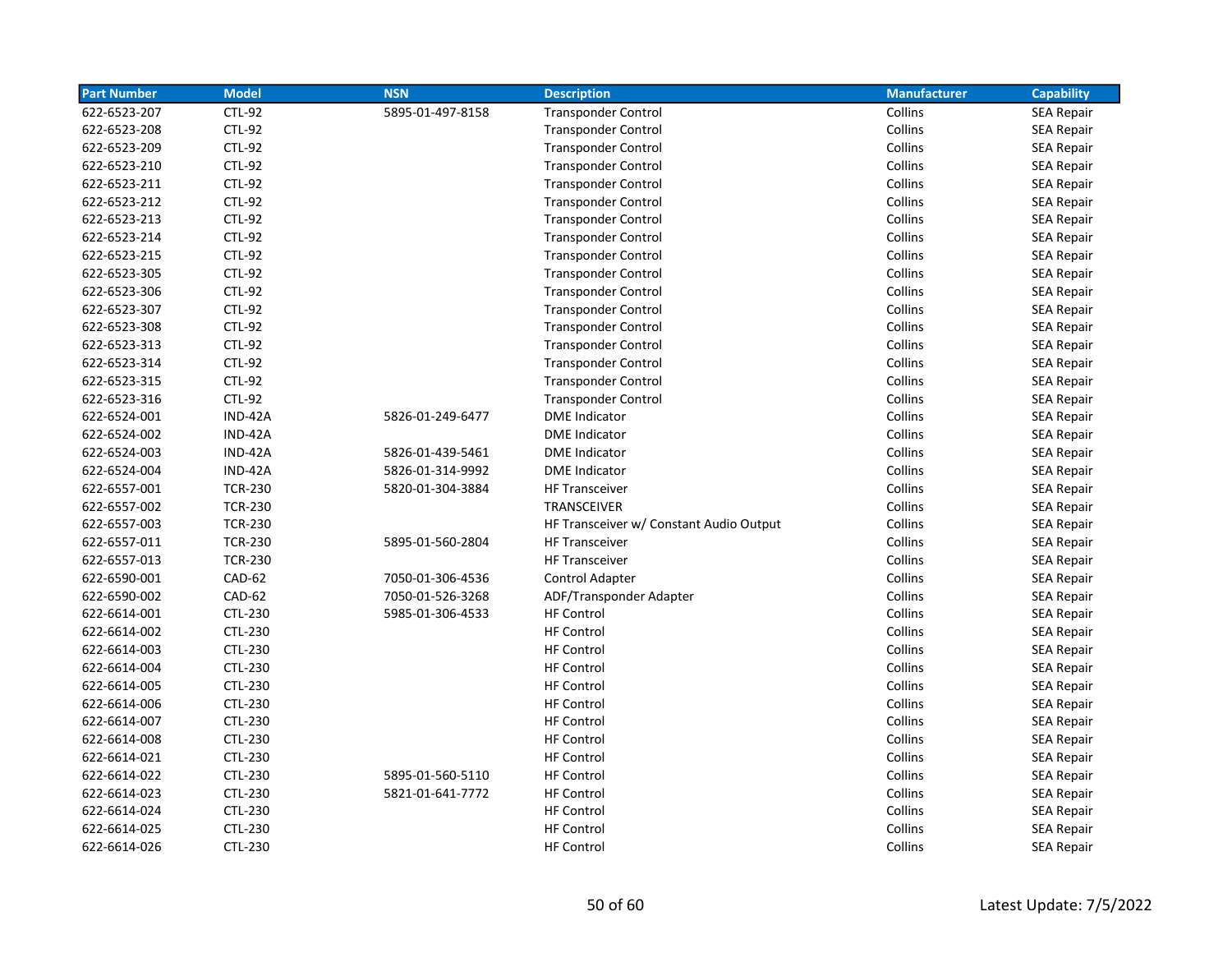| <b>Part Number</b> | <b>Model</b>   | <b>NSN</b>       | <b>Description</b>                      | <b>Manufacturer</b> | <b>Capability</b> |
|--------------------|----------------|------------------|-----------------------------------------|---------------------|-------------------|
| 622-6523-207       | <b>CTL-92</b>  | 5895-01-497-8158 | <b>Transponder Control</b>              | Collins             | <b>SEA Repair</b> |
| 622-6523-208       | <b>CTL-92</b>  |                  | <b>Transponder Control</b>              | Collins             | <b>SEA Repair</b> |
| 622-6523-209       | <b>CTL-92</b>  |                  | <b>Transponder Control</b>              | Collins             | <b>SEA Repair</b> |
| 622-6523-210       | <b>CTL-92</b>  |                  | <b>Transponder Control</b>              | Collins             | <b>SEA Repair</b> |
| 622-6523-211       | <b>CTL-92</b>  |                  | <b>Transponder Control</b>              | Collins             | SEA Repair        |
| 622-6523-212       | <b>CTL-92</b>  |                  | <b>Transponder Control</b>              | Collins             | <b>SEA Repair</b> |
| 622-6523-213       | <b>CTL-92</b>  |                  | <b>Transponder Control</b>              | Collins             | <b>SEA Repair</b> |
| 622-6523-214       | <b>CTL-92</b>  |                  | <b>Transponder Control</b>              | Collins             | <b>SEA Repair</b> |
| 622-6523-215       | <b>CTL-92</b>  |                  | <b>Transponder Control</b>              | Collins             | <b>SEA Repair</b> |
| 622-6523-305       | <b>CTL-92</b>  |                  | <b>Transponder Control</b>              | Collins             | <b>SEA Repair</b> |
| 622-6523-306       | <b>CTL-92</b>  |                  | <b>Transponder Control</b>              | Collins             | <b>SEA Repair</b> |
| 622-6523-307       | <b>CTL-92</b>  |                  | <b>Transponder Control</b>              | Collins             | <b>SEA Repair</b> |
| 622-6523-308       | <b>CTL-92</b>  |                  | <b>Transponder Control</b>              | Collins             | <b>SEA Repair</b> |
| 622-6523-313       | <b>CTL-92</b>  |                  | <b>Transponder Control</b>              | Collins             | <b>SEA Repair</b> |
| 622-6523-314       | <b>CTL-92</b>  |                  | <b>Transponder Control</b>              | Collins             | <b>SEA Repair</b> |
| 622-6523-315       | <b>CTL-92</b>  |                  | <b>Transponder Control</b>              | Collins             | <b>SEA Repair</b> |
| 622-6523-316       | <b>CTL-92</b>  |                  | <b>Transponder Control</b>              | Collins             | <b>SEA Repair</b> |
| 622-6524-001       | IND-42A        | 5826-01-249-6477 | <b>DME</b> Indicator                    | Collins             | <b>SEA Repair</b> |
| 622-6524-002       | IND-42A        |                  | <b>DME</b> Indicator                    | Collins             | <b>SEA Repair</b> |
| 622-6524-003       | IND-42A        | 5826-01-439-5461 | <b>DME</b> Indicator                    | Collins             | <b>SEA Repair</b> |
| 622-6524-004       | IND-42A        | 5826-01-314-9992 | <b>DME</b> Indicator                    | Collins             | <b>SEA Repair</b> |
| 622-6557-001       | <b>TCR-230</b> | 5820-01-304-3884 | <b>HF Transceiver</b>                   | Collins             | <b>SEA Repair</b> |
| 622-6557-002       | <b>TCR-230</b> |                  | TRANSCEIVER                             | Collins             | <b>SEA Repair</b> |
| 622-6557-003       | <b>TCR-230</b> |                  | HF Transceiver w/ Constant Audio Output | Collins             | <b>SEA Repair</b> |
| 622-6557-011       | <b>TCR-230</b> | 5895-01-560-2804 | <b>HF Transceiver</b>                   | Collins             | <b>SEA Repair</b> |
| 622-6557-013       | <b>TCR-230</b> |                  | <b>HF Transceiver</b>                   | Collins             | <b>SEA Repair</b> |
| 622-6590-001       | <b>CAD-62</b>  | 7050-01-306-4536 | Control Adapter                         | Collins             | <b>SEA Repair</b> |
| 622-6590-002       | <b>CAD-62</b>  | 7050-01-526-3268 | ADF/Transponder Adapter                 | Collins             | <b>SEA Repair</b> |
| 622-6614-001       | CTL-230        | 5985-01-306-4533 | <b>HF Control</b>                       | Collins             | <b>SEA Repair</b> |
| 622-6614-002       | CTL-230        |                  | <b>HF Control</b>                       | Collins             | <b>SEA Repair</b> |
| 622-6614-003       | CTL-230        |                  | <b>HF Control</b>                       | Collins             | <b>SEA Repair</b> |
| 622-6614-004       | CTL-230        |                  | <b>HF Control</b>                       | Collins             | <b>SEA Repair</b> |
| 622-6614-005       | CTL-230        |                  | <b>HF Control</b>                       | Collins             | <b>SEA Repair</b> |
| 622-6614-006       | CTL-230        |                  | <b>HF Control</b>                       | Collins             | <b>SEA Repair</b> |
| 622-6614-007       | CTL-230        |                  | <b>HF Control</b>                       | Collins             | <b>SEA Repair</b> |
| 622-6614-008       | CTL-230        |                  | <b>HF Control</b>                       | Collins             | <b>SEA Repair</b> |
| 622-6614-021       | CTL-230        |                  | <b>HF Control</b>                       | Collins             | <b>SEA Repair</b> |
| 622-6614-022       | CTL-230        | 5895-01-560-5110 | <b>HF Control</b>                       | Collins             | <b>SEA Repair</b> |
| 622-6614-023       | CTL-230        | 5821-01-641-7772 | <b>HF Control</b>                       | Collins             | <b>SEA Repair</b> |
| 622-6614-024       | CTL-230        |                  | <b>HF Control</b>                       | Collins             | <b>SEA Repair</b> |
| 622-6614-025       | CTL-230        |                  | <b>HF Control</b>                       | Collins             | <b>SEA Repair</b> |
| 622-6614-026       | CTL-230        |                  | <b>HF Control</b>                       | Collins             | <b>SEA Repair</b> |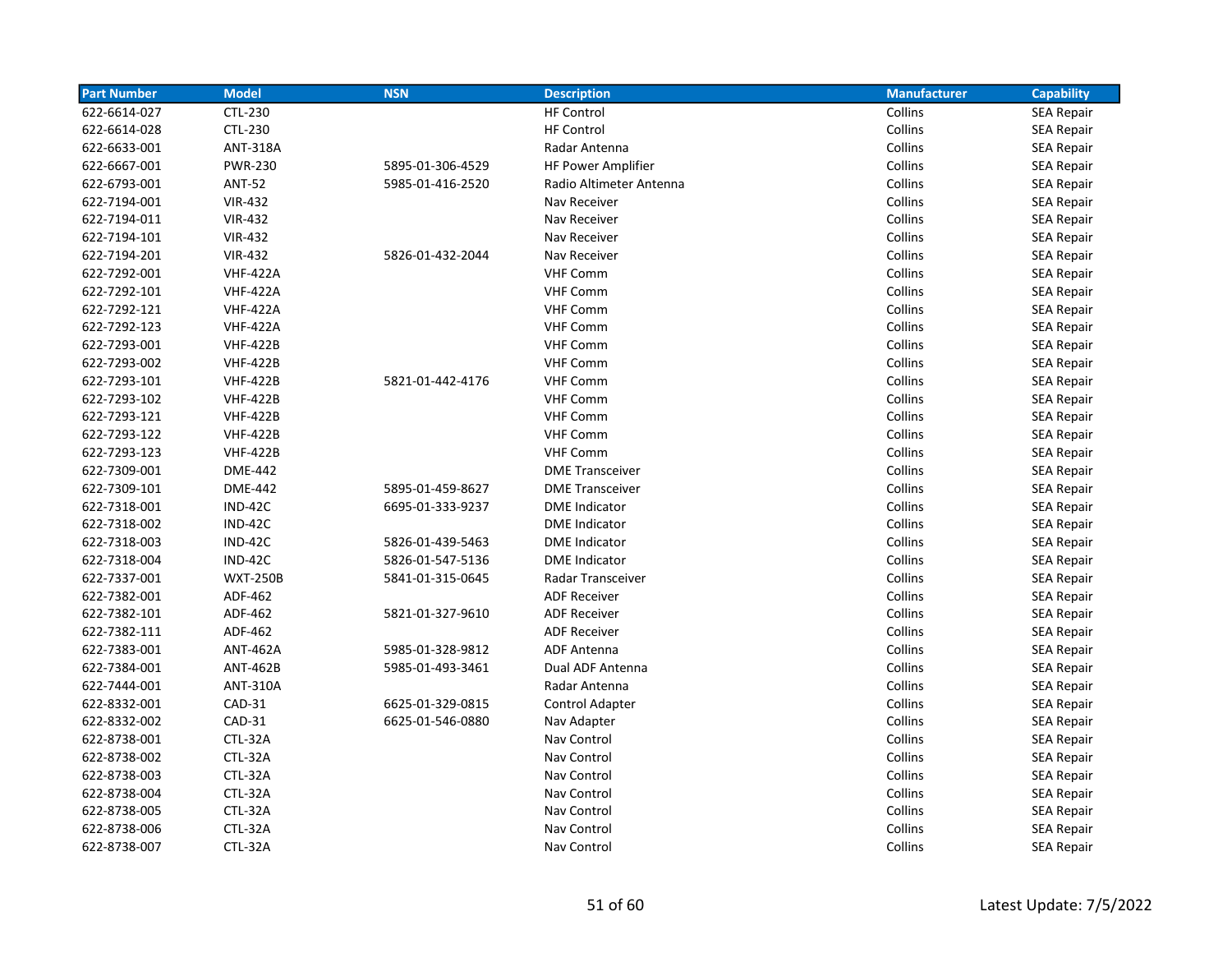| <b>Part Number</b> | <b>Model</b>    | <b>NSN</b>       | <b>Description</b>      | <b>Manufacturer</b> | <b>Capability</b> |
|--------------------|-----------------|------------------|-------------------------|---------------------|-------------------|
| 622-6614-027       | CTL-230         |                  | <b>HF Control</b>       | Collins             | <b>SEA Repair</b> |
| 622-6614-028       | CTL-230         |                  | <b>HF Control</b>       | Collins             | <b>SEA Repair</b> |
| 622-6633-001       | <b>ANT-318A</b> |                  | Radar Antenna           | Collins             | SEA Repair        |
| 622-6667-001       | <b>PWR-230</b>  | 5895-01-306-4529 | HF Power Amplifier      | Collins             | <b>SEA Repair</b> |
| 622-6793-001       | <b>ANT-52</b>   | 5985-01-416-2520 | Radio Altimeter Antenna | Collins             | SEA Repair        |
| 622-7194-001       | <b>VIR-432</b>  |                  | Nav Receiver            | Collins             | <b>SEA Repair</b> |
| 622-7194-011       | <b>VIR-432</b>  |                  | Nav Receiver            | Collins             | <b>SEA Repair</b> |
| 622-7194-101       | <b>VIR-432</b>  |                  | Nav Receiver            | Collins             | <b>SEA Repair</b> |
| 622-7194-201       | <b>VIR-432</b>  | 5826-01-432-2044 | Nav Receiver            | Collins             | SEA Repair        |
| 622-7292-001       | <b>VHF-422A</b> |                  | <b>VHF Comm</b>         | Collins             | <b>SEA Repair</b> |
| 622-7292-101       | <b>VHF-422A</b> |                  | <b>VHF Comm</b>         | Collins             | <b>SEA Repair</b> |
| 622-7292-121       | <b>VHF-422A</b> |                  | <b>VHF Comm</b>         | Collins             | <b>SEA Repair</b> |
| 622-7292-123       | <b>VHF-422A</b> |                  | <b>VHF Comm</b>         | Collins             | <b>SEA Repair</b> |
| 622-7293-001       | <b>VHF-422B</b> |                  | <b>VHF Comm</b>         | Collins             | <b>SEA Repair</b> |
| 622-7293-002       | <b>VHF-422B</b> |                  | <b>VHF Comm</b>         | Collins             | <b>SEA Repair</b> |
| 622-7293-101       | <b>VHF-422B</b> | 5821-01-442-4176 | <b>VHF Comm</b>         | Collins             | <b>SEA Repair</b> |
| 622-7293-102       | <b>VHF-422B</b> |                  | <b>VHF Comm</b>         | Collins             | <b>SEA Repair</b> |
| 622-7293-121       | <b>VHF-422B</b> |                  | <b>VHF Comm</b>         | Collins             | SEA Repair        |
| 622-7293-122       | <b>VHF-422B</b> |                  | <b>VHF Comm</b>         | Collins             | <b>SEA Repair</b> |
| 622-7293-123       | <b>VHF-422B</b> |                  | <b>VHF Comm</b>         | Collins             | <b>SEA Repair</b> |
| 622-7309-001       | <b>DME-442</b>  |                  | <b>DME Transceiver</b>  | Collins             | <b>SEA Repair</b> |
| 622-7309-101       | <b>DME-442</b>  | 5895-01-459-8627 | <b>DME Transceiver</b>  | Collins             | <b>SEA Repair</b> |
| 622-7318-001       | IND-42C         | 6695-01-333-9237 | <b>DME</b> Indicator    | Collins             | <b>SEA Repair</b> |
| 622-7318-002       | IND-42C         |                  | <b>DME</b> Indicator    | Collins             | <b>SEA Repair</b> |
| 622-7318-003       | IND-42C         | 5826-01-439-5463 | <b>DME</b> Indicator    | Collins             | SEA Repair        |
| 622-7318-004       | IND-42C         | 5826-01-547-5136 | <b>DME</b> Indicator    | Collins             | SEA Repair        |
| 622-7337-001       | <b>WXT-250B</b> | 5841-01-315-0645 | Radar Transceiver       | Collins             | <b>SEA Repair</b> |
| 622-7382-001       | ADF-462         |                  | <b>ADF Receiver</b>     | Collins             | SEA Repair        |
| 622-7382-101       | ADF-462         | 5821-01-327-9610 | <b>ADF Receiver</b>     | Collins             | SEA Repair        |
| 622-7382-111       | ADF-462         |                  | <b>ADF Receiver</b>     | Collins             | SEA Repair        |
| 622-7383-001       | <b>ANT-462A</b> | 5985-01-328-9812 | <b>ADF Antenna</b>      | Collins             | <b>SEA Repair</b> |
| 622-7384-001       | <b>ANT-462B</b> | 5985-01-493-3461 | Dual ADF Antenna        | Collins             | SEA Repair        |
| 622-7444-001       | <b>ANT-310A</b> |                  | Radar Antenna           | Collins             | <b>SEA Repair</b> |
| 622-8332-001       | CAD-31          | 6625-01-329-0815 | <b>Control Adapter</b>  | Collins             | <b>SEA Repair</b> |
| 622-8332-002       | CAD-31          | 6625-01-546-0880 | Nav Adapter             | Collins             | <b>SEA Repair</b> |
| 622-8738-001       | CTL-32A         |                  | Nav Control             | Collins             | <b>SEA Repair</b> |
| 622-8738-002       | CTL-32A         |                  | Nav Control             | Collins             | <b>SEA Repair</b> |
| 622-8738-003       | CTL-32A         |                  | Nav Control             | Collins             | <b>SEA Repair</b> |
| 622-8738-004       | CTL-32A         |                  | Nav Control             | Collins             | <b>SEA Repair</b> |
| 622-8738-005       | CTL-32A         |                  | Nav Control             | Collins             | SEA Repair        |
| 622-8738-006       | CTL-32A         |                  | Nav Control             | Collins             | <b>SEA Repair</b> |
| 622-8738-007       | CTL-32A         |                  | Nav Control             | Collins             | <b>SEA Repair</b> |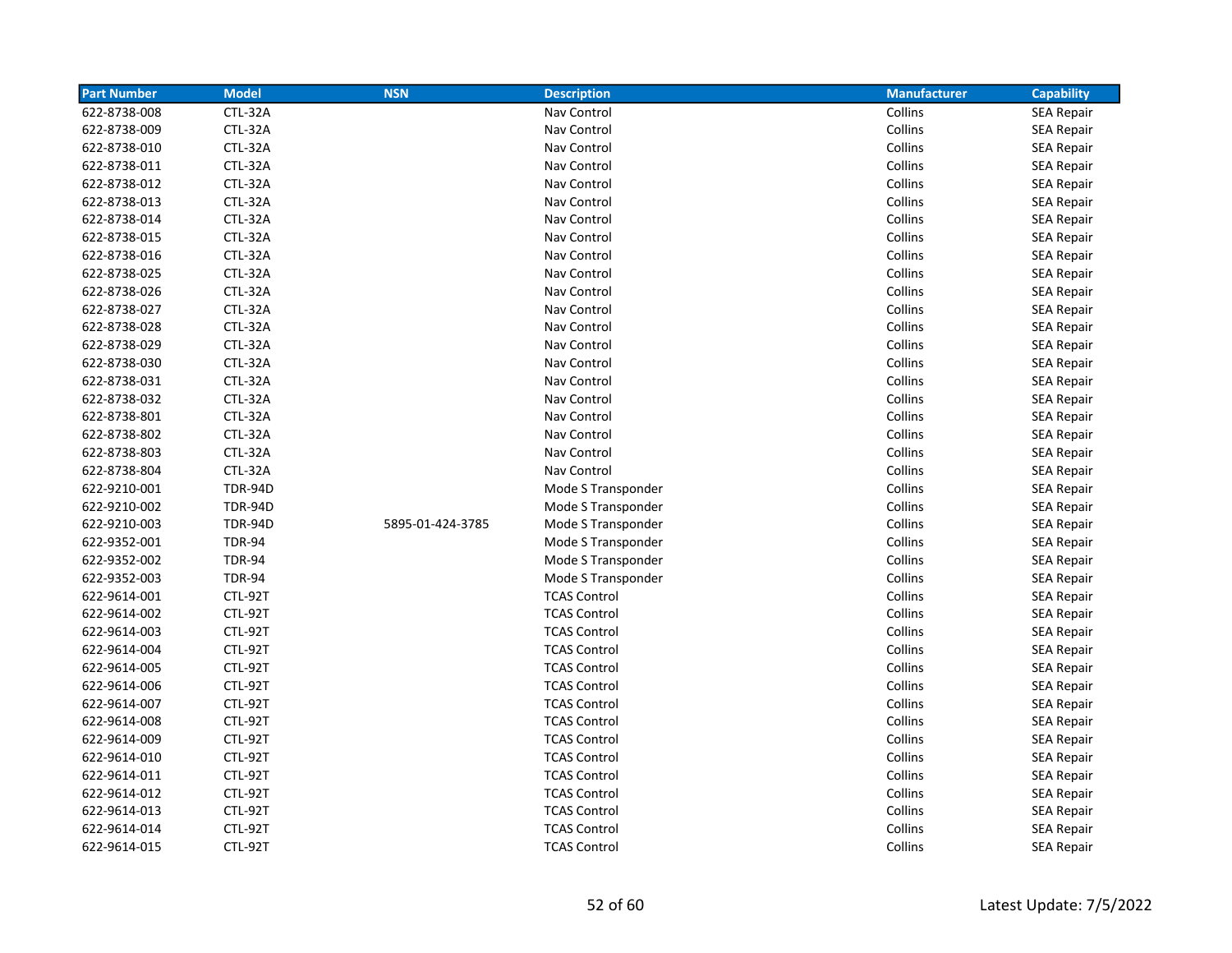| <b>Part Number</b> | <b>Model</b>   | <b>NSN</b>       | <b>Description</b>  | <b>Manufacturer</b> | <b>Capability</b> |
|--------------------|----------------|------------------|---------------------|---------------------|-------------------|
| 622-8738-008       | CTL-32A        |                  | Nav Control         | Collins             | <b>SEA Repair</b> |
| 622-8738-009       | CTL-32A        |                  | Nav Control         | Collins             | <b>SEA Repair</b> |
| 622-8738-010       | CTL-32A        |                  | Nav Control         | Collins             | <b>SEA Repair</b> |
| 622-8738-011       | CTL-32A        |                  | Nav Control         | Collins             | <b>SEA Repair</b> |
| 622-8738-012       | CTL-32A        |                  | Nav Control         | Collins             | <b>SEA Repair</b> |
| 622-8738-013       | CTL-32A        |                  | Nav Control         | Collins             | <b>SEA Repair</b> |
| 622-8738-014       | CTL-32A        |                  | Nav Control         | Collins             | <b>SEA Repair</b> |
| 622-8738-015       | CTL-32A        |                  | Nav Control         | Collins             | <b>SEA Repair</b> |
| 622-8738-016       | CTL-32A        |                  | Nav Control         | Collins             | <b>SEA Repair</b> |
| 622-8738-025       | CTL-32A        |                  | Nav Control         | Collins             | <b>SEA Repair</b> |
| 622-8738-026       | CTL-32A        |                  | Nav Control         | Collins             | <b>SEA Repair</b> |
| 622-8738-027       | CTL-32A        |                  | Nav Control         | Collins             | <b>SEA Repair</b> |
| 622-8738-028       | CTL-32A        |                  | Nav Control         | Collins             | <b>SEA Repair</b> |
| 622-8738-029       | CTL-32A        |                  | Nav Control         | Collins             | <b>SEA Repair</b> |
| 622-8738-030       | CTL-32A        |                  | Nav Control         | Collins             | <b>SEA Repair</b> |
| 622-8738-031       | CTL-32A        |                  | Nav Control         | Collins             | <b>SEA Repair</b> |
| 622-8738-032       | CTL-32A        |                  | Nav Control         | Collins             | <b>SEA Repair</b> |
| 622-8738-801       | CTL-32A        |                  | Nav Control         | Collins             | <b>SEA Repair</b> |
| 622-8738-802       | CTL-32A        |                  | Nav Control         | Collins             | <b>SEA Repair</b> |
| 622-8738-803       | CTL-32A        |                  | Nav Control         | Collins             | SEA Repair        |
| 622-8738-804       | CTL-32A        |                  | Nav Control         | Collins             | <b>SEA Repair</b> |
| 622-9210-001       | <b>TDR-94D</b> |                  | Mode S Transponder  | Collins             | <b>SEA Repair</b> |
| 622-9210-002       | <b>TDR-94D</b> |                  | Mode S Transponder  | Collins             | <b>SEA Repair</b> |
| 622-9210-003       | <b>TDR-94D</b> | 5895-01-424-3785 | Mode S Transponder  | Collins             | <b>SEA Repair</b> |
| 622-9352-001       | <b>TDR-94</b>  |                  | Mode S Transponder  | Collins             | <b>SEA Repair</b> |
| 622-9352-002       | <b>TDR-94</b>  |                  | Mode S Transponder  | Collins             | <b>SEA Repair</b> |
| 622-9352-003       | <b>TDR-94</b>  |                  | Mode S Transponder  | Collins             | <b>SEA Repair</b> |
| 622-9614-001       | CTL-92T        |                  | <b>TCAS Control</b> | Collins             | <b>SEA Repair</b> |
| 622-9614-002       | CTL-92T        |                  | <b>TCAS Control</b> | Collins             | <b>SEA Repair</b> |
| 622-9614-003       | CTL-92T        |                  | <b>TCAS Control</b> | Collins             | <b>SEA Repair</b> |
| 622-9614-004       | CTL-92T        |                  | <b>TCAS Control</b> | Collins             | <b>SEA Repair</b> |
| 622-9614-005       | CTL-92T        |                  | <b>TCAS Control</b> | Collins             | <b>SEA Repair</b> |
| 622-9614-006       | CTL-92T        |                  | <b>TCAS Control</b> | Collins             | <b>SEA Repair</b> |
| 622-9614-007       | CTL-92T        |                  | <b>TCAS Control</b> | Collins             | <b>SEA Repair</b> |
| 622-9614-008       | CTL-92T        |                  | <b>TCAS Control</b> | Collins             | <b>SEA Repair</b> |
| 622-9614-009       | CTL-92T        |                  | <b>TCAS Control</b> | Collins             | <b>SEA Repair</b> |
| 622-9614-010       | CTL-92T        |                  | <b>TCAS Control</b> | Collins             | SEA Repair        |
| 622-9614-011       | CTL-92T        |                  | <b>TCAS Control</b> | Collins             | <b>SEA Repair</b> |
| 622-9614-012       | CTL-92T        |                  | <b>TCAS Control</b> | Collins             | <b>SEA Repair</b> |
| 622-9614-013       | CTL-92T        |                  | <b>TCAS Control</b> | Collins             | SEA Repair        |
| 622-9614-014       | CTL-92T        |                  | <b>TCAS Control</b> | Collins             | <b>SEA Repair</b> |
| 622-9614-015       | CTL-92T        |                  | <b>TCAS Control</b> | Collins             | <b>SEA Repair</b> |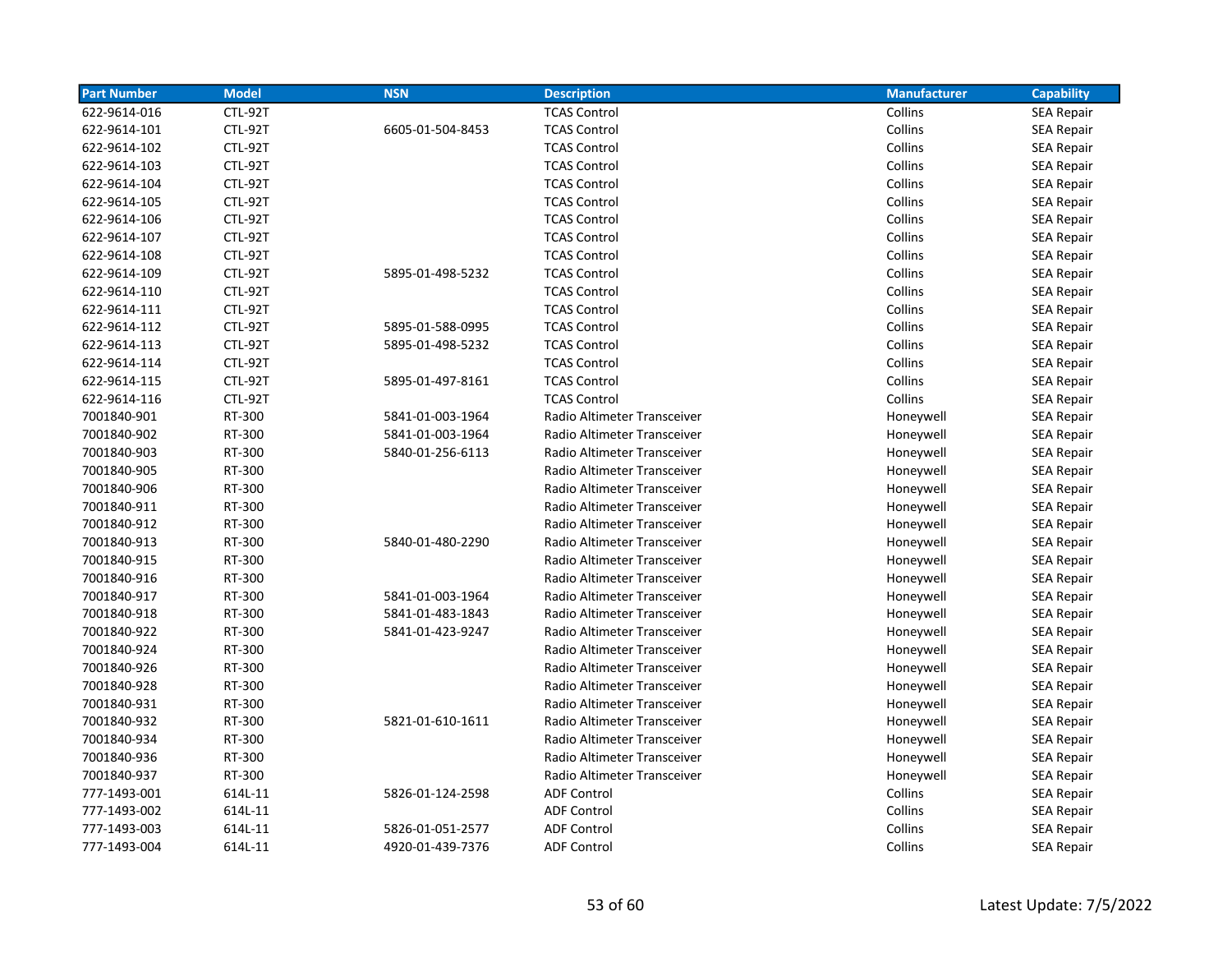| <b>Part Number</b> | <b>Model</b> | <b>NSN</b>       | <b>Description</b>          | <b>Manufacturer</b> | <b>Capability</b> |
|--------------------|--------------|------------------|-----------------------------|---------------------|-------------------|
| 622-9614-016       | CTL-92T      |                  | <b>TCAS Control</b>         | Collins             | <b>SEA Repair</b> |
| 622-9614-101       | CTL-92T      | 6605-01-504-8453 | <b>TCAS Control</b>         | Collins             | <b>SEA Repair</b> |
| 622-9614-102       | CTL-92T      |                  | <b>TCAS Control</b>         | Collins             | <b>SEA Repair</b> |
| 622-9614-103       | CTL-92T      |                  | <b>TCAS Control</b>         | Collins             | <b>SEA Repair</b> |
| 622-9614-104       | CTL-92T      |                  | <b>TCAS Control</b>         | Collins             | <b>SEA Repair</b> |
| 622-9614-105       | CTL-92T      |                  | <b>TCAS Control</b>         | Collins             | <b>SEA Repair</b> |
| 622-9614-106       | CTL-92T      |                  | <b>TCAS Control</b>         | Collins             | <b>SEA Repair</b> |
| 622-9614-107       | CTL-92T      |                  | <b>TCAS Control</b>         | Collins             | <b>SEA Repair</b> |
| 622-9614-108       | CTL-92T      |                  | <b>TCAS Control</b>         | Collins             | <b>SEA Repair</b> |
| 622-9614-109       | CTL-92T      | 5895-01-498-5232 | <b>TCAS Control</b>         | Collins             | <b>SEA Repair</b> |
| 622-9614-110       | CTL-92T      |                  | <b>TCAS Control</b>         | Collins             | <b>SEA Repair</b> |
| 622-9614-111       | CTL-92T      |                  | <b>TCAS Control</b>         | Collins             | <b>SEA Repair</b> |
| 622-9614-112       | CTL-92T      | 5895-01-588-0995 | <b>TCAS Control</b>         | Collins             | <b>SEA Repair</b> |
| 622-9614-113       | CTL-92T      | 5895-01-498-5232 | <b>TCAS Control</b>         | Collins             | <b>SEA Repair</b> |
| 622-9614-114       | CTL-92T      |                  | <b>TCAS Control</b>         | Collins             | <b>SEA Repair</b> |
| 622-9614-115       | CTL-92T      | 5895-01-497-8161 | <b>TCAS Control</b>         | Collins             | <b>SEA Repair</b> |
| 622-9614-116       | CTL-92T      |                  | <b>TCAS Control</b>         | Collins             | <b>SEA Repair</b> |
| 7001840-901        | RT-300       | 5841-01-003-1964 | Radio Altimeter Transceiver | Honeywell           | <b>SEA Repair</b> |
| 7001840-902        | RT-300       | 5841-01-003-1964 | Radio Altimeter Transceiver | Honeywell           | <b>SEA Repair</b> |
| 7001840-903        | RT-300       | 5840-01-256-6113 | Radio Altimeter Transceiver | Honeywell           | <b>SEA Repair</b> |
| 7001840-905        | RT-300       |                  | Radio Altimeter Transceiver | Honeywell           | SEA Repair        |
| 7001840-906        | RT-300       |                  | Radio Altimeter Transceiver | Honeywell           | <b>SEA Repair</b> |
| 7001840-911        | RT-300       |                  | Radio Altimeter Transceiver | Honeywell           | <b>SEA Repair</b> |
| 7001840-912        | RT-300       |                  | Radio Altimeter Transceiver | Honeywell           | SEA Repair        |
| 7001840-913        | RT-300       | 5840-01-480-2290 | Radio Altimeter Transceiver | Honeywell           | <b>SEA Repair</b> |
| 7001840-915        | RT-300       |                  | Radio Altimeter Transceiver | Honeywell           | <b>SEA Repair</b> |
| 7001840-916        | RT-300       |                  | Radio Altimeter Transceiver | Honeywell           | <b>SEA Repair</b> |
| 7001840-917        | RT-300       | 5841-01-003-1964 | Radio Altimeter Transceiver | Honeywell           | <b>SEA Repair</b> |
| 7001840-918        | RT-300       | 5841-01-483-1843 | Radio Altimeter Transceiver | Honeywell           | <b>SEA Repair</b> |
| 7001840-922        | RT-300       | 5841-01-423-9247 | Radio Altimeter Transceiver | Honeywell           | <b>SEA Repair</b> |
| 7001840-924        | RT-300       |                  | Radio Altimeter Transceiver | Honeywell           | <b>SEA Repair</b> |
| 7001840-926        | RT-300       |                  | Radio Altimeter Transceiver | Honeywell           | <b>SEA Repair</b> |
| 7001840-928        | RT-300       |                  | Radio Altimeter Transceiver | Honeywell           | <b>SEA Repair</b> |
| 7001840-931        | RT-300       |                  | Radio Altimeter Transceiver | Honeywell           | <b>SEA Repair</b> |
| 7001840-932        | RT-300       | 5821-01-610-1611 | Radio Altimeter Transceiver | Honeywell           | <b>SEA Repair</b> |
| 7001840-934        | RT-300       |                  | Radio Altimeter Transceiver | Honeywell           | <b>SEA Repair</b> |
| 7001840-936        | RT-300       |                  | Radio Altimeter Transceiver | Honeywell           | <b>SEA Repair</b> |
| 7001840-937        | RT-300       |                  | Radio Altimeter Transceiver | Honeywell           | <b>SEA Repair</b> |
| 777-1493-001       | 614L-11      | 5826-01-124-2598 | <b>ADF Control</b>          | Collins             | <b>SEA Repair</b> |
| 777-1493-002       | 614L-11      |                  | <b>ADF Control</b>          | Collins             | <b>SEA Repair</b> |
| 777-1493-003       | 614L-11      | 5826-01-051-2577 | <b>ADF Control</b>          | Collins             | <b>SEA Repair</b> |
| 777-1493-004       | 614L-11      | 4920-01-439-7376 | <b>ADF Control</b>          | Collins             | <b>SEA Repair</b> |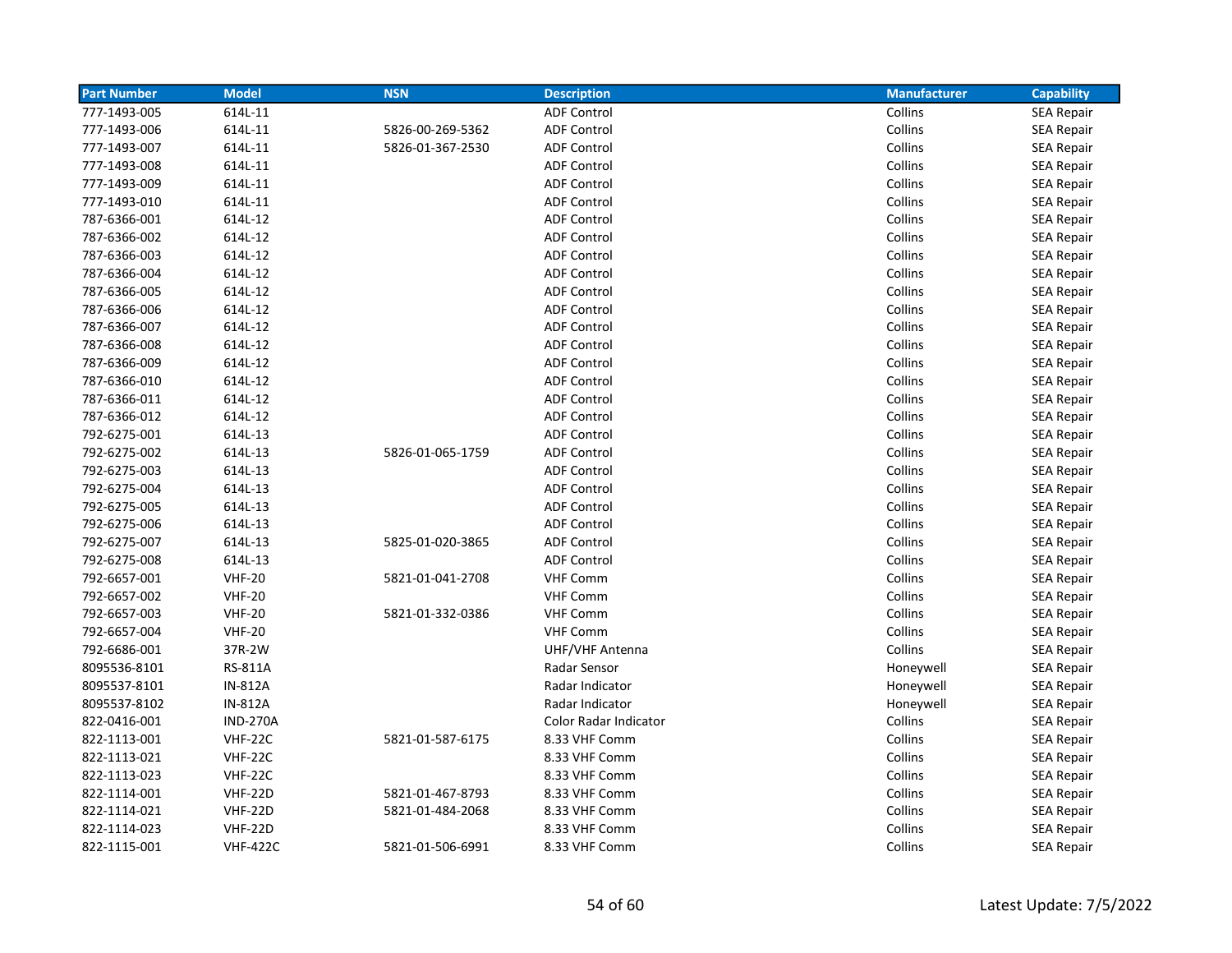| <b>Part Number</b> | <b>Model</b>    | <b>NSN</b>       | <b>Description</b>    | <b>Manufacturer</b> | <b>Capability</b> |
|--------------------|-----------------|------------------|-----------------------|---------------------|-------------------|
| 777-1493-005       | 614L-11         |                  | <b>ADF Control</b>    | Collins             | <b>SEA Repair</b> |
| 777-1493-006       | 614L-11         | 5826-00-269-5362 | <b>ADF Control</b>    | Collins             | <b>SEA Repair</b> |
| 777-1493-007       | 614L-11         | 5826-01-367-2530 | <b>ADF Control</b>    | Collins             | SEA Repair        |
| 777-1493-008       | 614L-11         |                  | <b>ADF Control</b>    | Collins             | <b>SEA Repair</b> |
| 777-1493-009       | 614L-11         |                  | <b>ADF Control</b>    | Collins             | <b>SEA Repair</b> |
| 777-1493-010       | 614L-11         |                  | <b>ADF Control</b>    | Collins             | <b>SEA Repair</b> |
| 787-6366-001       | 614L-12         |                  | <b>ADF Control</b>    | Collins             | <b>SEA Repair</b> |
| 787-6366-002       | 614L-12         |                  | <b>ADF Control</b>    | Collins             | <b>SEA Repair</b> |
| 787-6366-003       | 614L-12         |                  | <b>ADF Control</b>    | Collins             | <b>SEA Repair</b> |
| 787-6366-004       | 614L-12         |                  | <b>ADF Control</b>    | Collins             | <b>SEA Repair</b> |
| 787-6366-005       | 614L-12         |                  | <b>ADF Control</b>    | Collins             | <b>SEA Repair</b> |
| 787-6366-006       | 614L-12         |                  | <b>ADF Control</b>    | Collins             | <b>SEA Repair</b> |
| 787-6366-007       | 614L-12         |                  | <b>ADF Control</b>    | Collins             | <b>SEA Repair</b> |
| 787-6366-008       | 614L-12         |                  | <b>ADF Control</b>    | Collins             | SEA Repair        |
| 787-6366-009       | 614L-12         |                  | <b>ADF Control</b>    | Collins             | <b>SEA Repair</b> |
| 787-6366-010       | 614L-12         |                  | <b>ADF Control</b>    | Collins             | <b>SEA Repair</b> |
| 787-6366-011       | 614L-12         |                  | <b>ADF Control</b>    | Collins             | <b>SEA Repair</b> |
| 787-6366-012       | 614L-12         |                  | <b>ADF Control</b>    | Collins             | <b>SEA Repair</b> |
| 792-6275-001       | 614L-13         |                  | <b>ADF Control</b>    | Collins             | <b>SEA Repair</b> |
| 792-6275-002       | 614L-13         | 5826-01-065-1759 | <b>ADF Control</b>    | Collins             | <b>SEA Repair</b> |
| 792-6275-003       | 614L-13         |                  | <b>ADF Control</b>    | Collins             | <b>SEA Repair</b> |
| 792-6275-004       | 614L-13         |                  | <b>ADF Control</b>    | Collins             | <b>SEA Repair</b> |
| 792-6275-005       | 614L-13         |                  | <b>ADF Control</b>    | Collins             | <b>SEA Repair</b> |
| 792-6275-006       | 614L-13         |                  | <b>ADF Control</b>    | Collins             | SEA Repair        |
| 792-6275-007       | 614L-13         | 5825-01-020-3865 | <b>ADF Control</b>    | Collins             | <b>SEA Repair</b> |
| 792-6275-008       | 614L-13         |                  | <b>ADF Control</b>    | Collins             | <b>SEA Repair</b> |
| 792-6657-001       | <b>VHF-20</b>   | 5821-01-041-2708 | <b>VHF Comm</b>       | Collins             | <b>SEA Repair</b> |
| 792-6657-002       | <b>VHF-20</b>   |                  | <b>VHF Comm</b>       | Collins             | <b>SEA Repair</b> |
| 792-6657-003       | <b>VHF-20</b>   | 5821-01-332-0386 | <b>VHF Comm</b>       | Collins             | <b>SEA Repair</b> |
| 792-6657-004       | <b>VHF-20</b>   |                  | <b>VHF Comm</b>       | Collins             | <b>SEA Repair</b> |
| 792-6686-001       | 37R-2W          |                  | UHF/VHF Antenna       | Collins             | <b>SEA Repair</b> |
| 8095536-8101       | <b>RS-811A</b>  |                  | Radar Sensor          | Honeywell           | <b>SEA Repair</b> |
| 8095537-8101       | <b>IN-812A</b>  |                  | Radar Indicator       | Honeywell           | <b>SEA Repair</b> |
| 8095537-8102       | <b>IN-812A</b>  |                  | Radar Indicator       | Honeywell           | SEA Repair        |
| 822-0416-001       | <b>IND-270A</b> |                  | Color Radar Indicator | Collins             | <b>SEA Repair</b> |
| 822-1113-001       | <b>VHF-22C</b>  | 5821-01-587-6175 | 8.33 VHF Comm         | Collins             | SEA Repair        |
| 822-1113-021       | <b>VHF-22C</b>  |                  | 8.33 VHF Comm         | Collins             | <b>SEA Repair</b> |
| 822-1113-023       | <b>VHF-22C</b>  |                  | 8.33 VHF Comm         | Collins             | <b>SEA Repair</b> |
| 822-1114-001       | <b>VHF-22D</b>  | 5821-01-467-8793 | 8.33 VHF Comm         | Collins             | <b>SEA Repair</b> |
| 822-1114-021       | <b>VHF-22D</b>  | 5821-01-484-2068 | 8.33 VHF Comm         | Collins             | <b>SEA Repair</b> |
| 822-1114-023       | <b>VHF-22D</b>  |                  | 8.33 VHF Comm         | Collins             | <b>SEA Repair</b> |
| 822-1115-001       | <b>VHF-422C</b> | 5821-01-506-6991 | 8.33 VHF Comm         | Collins             | <b>SEA Repair</b> |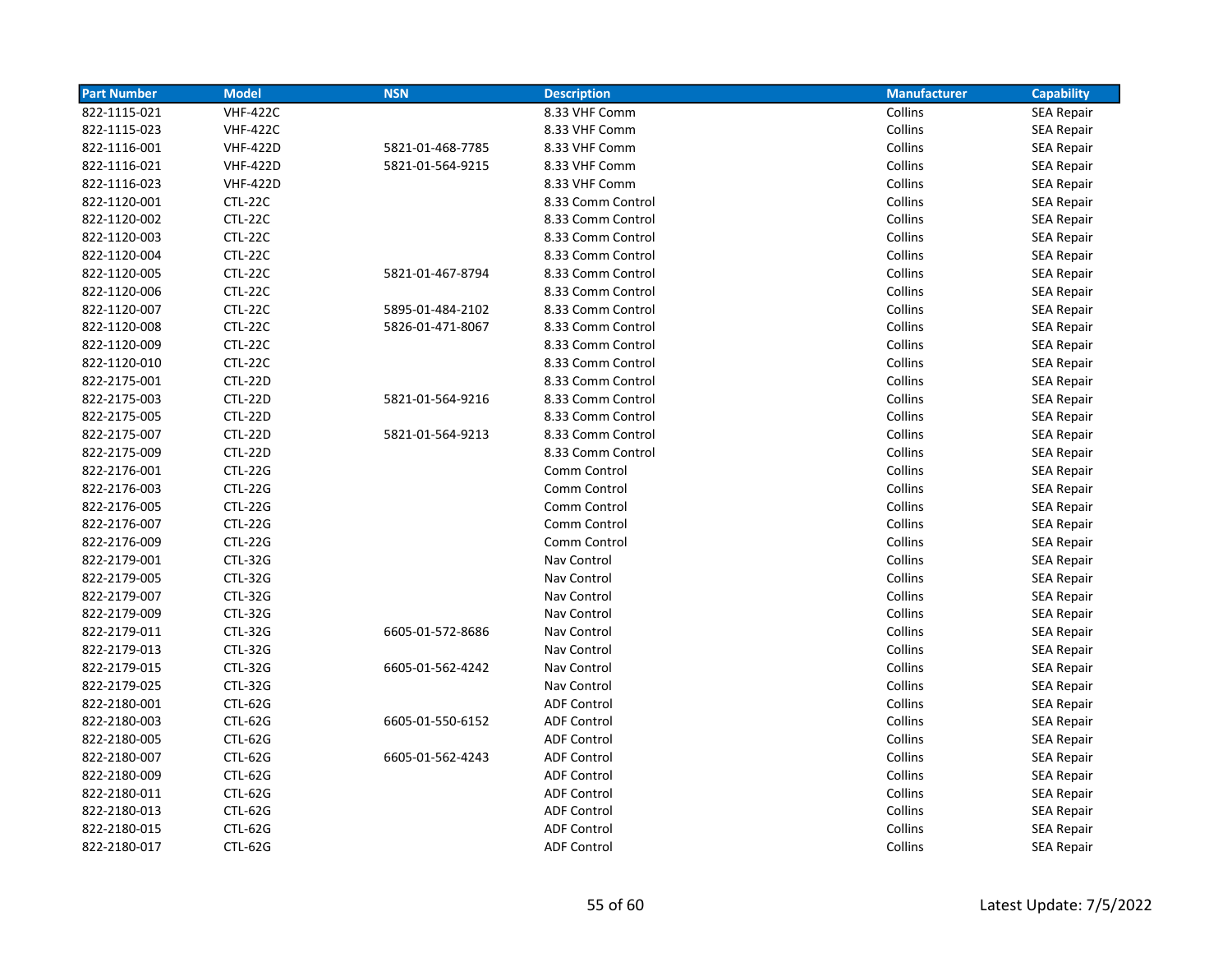| <b>Part Number</b> | <b>Model</b>    | <b>NSN</b>       | <b>Description</b> | <b>Manufacturer</b> | <b>Capability</b> |
|--------------------|-----------------|------------------|--------------------|---------------------|-------------------|
| 822-1115-021       | <b>VHF-422C</b> |                  | 8.33 VHF Comm      | Collins             | <b>SEA Repair</b> |
| 822-1115-023       | <b>VHF-422C</b> |                  | 8.33 VHF Comm      | Collins             | <b>SEA Repair</b> |
| 822-1116-001       | <b>VHF-422D</b> | 5821-01-468-7785 | 8.33 VHF Comm      | Collins             | <b>SEA Repair</b> |
| 822-1116-021       | <b>VHF-422D</b> | 5821-01-564-9215 | 8.33 VHF Comm      | Collins             | <b>SEA Repair</b> |
| 822-1116-023       | <b>VHF-422D</b> |                  | 8.33 VHF Comm      | Collins             | <b>SEA Repair</b> |
| 822-1120-001       | CTL-22C         |                  | 8.33 Comm Control  | Collins             | <b>SEA Repair</b> |
| 822-1120-002       | CTL-22C         |                  | 8.33 Comm Control  | Collins             | <b>SEA Repair</b> |
| 822-1120-003       | CTL-22C         |                  | 8.33 Comm Control  | Collins             | <b>SEA Repair</b> |
| 822-1120-004       | CTL-22C         |                  | 8.33 Comm Control  | Collins             | <b>SEA Repair</b> |
| 822-1120-005       | CTL-22C         | 5821-01-467-8794 | 8.33 Comm Control  | Collins             | <b>SEA Repair</b> |
| 822-1120-006       | CTL-22C         |                  | 8.33 Comm Control  | Collins             | <b>SEA Repair</b> |
| 822-1120-007       | CTL-22C         | 5895-01-484-2102 | 8.33 Comm Control  | Collins             | <b>SEA Repair</b> |
| 822-1120-008       | CTL-22C         | 5826-01-471-8067 | 8.33 Comm Control  | Collins             | <b>SEA Repair</b> |
| 822-1120-009       | CTL-22C         |                  | 8.33 Comm Control  | Collins             | <b>SEA Repair</b> |
| 822-1120-010       | CTL-22C         |                  | 8.33 Comm Control  | Collins             | <b>SEA Repair</b> |
| 822-2175-001       | CTL-22D         |                  | 8.33 Comm Control  | Collins             | <b>SEA Repair</b> |
| 822-2175-003       | CTL-22D         | 5821-01-564-9216 | 8.33 Comm Control  | Collins             | <b>SEA Repair</b> |
| 822-2175-005       | CTL-22D         |                  | 8.33 Comm Control  | Collins             | SEA Repair        |
| 822-2175-007       | CTL-22D         | 5821-01-564-9213 | 8.33 Comm Control  | Collins             | <b>SEA Repair</b> |
| 822-2175-009       | CTL-22D         |                  | 8.33 Comm Control  | Collins             | <b>SEA Repair</b> |
| 822-2176-001       | <b>CTL-22G</b>  |                  | Comm Control       | Collins             | <b>SEA Repair</b> |
| 822-2176-003       | <b>CTL-22G</b>  |                  | Comm Control       | Collins             | <b>SEA Repair</b> |
| 822-2176-005       | <b>CTL-22G</b>  |                  | Comm Control       | Collins             | <b>SEA Repair</b> |
| 822-2176-007       | <b>CTL-22G</b>  |                  | Comm Control       | Collins             | <b>SEA Repair</b> |
| 822-2176-009       | CTL-22G         |                  | Comm Control       | Collins             | <b>SEA Repair</b> |
| 822-2179-001       | <b>CTL-32G</b>  |                  | Nav Control        | Collins             | <b>SEA Repair</b> |
| 822-2179-005       | <b>CTL-32G</b>  |                  | Nav Control        | Collins             | <b>SEA Repair</b> |
| 822-2179-007       | <b>CTL-32G</b>  |                  | Nav Control        | Collins             | <b>SEA Repair</b> |
| 822-2179-009       | <b>CTL-32G</b>  |                  | Nav Control        | Collins             | <b>SEA Repair</b> |
| 822-2179-011       | <b>CTL-32G</b>  | 6605-01-572-8686 | Nav Control        | Collins             | <b>SEA Repair</b> |
| 822-2179-013       | CTL-32G         |                  | Nav Control        | Collins             | <b>SEA Repair</b> |
| 822-2179-015       | <b>CTL-32G</b>  | 6605-01-562-4242 | Nav Control        | Collins             | SEA Repair        |
| 822-2179-025       | <b>CTL-32G</b>  |                  | Nav Control        | Collins             | <b>SEA Repair</b> |
| 822-2180-001       | <b>CTL-62G</b>  |                  | <b>ADF Control</b> | Collins             | <b>SEA Repair</b> |
| 822-2180-003       | <b>CTL-62G</b>  | 6605-01-550-6152 | <b>ADF Control</b> | Collins             | SEA Repair        |
| 822-2180-005       | <b>CTL-62G</b>  |                  | <b>ADF Control</b> | Collins             | SEA Repair        |
| 822-2180-007       | <b>CTL-62G</b>  | 6605-01-562-4243 | <b>ADF Control</b> | Collins             | SEA Repair        |
| 822-2180-009       | <b>CTL-62G</b>  |                  | <b>ADF Control</b> | Collins             | <b>SEA Repair</b> |
| 822-2180-011       | CTL-62G         |                  | <b>ADF Control</b> | Collins             | <b>SEA Repair</b> |
| 822-2180-013       | CTL-62G         |                  | <b>ADF Control</b> | Collins             | <b>SEA Repair</b> |
| 822-2180-015       | CTL-62G         |                  | <b>ADF Control</b> | Collins             | <b>SEA Repair</b> |
| 822-2180-017       | CTL-62G         |                  | <b>ADF Control</b> | Collins             | <b>SEA Repair</b> |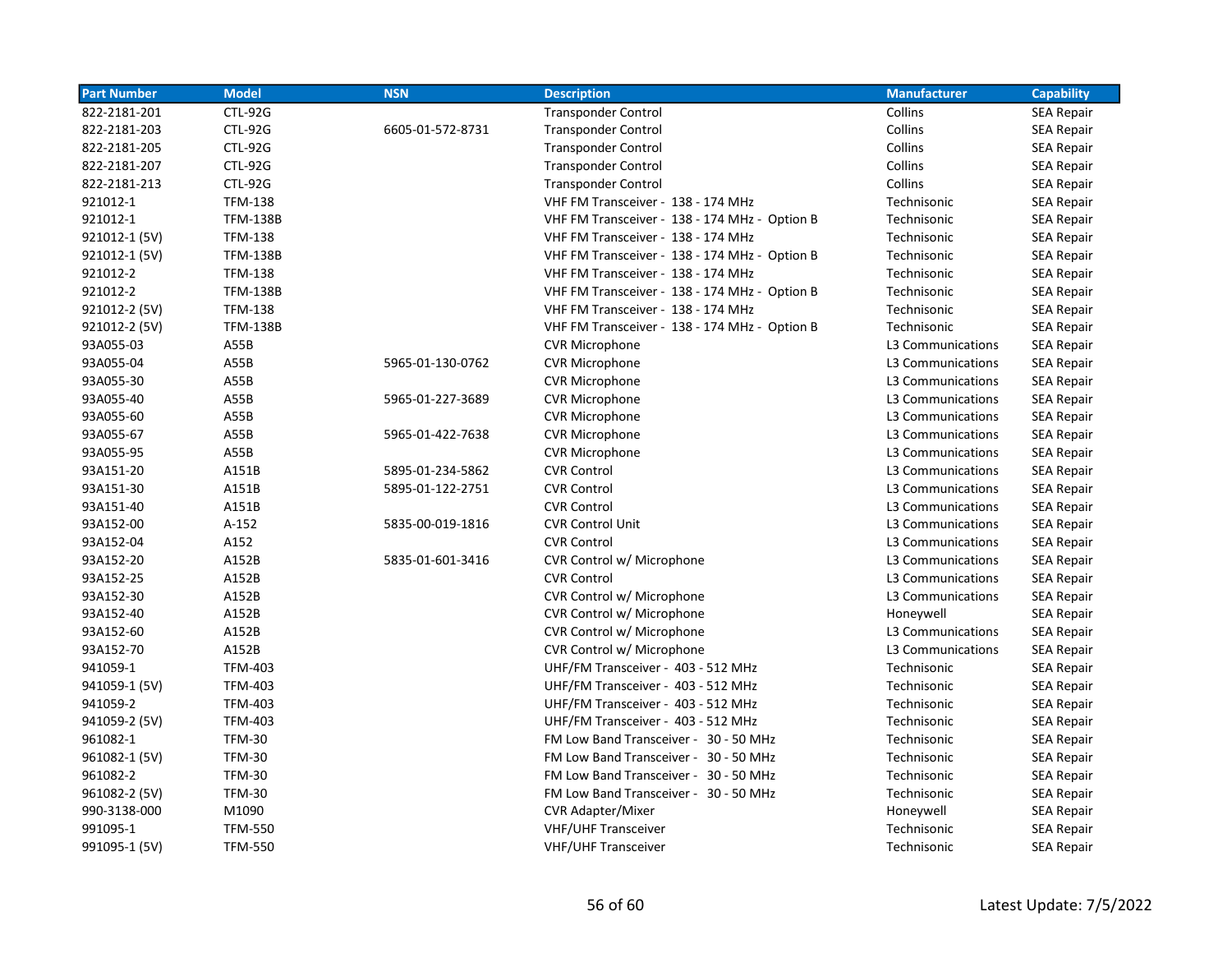| <b>Part Number</b> | <b>Model</b>    | <b>NSN</b>       | <b>Description</b>                            | <b>Manufacturer</b> | <b>Capability</b> |
|--------------------|-----------------|------------------|-----------------------------------------------|---------------------|-------------------|
| 822-2181-201       | <b>CTL-92G</b>  |                  | <b>Transponder Control</b>                    | Collins             | <b>SEA Repair</b> |
| 822-2181-203       | <b>CTL-92G</b>  | 6605-01-572-8731 | <b>Transponder Control</b>                    | Collins             | <b>SEA Repair</b> |
| 822-2181-205       | <b>CTL-92G</b>  |                  | <b>Transponder Control</b>                    | Collins             | <b>SEA Repair</b> |
| 822-2181-207       | CTL-92G         |                  | <b>Transponder Control</b>                    | Collins             | <b>SEA Repair</b> |
| 822-2181-213       | CTL-92G         |                  | <b>Transponder Control</b>                    | Collins             | <b>SEA Repair</b> |
| 921012-1           | <b>TFM-138</b>  |                  | VHF FM Transceiver - 138 - 174 MHz            | Technisonic         | <b>SEA Repair</b> |
| 921012-1           | <b>TFM-138B</b> |                  | VHF FM Transceiver - 138 - 174 MHz - Option B | Technisonic         | <b>SEA Repair</b> |
| 921012-1 (5V)      | <b>TFM-138</b>  |                  | VHF FM Transceiver - 138 - 174 MHz            | Technisonic         | <b>SEA Repair</b> |
| 921012-1 (5V)      | <b>TFM-138B</b> |                  | VHF FM Transceiver - 138 - 174 MHz - Option B | Technisonic         | <b>SEA Repair</b> |
| 921012-2           | <b>TFM-138</b>  |                  | VHF FM Transceiver - 138 - 174 MHz            | Technisonic         | <b>SEA Repair</b> |
| 921012-2           | <b>TFM-138B</b> |                  | VHF FM Transceiver - 138 - 174 MHz - Option B | Technisonic         | <b>SEA Repair</b> |
| 921012-2 (5V)      | <b>TFM-138</b>  |                  | VHF FM Transceiver - 138 - 174 MHz            | Technisonic         | <b>SEA Repair</b> |
| 921012-2 (5V)      | <b>TFM-138B</b> |                  | VHF FM Transceiver - 138 - 174 MHz - Option B | Technisonic         | <b>SEA Repair</b> |
| 93A055-03          | A55B            |                  | <b>CVR Microphone</b>                         | L3 Communications   | <b>SEA Repair</b> |
| 93A055-04          | A55B            | 5965-01-130-0762 | <b>CVR Microphone</b>                         | L3 Communications   | <b>SEA Repair</b> |
| 93A055-30          | A55B            |                  | <b>CVR Microphone</b>                         | L3 Communications   | <b>SEA Repair</b> |
| 93A055-40          | A55B            | 5965-01-227-3689 | <b>CVR Microphone</b>                         | L3 Communications   | <b>SEA Repair</b> |
| 93A055-60          | A55B            |                  | <b>CVR Microphone</b>                         | L3 Communications   | <b>SEA Repair</b> |
| 93A055-67          | A55B            | 5965-01-422-7638 | <b>CVR Microphone</b>                         | L3 Communications   | <b>SEA Repair</b> |
| 93A055-95          | A55B            |                  | <b>CVR Microphone</b>                         | L3 Communications   | <b>SEA Repair</b> |
| 93A151-20          | A151B           | 5895-01-234-5862 | <b>CVR Control</b>                            | L3 Communications   | <b>SEA Repair</b> |
| 93A151-30          | A151B           | 5895-01-122-2751 | <b>CVR Control</b>                            | L3 Communications   | <b>SEA Repair</b> |
| 93A151-40          | A151B           |                  | <b>CVR Control</b>                            | L3 Communications   | <b>SEA Repair</b> |
| 93A152-00          | $A-152$         | 5835-00-019-1816 | <b>CVR Control Unit</b>                       | L3 Communications   | <b>SEA Repair</b> |
| 93A152-04          | A152            |                  | <b>CVR Control</b>                            | L3 Communications   | <b>SEA Repair</b> |
| 93A152-20          | A152B           | 5835-01-601-3416 | CVR Control w/ Microphone                     | L3 Communications   | <b>SEA Repair</b> |
| 93A152-25          | A152B           |                  | <b>CVR Control</b>                            | L3 Communications   | <b>SEA Repair</b> |
| 93A152-30          | A152B           |                  | CVR Control w/ Microphone                     | L3 Communications   | <b>SEA Repair</b> |
| 93A152-40          | A152B           |                  | CVR Control w/ Microphone                     | Honeywell           | <b>SEA Repair</b> |
| 93A152-60          | A152B           |                  | CVR Control w/ Microphone                     | L3 Communications   | <b>SEA Repair</b> |
| 93A152-70          | A152B           |                  | CVR Control w/ Microphone                     | L3 Communications   | <b>SEA Repair</b> |
| 941059-1           | TFM-403         |                  | UHF/FM Transceiver - 403 - 512 MHz            | Technisonic         | <b>SEA Repair</b> |
| 941059-1 (5V)      | <b>TFM-403</b>  |                  | UHF/FM Transceiver - 403 - 512 MHz            | Technisonic         | <b>SEA Repair</b> |
| 941059-2           | <b>TFM-403</b>  |                  | UHF/FM Transceiver - 403 - 512 MHz            | Technisonic         | SEA Repair        |
| 941059-2 (5V)      | <b>TFM-403</b>  |                  | UHF/FM Transceiver - 403 - 512 MHz            | Technisonic         | <b>SEA Repair</b> |
| 961082-1           | <b>TFM-30</b>   |                  | FM Low Band Transceiver - 30 - 50 MHz         | Technisonic         | <b>SEA Repair</b> |
| 961082-1 (5V)      | <b>TFM-30</b>   |                  | FM Low Band Transceiver - 30 - 50 MHz         | Technisonic         | <b>SEA Repair</b> |
| 961082-2           | <b>TFM-30</b>   |                  | FM Low Band Transceiver - 30 - 50 MHz         | Technisonic         | <b>SEA Repair</b> |
| 961082-2 (5V)      | <b>TFM-30</b>   |                  | FM Low Band Transceiver - 30 - 50 MHz         | Technisonic         | <b>SEA Repair</b> |
| 990-3138-000       | M1090           |                  | <b>CVR Adapter/Mixer</b>                      | Honeywell           | <b>SEA Repair</b> |
| 991095-1           | <b>TFM-550</b>  |                  | <b>VHF/UHF Transceiver</b>                    | Technisonic         | <b>SEA Repair</b> |
| 991095-1 (5V)      | <b>TFM-550</b>  |                  | <b>VHF/UHF Transceiver</b>                    | Technisonic         | <b>SEA Repair</b> |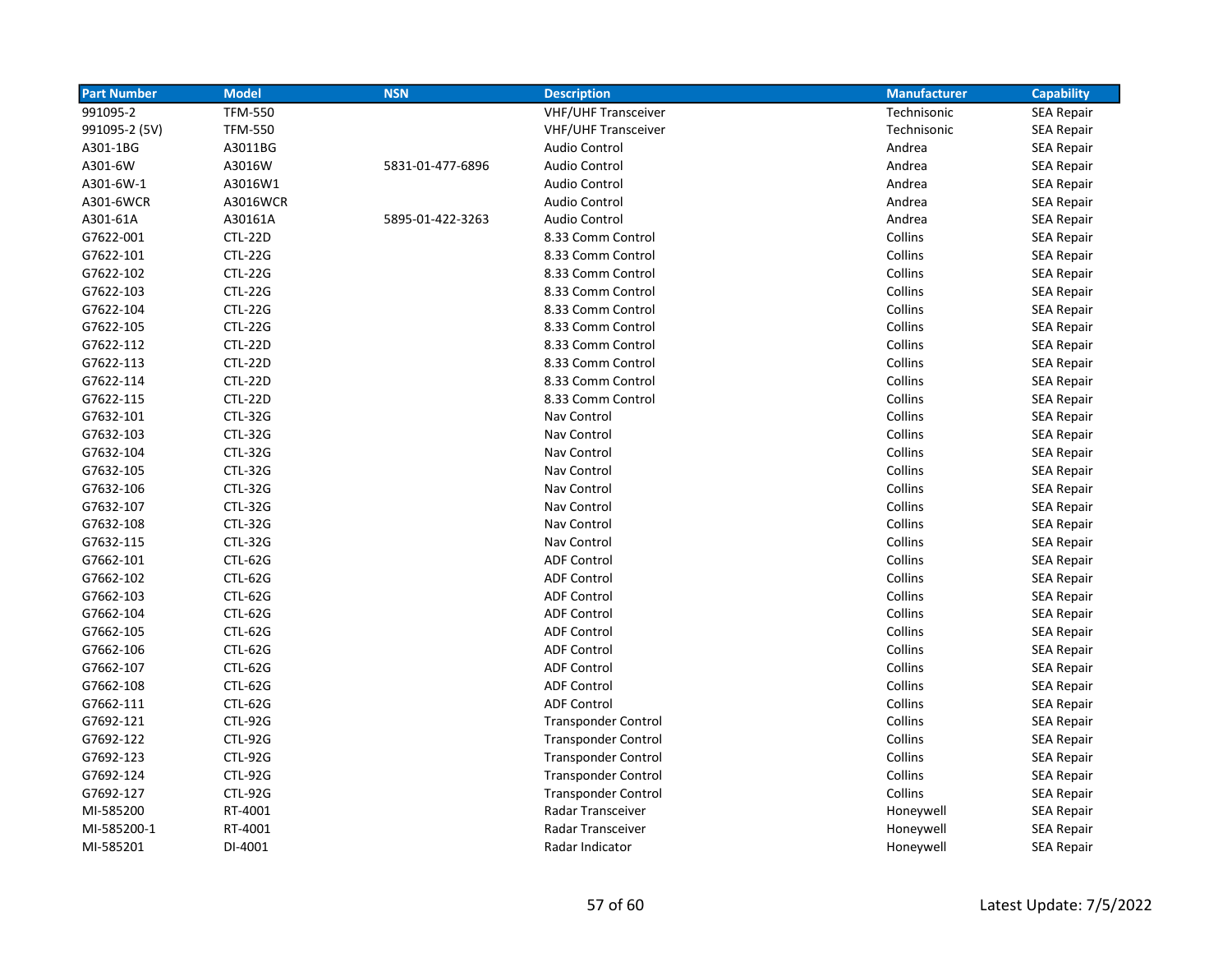| <b>Part Number</b> | <b>Model</b>   | <b>NSN</b>       | <b>Description</b>         | <b>Manufacturer</b> | <b>Capability</b> |
|--------------------|----------------|------------------|----------------------------|---------------------|-------------------|
| 991095-2           | <b>TFM-550</b> |                  | <b>VHF/UHF Transceiver</b> | Technisonic         | SEA Repair        |
| 991095-2 (5V)      | <b>TFM-550</b> |                  | <b>VHF/UHF Transceiver</b> | Technisonic         | <b>SEA Repair</b> |
| A301-1BG           | A3011BG        |                  | <b>Audio Control</b>       | Andrea              | <b>SEA Repair</b> |
| A301-6W            | A3016W         | 5831-01-477-6896 | <b>Audio Control</b>       | Andrea              | <b>SEA Repair</b> |
| A301-6W-1          | A3016W1        |                  | <b>Audio Control</b>       | Andrea              | <b>SEA Repair</b> |
| A301-6WCR          | A3016WCR       |                  | <b>Audio Control</b>       | Andrea              | <b>SEA Repair</b> |
| A301-61A           | A30161A        | 5895-01-422-3263 | <b>Audio Control</b>       | Andrea              | <b>SEA Repair</b> |
| G7622-001          | CTL-22D        |                  | 8.33 Comm Control          | Collins             | <b>SEA Repair</b> |
| G7622-101          | <b>CTL-22G</b> |                  | 8.33 Comm Control          | Collins             | <b>SEA Repair</b> |
| G7622-102          | <b>CTL-22G</b> |                  | 8.33 Comm Control          | Collins             | <b>SEA Repair</b> |
| G7622-103          | <b>CTL-22G</b> |                  | 8.33 Comm Control          | Collins             | <b>SEA Repair</b> |
| G7622-104          | <b>CTL-22G</b> |                  | 8.33 Comm Control          | Collins             | <b>SEA Repair</b> |
| G7622-105          | <b>CTL-22G</b> |                  | 8.33 Comm Control          | Collins             | <b>SEA Repair</b> |
| G7622-112          | CTL-22D        |                  | 8.33 Comm Control          | Collins             | SEA Repair        |
| G7622-113          | CTL-22D        |                  | 8.33 Comm Control          | Collins             | <b>SEA Repair</b> |
| G7622-114          | CTL-22D        |                  | 8.33 Comm Control          | Collins             | SEA Repair        |
| G7622-115          | CTL-22D        |                  | 8.33 Comm Control          | Collins             | SEA Repair        |
| G7632-101          | <b>CTL-32G</b> |                  | Nav Control                | Collins             | <b>SEA Repair</b> |
| G7632-103          | <b>CTL-32G</b> |                  | Nav Control                | Collins             | <b>SEA Repair</b> |
| G7632-104          | <b>CTL-32G</b> |                  | Nav Control                | Collins             | <b>SEA Repair</b> |
| G7632-105          | <b>CTL-32G</b> |                  | Nav Control                | Collins             | <b>SEA Repair</b> |
| G7632-106          | <b>CTL-32G</b> |                  | Nav Control                | Collins             | <b>SEA Repair</b> |
| G7632-107          | <b>CTL-32G</b> |                  | Nav Control                | Collins             | <b>SEA Repair</b> |
| G7632-108          | <b>CTL-32G</b> |                  | Nav Control                | Collins             | <b>SEA Repair</b> |
| G7632-115          | <b>CTL-32G</b> |                  | Nav Control                | Collins             | <b>SEA Repair</b> |
| G7662-101          | CTL-62G        |                  | <b>ADF Control</b>         | Collins             | <b>SEA Repair</b> |
| G7662-102          | CTL-62G        |                  | <b>ADF Control</b>         | Collins             | <b>SEA Repair</b> |
| G7662-103          | CTL-62G        |                  | <b>ADF Control</b>         | Collins             | <b>SEA Repair</b> |
| G7662-104          | CTL-62G        |                  | <b>ADF Control</b>         | Collins             | <b>SEA Repair</b> |
| G7662-105          | <b>CTL-62G</b> |                  | <b>ADF Control</b>         | Collins             | <b>SEA Repair</b> |
| G7662-106          | CTL-62G        |                  | <b>ADF Control</b>         | Collins             | <b>SEA Repair</b> |
| G7662-107          | <b>CTL-62G</b> |                  | <b>ADF Control</b>         | Collins             | SEA Repair        |
| G7662-108          | <b>CTL-62G</b> |                  | <b>ADF Control</b>         | Collins             | <b>SEA Repair</b> |
| G7662-111          | CTL-62G        |                  | <b>ADF Control</b>         | Collins             | <b>SEA Repair</b> |
| G7692-121          | <b>CTL-92G</b> |                  | <b>Transponder Control</b> | Collins             | <b>SEA Repair</b> |
| G7692-122          | <b>CTL-92G</b> |                  | <b>Transponder Control</b> | Collins             | <b>SEA Repair</b> |
| G7692-123          | <b>CTL-92G</b> |                  | <b>Transponder Control</b> | Collins             | <b>SEA Repair</b> |
| G7692-124          | <b>CTL-92G</b> |                  | <b>Transponder Control</b> | Collins             | <b>SEA Repair</b> |
| G7692-127          | CTL-92G        |                  | <b>Transponder Control</b> | Collins             | <b>SEA Repair</b> |
| MI-585200          | RT-4001        |                  | Radar Transceiver          | Honeywell           | SEA Repair        |
| MI-585200-1        | RT-4001        |                  | Radar Transceiver          | Honeywell           | <b>SEA Repair</b> |
| MI-585201          | DI-4001        |                  | Radar Indicator            | Honeywell           | <b>SEA Repair</b> |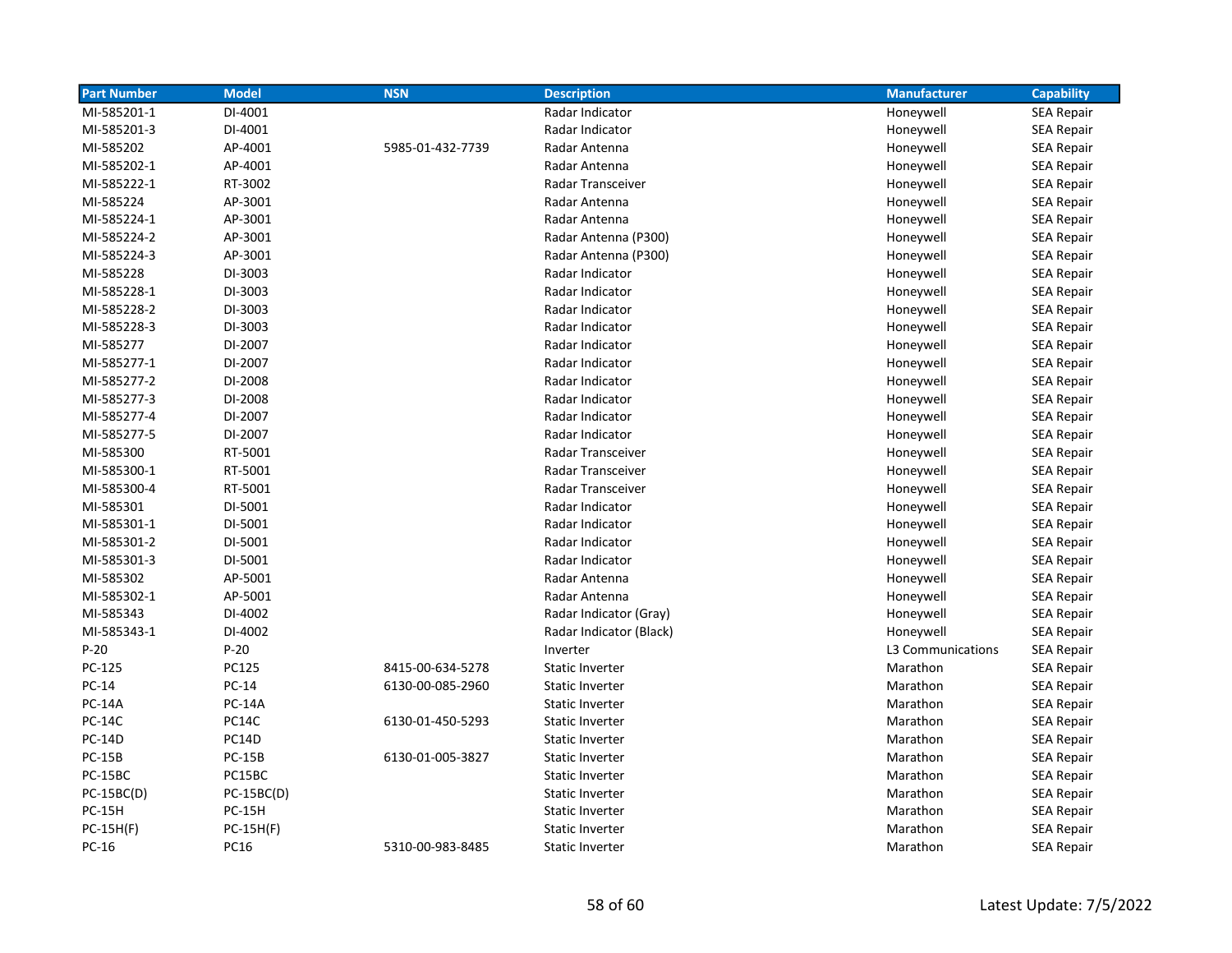| <b>Part Number</b> | <b>Model</b>  | <b>NSN</b>       | <b>Description</b>       | <b>Manufacturer</b> | <b>Capability</b> |
|--------------------|---------------|------------------|--------------------------|---------------------|-------------------|
| MI-585201-1        | DI-4001       |                  | Radar Indicator          | Honeywell           | <b>SEA Repair</b> |
| MI-585201-3        | DI-4001       |                  | Radar Indicator          | Honeywell           | <b>SEA Repair</b> |
| MI-585202          | AP-4001       | 5985-01-432-7739 | Radar Antenna            | Honeywell           | <b>SEA Repair</b> |
| MI-585202-1        | AP-4001       |                  | Radar Antenna            | Honeywell           | <b>SEA Repair</b> |
| MI-585222-1        | RT-3002       |                  | Radar Transceiver        | Honeywell           | <b>SEA Repair</b> |
| MI-585224          | AP-3001       |                  | Radar Antenna            | Honeywell           | <b>SEA Repair</b> |
| MI-585224-1        | AP-3001       |                  | Radar Antenna            | Honeywell           | <b>SEA Repair</b> |
| MI-585224-2        | AP-3001       |                  | Radar Antenna (P300)     | Honeywell           | <b>SEA Repair</b> |
| MI-585224-3        | AP-3001       |                  | Radar Antenna (P300)     | Honeywell           | <b>SEA Repair</b> |
| MI-585228          | DI-3003       |                  | Radar Indicator          | Honeywell           | SEA Repair        |
| MI-585228-1        | DI-3003       |                  | Radar Indicator          | Honeywell           | <b>SEA Repair</b> |
| MI-585228-2        | DI-3003       |                  | Radar Indicator          | Honeywell           | <b>SEA Repair</b> |
| MI-585228-3        | DI-3003       |                  | Radar Indicator          | Honeywell           | <b>SEA Repair</b> |
| MI-585277          | DI-2007       |                  | Radar Indicator          | Honeywell           | <b>SEA Repair</b> |
| MI-585277-1        | DI-2007       |                  | Radar Indicator          | Honeywell           | <b>SEA Repair</b> |
| MI-585277-2        | DI-2008       |                  | Radar Indicator          | Honeywell           | <b>SEA Repair</b> |
| MI-585277-3        | DI-2008       |                  | Radar Indicator          | Honeywell           | <b>SEA Repair</b> |
| MI-585277-4        | DI-2007       |                  | Radar Indicator          | Honeywell           | <b>SEA Repair</b> |
| MI-585277-5        | DI-2007       |                  | Radar Indicator          | Honeywell           | <b>SEA Repair</b> |
| MI-585300          | RT-5001       |                  | Radar Transceiver        | Honeywell           | <b>SEA Repair</b> |
| MI-585300-1        | RT-5001       |                  | Radar Transceiver        | Honeywell           | <b>SEA Repair</b> |
| MI-585300-4        | RT-5001       |                  | <b>Radar Transceiver</b> | Honeywell           | <b>SEA Repair</b> |
| MI-585301          | DI-5001       |                  | Radar Indicator          | Honeywell           | <b>SEA Repair</b> |
| MI-585301-1        | DI-5001       |                  | Radar Indicator          | Honeywell           | <b>SEA Repair</b> |
| MI-585301-2        | DI-5001       |                  | Radar Indicator          | Honeywell           | <b>SEA Repair</b> |
| MI-585301-3        | DI-5001       |                  | Radar Indicator          | Honeywell           | <b>SEA Repair</b> |
| MI-585302          | AP-5001       |                  | Radar Antenna            | Honeywell           | <b>SEA Repair</b> |
| MI-585302-1        | AP-5001       |                  | Radar Antenna            | Honeywell           | <b>SEA Repair</b> |
| MI-585343          | DI-4002       |                  | Radar Indicator (Gray)   | Honeywell           | <b>SEA Repair</b> |
| MI-585343-1        | DI-4002       |                  | Radar Indicator (Black)  | Honeywell           | <b>SEA Repair</b> |
| $P-20$             | $P-20$        |                  | Inverter                 | L3 Communications   | <b>SEA Repair</b> |
| PC-125             | PC125         | 8415-00-634-5278 | <b>Static Inverter</b>   | Marathon            | <b>SEA Repair</b> |
| PC-14              | PC-14         | 6130-00-085-2960 | <b>Static Inverter</b>   | Marathon            | <b>SEA Repair</b> |
| <b>PC-14A</b>      | <b>PC-14A</b> |                  | <b>Static Inverter</b>   | Marathon            | <b>SEA Repair</b> |
| <b>PC-14C</b>      | <b>PC14C</b>  | 6130-01-450-5293 | <b>Static Inverter</b>   | Marathon            | <b>SEA Repair</b> |
| <b>PC-14D</b>      | <b>PC14D</b>  |                  | <b>Static Inverter</b>   | Marathon            | <b>SEA Repair</b> |
| <b>PC-15B</b>      | <b>PC-15B</b> | 6130-01-005-3827 | <b>Static Inverter</b>   | Marathon            | <b>SEA Repair</b> |
| PC-15BC            | PC15BC        |                  | <b>Static Inverter</b>   | Marathon            | <b>SEA Repair</b> |
| $PC-15BC(D)$       | $PC-15BC(D)$  |                  | <b>Static Inverter</b>   | Marathon            | <b>SEA Repair</b> |
| <b>PC-15H</b>      | <b>PC-15H</b> |                  | <b>Static Inverter</b>   | Marathon            | <b>SEA Repair</b> |
| PC-15H(F)          | $PC-15H(F)$   |                  | <b>Static Inverter</b>   | Marathon            | <b>SEA Repair</b> |
| PC-16              | PC16          | 5310-00-983-8485 | <b>Static Inverter</b>   | Marathon            | <b>SEA Repair</b> |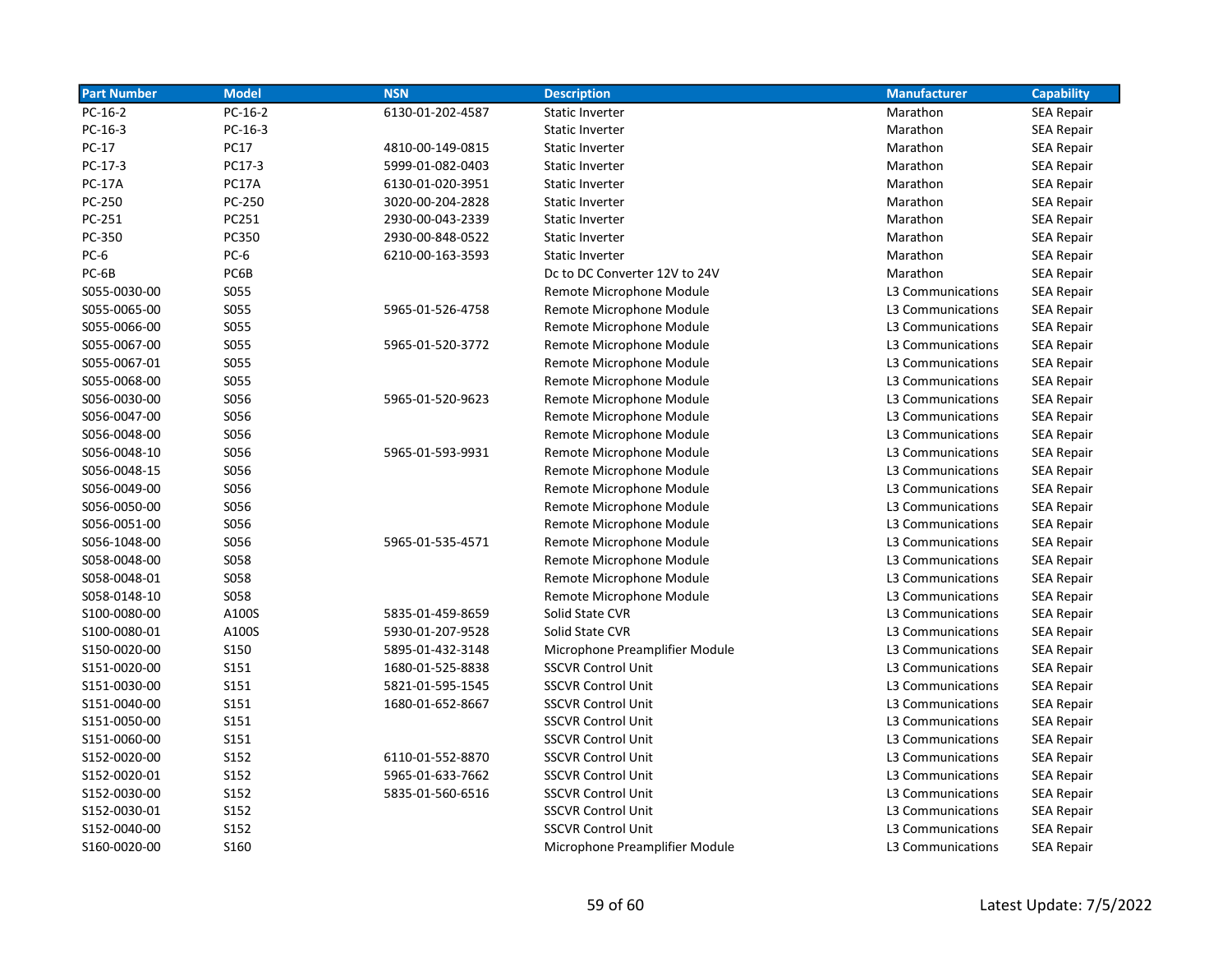| <b>Part Number</b> | <b>Model</b> | <b>NSN</b>       | <b>Description</b>             | <b>Manufacturer</b> | <b>Capability</b> |
|--------------------|--------------|------------------|--------------------------------|---------------------|-------------------|
| $PC-16-2$          | $PC-16-2$    | 6130-01-202-4587 | <b>Static Inverter</b>         | Marathon            | SEA Repair        |
| $PC-16-3$          | $PC-16-3$    |                  | <b>Static Inverter</b>         | Marathon            | <b>SEA Repair</b> |
| PC-17              | <b>PC17</b>  | 4810-00-149-0815 | <b>Static Inverter</b>         | Marathon            | SEA Repair        |
| PC-17-3            | PC17-3       | 5999-01-082-0403 | <b>Static Inverter</b>         | Marathon            | <b>SEA Repair</b> |
| <b>PC-17A</b>      | PC17A        | 6130-01-020-3951 | Static Inverter                | Marathon            | <b>SEA Repair</b> |
| PC-250             | PC-250       | 3020-00-204-2828 | Static Inverter                | Marathon            | <b>SEA Repair</b> |
| PC-251             | PC251        | 2930-00-043-2339 | Static Inverter                | Marathon            | <b>SEA Repair</b> |
| PC-350             | PC350        | 2930-00-848-0522 | Static Inverter                | Marathon            | <b>SEA Repair</b> |
| PC-6               | PC-6         | 6210-00-163-3593 | Static Inverter                | Marathon            | <b>SEA Repair</b> |
| PC-6B              | PC6B         |                  | Dc to DC Converter 12V to 24V  | Marathon            | <b>SEA Repair</b> |
| S055-0030-00       | S055         |                  | Remote Microphone Module       | L3 Communications   | <b>SEA Repair</b> |
| S055-0065-00       | S055         | 5965-01-526-4758 | Remote Microphone Module       | L3 Communications   | <b>SEA Repair</b> |
| S055-0066-00       | S055         |                  | Remote Microphone Module       | L3 Communications   | <b>SEA Repair</b> |
| S055-0067-00       | S055         | 5965-01-520-3772 | Remote Microphone Module       | L3 Communications   | <b>SEA Repair</b> |
| S055-0067-01       | S055         |                  | Remote Microphone Module       | L3 Communications   | <b>SEA Repair</b> |
| S055-0068-00       | S055         |                  | Remote Microphone Module       | L3 Communications   | <b>SEA Repair</b> |
| S056-0030-00       | S056         | 5965-01-520-9623 | Remote Microphone Module       | L3 Communications   | <b>SEA Repair</b> |
| S056-0047-00       | S056         |                  | Remote Microphone Module       | L3 Communications   | SEA Repair        |
| S056-0048-00       | S056         |                  | Remote Microphone Module       | L3 Communications   | <b>SEA Repair</b> |
| S056-0048-10       | S056         | 5965-01-593-9931 | Remote Microphone Module       | L3 Communications   | <b>SEA Repair</b> |
| S056-0048-15       | S056         |                  | Remote Microphone Module       | L3 Communications   | <b>SEA Repair</b> |
| S056-0049-00       | S056         |                  | Remote Microphone Module       | L3 Communications   | <b>SEA Repair</b> |
| S056-0050-00       | S056         |                  | Remote Microphone Module       | L3 Communications   | <b>SEA Repair</b> |
| S056-0051-00       | S056         |                  | Remote Microphone Module       | L3 Communications   | <b>SEA Repair</b> |
| S056-1048-00       | S056         | 5965-01-535-4571 | Remote Microphone Module       | L3 Communications   | <b>SEA Repair</b> |
| S058-0048-00       | S058         |                  | Remote Microphone Module       | L3 Communications   | <b>SEA Repair</b> |
| S058-0048-01       | S058         |                  | Remote Microphone Module       | L3 Communications   | <b>SEA Repair</b> |
| S058-0148-10       | <b>SO58</b>  |                  | Remote Microphone Module       | L3 Communications   | <b>SEA Repair</b> |
| S100-0080-00       | A100S        | 5835-01-459-8659 | Solid State CVR                | L3 Communications   | <b>SEA Repair</b> |
| S100-0080-01       | A100S        | 5930-01-207-9528 | Solid State CVR                | L3 Communications   | <b>SEA Repair</b> |
| S150-0020-00       | <b>S150</b>  | 5895-01-432-3148 | Microphone Preamplifier Module | L3 Communications   | <b>SEA Repair</b> |
| S151-0020-00       | S151         | 1680-01-525-8838 | <b>SSCVR Control Unit</b>      | L3 Communications   | <b>SEA Repair</b> |
| S151-0030-00       | S151         | 5821-01-595-1545 | <b>SSCVR Control Unit</b>      | L3 Communications   | <b>SEA Repair</b> |
| S151-0040-00       | S151         | 1680-01-652-8667 | <b>SSCVR Control Unit</b>      | L3 Communications   | <b>SEA Repair</b> |
| S151-0050-00       | S151         |                  | <b>SSCVR Control Unit</b>      | L3 Communications   | SEA Repair        |
| S151-0060-00       | S151         |                  | <b>SSCVR Control Unit</b>      | L3 Communications   | SEA Repair        |
| S152-0020-00       | S152         | 6110-01-552-8870 | <b>SSCVR Control Unit</b>      | L3 Communications   | SEA Repair        |
| S152-0020-01       | S152         | 5965-01-633-7662 | <b>SSCVR Control Unit</b>      | L3 Communications   | <b>SEA Repair</b> |
| S152-0030-00       | S152         | 5835-01-560-6516 | <b>SSCVR Control Unit</b>      | L3 Communications   | <b>SEA Repair</b> |
| S152-0030-01       | S152         |                  | <b>SSCVR Control Unit</b>      | L3 Communications   | <b>SEA Repair</b> |
| S152-0040-00       | S152         |                  | <b>SSCVR Control Unit</b>      | L3 Communications   | <b>SEA Repair</b> |
| S160-0020-00       | S160         |                  | Microphone Preamplifier Module | L3 Communications   | <b>SEA Repair</b> |